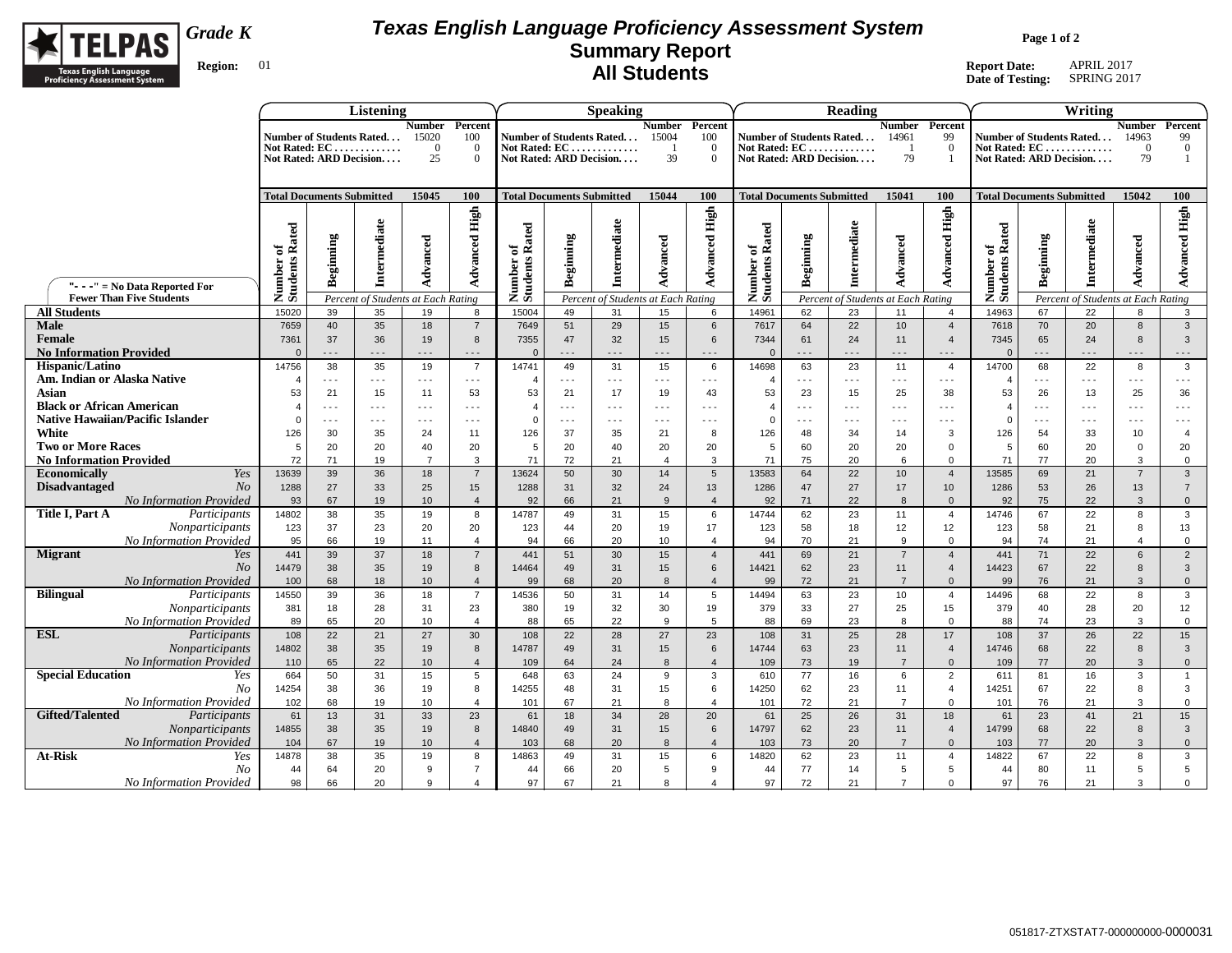

## **Texas English Language Proficiency Assessment System Summary Report All Students**

**Page 1 of 2**

|                                                                     |                                  |             | <b>Listening</b>           |                                    |                                        |                                  |                            | <b>Speaking</b>                    |                                |                                  |                                  |                      | Reading                            |                                    |                                        |                                  |                            | Writing                            |                                  |                               |
|---------------------------------------------------------------------|----------------------------------|-------------|----------------------------|------------------------------------|----------------------------------------|----------------------------------|----------------------------|------------------------------------|--------------------------------|----------------------------------|----------------------------------|----------------------|------------------------------------|------------------------------------|----------------------------------------|----------------------------------|----------------------------|------------------------------------|----------------------------------|-------------------------------|
|                                                                     |                                  |             | Number of Students Rated   | <b>Number</b> Percent<br>15020     |                                        |                                  |                            | Number of Students Rated           | <b>Number Percent</b><br>15004 | 100                              | Number of Students Rated         |                      |                                    | <b>Number</b> Percent<br>14961     |                                        |                                  |                            | Number of Students Rated           | 14963                            | <b>Number</b> Percent<br>99   |
|                                                                     |                                  |             | Not Rated: EC              | $\Omega$                           | 100<br>$\overline{0}$                  |                                  |                            | Not Rated: EC                      |                                | $\overline{0}$                   | Not Rated: EC                    |                      |                                    | $\overline{1}$                     | 99<br>$\Omega$                         |                                  |                            | Not Rated: EC                      | $\theta$                         | $\overline{0}$                |
|                                                                     |                                  |             | Not Rated: ARD Decision    | 25                                 | $\overline{0}$                         |                                  |                            | Not Rated: ARD Decision            | 39                             | $\overline{0}$                   | Not Rated: ARD Decision          |                      |                                    | 79                                 | -1                                     | Not Rated: ARD Decision          |                            |                                    | 79                               | $\mathbf{1}$                  |
|                                                                     |                                  |             |                            |                                    |                                        |                                  |                            |                                    |                                |                                  |                                  |                      |                                    |                                    |                                        |                                  |                            |                                    |                                  |                               |
|                                                                     | <b>Total Documents Submitted</b> |             |                            | 15045                              | <b>100</b>                             | <b>Total Documents Submitted</b> |                            |                                    | 15044                          | 100                              | <b>Total Documents Submitted</b> |                      |                                    | 15041                              | 100                                    | <b>Total Documents Submitted</b> |                            |                                    | 15042                            | 100                           |
|                                                                     |                                  |             |                            |                                    |                                        |                                  |                            |                                    |                                |                                  |                                  |                      |                                    |                                    |                                        |                                  |                            |                                    |                                  |                               |
|                                                                     | Number of<br>Students Rated      |             | Intermediate               |                                    | <b>High</b>                            |                                  |                            | Intermediate                       |                                | <b>Advanced High</b>             | Number of<br>Students Rated      |                      | Intermediate                       |                                    | <b>Advanced High</b>                   | Number of<br>Students Rated      |                            | Intermediate                       |                                  | High                          |
|                                                                     |                                  |             |                            |                                    |                                        | Rated<br>ัธ                      |                            |                                    |                                |                                  |                                  |                      |                                    |                                    |                                        |                                  |                            |                                    |                                  |                               |
|                                                                     |                                  |             |                            |                                    |                                        |                                  |                            |                                    |                                |                                  |                                  |                      |                                    |                                    |                                        |                                  |                            |                                    |                                  |                               |
|                                                                     |                                  | Beginning   |                            | Advanced                           | Advanced                               |                                  | Beginning                  |                                    | Advanced                       |                                  |                                  | Beginning            |                                    | Advanced                           |                                        |                                  | Beginning                  |                                    | Advanced                         | Advanced                      |
| "- - -" = $No$ Data Reported For<br><b>Fewer Than Five Students</b> |                                  |             |                            | Percent of Students at Each Rating |                                        | Number c<br>Students 1           |                            | Percent of Students at Each Rating |                                |                                  |                                  |                      | Percent of Students at Each Rating |                                    |                                        |                                  |                            | Percent of Students at Each Rating |                                  |                               |
| <b>All Students</b>                                                 | 15020                            | 39          | 35                         | 19                                 | 8                                      | 15004                            | 49                         | 31                                 | 15                             | 6                                | 14961                            | 62                   | 23                                 | 11                                 | $\overline{4}$                         | 14963                            | 67                         | 22                                 | 8                                | 3                             |
| Male                                                                | 7659                             | 40          | 35                         | 18                                 | $\overline{7}$                         | 7649                             | 51                         | 29                                 | 15                             | 6                                | 7617                             | 64                   | 22                                 | 10 <sup>10</sup>                   | $\overline{4}$                         | 7618                             | 70                         | 20                                 | 8                                | $\overline{3}$                |
| Female                                                              | 7361                             | 37          | 36                         | 19                                 | 8                                      | 7355                             | 47                         | 32                                 | 15                             | $6\phantom{1}$                   | 7344                             | 61                   | 24                                 | 11                                 | $\overline{4}$                         | 7345                             | 65                         | 24                                 | $\mathbf{8}$                     | $\overline{3}$                |
| <b>No Information Provided</b>                                      | $\Omega$                         | $- - -$     | $\sim$ $\sim$ $\sim$       | $- - -$                            | $- - -$                                | $\overline{0}$                   | $- - -$                    | $- - -$                            | $\sim$ $\sim$ $\sim$           | $- -$                            | $\mathbf{0}$                     | $- - -$              | $- - -$                            | $- - -$                            | $\sim$ $\sim$ $\sim$                   | $\mathbf{0}$                     | $\sim$ $\sim$ $\sim$       | $- - -$                            | $- - -$                          | $- - -$                       |
| Hispanic/Latino<br>Am. Indian or Alaska Native                      | 14756<br>$\overline{4}$          | 38<br>$- -$ | 35<br>$\sim$ $\sim$ $\sim$ | 19<br>$\sim$ $\sim$ $\sim$         | $\overline{7}$<br>$\sim$ $\sim$ $\sim$ | 14741<br>$\overline{4}$          | 49<br>$\sim$ $\sim$ $\sim$ | 31<br>$\sim$ $\sim$ $\sim$         | 15<br>$\sim$ $\sim$ $\sim$     | 6<br>$\sim$ $\sim$ $\sim$        | 14698<br>$\overline{4}$          | 63<br>$- - -$        | 23<br>$- - -$                      | 11<br>$- - -$                      | $\overline{4}$<br>$\sim$ $\sim$ $\sim$ | 14700<br>$\overline{4}$          | 68<br>$\sim$ $\sim$ $\sim$ | 22<br>$\sim$ $\sim$ $\sim$         | 8<br>$\sim$ $\sim$ $\sim$        | 3<br>$\sim$ $\sim$ $\sim$     |
| Asian                                                               | 53                               | 21          | 15                         | 11                                 | 53                                     | 53                               | 21                         | 17                                 | 19                             | 43                               | 53                               | 23                   | 15                                 | 25                                 | 38                                     | 53                               | 26                         | 13                                 | 25                               | 36                            |
| <b>Black or African American</b>                                    |                                  | $- - -$     | $- - -$                    | $- - -$                            | $- - -$                                | $\overline{4}$                   | $\sim$ $\sim$ $\sim$       | $- - -$                            | $\sim$ $\sim$ $\sim$           | $- - -$                          | $\overline{4}$                   | $\sim$ $\sim$ $\sim$ | $- - -$                            | $- - -$                            | $\sim$ $\sim$ $\sim$                   | $\overline{4}$                   | $- - -$                    | $- - -$                            | $- - -$                          | $- - -$                       |
| <b>Native Hawaiian/Pacific Islander</b>                             | $\Omega$                         | $- - -$     | $- - -$                    | $- - -$                            | $- - -$                                | $\mathbf 0$                      | $\sim$ $\sim$ $\sim$       | $- - -$                            | $- - -$                        | $- - -$                          | $\mathbf 0$                      | $- - -$              | $- - -$                            | $- - -$                            | $- - -$                                | $\mathbf 0$                      | $- - -$                    | $- - -$                            | $- - -$                          | $- - -$                       |
| White                                                               | 126                              | 30          | 35                         | 24                                 | 11                                     | 126                              | 37                         | 35                                 | 21                             | 8                                | 126                              | 48                   | 34                                 | 14                                 | 3                                      | 126                              | 54                         | 33                                 | 10                               | $\overline{4}$                |
| <b>Two or More Races</b>                                            | 5                                | 20          | 20                         | 40                                 | 20                                     | 5                                | 20                         | 40                                 | 20                             | 20                               | 5                                | 60                   | 20                                 | 20                                 | $\Omega$                               | 5                                | 60                         | 20                                 | $\mathbf{0}$                     | 20                            |
| <b>No Information Provided</b><br><b>Economically</b><br>Yes        | 72<br>13639                      | 71<br>39    | 19<br>36                   | $\overline{7}$<br>18               | 3<br>$\overline{7}$                    | 71<br>13624                      | 72<br>50                   | 21<br>30                           | $\overline{4}$<br>14           | 3<br>5                           | 71<br>13583                      | 75<br>64             | 20<br>22                           | $6\phantom{1}$<br>10 <sup>10</sup> | $\mathbf 0$<br>$\overline{4}$          | 71<br>13585                      | 77<br>69                   | 20<br>21                           | 3<br>$\overline{7}$              | $\Omega$<br>$\overline{3}$    |
| <b>Disadvantaged</b><br>N <sub>O</sub>                              | 1288                             | 27          | 33                         | 25                                 | 15                                     | 1288                             | 31                         | 32                                 | 24                             | 13                               | 1286                             | 47                   | 27                                 | 17                                 | 10                                     | 1286                             | 53                         | 26                                 | 13                               | $\overline{7}$                |
| <b>No Information Provided</b>                                      | 93                               | 67          | 19                         | 10                                 | $\overline{4}$                         | 92                               | 66                         | 21                                 | 9                              | $\overline{4}$                   | 92                               | 71                   | 22                                 | 8                                  | $\overline{0}$                         | 92                               | 75                         | 22                                 | $\mathbf{3}$                     | $\Omega$                      |
| Title I, Part A<br>Participants                                     | 14802                            | 38          | 35                         | 19                                 | 8                                      | 14787                            | 49                         | 31                                 | 15                             | 6                                | 14744                            | 62                   | 23                                 | 11                                 | $\overline{4}$                         | 14746                            | 67                         | 22                                 | 8                                | 3                             |
| Nonparticipants                                                     | 123                              | 37          | 23                         | 20                                 | 20                                     | 123                              | 44                         | 20                                 | 19                             | 17                               | 123                              | 58                   | 18                                 | 12                                 | 12                                     | 123                              | 58                         | 21                                 | 8                                | 13                            |
| No Information Provided<br><b>Migrant</b><br>Yes                    | 95<br>441                        | 66<br>39    | 19<br>37                   | 11<br>18                           | $\overline{4}$<br>$\overline{7}$       | 94<br>441                        | 66<br>51                   | 20<br>30                           | 10<br>15                       | $\overline{4}$<br>$\overline{4}$ | 94<br>441                        | 70<br>69             | 21<br>21                           | 9<br>$\overline{7}$                | $\mathbf 0$<br>$\overline{4}$          | 94<br>441                        | 74<br>71                   | 21<br>22                           | $\overline{4}$<br>$6\phantom{.}$ | $\mathbf 0$<br>$\overline{2}$ |
| No                                                                  | 14479                            | 38          | 35                         | 19                                 | 8                                      | 14464                            | 49                         | 31                                 | 15                             | 6                                | 14421                            | 62                   | 23                                 | 11                                 | $\overline{4}$                         | 14423                            | 67                         | 22                                 | 8                                | $\mathbf{3}$                  |
| <b>No Information Provided</b>                                      | 100                              | 68          | 18                         | 10                                 | $\overline{4}$                         | 99                               | 68                         | 20                                 | 8                              | $\overline{4}$                   | 99                               | 72                   | 21                                 | $\overline{7}$                     | $\overline{0}$                         | 99                               | 76                         | 21                                 | 3                                | $\Omega$                      |
| <b>Bilingual</b><br>Participants                                    | 14550                            | 39          | 36                         | 18                                 | $\overline{7}$                         | 14536                            | 50                         | 31                                 | 14                             | 5                                | 14494                            | 63                   | 23                                 | 10 <sup>10</sup>                   | $\overline{4}$                         | 14496                            | 68                         | 22                                 | 8                                | $\mathbf{3}$                  |
| Nonparticipants                                                     | 381                              | 18          | 28                         | 31                                 | 23                                     | 380                              | 19                         | 32                                 | 30                             | 19                               | 379                              | 33                   | 27                                 | 25                                 | 15                                     | 379                              | 40                         | 28                                 | 20                               | 12                            |
| No Information Provided                                             | 89                               | 65          | 20                         | 10                                 | $\overline{4}$<br>30                   | 88                               | 65                         | 22<br>28                           | 9                              | $\overline{5}$                   | 88                               | 69<br>31             | 23                                 | 8<br>28                            | $\mathbf 0$<br>17                      | 88                               | 74<br>37                   | 23<br>26                           | 3<br>22                          | $\Omega$                      |
| <b>ESL</b><br>Participants<br>Nonparticipants                       | 108<br>14802                     | 22<br>38    | 21<br>35                   | 27<br>19                           | 8                                      | 108<br>14787                     | 22<br>49                   | 31                                 | 27<br>15                       | 23<br>$6\phantom{1}$             | 108<br>14744                     | 63                   | 25<br>23                           | 11                                 | $\overline{4}$                         | 108<br>14746                     | 68                         | 22                                 | 8                                | 15<br>$\mathbf{3}$            |
| <b>No Information Provided</b>                                      | 110                              | 65          | 22                         | 10                                 | $\overline{4}$                         | 109                              | 64                         | 24                                 | 8                              | $\overline{4}$                   | 109                              | 73                   | 19                                 | $\overline{7}$                     | $\mathbf 0$                            | 109                              | 77                         | 20                                 | 3                                | $\mathbf{0}$                  |
| <b>Special Education</b><br>Yes                                     | 664                              | 50          | 31                         | 15                                 | 5                                      | 648                              | 63                         | 24                                 | 9                              | 3                                | 610                              | 77                   | 16                                 | $6\phantom{1}$                     | $\overline{2}$                         | 611                              | 81                         | 16                                 | 3                                | $\mathbf{1}$                  |
| No                                                                  | 14254                            | 38          | 36                         | 19                                 | 8                                      | 14255                            | 48                         | 31                                 | 15                             | 6                                | 14250                            | 62                   | 23                                 | 11                                 | $\overline{4}$                         | 14251                            | 67                         | 22                                 | 8                                | 3                             |
| No Information Provided                                             | 102                              | 68          | 19                         | 10                                 | $\overline{4}$                         | 101                              | 67                         | 21                                 | 8                              | $\overline{4}$                   | 101                              | 72                   | 21                                 | $\overline{7}$                     | $\mathbf 0$                            | 101                              | 76                         | 21                                 | 3                                | $\Omega$                      |
| <b>Gifted/Talented</b><br>Participants                              | 61                               | 13          | 31                         | 33                                 | 23                                     | 61                               | 18                         | 34                                 | 28                             | 20                               | 61                               | 25<br>62             | 26<br>23                           | 31                                 | 18                                     | 61                               | 23                         | 41                                 | 21<br>8                          | 15                            |
| Nonparticipants<br>No Information Provided                          | 14855<br>104                     | 38<br>67    | 35<br>19                   | 19<br>10                           | 8<br>$\overline{4}$                    | 14840<br>103                     | 49<br>68                   | 31<br>20                           | 15<br>8                        | $6\phantom{1}$<br>$\overline{4}$ | 14797<br>103                     | 73                   | 20                                 | 11<br>$\overline{7}$               | $\overline{4}$<br>$\overline{0}$       | 14799<br>103                     | 68<br>77                   | 22<br>20                           | $\mathbf{3}$                     | $\mathbf{3}$<br>$\mathbf{0}$  |
| <b>At-Risk</b><br>Yes                                               | 14878                            | 38          | 35                         | 19                                 | 8                                      | 14863                            | 49                         | 31                                 | 15                             | 6                                | 14820                            | 62                   | 23                                 | 11                                 | $\overline{4}$                         | 14822                            | 67                         | 22                                 | 8                                | 3                             |
| No                                                                  | 44                               | 64          | 20                         | 9                                  | $\overline{7}$                         | 44                               | 66                         | 20                                 | 5                              | 9                                | 44                               | 77                   | 14                                 | $5\phantom{.0}$                    | 5                                      | 44                               | 80                         | 11                                 | 5                                | 5                             |
| <b>No Information Provided</b>                                      | 98                               | 66          | 20                         | 9                                  | $\overline{4}$                         | 97                               | 67                         | 21                                 | 8                              | $\overline{a}$                   | 97                               | 72                   | 21                                 | $\overline{7}$                     | $\mathbf 0$                            | 97                               | 76                         | 21                                 | 3                                | $\mathbf{0}$                  |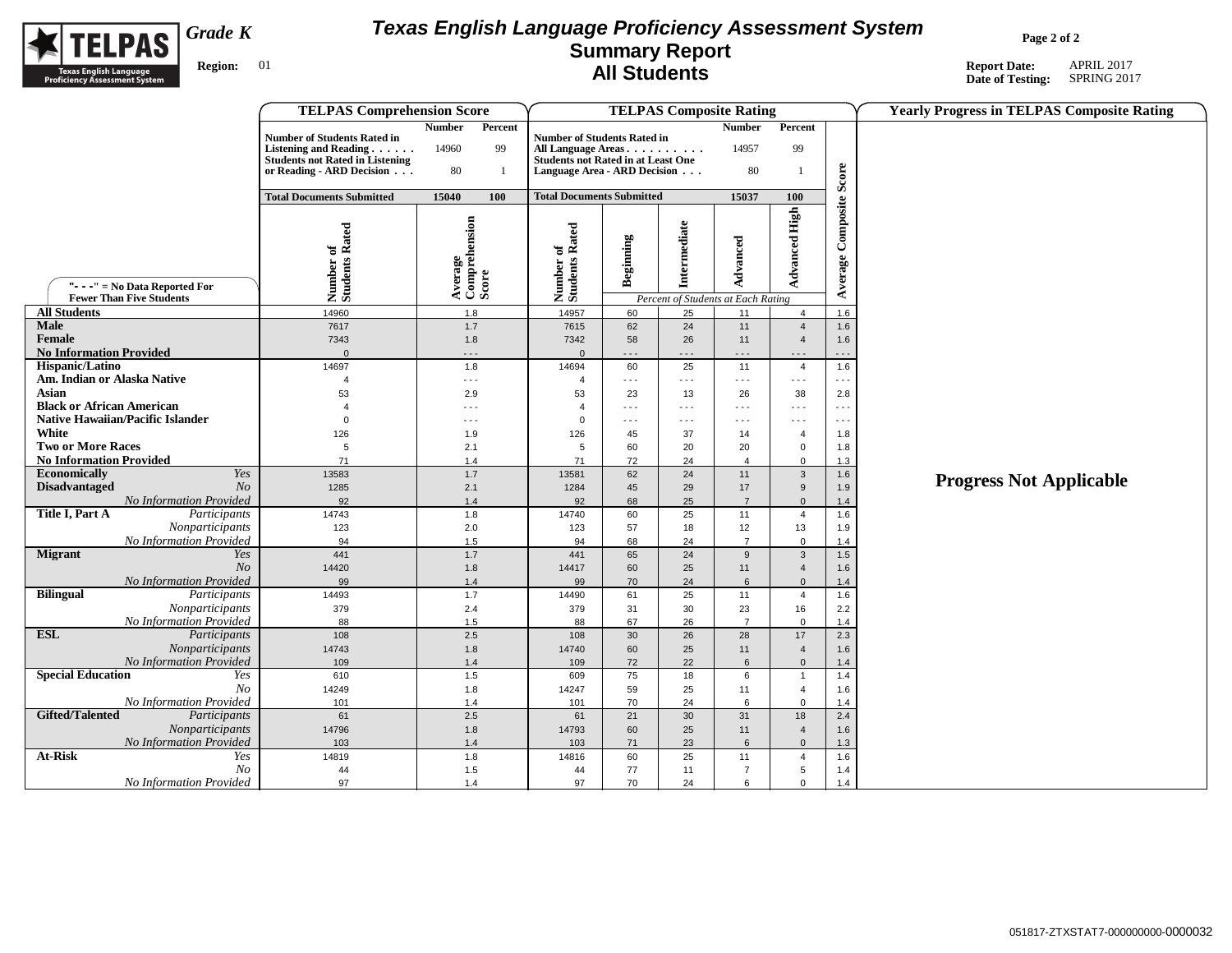

## **Texas English Language Proficiency Assessment System Summary Report All Students**

**Page 2 of 2**

|                                                                             |                                                | <b>TELPAS Comprehension Score</b>                           |                                   |                                                          |                  | <b>TELPAS Composite Rating</b>     |                            |                                  |                             | <b>Yearly Progress in TELPAS Composite Rating</b> |
|-----------------------------------------------------------------------------|------------------------------------------------|-------------------------------------------------------------|-----------------------------------|----------------------------------------------------------|------------------|------------------------------------|----------------------------|----------------------------------|-----------------------------|---------------------------------------------------|
|                                                                             |                                                |                                                             | <b>Number</b><br>Percent          |                                                          |                  |                                    | <b>Number</b>              | Percent                          |                             |                                                   |
|                                                                             |                                                | <b>Number of Students Rated in</b><br>Listening and Reading | 99<br>14960                       | <b>Number of Students Rated in</b><br>All Language Areas |                  |                                    | 14957                      | 99                               |                             |                                                   |
|                                                                             |                                                | <b>Students not Rated in Listening</b>                      |                                   | <b>Students not Rated in at Least One</b>                |                  |                                    |                            |                                  |                             |                                                   |
|                                                                             |                                                | or Reading - ARD Decision                                   | 80<br>-1                          | Language Area - ARD Decision                             |                  |                                    | 80                         | $\overline{1}$                   | Score                       |                                                   |
|                                                                             |                                                | <b>Total Documents Submitted</b>                            | 15040<br>100                      | <b>Total Documents Submitted</b>                         |                  |                                    | 15037                      | 100                              |                             |                                                   |
|                                                                             |                                                |                                                             |                                   |                                                          |                  |                                    |                            |                                  | <b>Average Composite</b>    |                                                   |
|                                                                             |                                                | Number of<br>Students Rated                                 | Average<br>Comprehension<br>Score | Number of<br>Students Rated                              |                  | Intermediate                       |                            | <b>Advanced High</b>             |                             |                                                   |
|                                                                             |                                                |                                                             |                                   |                                                          |                  |                                    |                            |                                  |                             |                                                   |
|                                                                             |                                                |                                                             |                                   |                                                          | <b>Beginning</b> |                                    | Advanced                   |                                  |                             |                                                   |
|                                                                             | "- - -" = $No Data Reported For$               |                                                             |                                   |                                                          |                  |                                    |                            |                                  |                             |                                                   |
| <b>Fewer Than Five Students</b>                                             |                                                |                                                             |                                   |                                                          |                  | Percent of Students at Each Rating |                            |                                  |                             |                                                   |
| <b>All Students</b>                                                         |                                                | 14960                                                       | 1.8                               | 14957                                                    | 60               | 25                                 | 11                         | $\overline{4}$                   | 1.6                         |                                                   |
| <b>Male</b><br>Female                                                       |                                                | 7617<br>7343                                                | 1.7<br>1.8                        | 7615<br>7342                                             | 62<br>58         | 24<br>26                           | 11<br>11                   | $\overline{4}$<br>$\overline{4}$ | 1.6<br>1.6                  |                                                   |
| <b>No Information Provided</b>                                              |                                                | $\overline{0}$                                              | $\sim$ $\sim$ $\sim$              | $\Omega$                                                 | .                | $\sim$ $\sim$ $\sim$               | $- - -$                    |                                  | $\ddotsc$                   |                                                   |
| Hispanic/Latino                                                             |                                                | 14697                                                       | 1.8                               | 14694                                                    | 60               | 25                                 | 11                         | $\overline{4}$                   | 1.6                         |                                                   |
| Am. Indian or Alaska Native                                                 |                                                | $\overline{4}$                                              | $\sim$ $\sim$ $\sim$              | $\overline{4}$                                           | $- - -$          | $\sim$ $\sim$ $\sim$               | $\sim$ $\sim$ $\sim$       | $- - -$                          | $- - -$                     |                                                   |
| Asian                                                                       |                                                | 53                                                          | 2.9                               | 53                                                       | 23               | 13                                 | 26                         | 38                               | 2.8                         |                                                   |
| <b>Black or African American</b><br><b>Native Hawaiian/Pacific Islander</b> |                                                | $\overline{4}$                                              | $ -$                              | $\overline{4}$                                           | $- - -$          | $\sim$ $\sim$ $\sim$               | $- - -$                    | $- -$                            | $\ddotsc$                   |                                                   |
| White                                                                       |                                                | $\mathbf{0}$<br>126                                         | $- - -$<br>1.9                    | $\mathbf 0$<br>126                                       | $- - -$<br>45    | $\sim$ $\sim$ $\sim$<br>37         | $\sim$ $\sim$ $\sim$<br>14 | $- - -$<br>$\overline{4}$        | $\sim$ $\sim$ $\sim$<br>1.8 |                                                   |
| <b>Two or More Races</b>                                                    |                                                | 5                                                           | 2.1                               | 5                                                        | 60               | 20                                 | 20                         | $\mathbf 0$                      | 1.8                         |                                                   |
| <b>No Information Provided</b>                                              |                                                | 71                                                          | 1.4                               | 71                                                       | 72               | 24                                 | $\overline{4}$             | $\mathbf 0$                      | 1.3                         |                                                   |
| Economically                                                                | Yes                                            | 13583                                                       | 1.7                               | 13581                                                    | 62               | 24                                 | 11                         | 3                                | 1.6                         | <b>Progress Not Applicable</b>                    |
| <b>Disadvantaged</b>                                                        | N <sub>O</sub>                                 | 1285                                                        | 2.1                               | 1284                                                     | 45               | 29                                 | 17                         | 9                                | 1.9                         |                                                   |
| Title I, Part A                                                             | No Information Provided<br>Participants        | 92<br>14743                                                 | 1.4<br>1.8                        | 92<br>14740                                              | 68<br>60         | 25<br>25                           | $\overline{7}$<br>11       | $\Omega$<br>$\overline{4}$       | 1.4<br>1.6                  |                                                   |
|                                                                             | Nonparticipants                                | 123                                                         | 2.0                               | 123                                                      | 57               | 18                                 | 12                         | 13                               | 1.9                         |                                                   |
|                                                                             | No Information Provided                        | 94                                                          | 1.5                               | 94                                                       | 68               | 24                                 | $\overline{7}$             | $\Omega$                         | 1.4                         |                                                   |
| <b>Migrant</b>                                                              | Yes                                            | 441                                                         | 1.7                               | 441                                                      | 65               | 24                                 | 9                          | 3                                | 1.5                         |                                                   |
|                                                                             | N <sub>O</sub>                                 | 14420                                                       | 1.8                               | 14417                                                    | 60               | 25                                 | 11                         | $\overline{4}$                   | 1.6                         |                                                   |
| <b>Bilingual</b>                                                            | <b>No Information Provided</b><br>Participants | 99<br>14493                                                 | 1.4<br>1.7                        | 99<br>14490                                              | 70<br>61         | 24<br>25                           | $6\phantom{.}6$<br>11      | $\mathbf{0}$<br>$\overline{4}$   | 1.4<br>1.6                  |                                                   |
|                                                                             | Nonparticipants                                | 379                                                         | 2.4                               | 379                                                      | 31               | 30                                 | 23                         | 16                               | 2.2                         |                                                   |
|                                                                             | No Information Provided                        | 88                                                          | 1.5                               | 88                                                       | 67               | 26                                 | $\overline{7}$             | $\mathbf 0$                      | 1.4                         |                                                   |
| <b>ESL</b>                                                                  | Participants                                   | 108                                                         | 2.5                               | 108                                                      | 30               | 26                                 | 28                         | 17                               | 2.3                         |                                                   |
|                                                                             | Nonparticipants                                | 14743                                                       | 1.8                               | 14740                                                    | 60               | 25                                 | 11                         | $\overline{4}$                   | 1.6                         |                                                   |
| <b>Special Education</b>                                                    | No Information Provided<br>Yes                 | 109<br>610                                                  | 1.4<br>1.5                        | 109                                                      | 72<br>75         | 22                                 | $6\phantom{1}$<br>6        | $\Omega$<br>$\overline{1}$       | 1.4<br>1.4                  |                                                   |
|                                                                             | N <sub>O</sub>                                 | 14249                                                       | 1.8                               | 609<br>14247                                             | 59               | 18<br>25                           | 11                         | $\overline{4}$                   | 1.6                         |                                                   |
|                                                                             | No Information Provided                        | 101                                                         | 1.4                               | 101                                                      | 70               | 24                                 | 6                          | $\mathbf 0$                      | 1.4                         |                                                   |
| <b>Gifted/Talented</b>                                                      | Participants                                   | 61                                                          | 2.5                               | 61                                                       | 21               | 30                                 | 31                         | 18                               | 2.4                         |                                                   |
|                                                                             | Nonparticipants                                | 14796                                                       | 1.8                               | 14793                                                    | 60               | 25                                 | 11                         | $\overline{4}$                   | 1.6                         |                                                   |
|                                                                             | No Information Provided                        | 103                                                         | 1.4                               | 103                                                      | 71               | 23                                 | $6\overline{6}$            | $\Omega$                         | 1.3                         |                                                   |
| At-Risk                                                                     | Yes<br>N <sub>o</sub>                          | 14819<br>44                                                 | 1.8<br>1.5                        | 14816<br>44                                              | 60<br>77         | 25<br>11                           | 11<br>$\overline{7}$       | $\overline{4}$<br>5              | 1.6<br>1.4                  |                                                   |
|                                                                             | No Information Provided                        | 97                                                          | 1.4                               | 97                                                       | 70               | 24                                 | 6                          | $\Omega$                         | 1.4                         |                                                   |
|                                                                             |                                                |                                                             |                                   |                                                          |                  |                                    |                            |                                  |                             |                                                   |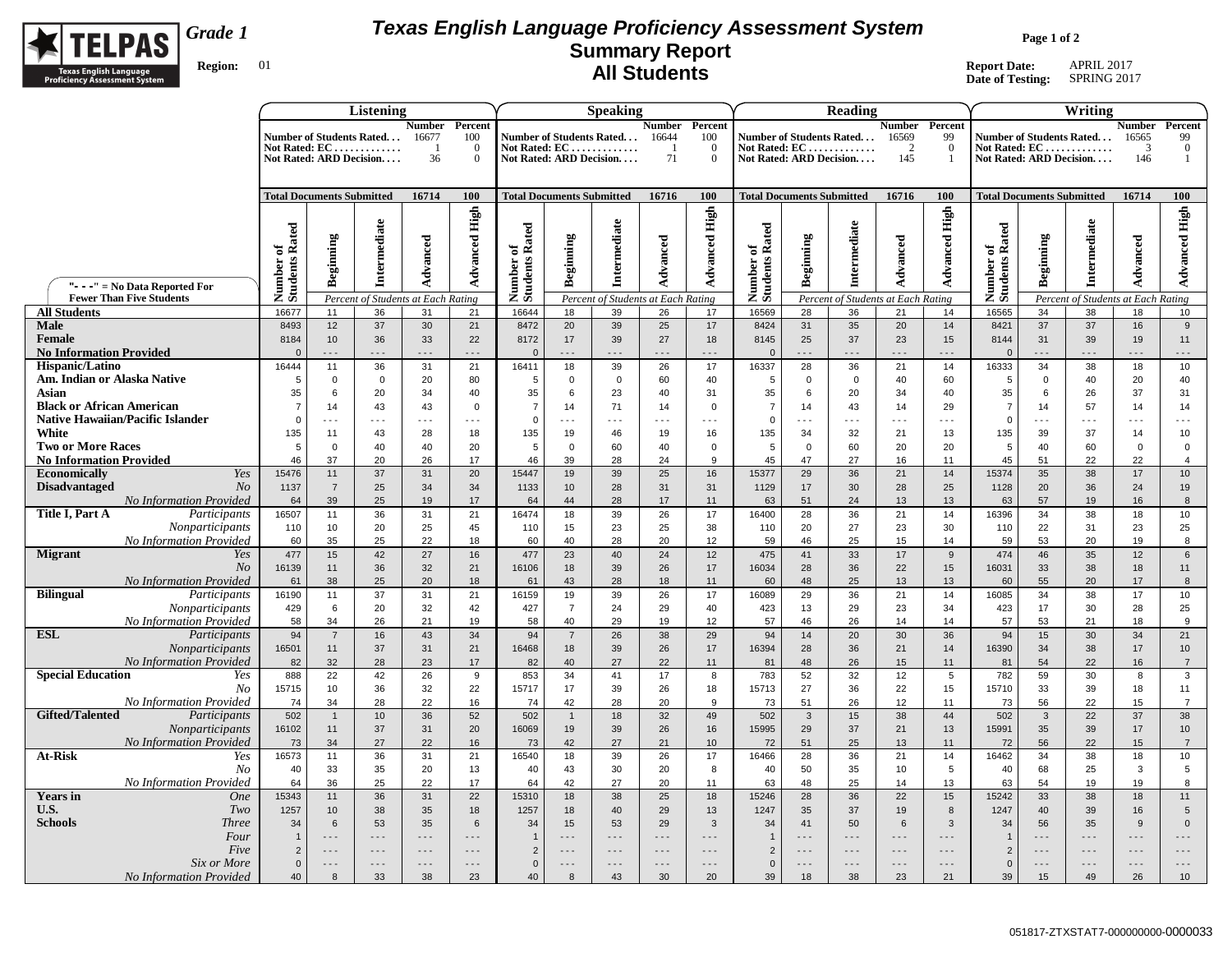

## **Texas English Language Proficiency Assessment System Summary Report All Students**

**Page 1 of 2**

|                                                                     |                             |                                  | Listening                                                            |                                     |                                 |                                       |                      | <b>Speaking</b>                                                             |                                      |                             |                                                                      |                                | Reading                            |                                                         |                                |                                  |                      | Writing                                                                      |                                               |                          |
|---------------------------------------------------------------------|-----------------------------|----------------------------------|----------------------------------------------------------------------|-------------------------------------|---------------------------------|---------------------------------------|----------------------|-----------------------------------------------------------------------------|--------------------------------------|-----------------------------|----------------------------------------------------------------------|--------------------------------|------------------------------------|---------------------------------------------------------|--------------------------------|----------------------------------|----------------------|------------------------------------------------------------------------------|-----------------------------------------------|--------------------------|
|                                                                     |                             |                                  | Number of Students Rated<br>Not Rated: EC<br>Not Rated: ARD Decision | Number Percent<br>16677<br>-1<br>36 | 100<br>$\theta$<br>$\mathbf{0}$ |                                       |                      | <b>Number of Students Rated</b><br>Not Rated: EC<br>Not Rated: ARD Decision | <b>Number Percent</b><br>16644<br>71 | 100<br>$\Omega$<br>$\Omega$ | Number of Students Rated<br>Not Rated: EC<br>Not Rated: ARD Decision |                                |                                    | <b>Number</b> Percent<br>16569<br>$\overline{2}$<br>145 | 99<br>$\Omega$<br>-1           |                                  |                      | Number of Students Rated 16565<br>Not Rated: $EC$<br>Not Rated: ARD Decision | <b>Number</b> Percent<br>$\mathcal{R}$<br>146 | 99<br>$\Omega$<br>-1     |
|                                                                     |                             | <b>Total Documents Submitted</b> |                                                                      | 16714                               | 100                             | <b>Total Documents Submitted</b>      |                      |                                                                             | 16716                                | 100                         | <b>Total Documents Submitted</b>                                     |                                |                                    | 16716                                                   | 100                            | <b>Total Documents Submitted</b> |                      |                                                                              | 16714                                         | 100                      |
|                                                                     | Number of<br>Students Rated | Beginning                        | Intermediate                                                         | Advanced                            | <b>Advanced High</b>            | of<br>Rated<br>Number o<br>Students 1 | Beginning            | Intermediate                                                                | Advanced                             | <b>Advanced High</b>        | Number of<br>Students Rated                                          | Beginning                      | Intermediate                       | Advanced                                                | <b>Advanced High</b>           | Number of<br>Students Rated      | Beginning            | Intermediate                                                                 | Advanced                                      | <b>Advanced High</b>     |
| "- - -" = $No$ Data Reported For<br><b>Fewer Than Five Students</b> |                             |                                  | Percent of Students at Each Rating                                   |                                     |                                 |                                       |                      | Percent of Students at Each Rating                                          |                                      |                             |                                                                      |                                | Percent of Students at Each Rating |                                                         |                                |                                  |                      | Percent of Students at Each Rating                                           |                                               |                          |
| <b>All Students</b>                                                 | 16677                       | 11                               | 36                                                                   | 31                                  | 21                              | 16644                                 | 18                   | 39                                                                          | 26                                   | 17                          | 16569                                                                | 28                             | 36                                 | 21                                                      | 14                             | 16565                            | 34                   | 38                                                                           | 18                                            | 10                       |
| <b>Male</b>                                                         | 8493                        | 12                               | 37                                                                   | 30                                  | 21                              | 8472                                  | 20                   | 39                                                                          | 25                                   | 17                          | 8424                                                                 | 31                             | 35                                 | 20                                                      | 14                             | 8421                             | 37                   | 37                                                                           | 16                                            | $\overline{9}$           |
| Female                                                              | 8184                        | 10                               | 36                                                                   | 33                                  | 22                              | 8172                                  | 17                   | 39                                                                          | 27                                   | 18                          | 8145                                                                 | 25<br>$\overline{\phantom{a}}$ | 37                                 | 23                                                      | 15                             | 8144                             | 31                   | 39<br>.                                                                      | 19<br>$- - -$                                 | 11<br>$\overline{a}$     |
| <b>No Information Provided</b><br><b>Hispanic/Latino</b>            | $\mathbf{0}$<br>16444       | 11                               | 36                                                                   | $- - -$<br>31                       | $- - -$<br>21                   | $\overline{0}$<br>16411               | 18                   | $- - -$<br>39                                                               | .<br>26                              | .<br>17                     | $\mathsf 0$<br>16337                                                 | 28                             | .<br>36                            | .<br>21                                                 | $\overline{\phantom{a}}$<br>14 | $\mathbf{0}$<br>16333            | .<br>34              | 38                                                                           | 18                                            | 10                       |
| Am. Indian or Alaska Native                                         | -5                          | $\mathbf{0}$                     | $\mathbf 0$                                                          | 20                                  | 80                              | 5                                     | $\mathbf{0}$         | $\overline{0}$                                                              | 60                                   | 40                          | 5                                                                    | $\mathbf 0$                    | $\overline{0}$                     | 40                                                      | 60                             | 5                                | $\mathbf{0}$         | 40                                                                           | 20                                            | 40                       |
| Asian                                                               | 35                          | 6                                | 20                                                                   | 34                                  | 40                              | 35                                    | 6                    | 23                                                                          | 40                                   | 31                          | 35                                                                   | 6                              | 20                                 | 34                                                      | 40                             | 35                               | $\,6\,$              | 26                                                                           | 37                                            | 31                       |
| <b>Black or African American</b>                                    | $\overline{7}$              | 14                               | 43                                                                   | 43                                  | $\mathsf 0$                     | $\overline{7}$                        | 14                   | 71                                                                          | 14                                   | $\mathbf 0$                 | $\overline{7}$                                                       | 14                             | 43                                 | 14                                                      | 29                             | $\overline{7}$                   | 14                   | 57                                                                           | 14                                            | 14                       |
| <b>Native Hawaiian/Pacific Islander</b>                             | $\Omega$                    | $ -$                             | $\sim$ $\sim$ $\sim$                                                 | $\sim$ $\sim$ $\sim$                | $\sim$ $\sim$ $\sim$            | $\Omega$                              | $\sim$ $\sim$ $\sim$ | $\sim$ $\sim$ $\sim$                                                        | $\sim$ $\sim$ $\sim$                 | $\sim$ $\sim$ $\sim$        | $\mathbf 0$                                                          | $- - -$                        | $- - -$                            | $\ddotsc$                                               | $\sim$ $\sim$ $\sim$           | $\mathbf 0$                      | $\sim$ $\sim$ $\sim$ | $\sim$ $\sim$ $\sim$                                                         | $\sim$ $\sim$ $\sim$                          | $\overline{\phantom{a}}$ |
| White<br><b>Two or More Races</b>                                   | 135<br>5                    | 11<br>$\mathbf 0$                | 43<br>40                                                             | 28<br>40                            | 18<br>20                        | 135<br>5                              | 19<br>$\mathbf 0$    | 46<br>60                                                                    | 19<br>40                             | 16<br>$\mathbf 0$           | 135<br>5                                                             | 34<br>$\mathsf 0$              | 32<br>60                           | 21<br>20                                                | 13<br>20                       | 135<br>5                         | 39<br>40             | 37<br>60                                                                     | 14<br>$\mathbf 0$                             | 10<br>$\mathbf 0$        |
| <b>No Information Provided</b>                                      | 46                          | 37                               | 20                                                                   | 26                                  | 17                              | 46                                    | 39                   | 28                                                                          | 24                                   | 9                           | 45                                                                   | 47                             | 27                                 | 16                                                      | 11                             | 45                               | 51                   | 22                                                                           | 22                                            | $\overline{4}$           |
| <b>Economically</b><br>Yes                                          | 15476                       | 11                               | 37                                                                   | 31                                  | 20                              | 15447                                 | 19                   | 39                                                                          | 25                                   | 16                          | 15377                                                                | 29                             | 36                                 | 21                                                      | 14                             | 15374                            | 35                   | 38                                                                           | 17                                            | 10 <sup>1</sup>          |
| <b>Disadvantaged</b><br>N <sub>O</sub>                              | 1137                        | $\overline{7}$                   | 25                                                                   | 34                                  | 34                              | 1133                                  | 10                   | 28                                                                          | 31                                   | 31                          | 1129                                                                 | 17                             | 30                                 | 28                                                      | 25                             | 1128                             | 20                   | 36                                                                           | 24                                            | 19                       |
| No Information Provided                                             | 64                          | 39                               | 25                                                                   | 19                                  | 17                              | 64                                    | 44                   | 28                                                                          | 17                                   | 11                          | 63                                                                   | 51                             | 24                                 | 13                                                      | 13                             | 63                               | 57                   | 19                                                                           | 16                                            | 8                        |
| Title I, Part A<br>Participants                                     | 16507                       | 11                               | 36                                                                   | 31                                  | 21                              | 16474                                 | 18                   | 39                                                                          | 26                                   | 17                          | 16400                                                                | 28                             | 36                                 | 21                                                      | 14                             | 16396                            | 34                   | 38                                                                           | 18                                            | 10                       |
| Nonparticipants<br>No Information Provided                          | 110<br>60                   | 10<br>35                         | 20<br>25                                                             | 25<br>22                            | 45<br>18                        | 110<br>60                             | 15<br>40             | 23<br>28                                                                    | 25<br>20                             | 38<br>12                    | 110<br>59                                                            | 20<br>46                       | 27<br>25                           | 23<br>15                                                | 30<br>14                       | 110<br>59                        | 22<br>53             | 31<br>20                                                                     | 23<br>19                                      | 25<br>8                  |
| <b>Migrant</b><br>Yes                                               | 477                         | 15                               | 42                                                                   | 27                                  | 16                              | 477                                   | 23                   | 40                                                                          | 24                                   | 12                          | 475                                                                  | 41                             | 33                                 | 17                                                      | 9                              | 474                              | 46                   | 35                                                                           | 12                                            | 6                        |
| No                                                                  | 16139                       | 11                               | 36                                                                   | 32                                  | 21                              | 16106                                 | 18                   | 39                                                                          | 26                                   | 17                          | 16034                                                                | 28                             | 36                                 | 22                                                      | 15                             | 16031                            | 33                   | 38                                                                           | 18                                            | 11                       |
| <b>No Information Provided</b>                                      | 61                          | 38                               | 25                                                                   | 20                                  | 18                              | 61                                    | 43                   | 28                                                                          | 18                                   | 11                          | 60                                                                   | 48                             | 25                                 | 13                                                      | 13                             | 60                               | 55                   | 20                                                                           | 17                                            | 8                        |
| <b>Bilingual</b><br>Participants                                    | 16190                       | 11                               | 37                                                                   | 31                                  | 21                              | 16159                                 | 19                   | 39                                                                          | 26                                   | 17                          | 16089                                                                | 29                             | 36                                 | 21                                                      | 14                             | 16085                            | 34                   | 38                                                                           | 17                                            | 10                       |
| Nonparticipants<br><b>No Information Provided</b>                   | 429<br>58                   | 6<br>34                          | 20<br>26                                                             | 32<br>21                            | 42<br>19                        | 427<br>58                             | $\overline{7}$<br>40 | 24<br>29                                                                    | 29<br>19                             | 40<br>12                    | 423<br>57                                                            | 13<br>46                       | 29<br>26                           | 23<br>14                                                | 34<br>14                       | 423                              | 17<br>53             | 30<br>21                                                                     | 28<br>18                                      | 25<br>$\boldsymbol{9}$   |
| <b>ESL</b><br>Participants                                          | 94                          | $\overline{7}$                   | 16                                                                   | 43                                  | 34                              | 94                                    | $\overline{7}$       | 26                                                                          | 38                                   | 29                          | 94                                                                   | 14                             | 20                                 | 30                                                      | 36                             | 57<br>94                         | 15                   | 30                                                                           | 34                                            | 21                       |
| Nonparticipants                                                     | 16501                       | 11                               | 37                                                                   | 31                                  | 21                              | 16468                                 | 18                   | 39                                                                          | 26                                   | $17$                        | 16394                                                                | 28                             | 36                                 | 21                                                      | 14                             | 16390                            | 34                   | 38                                                                           | 17                                            | 10                       |
| <b>No Information Provided</b>                                      | 82                          | 32                               | 28                                                                   | 23                                  | 17                              | 82                                    | 40                   | 27                                                                          | 22                                   | 11                          | 81                                                                   | 48                             | 26                                 | 15                                                      | 11                             | 81                               | 54                   | 22                                                                           | 16                                            | $\overline{7}$           |
| <b>Special Education</b><br>Yes                                     | 888                         | 22                               | 42                                                                   | 26                                  | 9                               | 853                                   | 34                   | 41                                                                          | 17                                   | 8                           | 783                                                                  | 52                             | 32                                 | 12                                                      | $5\overline{5}$                | 782                              | 59                   | 30                                                                           | 8                                             | $\mathbf{3}$             |
| N <sub>O</sub>                                                      | 15715                       | 10                               | 36                                                                   | 32                                  | 22                              | 15717                                 | 17                   | 39                                                                          | 26                                   | 18                          | 15713                                                                | 27                             | 36                                 | 22                                                      | 15                             | 15710                            | 33                   | 39                                                                           | 18                                            | 11                       |
| No Information Provided<br><b>Gifted/Talented</b><br>Participants   | 74<br>502                   | 34<br>$\overline{1}$             | 28<br>10                                                             | 22<br>36                            | 16<br>52                        | 74<br>502                             | 42<br>$\overline{1}$ | 28<br>18                                                                    | 20<br>32                             | 9<br>49                     | 73<br>502                                                            | 51<br>$\mathbf{3}$             | 26<br>15                           | 12<br>38                                                | 11<br>44                       | 73<br>502                        | 56<br>$\mathbf{3}$   | 22<br>22                                                                     | 15<br>37                                      | $\overline{7}$<br>38     |
| Nonparticipants                                                     | 16102                       | 11                               | 37                                                                   | 31                                  | 20                              | 16069                                 | 19                   | 39                                                                          | 26                                   | 16                          | 15995                                                                | 29                             | 37                                 | 21                                                      | 13                             | 15991                            | 35                   | 39                                                                           | 17                                            | 10 <sup>1</sup>          |
| No Information Provided                                             | 73                          | 34                               | 27                                                                   | 22                                  | 16                              | 73                                    | 42                   | 27                                                                          | 21                                   | 10                          | 72                                                                   | 51                             | 25                                 | 13                                                      | 11                             | 72                               | 56                   | 22                                                                           | 15                                            | $\overline{7}$           |
| At-Risk<br>Yes                                                      | 16573                       | 11                               | 36                                                                   | 31                                  | 21                              | 16540                                 | 18                   | 39                                                                          | 26                                   | 17                          | 16466                                                                | 28                             | 36                                 | 21                                                      | 14                             | 16462                            | 34                   | 38                                                                           | 18                                            | 10 <sup>1</sup>          |
| No                                                                  | 40                          | 33                               | 35                                                                   | 20                                  | 13                              | 40                                    | 43                   | 30                                                                          | 20                                   | 8                           | 40                                                                   | 50                             | 35                                 | 10                                                      | 5                              | 40                               | 68                   | 25                                                                           | 3                                             | $\sqrt{5}$               |
| <b>No Information Provided</b><br><b>Years</b> in<br><b>One</b>     | 64<br>15343                 | 36<br>11                         | 25<br>36                                                             | 22<br>31                            | 17<br>22                        | 64<br>15310                           | 42<br>18             | 27<br>38                                                                    | 20<br>25                             | 11<br>18                    | 63<br>15246                                                          | 48<br>28                       | 25<br>36                           | 14<br>22                                                | 13<br>15                       | 63<br>15242                      | 54<br>33             | 19<br>38                                                                     | 19<br>18                                      | 8<br>11                  |
| U.S.<br>Two                                                         | 1257                        | 10                               | 38                                                                   | 35                                  | 18                              | 1257                                  | 18                   | 40                                                                          | 29                                   | 13                          | 1247                                                                 | 35                             | 37                                 | 19                                                      | $\boldsymbol{8}$               | 1247                             | 40                   | 39                                                                           | 16                                            | $5\phantom{.0}$          |
| <b>Schools</b><br><b>Three</b>                                      | 34                          | $6\phantom{1}$                   | 53                                                                   | 35                                  | $6\phantom{.}$                  | 34                                    | 15                   | 53                                                                          | 29                                   | $\mathbf{3}$                | 34                                                                   | 41                             | 50                                 | $6\phantom{1}$                                          | $\mathbf{3}$                   | 34                               | 56                   | 35                                                                           | $\overline{9}$                                | $\mathbf 0$              |
| Four                                                                | $\overline{1}$              | $- - -$                          | $\sim$ $\sim$ $\sim$                                                 | $- - -$                             | $- - -$                         |                                       | $\sim$ $\sim$ $\sim$ | $- - -$                                                                     | $- - -$                              | $\sim$ $\sim$ $\sim$        | $\mathbf{1}$                                                         | $- - -$                        | $\overline{\phantom{a}}$           | $ -$                                                    | $ -$                           | $\overline{1}$                   | $- - -$              | $\sim$ $\sim$ $\sim$                                                         | $- - -$                                       | $- - -$                  |
| Five                                                                | $\overline{2}$              | $\sim$ $\sim$ $\sim$             | $\sim$ $\sim$ $\sim$                                                 | $- - -$                             | $- - -$                         | $\overline{2}$                        | $- - -$              | $- - -$                                                                     | $- - -$                              | $- - -$                     | $\overline{2}$                                                       | $- - -$                        | $\overline{\phantom{a}}$           | $\sim$ $\sim$ $\sim$                                    | $\sim$ $\sim$ $\sim$           | $\overline{2}$                   | $- - -$              | $- - -$                                                                      | $- - -$                                       | $- - -$                  |
| Six or More                                                         | $\Omega$                    | $\sim$ $\sim$ $\sim$             | $\sim$ $\sim$ $\sim$                                                 | $- - -$                             | $- - -$                         | $\Omega$                              | $- - -$              | $- - -$                                                                     | $- - -$                              | $- - -$                     | $\mathbf{0}$                                                         | $- - -$                        | $\overline{\phantom{a}}$           | $\overline{\phantom{a}}$                                | $- - -$                        | $\Omega$                         | $- - -$              | $- - -$                                                                      | $- - -$                                       | $- - -$                  |
| <b>No Information Provided</b>                                      | 40                          | 8                                | 33                                                                   | 38                                  | 23                              | 40                                    | 8                    | 43                                                                          | 30                                   | 20                          | 39                                                                   | 18                             | 38                                 | 23                                                      | 21                             | 39                               | 15                   | 49                                                                           | 26                                            | 10 <sup>10</sup>         |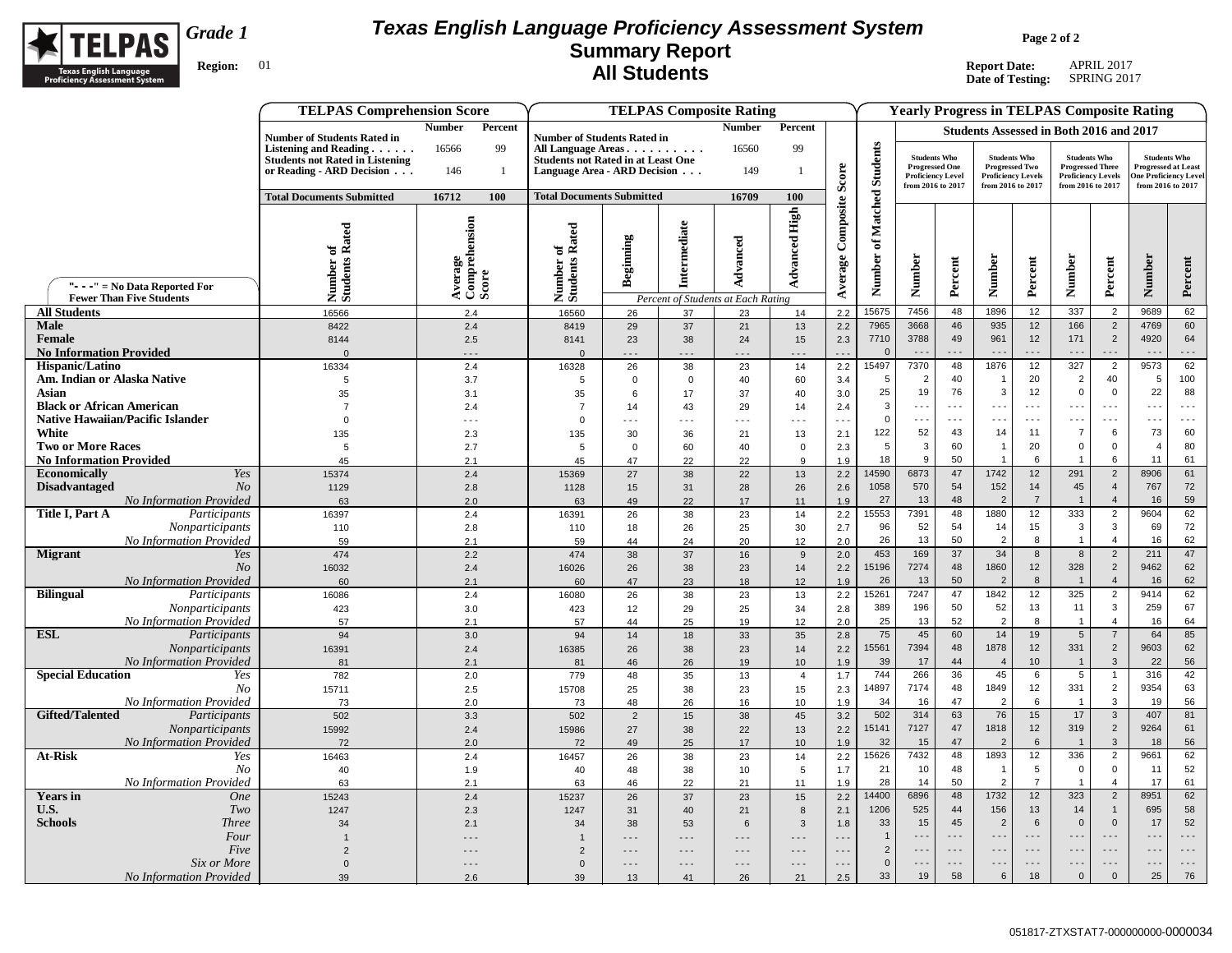

## **Texas English Language Proficiency Assessment System Summary Report All Students**

**Page 2 of 2**

|                                                   | <b>TELPAS Comprehension Score</b>                                                                                                           |                                   |                                                                                                                                       |                            |                            | <b>TELPAS Composite Rating</b>     |                      |                          |                      |                                              |                          |                                                                           |                      |                                                                             |                                  | <b>Yearly Progress in TELPAS Composite Rating</b>                                 |                                              |
|---------------------------------------------------|---------------------------------------------------------------------------------------------------------------------------------------------|-----------------------------------|---------------------------------------------------------------------------------------------------------------------------------------|----------------------------|----------------------------|------------------------------------|----------------------|--------------------------|----------------------|----------------------------------------------|--------------------------|---------------------------------------------------------------------------|----------------------|-----------------------------------------------------------------------------|----------------------------------|-----------------------------------------------------------------------------------|----------------------------------------------|
|                                                   |                                                                                                                                             | <b>Number</b><br>Percent          |                                                                                                                                       |                            |                            | <b>Number</b>                      | Percent              |                          |                      |                                              |                          |                                                                           |                      | Students Assessed in Both 2016 and 2017                                     |                                  |                                                                                   |                                              |
|                                                   | <b>Number of Students Rated in</b><br>Listening and Reading $\ldots$<br><b>Students not Rated in Listening</b><br>or Reading - ARD Decision | 16566<br>99<br>146<br>-1          | <b>Number of Students Rated in</b><br>All Language Areas<br><b>Students not Rated in at Least One</b><br>Language Area - ARD Decision |                            |                            | 16560<br>149                       | 99<br>$\mathbf{1}$   |                          | <b>Students</b>      | <b>Students Who</b><br><b>Progressed One</b> | <b>Proficiency Level</b> | <b>Students Who</b><br><b>Progressed Two</b><br><b>Proficiency Levels</b> |                      | <b>Students Who</b><br><b>Progressed Three</b><br><b>Proficiency Levels</b> |                                  | <b>Students Who</b><br><b>Progressed at Least</b><br><b>One Proficiency Level</b> |                                              |
|                                                   | <b>Total Documents Submitted</b>                                                                                                            | 16712<br>100                      | <b>Total Documents Submitted</b>                                                                                                      |                            |                            | 16709                              | 100                  | Score                    |                      | from 2016 to 2017                            |                          | from 2016 to 2017                                                         |                      | from 2016 to 2017                                                           |                                  | from 2016 to 2017                                                                 |                                              |
|                                                   |                                                                                                                                             |                                   |                                                                                                                                       |                            |                            |                                    |                      |                          |                      |                                              |                          |                                                                           |                      |                                                                             |                                  |                                                                                   |                                              |
| "- - -" = $No Data Reported For$                  | Number of<br>Students Rated                                                                                                                 | Average<br>Comprehension<br>Score | Number of<br>Students Rated                                                                                                           | <b>Beginning</b>           | Intermediate               | Advanced                           | <b>Advanced High</b> | Composite<br>Average     | of Matched<br>Number | Number                                       | Percent                  | Number                                                                    | Percent              | Number                                                                      | Percent                          | Number                                                                            | Percent                                      |
| <b>Fewer Than Five Students</b>                   |                                                                                                                                             |                                   |                                                                                                                                       |                            |                            | Percent of Students at Each Rating |                      |                          |                      | 7456                                         |                          |                                                                           |                      | 337                                                                         |                                  | 9689                                                                              | 62                                           |
| <b>All Students</b><br><b>Male</b>                | 16566<br>8422                                                                                                                               | 2.4<br>2.4                        | 16560<br>8419                                                                                                                         | 26<br>29                   | 37<br>37                   | 23<br>21                           | 14<br>13             | 2.2<br>2.2               | 15675<br>7965        | 3668                                         | 48<br>46                 | 1896<br>935                                                               | 12<br>12             | 166                                                                         | $\overline{2}$<br>$\overline{2}$ | 4769                                                                              | 60                                           |
| Female                                            | 8144                                                                                                                                        | 2.5                               | 8141                                                                                                                                  | 23                         | 38                         | 24                                 | 15                   | 2.3                      | 7710                 | 3788                                         | 49                       | 961                                                                       | 12                   | 171                                                                         | $\overline{2}$                   | 4920                                                                              | 64                                           |
| <b>No Information Provided</b>                    | $\Omega$                                                                                                                                    | $\sim$ $\sim$ $\sim$              | $\Omega$                                                                                                                              | $- - -$                    | $- - -$                    | $- - -$                            | $- - -$              | $\sim$ $\sim$            | $\Omega$             | $  -$                                        | $\sim$ $\sim$ $\sim$     | $  -$                                                                     | $\sim$ $\sim$ $\sim$ | $\sim$ $\sim$ $\sim$                                                        | $- - -$                          | $\overline{a}$ .                                                                  | $\overline{\phantom{a}}$                     |
| Hispanic/Latino                                   | 16334                                                                                                                                       | 2.4                               | 16328                                                                                                                                 | 26                         | 38                         | 23                                 | 14                   | 2.2                      | 15497                | 7370                                         | 48                       | 1876                                                                      | 12                   | 327                                                                         | $\overline{2}$                   | 9573                                                                              | 62                                           |
| Am. Indian or Alaska Native                       | $\overline{5}$                                                                                                                              | 3.7                               | 5                                                                                                                                     | $\mathbf 0$                | $\Omega$                   | 40                                 | 60                   | 3.4                      | 5                    | $\overline{2}$                               | 40                       | $\overline{1}$                                                            | 20                   | $\overline{2}$                                                              | 40                               | 5                                                                                 | 100                                          |
| Asian                                             | 35                                                                                                                                          | 3.1                               | 35                                                                                                                                    | 6                          | 17                         | 37                                 | 40                   | 3.0                      | 25                   | 19                                           | 76                       | 3                                                                         | 12                   | $\mathbf 0$                                                                 | $\mathbf 0$                      | 22                                                                                | 88                                           |
| <b>Black or African American</b>                  | $\overline{7}$                                                                                                                              | 2.4                               | $\overline{7}$                                                                                                                        | 14                         | 43                         | 29                                 | 14                   | 2.4                      | $\mathbf{3}$         | $\sim$ $\sim$ $\sim$                         | $ -$                     | $  -$                                                                     | $- - -$<br>$- - -$   | $\sim$ $\sim$ $\sim$                                                        | $\sim$ $\sim$ $\sim$             | $\sim$ $\sim$ $\sim$                                                              | $\sim$ $\sim$ $\sim$<br>$\sim$ $\sim$ $\sim$ |
| <b>Native Hawaiian/Pacific Islander</b><br>White  | $\Omega$<br>135                                                                                                                             | $\ddotsc$<br>2.3                  | $\Omega$                                                                                                                              | $\sim$ $\sim$ $\sim$<br>30 | $\sim$ $\sim$ $\sim$<br>36 | $\sim$ $\sim$ $\sim$<br>21         | $- - -$<br>13        | $\sim$ $\sim$<br>2.1     | $\mathbf 0$<br>122   | $- - -$<br>52                                | $- - -$<br>43            | $\sim$ $\sim$ $\sim$<br>14                                                | 11                   | $\ddotsc$<br>$\overline{7}$                                                 | $\sim$ $\sim$ $\sim$<br>6        | - - -<br>73                                                                       | 60                                           |
| <b>Two or More Races</b>                          | 5                                                                                                                                           | 2.7                               | 135<br>5                                                                                                                              | $\mathbf 0$                | 60                         | 40                                 | $\mathsf 0$          | 2.3                      | 5                    | 3                                            | 60                       | $\overline{1}$                                                            | 20                   | $\overline{0}$                                                              | 0                                | $\overline{4}$                                                                    | 80                                           |
| <b>No Information Provided</b>                    | 45                                                                                                                                          | 2.1                               | 45                                                                                                                                    | 47                         | 22                         | 22                                 | $\mathbf{q}$         | 1.9                      | 18                   | 9                                            | 50                       | $\overline{1}$                                                            | 6                    | $\overline{1}$                                                              | 6                                | 11                                                                                | 61                                           |
| <b>Economically</b><br>Yes                        | 15374                                                                                                                                       | 2.4                               | 15369                                                                                                                                 | 27                         | 38                         | 22                                 | 13                   | 2.2                      | 14590                | 6873                                         | 47                       | 1742                                                                      | 12                   | 291                                                                         | $\overline{2}$                   | 8906                                                                              | 61                                           |
| <b>Disadvantaged</b><br>N <sub>O</sub>            | 1129                                                                                                                                        | 2.8                               | 1128                                                                                                                                  | 15                         | 31                         | 28                                 | 26                   | 2.6                      | 1058                 | 570                                          | 54                       | 152                                                                       | 14                   | 45                                                                          | $\overline{4}$                   | 767                                                                               | 72                                           |
| <b>No Information Provided</b>                    | 63                                                                                                                                          | 2.0                               | 63                                                                                                                                    | 49                         | 22                         | 17                                 | 11                   | 1.9                      | 27                   | 13                                           | 48                       | $\overline{2}$                                                            | $\overline{7}$       | $\overline{1}$                                                              | $\overline{4}$                   | 16                                                                                | 59                                           |
| Title I, Part A<br>Participants                   | 16397                                                                                                                                       | 2.4                               | 16391                                                                                                                                 | 26                         | 38                         | 23                                 | 14                   | 2.2                      | 15553                | 7391                                         | 48                       | 1880                                                                      | 12                   | 333                                                                         | $\overline{2}$                   | 9604                                                                              | 62                                           |
| <i>Nonparticipants</i>                            | 110                                                                                                                                         | 2.8                               | 110                                                                                                                                   | 18                         | 26                         | 25                                 | 30                   | 2.7                      | 96<br>26             | 52                                           | 54<br>50                 | 14                                                                        | 15<br>8              | $\mathbf{3}$<br>$\overline{1}$                                              | $\mathbf{3}$<br>$\overline{4}$   | 69<br>16                                                                          | 72<br>62                                     |
| No Information Provided<br><b>Migrant</b><br>Yes  | 59<br>474                                                                                                                                   | 2.1<br>2.2                        | 59<br>474                                                                                                                             | 44<br>38                   | 24<br>37                   | 20<br>16                           | 12<br>9              | 2.0<br>2.0               | 453                  | 13<br>169                                    | 37                       | $\overline{2}$<br>34                                                      | $\boldsymbol{8}$     | $\overline{8}$                                                              | $\overline{2}$                   | 211                                                                               | 47                                           |
| N <sub>O</sub>                                    | 16032                                                                                                                                       | 2.4                               | 16026                                                                                                                                 | 26                         | 38                         | 23                                 | 14                   | 2.2                      | 15196                | 7274                                         | 48                       | 1860                                                                      | 12                   | 328                                                                         | $\overline{2}$                   | 9462                                                                              | 62                                           |
| <b>No Information Provided</b>                    | 60                                                                                                                                          | 2.1                               | 60                                                                                                                                    | 47                         | 23                         | 18                                 | 12                   | 1.9                      | 26                   | 13                                           | 50                       | $\overline{2}$                                                            | 8                    | $\overline{1}$                                                              | $\overline{4}$                   | 16                                                                                | 62                                           |
| <b>Bilingual</b><br>Participants                  | 16086                                                                                                                                       | 2.4                               | 16080                                                                                                                                 | 26                         | 38                         | 23                                 | 13                   | 2.2                      | 15261                | 7247                                         | 47                       | 1842                                                                      | 12                   | 325                                                                         | $\overline{2}$                   | 9414                                                                              | 62                                           |
| Nonparticipants                                   | 423                                                                                                                                         | 3.0                               | 423                                                                                                                                   | 12                         | 29                         | 25                                 | 34                   | 2.8                      | 389                  | 196                                          | 50                       | 52                                                                        | 13                   | 11                                                                          | $\mathbf{3}$                     | 259                                                                               | 67                                           |
| No Information Provided                           | 57                                                                                                                                          | 2.1                               | 57                                                                                                                                    | 44                         | 25                         | 19                                 | 12                   | 2.0                      | 25                   | 13                                           | 52                       | $\overline{2}$                                                            | 8                    | $\overline{1}$                                                              | $\overline{4}$                   | 16                                                                                | 64                                           |
| <b>ESL</b><br>Participants                        | 94                                                                                                                                          | 3.0                               | 94                                                                                                                                    | 14                         | 18                         | 33                                 | 35                   | 2.8                      | 75                   | 45                                           | 60                       | 14                                                                        | 19                   | $5\phantom{.0}$                                                             | $\overline{7}$                   | 64                                                                                | 85                                           |
| Nonparticipants<br><b>No Information Provided</b> | 16391<br>81                                                                                                                                 | 2.4<br>2.1                        | 16385<br>81                                                                                                                           | 26<br>46                   | 38<br>26                   | 23<br>19                           | 14<br>10             | 2.2<br>1.9               | 15561<br>39          | 7394<br>17                                   | 48<br>44                 | 1878<br>$\overline{4}$                                                    | 12<br>10             | 331<br>$\overline{1}$                                                       | $\overline{2}$<br>$\mathbf{3}$   | 9603<br>22                                                                        | 62<br>56                                     |
| <b>Special Education</b><br>Yes                   | 782                                                                                                                                         | 2.0                               | 779                                                                                                                                   | 48                         | 35                         | 13                                 | $\overline{4}$       | 1.7                      | 744                  | 266                                          | 36                       | 45                                                                        | 6                    | 5                                                                           | $\mathbf{1}$                     | 316                                                                               | 42                                           |
| No                                                | 15711                                                                                                                                       | 2.5                               | 15708                                                                                                                                 | 25                         | 38                         | 23                                 | 15                   | 2.3                      | 14897                | 7174                                         | 48                       | 1849                                                                      | 12                   | 331                                                                         | $\overline{2}$                   | 9354                                                                              | 63                                           |
| No Information Provided                           | 73                                                                                                                                          | 2.0                               | 73                                                                                                                                    | 48                         | 26                         | 16                                 | 10                   | 1.9                      | 34                   | 16                                           | 47                       | $\overline{2}$                                                            | 6                    | $\overline{1}$                                                              | $\mathbf{3}$                     | 19                                                                                | 56                                           |
| <b>Gifted/Talented</b><br>Participants            | 502                                                                                                                                         | 3.3                               | 502                                                                                                                                   | $\overline{2}$             | 15                         | 38                                 | 45                   | 3.2                      | 502                  | 314                                          | 63                       | 76                                                                        | 15                   | 17                                                                          | $\mathbf{3}$                     | 407                                                                               | 81                                           |
| Nonparticipants                                   | 15992                                                                                                                                       | 2.4                               | 15986                                                                                                                                 | 27                         | 38                         | 22                                 | 13                   | 2.2                      | 15141                | 7127                                         | 47                       | 1818                                                                      | 12                   | 319                                                                         | $\overline{2}$                   | 9264                                                                              | 61                                           |
| <b>No Information Provided</b>                    | 72                                                                                                                                          | 2.0                               | 72                                                                                                                                    | 49                         | 25                         | 17                                 | 10                   | 1.9                      | 32                   | 15                                           | 47                       | $\overline{2}$                                                            | 6                    | $\overline{1}$                                                              | $\mathbf{3}$                     | 18                                                                                | 56                                           |
| <b>At-Risk</b><br>Yes<br>N <sub>O</sub>           | 16463                                                                                                                                       | 2.4                               | 16457<br>40                                                                                                                           | 26                         | 38<br>38                   | 23<br>10                           | 14                   | 2.2                      | 15626<br>21          | 7432<br>10                                   | 48<br>48                 | 1893<br>$\overline{1}$                                                    | 12<br>5              | 336<br>$\overline{0}$                                                       | $\overline{2}$<br>$\mathbf{0}$   | 9661<br>11                                                                        | 62<br>52                                     |
| <b>No Information Provided</b>                    | 40<br>63                                                                                                                                    | 1.9<br>2.1                        | 63                                                                                                                                    | 48<br>46                   | 22                         | 21                                 | 5<br>11              | 1.7<br>1.9               | 28                   | 14                                           | 50                       | $\overline{2}$                                                            | $\overline{7}$       | $\overline{1}$                                                              | $\overline{4}$                   | 17                                                                                | 61                                           |
| <b>Years in</b><br><b>One</b>                     | 15243                                                                                                                                       | 2.4                               | 15237                                                                                                                                 | 26                         | 37                         | 23                                 | 15                   | 2.2                      | 14400                | 6896                                         | 48                       | 1732                                                                      | 12                   | 323                                                                         | $\overline{2}$                   | 8951                                                                              | 62                                           |
| U.S.<br>Two                                       | 1247                                                                                                                                        | 2.3                               | 1247                                                                                                                                  | 31                         | 40                         | 21                                 | 8                    | 2.1                      | 1206                 | 525                                          | 44                       | 156                                                                       | 13                   | 14                                                                          | $\mathbf{1}$                     | 695                                                                               | 58                                           |
| <b>Schools</b><br><b>Three</b>                    | 34                                                                                                                                          | 2.1                               | 34                                                                                                                                    | 38                         | 53                         | 6                                  | $\overline{3}$       | 1.8                      | 33                   | 15                                           | 45                       | $\overline{2}$                                                            | $6\phantom{1}$       | $\overline{0}$                                                              | $\mathbf 0$                      | 17                                                                                | 52                                           |
| Four                                              |                                                                                                                                             | - - -                             | $\mathbf{1}$                                                                                                                          | $- - -$                    | $- - -$                    | $- - -$                            | $- - -$              | $\overline{\phantom{a}}$ | $\mathbf{1}$         | $\overline{\phantom{a}}$                     | $  -$                    | $\ddotsc$                                                                 | $- - -$              | $- - -$                                                                     | $- - -$                          | $\ddotsc$                                                                         | $\sim$ $\sim$ $\sim$                         |
| Five                                              |                                                                                                                                             | - - -                             | $\overline{2}$                                                                                                                        | $- - -$                    | $- - -$                    | $- - -$                            | $- - -$              | $-$                      | $\overline{2}$       | $\sim$ $\sim$ $\sim$                         | $\sim$ $\sim$ $\sim$     | $- -$                                                                     | $\sim$ $\sim$ $\sim$ | $\sim$ $\sim$ $\sim$                                                        | $\sim$ $\sim$ $\sim$             | $\ddotsc$                                                                         | $\sim$ $\sim$ $\sim$                         |
| Six or More                                       | $\mathbf{0}$                                                                                                                                | $- - -$                           | $\mathsf 0$                                                                                                                           | $- - -$                    | $- - -$                    | $- - -$                            | $- - -$              | $\sim$ $\sim$ .          | $\mathbf 0$          | $\overline{\phantom{a}}$                     | $\overline{\phantom{a}}$ |                                                                           | $\ddotsc$            | $\sim$ $\sim$ $\sim$                                                        | $- - -$                          | $\overline{\phantom{a}}$                                                          | $\overline{\phantom{a}}$                     |
| <b>No Information Provided</b>                    | 39                                                                                                                                          | 2.6                               | 39                                                                                                                                    | 13                         | 41                         | 26                                 | 21                   | 2.5                      | 33                   | 19                                           | 58                       | 6                                                                         | 18                   | $\mathbf 0$                                                                 | $\mathbf{0}$                     | 25                                                                                | 76                                           |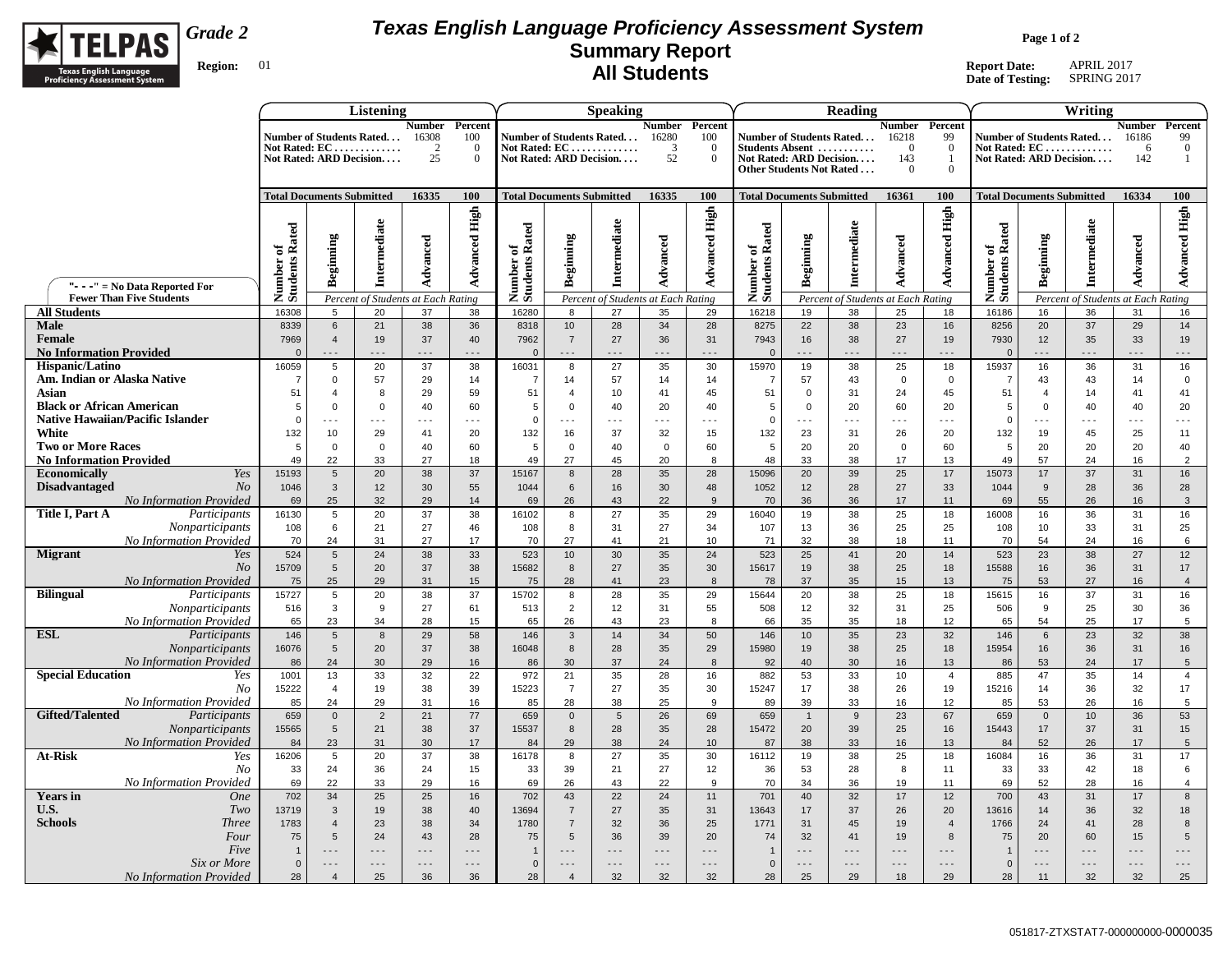

## **Texas English Language Proficiency Assessment System Summary Report All Students**

**Page 1 of 2**

|                                                     |                                  |                           | Listening                                                            |                                                |                                         |                             |                           | <b>Speaking</b>                                                      |                                                       |                                         |                                                                                                    |                                | Reading                        |                                                             |                                                    |                                                                        |                            | Writing                            |                                     |                               |
|-----------------------------------------------------|----------------------------------|---------------------------|----------------------------------------------------------------------|------------------------------------------------|-----------------------------------------|-----------------------------|---------------------------|----------------------------------------------------------------------|-------------------------------------------------------|-----------------------------------------|----------------------------------------------------------------------------------------------------|--------------------------------|--------------------------------|-------------------------------------------------------------|----------------------------------------------------|------------------------------------------------------------------------|----------------------------|------------------------------------|-------------------------------------|-------------------------------|
|                                                     |                                  |                           | Number of Students Rated<br>Not Rated: EC<br>Not Rated: ARD Decision | Number Percent<br>16308<br>$\mathcal{L}$<br>25 | 100<br>$\overline{0}$<br>$\overline{0}$ |                             |                           | Number of Students Rated<br>Not Rated: EC<br>Not Rated: ARD Decision | <b>Number</b> Percent<br>16280<br>$\mathcal{R}$<br>52 | 100<br>$\overline{0}$<br>$\overline{0}$ | Number of Students Rated<br>Students Absent<br>Not Rated: ARD Decision<br>Other Students Not Rated |                                |                                | <b>Number</b><br>16218<br>$\Omega$<br>143<br>$\overline{0}$ | Percent<br>99<br>$\Omega$<br>- 1<br>$\overline{0}$ | Number of Students Rated<br>Not Rated: $EC$<br>Not Rated: ARD Decision |                            |                                    | <b>Number</b><br>16186<br>-6<br>142 | Percent<br>99<br>$\mathbf{0}$ |
|                                                     | <b>Total Documents Submitted</b> |                           |                                                                      | 16335                                          | 100                                     |                             |                           | <b>Total Documents Submitted</b>                                     | 16335                                                 | 100                                     | <b>Total Documents Submitted</b>                                                                   |                                |                                | 16361                                                       | 100                                                | <b>Total Documents Submitted</b>                                       |                            |                                    | 16334                               | 100                           |
|                                                     |                                  |                           |                                                                      |                                                |                                         |                             |                           |                                                                      |                                                       |                                         |                                                                                                    |                                |                                |                                                             |                                                    |                                                                        |                            |                                    |                                     |                               |
| "- - -" = $No Data Reported For$                    | Number of<br>Students Rated      | Beginning                 | Intermediate                                                         | Advanced                                       | <b>Advanced High</b>                    | Number of<br>Students Rated | Beginning                 | Intermediate                                                         | Advanced                                              | <b>Advanced High</b>                    | Number of<br>Students Rated                                                                        | Beginning                      | Intermediate                   | Advanced                                                    | <b>Advanced High</b>                               | Number of<br>Students Rated                                            | Beginning                  | Intermediate                       | Advanced                            | <b>Advanced High</b>          |
| <b>Fewer Than Five Students</b>                     |                                  |                           | Percent of Students at Each Rating                                   |                                                |                                         |                             |                           | Percent of Students at Each Rating                                   |                                                       |                                         |                                                                                                    |                                |                                | Percent of Students at Each Rating                          |                                                    |                                                                        |                            | Percent of Students at Each Rating |                                     |                               |
| <b>All Students</b>                                 | 16308                            | 5                         | 20                                                                   | 37                                             | 38                                      | 16280                       | 8                         | 27                                                                   | 35                                                    | 29                                      | 16218                                                                                              | 19                             | 38                             | 25                                                          | 18                                                 | 16186                                                                  | 16                         | 36                                 | 31                                  | 16                            |
| Male                                                | 8339                             | $6\phantom{1}$            | 21                                                                   | 38                                             | 36                                      | 8318                        | 10 <sup>1</sup>           | 28                                                                   | 34                                                    | 28                                      | 8275                                                                                               | 22                             | 38                             | 23                                                          | 16                                                 | 8256                                                                   | 20                         | 37                                 | 29                                  | 14                            |
| Female<br><b>No Information Provided</b>            | 7969<br>$\Omega$                 | $\overline{4}$            | 19<br>$- - -$                                                        | 37<br>$- - -$                                  | 40<br>$- - -$                           | 7962<br>$\Omega$            | $\overline{7}$<br>.       | 27<br>.                                                              | 36<br>.                                               | 31<br>$- - -$                           | 7943<br>$\Omega$                                                                                   | 16<br>.                        | 38<br>.                        | 27<br>.                                                     | 19<br>$\overline{\phantom{a}}$                     | 7930<br>$\Omega$                                                       | 12<br>.                    | 35<br>.                            | 33<br>$- - -$                       | 19<br>$- - -$                 |
| Hispanic/Latino                                     | 16059                            | 5                         | 20                                                                   | 37                                             | 38                                      | 16031                       | 8                         | 27                                                                   | 35                                                    | 30                                      | 15970                                                                                              | 19                             | 38                             | 25                                                          | 18                                                 | 15937                                                                  | 16                         | 36                                 | 31                                  | 16                            |
| Am. Indian or Alaska Native                         | $\overline{7}$                   | $\mathbf 0$               | 57                                                                   | 29                                             | 14                                      | $\overline{7}$              | 14                        | 57                                                                   | 14                                                    | 14                                      | $\overline{7}$                                                                                     | 57                             | 43                             | $\mathbf 0$                                                 | $\mathbf 0$                                        | $\overline{7}$                                                         | 43                         | 43                                 | 14                                  | $\mathsf 0$                   |
| Asian                                               | 51                               | $\overline{4}$            | 8                                                                    | 29                                             | 59                                      | 51                          | $\overline{4}$            | 10                                                                   | 41                                                    | 45                                      | 51                                                                                                 | $\mathbf{0}$                   | 31                             | 24                                                          | 45                                                 | 51                                                                     | $\overline{4}$             | 14                                 | 41                                  | 41                            |
| <b>Black or African American</b>                    | 5                                | $\Omega$                  | $\mathbf 0$                                                          | 40                                             | 60                                      | 5                           | $\mathbf 0$               | 40                                                                   | 20                                                    | 40                                      | 5                                                                                                  | $\mathsf 0$                    | 20                             | 60                                                          | 20                                                 | 5                                                                      | $\mathbf 0$                | 40                                 | 40                                  | 20                            |
| <b>Native Hawaiian/Pacific Islander</b><br>White    | $\Omega$<br>132                  | $- - -$<br>10             | $- - -$<br>29                                                        | $- -$<br>41                                    | $- - -$<br>20                           | $\overline{0}$<br>132       | $- - -$<br>16             | $ -$<br>37                                                           | $\sim$ $\sim$ $\sim$<br>32                            | $\sim$ $\sim$ $\sim$<br>15              | $\mathsf 0$<br>132                                                                                 | $- - -$<br>23                  | $\overline{\phantom{a}}$<br>31 | $- -$<br>26                                                 | $- - -$<br>20                                      | $\mathbf 0$<br>132                                                     | $\sim$ $\sim$ $\sim$<br>19 | $- - -$<br>45                      | $- - -$<br>25                       | $- - -$<br>11                 |
| <b>Two or More Races</b>                            | 5                                | $\mathbf 0$               | $\mathbf 0$                                                          | 40                                             | 60                                      | 5                           | $\mathbf 0$               | 40                                                                   | $\mathbf 0$                                           | 60                                      | 5                                                                                                  | 20                             | 20                             | $\mathbf 0$                                                 | 60                                                 | $5\phantom{.0}$                                                        | 20                         | 20                                 | 20                                  | 40                            |
| <b>No Information Provided</b>                      | 49                               | 22                        | 33                                                                   | 27                                             | 18                                      | 49                          | 27                        | 45                                                                   | 20                                                    | 8                                       | 48                                                                                                 | 33                             | 38                             | 17                                                          | 13                                                 | 49                                                                     | 57                         | 24                                 | 16                                  | 2                             |
| Yes<br><b>Economically</b>                          | 15193                            | $\,$ 5 $\,$               | 20                                                                   | 38                                             | 37                                      | 15167                       | $\boldsymbol{8}$          | 28                                                                   | 35                                                    | 28                                      | 15096                                                                                              | 20                             | 39                             | 25                                                          | $17$                                               | 15073                                                                  | $17$                       | 37                                 | 31                                  | 16                            |
| <b>Disadvantaged</b><br>N <sub>O</sub>              | 1046                             | 3                         | 12                                                                   | 30                                             | 55                                      | 1044                        | 6                         | 16                                                                   | 30                                                    | 48                                      | 1052                                                                                               | 12                             | 28                             | 27                                                          | 33                                                 | 1044                                                                   | 9                          | 28                                 | 36                                  | 28                            |
| No Information Provided                             | 69                               | 25                        | 32                                                                   | 29                                             | 14                                      | 69                          | 26                        | 43                                                                   | 22                                                    | 9                                       | 70                                                                                                 | 36                             | 36                             | 17                                                          | 11                                                 | 69                                                                     | 55                         | 26                                 | 16                                  | $\mathbf{3}$                  |
| Title I, Part A<br>Participants<br>Nonparticipants  | 16130<br>108                     | 5<br>6                    | 20<br>21                                                             | 37<br>27                                       | 38<br>46                                | 16102<br>108                | 8<br>8                    | 27<br>31                                                             | 35<br>27                                              | 29<br>34                                | 16040<br>107                                                                                       | 19<br>13                       | 38<br>36                       | 25<br>25                                                    | 18<br>25                                           | 16008<br>108                                                           | 16<br>10                   | 36<br>33                           | 31<br>31                            | 16<br>25                      |
| No Information Provided                             | 70                               | 24                        | 31                                                                   | 27                                             | 17                                      | 70                          | 27                        | 41                                                                   | 21                                                    | 10                                      | 71                                                                                                 | 32                             | 38                             | 18                                                          | 11                                                 | 70                                                                     | 54                         | 24                                 | 16                                  | 6                             |
| <b>Migrant</b><br>Yes                               | 524                              | $\,$ 5 $\,$               | 24                                                                   | 38                                             | 33                                      | 523                         | 10                        | 30                                                                   | 35                                                    | 24                                      | 523                                                                                                | 25                             | 41                             | 20                                                          | 14                                                 | 523                                                                    | 23                         | 38                                 | 27                                  | 12                            |
| No.                                                 | 15709                            | 5                         | 20                                                                   | 37                                             | 38                                      | 15682                       | 8                         | 27                                                                   | 35                                                    | 30                                      | 15617                                                                                              | 19                             | 38                             | 25                                                          | 18                                                 | 15588                                                                  | 16                         | 36                                 | 31                                  | 17                            |
| No Information Provided                             | 75                               | 25                        | 29                                                                   | 31                                             | 15                                      | 75                          | 28                        | 41                                                                   | 23                                                    | $\mathbf{8}$                            | 78                                                                                                 | 37                             | 35                             | 15                                                          | 13                                                 | 75                                                                     | 53                         | 27                                 | 16                                  | $\overline{4}$                |
| <b>Bilingual</b><br>Participants<br>Nonparticipants | 15727<br>516                     | 5<br>3                    | 20<br>$\boldsymbol{9}$                                               | 38<br>27                                       | 37<br>61                                | 15702<br>513                | 8<br>$\overline{2}$       | 28<br>12                                                             | 35<br>31                                              | 29<br>55                                | 15644<br>508                                                                                       | 20<br>12                       | 38<br>32                       | 25<br>31                                                    | 18<br>25                                           | 15615<br>506                                                           | 16<br>$\boldsymbol{9}$     | 37<br>25                           | 31<br>30                            | 16<br>36                      |
| No Information Provided                             | 65                               | 23                        | 34                                                                   | 28                                             | 15                                      | 65                          | 26                        | 43                                                                   | 23                                                    | 8                                       | 66                                                                                                 | 35                             | 35                             | 18                                                          | 12                                                 | 65                                                                     | 54                         | 25                                 | 17                                  | 5                             |
| <b>ESL</b><br>Participants                          | 146                              | 5                         | 8                                                                    | 29                                             | 58                                      | 146                         | $\mathbf{3}$              | 14                                                                   | 34                                                    | 50                                      | 146                                                                                                | 10                             | 35                             | 23                                                          | 32                                                 | 146                                                                    | $\,6\,$                    | 23                                 | 32                                  | 38                            |
| <i>Nonparticipants</i>                              | 16076                            | $5\phantom{.0}$           | 20                                                                   | 37                                             | 38                                      | 16048                       | 8                         | 28                                                                   | 35                                                    | 29                                      | 15980                                                                                              | 19                             | 38                             | 25                                                          | 18                                                 | 15954                                                                  | 16                         | 36                                 | 31                                  | 16                            |
| <b>No Information Provided</b>                      | 86                               | 24                        | 30                                                                   | 29                                             | 16                                      | 86                          | 30                        | 37                                                                   | 24                                                    | 8                                       | 92                                                                                                 | 40                             | 30                             | 16                                                          | 13                                                 | 86                                                                     | 53                         | 24                                 | 17                                  | 5                             |
| <b>Special Education</b><br>Yes                     | 1001                             | 13                        | 33                                                                   | 32                                             | 22                                      | 972                         | 21                        | 35                                                                   | 28                                                    | 16                                      | 882                                                                                                | 53                             | 33                             | 10                                                          | $\overline{4}$                                     | 885                                                                    | 47                         | 35                                 | 14                                  | $\overline{4}$                |
| N <sub>O</sub><br>No Information Provided           | 15222<br>85                      | $\overline{4}$<br>24      | 19<br>29                                                             | 38<br>31                                       | 39<br>16                                | 15223<br>85                 | $\overline{7}$<br>28      | 27<br>38                                                             | 35<br>25                                              | 30<br>9                                 | 15247<br>89                                                                                        | 17<br>39                       | 38<br>33                       | 26<br>16                                                    | 19<br>12                                           | 15216<br>85                                                            | 14<br>53                   | 36<br>26                           | 32<br>16                            | 17<br>5                       |
| <b>Gifted/Talented</b><br>Participants              | 659                              | $\mathbf 0$               | $\overline{2}$                                                       | 21                                             | 77                                      | 659                         | $\mathbf 0$               | $5\phantom{1}$                                                       | 26                                                    | 69                                      | 659                                                                                                | $\overline{1}$                 | $9\,$                          | 23                                                          | 67                                                 | 659                                                                    | $\mathbf 0$                | 10                                 | 36                                  | 53                            |
| Nonparticipants                                     | 15565                            | 5                         | 21                                                                   | 38                                             | 37                                      | 15537                       | 8                         | 28                                                                   | 35                                                    | 28                                      | 15472                                                                                              | 20                             | 39                             | 25                                                          | 16                                                 | 15443                                                                  | 17                         | 37                                 | 31                                  | 15                            |
| No Information Provided                             | 84                               | 23                        | 31                                                                   | 30                                             | 17                                      | 84                          | 29                        | 38                                                                   | 24                                                    | 10                                      | 87                                                                                                 | 38                             | 33                             | 16                                                          | 13                                                 | 84                                                                     | 52                         | 26                                 | 17                                  | $5\phantom{.0}$               |
| <b>At-Risk</b><br>Yes                               | 16206                            | 5                         | 20                                                                   | 37                                             | 38                                      | 16178                       | 8                         | 27                                                                   | 35                                                    | 30                                      | 16112                                                                                              | 19                             | 38                             | 25                                                          | 18                                                 | 16084                                                                  | 16                         | 36                                 | 31                                  | 17                            |
| No<br>No Information Provided                       | 33<br>69                         | 24<br>22                  | 36<br>33                                                             | 24<br>29                                       | 15<br>16                                | 33<br>69                    | 39<br>26                  | 21<br>43                                                             | 27<br>22                                              | 12<br>9                                 | 36<br>70                                                                                           | 53<br>34                       | 28<br>36                       | 8<br>19                                                     | 11<br>11                                           | 33<br>69                                                               | 33<br>52                   | 42<br>28                           | 18<br>16                            | 6<br>$\overline{4}$           |
| <b>Years</b> in<br><b>One</b>                       | 702                              | 34                        | 25                                                                   | 25                                             | 16                                      | 702                         | 43                        | 22                                                                   | 24                                                    | 11                                      | 701                                                                                                | 40                             | 32                             | 17                                                          | 12                                                 | 700                                                                    | 43                         | 31                                 | 17                                  | 8                             |
| U.S.<br>Two                                         | 13719                            | 3                         | 19                                                                   | 38                                             | 40                                      | 13694                       | $\overline{7}$            | 27                                                                   | 35                                                    | 31                                      | 13643                                                                                              | 17                             | 37                             | 26                                                          | 20                                                 | 13616                                                                  | 14                         | 36                                 | 32                                  | 18                            |
| <b>Schools</b><br><b>Three</b>                      | 1783                             | $\overline{4}$            | 23                                                                   | 38                                             | 34                                      | 1780                        | $\overline{7}$            | 32                                                                   | 36                                                    | 25                                      | 1771                                                                                               | 31                             | 45                             | 19                                                          | $\overline{4}$                                     | 1766                                                                   | 24                         | 41                                 | 28                                  | 8                             |
| Four                                                | 75                               | 5                         | 24                                                                   | 43                                             | 28                                      | 75                          | $5\phantom{.0}$           | 36                                                                   | 39                                                    | 20                                      | 74                                                                                                 | 32                             | 41                             | 19                                                          | 8                                                  | 75                                                                     | 20                         | 60                                 | 15                                  | $5\phantom{.0}$               |
| Five                                                | $\overline{1}$                   | $- - -$                   | $\overline{\phantom{a}}$                                             | $- - -$                                        | $- - -$                                 |                             | $- - -$                   | $- - -$                                                              | $- - -$                                               | $- - -$                                 | $\overline{1}$                                                                                     | $\overline{\phantom{a}}$       | $\overline{\phantom{a}}$       | $- - -$                                                     | $\sim$ $\sim$ $\sim$                               | $\overline{1}$                                                         | $- - -$                    | $- - -$                            | $- - -$                             | $- - -$                       |
| Six or More<br><b>No Information Provided</b>       | $\mathbf{0}$<br>28               | $- - -$<br>$\overline{4}$ | $\overline{\phantom{a}}$<br>25                                       | $\overline{\phantom{a}}$<br>36                 | $- - -$<br>36                           | $\overline{0}$<br>28        | $- - -$<br>$\overline{4}$ | $ -$<br>32                                                           | $- - -$<br>32                                         | $- - -$<br>32                           | $\mathbf 0$<br>28                                                                                  | $\overline{\phantom{a}}$<br>25 | $\overline{\phantom{a}}$<br>29 | $- - -$<br>18                                               | $\sim$ $\sim$ $\sim$<br>29                         | $\mathbf{0}$<br>28                                                     | $- - -$<br>11              | $- - -$<br>32                      | $- - -$<br>32                       | $- - -$<br>25                 |
|                                                     |                                  |                           |                                                                      |                                                |                                         |                             |                           |                                                                      |                                                       |                                         |                                                                                                    |                                |                                |                                                             |                                                    |                                                                        |                            |                                    |                                     |                               |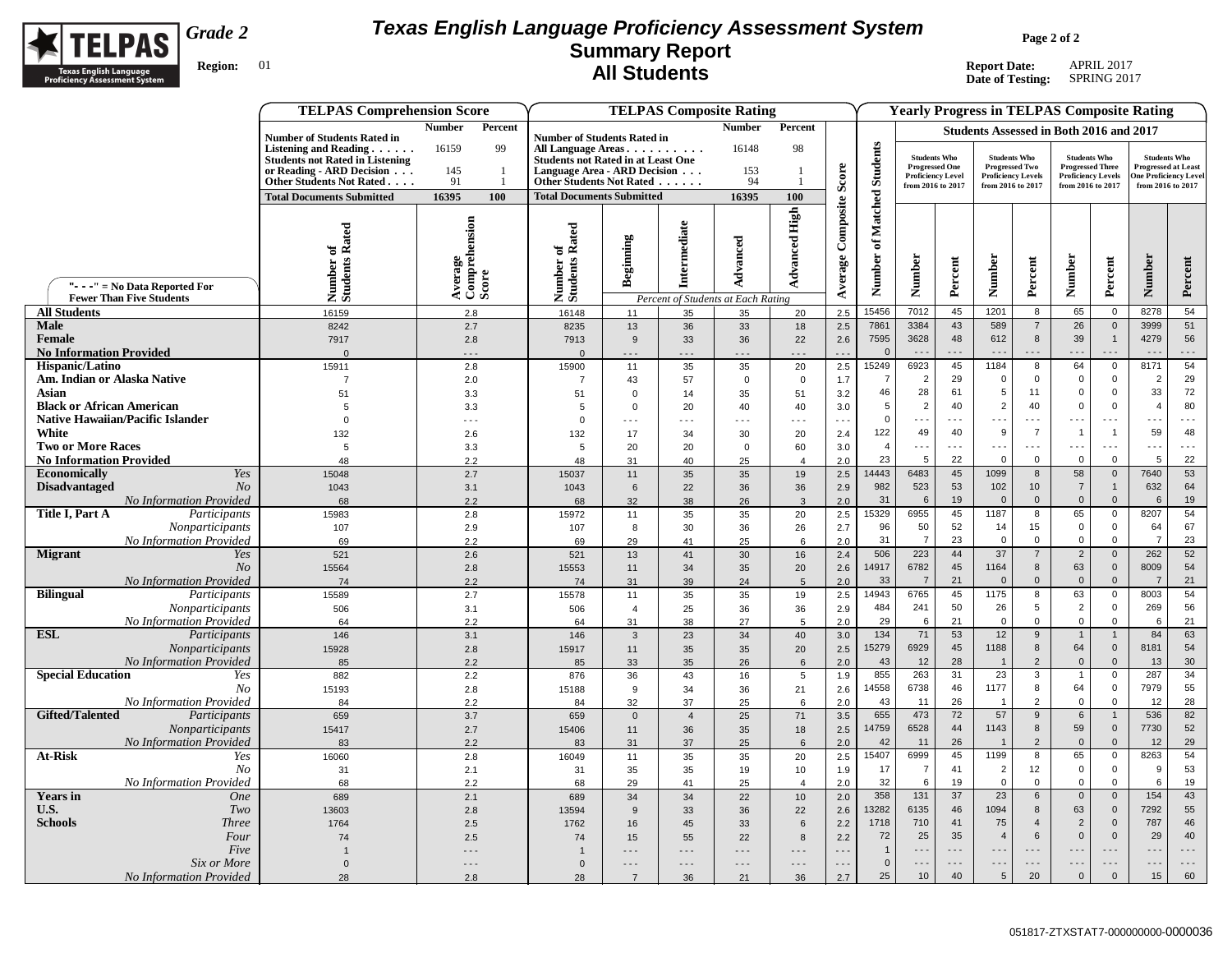

## **Texas English Language Proficiency Assessment System Summary Report All Students**

**Page 2 of 2**

|                                                                   | <b>TELPAS Comprehension Score</b>                                                                                                                                       |                                      |                                                                                                                                                                   |                      | <b>TELPAS Composite Rating</b>     |                      |                      |                      |                                      |                                                                   |                            |                                                                                                |                                |                                                                                                  |                                      | <b>Yearly Progress in TELPAS Composite Rating</b>                                                     |                            |
|-------------------------------------------------------------------|-------------------------------------------------------------------------------------------------------------------------------------------------------------------------|--------------------------------------|-------------------------------------------------------------------------------------------------------------------------------------------------------------------|----------------------|------------------------------------|----------------------|----------------------|----------------------|--------------------------------------|-------------------------------------------------------------------|----------------------------|------------------------------------------------------------------------------------------------|--------------------------------|--------------------------------------------------------------------------------------------------|--------------------------------------|-------------------------------------------------------------------------------------------------------|----------------------------|
|                                                                   |                                                                                                                                                                         | <b>Number</b><br>Percent             |                                                                                                                                                                   |                      |                                    | <b>Number</b>        | Percent              |                      |                                      |                                                                   |                            |                                                                                                |                                | Students Assessed in Both 2016 and 2017                                                          |                                      |                                                                                                       |                            |
|                                                                   | <b>Number of Students Rated in</b><br>Listening and Reading $\ldots$<br><b>Students not Rated in Listening</b><br>or Reading - ARD Decision<br>Other Students Not Rated | 16159<br>99<br>145<br>-1<br>91<br>-1 | <b>Number of Students Rated in</b><br>All Language Areas<br><b>Students not Rated in at Least One</b><br>Language Area - ARD Decision<br>Other Students Not Rated |                      |                                    | 16148<br>153<br>94   | 98                   | Score                | <b>Students</b>                      | <b>Students Who</b><br><b>Progressed One</b><br>from 2016 to 2017 | <b>Proficiency Level</b>   | <b>Students Who</b><br><b>Progressed Two</b><br><b>Proficiency Levels</b><br>from 2016 to 2017 |                                | <b>Students Who</b><br><b>Progressed Three</b><br><b>Proficiency Levels</b><br>from 2016 to 2017 |                                      | <b>Students Who</b><br><b>Progressed at Least</b><br><b>One Proficiency Leve</b><br>from 2016 to 2017 |                            |
|                                                                   | <b>Total Documents Submitted</b>                                                                                                                                        | 16395<br>100                         | <b>Total Documents Submitted</b>                                                                                                                                  |                      |                                    | 16395                | 100                  |                      |                                      |                                                                   |                            |                                                                                                |                                |                                                                                                  |                                      |                                                                                                       |                            |
| "- - -" = $No Data Reported For$                                  | Number of<br>Students Rated                                                                                                                                             | Average<br>Comprehension<br>Score    | Number of<br>Students Rated                                                                                                                                       | Beginning            | Intermediate                       | Advanced             | <b>Advanced High</b> | Composite<br>Average | Matched<br>$\ddot{\bm{s}}$<br>Number | Number                                                            | Percent                    | Number                                                                                         | Percent                        | Number                                                                                           | Percent                              | Number                                                                                                | Percent                    |
| <b>Fewer Than Five Students</b>                                   |                                                                                                                                                                         |                                      |                                                                                                                                                                   |                      | Percent of Students at Each Rating |                      |                      |                      |                                      |                                                                   |                            |                                                                                                |                                |                                                                                                  |                                      |                                                                                                       | 54                         |
| <b>All Students</b><br>Male                                       | 16159<br>8242                                                                                                                                                           | 2.8<br>2.7                           | 16148<br>8235                                                                                                                                                     | 11<br>13             | 35<br>36                           | 35<br>33             | 20<br>18             | 2.5<br>2.5           | 15456<br>7861                        | 7012<br>3384                                                      | 45<br>43                   | 1201<br>589                                                                                    | 8<br>$\overline{7}$            | 65<br>26                                                                                         | $\mathbf 0$<br>$\mathbf 0$           | 8278<br>3999                                                                                          | 51                         |
| Female                                                            | 7917                                                                                                                                                                    | 2.8                                  | 7913                                                                                                                                                              | 9                    | 33                                 | 36                   | 22                   | 2.6                  | 7595                                 | 3628                                                              | 48                         | 612                                                                                            | 8                              | 39                                                                                               | $\mathbf{1}$                         | 4279                                                                                                  | 56                         |
| <b>No Information Provided</b>                                    | $\Omega$                                                                                                                                                                | $- - -$                              | $\mathbf{0}$                                                                                                                                                      | $\sim$ $\sim$ $\sim$ | $- - -$                            | $- - -$              | - - -                | $\sim$ $\sim$        | $\Omega$                             | $\sim$ $\sim$ $\sim$                                              | $\sim$ $\sim$ $\sim$       | $  -$                                                                                          | $- - -$                        | $- - -$                                                                                          | $  -$                                | $  -$                                                                                                 | $\sim$ $\sim$ $\sim$       |
| <b>Hispanic/Latino</b>                                            | 15911                                                                                                                                                                   | 2.8                                  | 15900                                                                                                                                                             | 11                   | 35                                 | 35                   | 20                   | 2.5                  | 15249                                | 6923                                                              | 45                         | 1184                                                                                           | 8                              | 64                                                                                               | $\mathbf 0$                          | 8171                                                                                                  | 54                         |
| Am. Indian or Alaska Native                                       | $\overline{7}$                                                                                                                                                          | 2.0                                  | $\overline{7}$                                                                                                                                                    | 43                   | 57                                 | $\mathbf 0$          | $\mathbf 0$          | 1.7                  | $\overline{7}$                       | $\overline{2}$                                                    | 29                         | $\mathbf 0$                                                                                    | $\mathbf 0$                    | $\mathsf 0$                                                                                      | $\mathbf{0}$                         | $\overline{2}$                                                                                        | 29                         |
| Asian                                                             | 51                                                                                                                                                                      | 3.3                                  | 51                                                                                                                                                                | $\Omega$             | 14                                 | 35                   | 51                   | 3.2                  | 46                                   | 28                                                                | 61                         | 5                                                                                              | 11                             | $\mathbf 0$                                                                                      | $\mathsf 0$                          | 33                                                                                                    | 72                         |
| <b>Black or African American</b>                                  | 5                                                                                                                                                                       | 3.3                                  | 5                                                                                                                                                                 | $\mathbf 0$          | 20                                 | 40                   | 40                   | 3.0                  | 5                                    | $\overline{2}$                                                    | 40                         | $\overline{2}$                                                                                 | 40                             | $\mathsf 0$                                                                                      | $\mathbf 0$                          | $\overline{4}$                                                                                        | 80                         |
| <b>Native Hawaiian/Pacific Islander</b>                           | $\Omega$                                                                                                                                                                | $\overline{\phantom{a}}$             | $\Omega$                                                                                                                                                          | $\sim$ $\sim$ $\sim$ | $- - -$                            | $\sim$ $\sim$ $\sim$ | $\sim$ $\sim$ $\sim$ | $\sim$ .             | $\mathbf 0$                          | $  -$                                                             | $- -$                      | $-$                                                                                            |                                | $\sim$ $\sim$                                                                                    | $- -$                                | $\overline{\phantom{a}}$                                                                              | $\sim$ $\sim$ $\sim$       |
| White                                                             | 132                                                                                                                                                                     | 2.6                                  | 132                                                                                                                                                               | 17                   | 34                                 | 30                   | 20                   | 2.4                  | 122<br>$\overline{4}$                | 49<br>$\sim$ $\sim$ $\sim$                                        | 40<br>$\sim$ $\sim$ $\sim$ | 9                                                                                              | $\overline{7}$<br>$- - -$      | $\overline{1}$<br>$\sim$ $\sim$ $\sim$                                                           | $\mathbf{1}$<br>$\sim$ $\sim$ $\sim$ | 59<br>$\overline{\phantom{a}}$                                                                        | 48<br>$\sim$ $\sim$ $\sim$ |
| <b>Two or More Races</b><br><b>No Information Provided</b>        | 5<br>48                                                                                                                                                                 | 3.3<br>2.2                           | 5<br>48                                                                                                                                                           | 20<br>31             | 20<br>40                           | $\mathsf 0$<br>25    | 60<br>$\overline{4}$ | 3.0<br>2.0           | 23                                   | 5                                                                 | 22                         | $  -$<br>$\overline{0}$                                                                        | $\mathbf 0$                    | $\overline{0}$                                                                                   | $\mathbf 0$                          | 5                                                                                                     | 22                         |
| Yes<br><b>Economically</b>                                        | 15048                                                                                                                                                                   | 2.7                                  | 15037                                                                                                                                                             | 11                   | 35                                 | 35                   | 19                   | 2.5                  | 14443                                | 6483                                                              | 45                         | 1099                                                                                           | 8                              | 58                                                                                               | $\mathbf 0$                          | 7640                                                                                                  | 53                         |
| <b>Disadvantaged</b><br>N <sub>O</sub>                            | 1043                                                                                                                                                                    | 3.1                                  | 1043                                                                                                                                                              | 6                    | 22                                 | 36                   | 36                   | 2.9                  | 982                                  | 523                                                               | 53                         | 102                                                                                            | 10                             | $\overline{7}$                                                                                   | $\mathbf{1}$                         | 632                                                                                                   | 64                         |
| No Information Provided                                           | 68                                                                                                                                                                      | 2.2                                  | 68                                                                                                                                                                | 32                   | 38                                 | 26                   | 3                    | 2.0                  | 31                                   | 6                                                                 | 19                         | $\overline{0}$                                                                                 | $\mathbf{0}$                   | $\Omega$                                                                                         | $\mathbf{0}$                         | 6                                                                                                     | 19                         |
| Title I, Part A<br>Participants                                   | 15983                                                                                                                                                                   | 2.8                                  | 15972                                                                                                                                                             | 11                   | 35                                 | 35                   | 20                   | 2.5                  | 15329                                | 6955                                                              | 45                         | 1187                                                                                           | 8                              | 65                                                                                               | $\mathsf 0$                          | 8207                                                                                                  | 54                         |
| Nonparticipants                                                   | 107                                                                                                                                                                     | 2.9                                  | 107                                                                                                                                                               | 8                    | 30                                 | 36                   | 26                   | 2.7                  | 96                                   | 50                                                                | 52                         | 14                                                                                             | 15                             | $\mathbf{0}$                                                                                     | $\mathbf 0$                          | 64                                                                                                    | 67                         |
| No Information Provided                                           | 69                                                                                                                                                                      | 2.2                                  | 69                                                                                                                                                                | 29                   | 41                                 | 25                   | 6                    | 2.0                  | 31                                   | $\overline{7}$                                                    | 23                         | $\overline{0}$                                                                                 | $\mathsf 0$                    | $\mathbf 0$                                                                                      | $\mathbf{0}$                         | $\overline{7}$                                                                                        | 23                         |
| <b>Migrant</b><br>Yes<br>N <sub>O</sub>                           | 521<br>15564                                                                                                                                                            | 2.6<br>2.8                           | 521<br>15553                                                                                                                                                      | 13<br>11             | 41<br>34                           | 30<br>35             | 16<br>20             | 2.4<br>2.6           | 506<br>14917                         | 223<br>6782                                                       | 44<br>45                   | 37<br>1164                                                                                     | $\overline{7}$<br>8            | $\overline{2}$<br>63                                                                             | $\mathbf 0$<br>$\mathbf 0$           | 262<br>8009                                                                                           | 52<br>54                   |
| <b>No Information Provided</b>                                    | 74                                                                                                                                                                      | 2.2                                  | 74                                                                                                                                                                | 31                   | 39                                 | 24                   | 5                    | 2.0                  | 33                                   | $\overline{7}$                                                    | 21                         | $\mathbf 0$                                                                                    | $\mathbf 0$                    | $\mathbf 0$                                                                                      | $\mathbf 0$                          | $\overline{7}$                                                                                        | 21                         |
| Participants<br><b>Bilingual</b>                                  | 15589                                                                                                                                                                   | 2.7                                  | 15578                                                                                                                                                             | 11                   | 35                                 | 35                   | 19                   | 2.5                  | 14943                                | 6765                                                              | 45                         | 1175                                                                                           | 8                              | 63                                                                                               | $\mathbf 0$                          | 8003                                                                                                  | 54                         |
| Nonparticipants                                                   | 506                                                                                                                                                                     | 3.1                                  | 506                                                                                                                                                               | $\overline{4}$       | 25                                 | 36                   | 36                   | 2.9                  | 484                                  | 241                                                               | 50                         | 26                                                                                             | 5                              | $\overline{2}$                                                                                   | $\mathbf 0$                          | 269                                                                                                   | 56                         |
| No Information Provided                                           | 64                                                                                                                                                                      | 2.2                                  | 64                                                                                                                                                                | 31                   | 38                                 | 27                   | 5                    | 2.0                  | 29                                   | 6                                                                 | 21                         | $\overline{0}$                                                                                 | $\mathbf{0}$                   | $\mathbf 0$                                                                                      | $\mathbf{0}$                         | 6                                                                                                     | 21                         |
| <b>ESL</b><br>Participants                                        | 146                                                                                                                                                                     | 3.1                                  | 146                                                                                                                                                               | $\mathbf{3}$         | 23                                 | 34                   | 40                   | 3.0                  | 134                                  | $\overline{71}$                                                   | 53                         | 12                                                                                             | 9                              | $\overline{1}$                                                                                   |                                      | 84                                                                                                    | 63                         |
| Nonparticipants                                                   | 15928                                                                                                                                                                   | 2.8                                  | 15917                                                                                                                                                             | 11                   | 35                                 | 35                   | 20                   | 2.5                  | 15279                                | 6929                                                              | 45<br>28                   | 1188                                                                                           | 8                              | 64                                                                                               | $\mathsf{O}\xspace$<br>$\mathbf{0}$  | 8181                                                                                                  | 54                         |
| <b>No Information Provided</b><br><b>Special Education</b><br>Yes | 85<br>882                                                                                                                                                               | 2.2<br>2.2                           | 85<br>876                                                                                                                                                         | 33<br>36             | 35<br>43                           | 26<br>16             | 6<br>5               | 2.0<br>1.9           | 43<br>855                            | 12<br>263                                                         | 31                         | $\overline{1}$<br>23                                                                           | $\overline{2}$<br>$\mathbf{3}$ | $\mathbf 0$<br>$\overline{1}$                                                                    | 0                                    | 13<br>287                                                                                             | 30 <sup>°</sup><br>34      |
| N <sub>O</sub>                                                    | 15193                                                                                                                                                                   | 2.8                                  | 15188                                                                                                                                                             | 9                    | 34                                 | 36                   | 21                   | 2.6                  | 14558                                | 6738                                                              | 46                         | 1177                                                                                           | 8                              | 64                                                                                               | $\mathbf 0$                          | 7979                                                                                                  | 55                         |
| No Information Provided                                           | 84                                                                                                                                                                      | 2.2                                  | 84                                                                                                                                                                | 32                   | 37                                 | 25                   | 6                    | 2.0                  | 43                                   | 11                                                                | 26                         | $\overline{1}$                                                                                 | $\overline{2}$                 | $\mathbf 0$                                                                                      | $\mathsf 0$                          | 12                                                                                                    | 28                         |
| <b>Gifted/Talented</b><br>Participants                            | 659                                                                                                                                                                     | 3.7                                  | 659                                                                                                                                                               | $\mathbf 0$          | $\overline{4}$                     | 25                   | 71                   | 3.5                  | 655                                  | 473                                                               | 72                         | 57                                                                                             | 9                              | $6\phantom{1}6$                                                                                  | $\mathbf{1}$                         | 536                                                                                                   | 82                         |
| Nonparticipants                                                   | 15417                                                                                                                                                                   | 2.7                                  | 15406                                                                                                                                                             | 11                   | 36                                 | 35                   | 18                   | 2.5                  | 14759                                | 6528                                                              | 44                         | 1143                                                                                           | 8                              | 59                                                                                               | $\mathbf 0$                          | 7730                                                                                                  | 52                         |
| <b>No Information Provided</b>                                    | 83                                                                                                                                                                      | 2.2                                  | 83                                                                                                                                                                | 31                   | 37                                 | 25                   | 6                    | 2.0                  | 42                                   | 11                                                                | 26                         | $\overline{1}$                                                                                 | $\overline{2}$                 | $\mathbb O$                                                                                      | $\mathbf{0}$                         | 12                                                                                                    | 29                         |
| At-Risk<br>Yes                                                    | 16060                                                                                                                                                                   | 2.8                                  | 16049                                                                                                                                                             | 11                   | 35                                 | 35                   | 20                   | 2.5                  | 15407                                | 6999                                                              | 45                         | 1199                                                                                           | 8                              | 65                                                                                               | $\mathsf 0$                          | 8263                                                                                                  | 54                         |
| N <sub>O</sub><br><b>No Information Provided</b>                  | 31<br>68                                                                                                                                                                | 2.1<br>2.2                           | 31                                                                                                                                                                | 35<br>29             | 35<br>41                           | 19                   | 10<br>$\overline{4}$ | 1.9<br>2.0           | 17<br>32                             | $\overline{7}$<br>6                                               | 41<br>19                   | $\overline{2}$<br>$\overline{0}$                                                               | 12<br>$\mathbf 0$              | $\mathbf 0$<br>$\mathbf 0$                                                                       | $\mathbf 0$<br>$\mathbf 0$           | 9<br>6                                                                                                | 53<br>19                   |
| <b>Years</b> in<br><b>One</b>                                     | 689                                                                                                                                                                     | 2.1                                  | 68<br>689                                                                                                                                                         | 34                   | 34                                 | 25<br>22             | 10                   | 2.0                  | 358                                  | 131                                                               | 37                         | 23                                                                                             | $\,6\,$                        | $\mathbf 0$                                                                                      | $\mathbf 0$                          | 154                                                                                                   | 43                         |
| U.S.<br>Two                                                       | 13603                                                                                                                                                                   | 2.8                                  | 13594                                                                                                                                                             | 9                    | 33                                 | 36                   | 22                   | 2.6                  | 13282                                | 6135                                                              | 46                         | 1094                                                                                           | $\bf8$                         | 63                                                                                               | $\mathbf{0}$                         | 7292                                                                                                  | 55                         |
| <b>Schools</b><br><i>Three</i>                                    | 1764                                                                                                                                                                    | 2.5                                  | 1762                                                                                                                                                              | 16                   | 45                                 | 33                   | 6                    | 2.2                  | 1718                                 | 710                                                               | 41                         | 75                                                                                             | $\overline{4}$                 | $\overline{2}$                                                                                   | $\mathbf 0$                          | 787                                                                                                   | 46                         |
| Four                                                              | 74                                                                                                                                                                      | 2.5                                  | 74                                                                                                                                                                | 15                   | 55                                 | 22                   | 8                    | 2.2                  | 72                                   | 25                                                                | 35                         | $\overline{4}$                                                                                 | $6\phantom{1}$                 | $\mathbf 0$                                                                                      | $\mathbf 0$                          | 29                                                                                                    | 40                         |
| Five                                                              |                                                                                                                                                                         | $- - -$                              | $\overline{1}$                                                                                                                                                    | $- - -$              | $- - -$                            | $\sim$ $\sim$ $\sim$ | $\sim$ $\sim$ $\sim$ | $\ddotsc$            | $\overline{1}$                       | $- - -$                                                           | $- - -$                    | .                                                                                              | $- - -$                        | $\sim$ $\sim$ $\sim$                                                                             | $- - -$                              | .                                                                                                     | $\sim$ $\sim$ $\sim$       |
| Six or More                                                       | $\mathbf{0}$                                                                                                                                                            | $- - -$                              | $\mathbf 0$                                                                                                                                                       | $- - -$              | $- - -$                            | $- - -$              | $- - -$              | $  -$                | $\mathbf 0$                          | $  -$                                                             | $\sim$ $\sim$              |                                                                                                |                                | $- - -$                                                                                          |                                      |                                                                                                       | $\overline{\phantom{a}}$   |
| <b>No Information Provided</b>                                    | 28                                                                                                                                                                      | 2.8                                  | 28                                                                                                                                                                | $\overline{7}$       | 36                                 | 21                   | 36                   | 2.7                  | 25                                   | 10                                                                | 40                         | $\overline{5}$                                                                                 | 20                             | $\mathbf 0$                                                                                      | $\mathbf{0}$                         | 15                                                                                                    | 60                         |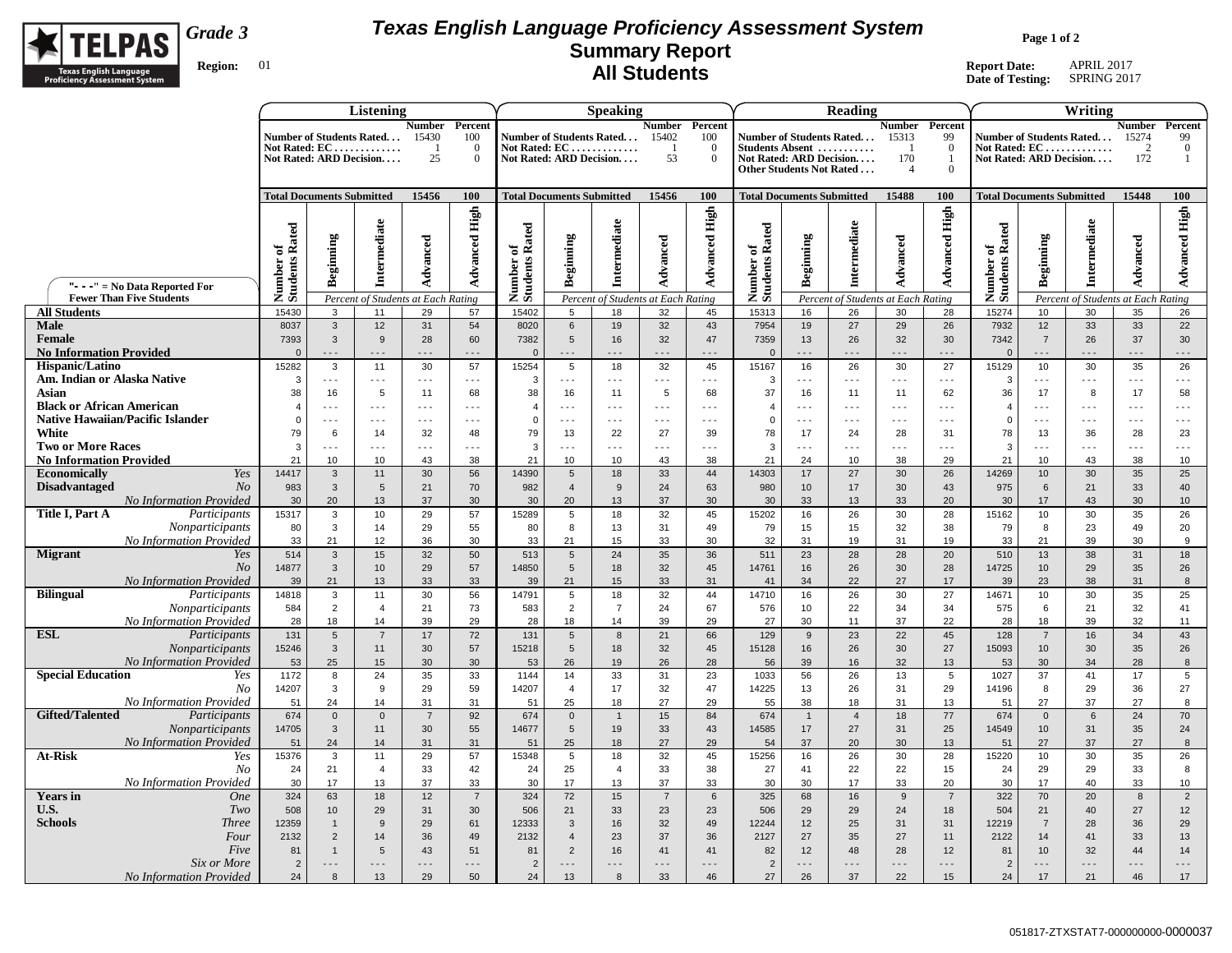

## **Texas English Language Proficiency Assessment System Summary Report All Students**

**Page 1 of 2**

|                                                                   |                                  |                            | Listening                                                              |                               |                                         |                                     |                      | <b>Speaking</b>                                                             |                              |                                                |                                                                                                           |                      | Reading                            |                                             |                                                   |                                         |                      | Writing                                                                        |                                         |                                       |
|-------------------------------------------------------------------|----------------------------------|----------------------------|------------------------------------------------------------------------|-------------------------------|-----------------------------------------|-------------------------------------|----------------------|-----------------------------------------------------------------------------|------------------------------|------------------------------------------------|-----------------------------------------------------------------------------------------------------------|----------------------|------------------------------------|---------------------------------------------|---------------------------------------------------|-----------------------------------------|----------------------|--------------------------------------------------------------------------------|-----------------------------------------|---------------------------------------|
|                                                                   |                                  |                            | Number of Students Rated<br>Not Rated: $EC$<br>Not Rated: ARD Decision | Number Percent<br>15430<br>25 | 100<br>$\overline{0}$<br>$\overline{0}$ |                                     |                      | <b>Number of Students Rated</b><br>Not Rated: EC<br>Not Rated: ARD Decision | <b>Number</b><br>15402<br>53 | Percent<br>100<br>$^{\circ}$<br>$\overline{0}$ | Number of Students Rated<br>Students Absent<br>Not Rated: ARD Decision<br><b>Other Students Not Rated</b> |                      |                                    | Number<br>15313<br>170<br>$\mathbf{\Delta}$ | Percent<br>99<br>$\overline{0}$<br>-1<br>$\Omega$ |                                         |                      | Number of Students Rated<br>Not Rated: $EC$<br><b>Not Rated: ARD Decision.</b> | Number<br>15274<br>$\mathcal{D}$<br>172 | Percent<br>99<br>$\overline{0}$<br>-1 |
|                                                                   | <b>Total Documents Submitted</b> |                            |                                                                        | 15456                         | 100                                     | <b>Total Documents Submitted</b>    |                      |                                                                             | 15456                        | 100                                            | <b>Total Documents Submitted</b>                                                                          |                      |                                    | 15488                                       | 100                                               | <b>Total Documents Submitted</b>        |                      |                                                                                | 15448                                   | 100                                   |
|                                                                   | Number of<br>Students Rated      | Beginning                  | Intermediate                                                           | Advanced                      | <b>Advanced High</b>                    | Rated<br>ัธ<br>Number c<br>Students | Beginning            | Intermediate                                                                | Advanced                     | <b>Advanced High</b>                           | Rated<br>ัธ<br>Number of<br>Students 1                                                                    | Beginning            | Intermediate                       | Advanced                                    | <b>Advanced High</b>                              | of<br>s Rated<br>Number c<br>Students 1 | Beginning            | Intermediate                                                                   | Advanced                                | High<br>Advanced                      |
| "- - -" = No Data Reported For<br><b>Fewer Than Five Students</b> |                                  |                            | Percent of Students at Each Rating                                     |                               |                                         |                                     |                      | Percent of Students at Each Rating                                          |                              |                                                |                                                                                                           |                      | Percent of Students at Each Rating |                                             |                                                   |                                         |                      | Percent of Students at Each Rating                                             |                                         |                                       |
| <b>All Students</b>                                               | 15430                            | 3                          | 11                                                                     | 29                            | 57                                      | 15402                               | 5                    | 18                                                                          | 32                           | 45                                             | 15313                                                                                                     | 16                   | 26                                 | 30                                          | 28                                                | 15274                                   | 10 <sup>1</sup>      | 30                                                                             | 35                                      | 26                                    |
| <b>Male</b>                                                       | 8037                             | $\mathbf{3}$               | 12                                                                     | 31                            | 54                                      | 8020                                | $6\phantom{1}$       | 19                                                                          | 32                           | 43                                             | 7954                                                                                                      | 19                   | 27                                 | 29                                          | 26                                                | 7932                                    | 12                   | 33                                                                             | 33                                      | 22                                    |
| Female                                                            | 7393                             | $\mathbf{3}$               | 9                                                                      | 28                            | 60                                      | 7382                                | $5\phantom{.0}$      | 16                                                                          | 32                           | 47                                             | 7359                                                                                                      | 13                   | 26                                 | 32                                          | 30                                                | 7342                                    | $\overline{7}$       | 26                                                                             | 37                                      | 30                                    |
| <b>No Information Provided</b>                                    | $\Omega$                         |                            | $ -$                                                                   | $- - -$                       | $\overline{\phantom{a}}$                | $\Omega$                            | - - -                | $- -$                                                                       | $\ddotsc$                    | $- -$                                          | $\mathsf 0$                                                                                               | $- - -$              | $- - -$                            | - - -                                       | $- - -$                                           | $\mathbf 0$                             | $- - -$              |                                                                                | $- - -$                                 | $\overline{a}$                        |
| Hispanic/Latino                                                   | 15282                            | 3                          | 11                                                                     | 30                            | 57                                      | 15254                               | 5                    | 18                                                                          | 32                           | 45                                             | 15167                                                                                                     | 16                   | 26                                 | 30                                          | 27                                                | 15129                                   | 10                   | 30                                                                             | 35                                      | 26                                    |
| Am. Indian or Alaska Native                                       | 3                                | $\sim$ $\sim$ $\sim$       | $\sim$ $\sim$ $\sim$                                                   | $\sim$ $\sim$ $\sim$          | $\sim$ $\sim$ $\sim$                    | $\overline{3}$                      | $\sim$ $\sim$ $\sim$ | $\sim$ $\sim$ $\sim$                                                        | $\sim$ $\sim$ $\sim$         | $\sim$ $\sim$ $\sim$                           | $\mathbf{3}$                                                                                              | $\sim$ $\sim$ $\sim$ | $\overline{\phantom{a}}$           | $\Box$ .                                    | $\sim$ $\sim$ $\sim$                              | 3                                       | $\sim$ $\sim$ $\sim$ | $\sim$ $\sim$ $\sim$                                                           | $\Box$ .                                | $\sim$ $\sim$ $\sim$                  |
| Asian                                                             | 38                               | 16                         | 5                                                                      | 11                            | 68                                      | 38                                  | 16                   | 11                                                                          | 5                            | 68                                             | 37                                                                                                        | 16                   | 11                                 | 11                                          | 62                                                | 36                                      | 17                   | 8                                                                              | 17                                      | 58                                    |
| <b>Black or African American</b>                                  | $\overline{4}$                   | $\sim$ $\sim$ $\sim$       | $\sim$ $\sim$ $\sim$                                                   | $\sim$ $\sim$ $\sim$          | $\sim$ $\sim$ $\sim$                    | $\overline{4}$                      | $\sim$ $\sim$ $\sim$ | $- - -$                                                                     | $\sim$ $\sim$ $\sim$         | $\sim$ $\sim$ $\sim$                           | $\overline{4}$                                                                                            | $- - -$              | $\overline{\phantom{a}}$           | $\overline{\phantom{a}}$                    | $\sim$ $\sim$ $\sim$                              | $\overline{4}$                          | $\sim$ $\sim$ $\sim$ | $- - -$                                                                        | $\sim$ $\sim$ $\sim$                    | $\sim$ $\sim$ $\sim$                  |
| <b>Native Hawaiian/Pacific Islander</b>                           | $\Omega$                         | $- - -$                    | $\sim$ $\sim$ $\sim$                                                   | $\sim$ $\sim$ $\sim$          | $- - -$                                 | $\mathbf 0$                         | $  -$                | $- - -$                                                                     | $\sim$ $\sim$ $\sim$         | $\sim$ $\sim$ $\sim$                           | $\mathbf 0$                                                                                               | $- - -$              | $- -$                              | $- - -$                                     | $- - -$                                           | $\Omega$                                | $\sim$ $\sim$ $\sim$ | $\sim$ $\sim$ $\sim$                                                           | $- - -$                                 | $\overline{\phantom{a}}$              |
| White                                                             | 79                               | 6                          | 14                                                                     | 32                            | 48                                      | 79                                  | 13                   | 22                                                                          | 27                           | 39                                             | 78                                                                                                        | 17                   | 24                                 | 28                                          | 31                                                | 78                                      | 13                   | 36                                                                             | 28                                      | 23                                    |
| <b>Two or More Races</b><br><b>No Information Provided</b>        | 3<br>21                          | $\sim$ $\sim$ $\sim$<br>10 | $\sim$ $\sim$ $\sim$<br>10                                             | $\sim$ $\sim$ $\sim$<br>43    | $- - -$<br>38                           | $\overline{3}$<br>21                | $\sim$ $\sim$<br>10  | $\sim$ $\sim$ $\sim$<br>10                                                  | $\sim$ $\sim$ $\sim$<br>43   | $\overline{\phantom{a}}$<br>38                 | 3<br>21                                                                                                   | .<br>24              | $\overline{\phantom{a}}$<br>10     | $- - -$<br>38                               | $\overline{\phantom{a}}$<br>29                    | 3<br>21                                 | $\sim$ $\sim$<br>10  | $\overline{\phantom{a}}$<br>43                                                 | $\sim$ $\sim$ $\sim$<br>38              | $- - -$<br>10                         |
| <b>Economically</b><br>Yes                                        | 14417                            | $\mathbf{3}$               | 11                                                                     | 30                            | 56                                      | 14390                               | $5\phantom{.0}$      | 18                                                                          | 33                           | 44                                             | 14303                                                                                                     | 17                   | 27                                 | 30                                          | 26                                                | 14269                                   | 10                   | 30                                                                             | 35                                      | 25                                    |
| <b>Disadvantaged</b><br>No                                        | 983                              | $\mathbf{3}$               | $5\phantom{.0}$                                                        | 21                            | 70                                      | 982                                 | $\overline{4}$       | 9                                                                           | 24                           | 63                                             | 980                                                                                                       | 10                   | 17                                 | 30                                          | 43                                                | 975                                     | $6\phantom{1}$       | 21                                                                             | 33                                      | 40                                    |
| <b>No Information Provided</b>                                    | 30                               | 20                         | 13                                                                     | 37                            | 30                                      | 30                                  | 20                   | 13                                                                          | 37                           | 30                                             | 30                                                                                                        | 33                   | 13                                 | 33                                          | 20                                                | 30                                      | 17                   | 43                                                                             | 30                                      | 10                                    |
| Title I, Part A<br>Participants                                   | 15317                            | 3                          | 10                                                                     | 29                            | 57                                      | 15289                               | 5                    | 18                                                                          | 32                           | 45                                             | 15202                                                                                                     | 16                   | 26                                 | 30                                          | 28                                                | 15162                                   | 10                   | 30                                                                             | 35                                      | 26                                    |
| Nonparticipants                                                   | 80                               | $\mathbf{3}$               | 14                                                                     | 29                            | 55                                      | 80                                  | 8                    | 13                                                                          | 31                           | 49                                             | 79                                                                                                        | 15                   | 15                                 | 32                                          | 38                                                | 79                                      | 8                    | 23                                                                             | 49                                      | 20                                    |
| No Information Provided                                           | 33                               | 21                         | 12                                                                     | 36                            | 30                                      | 33                                  | 21                   | 15                                                                          | 33                           | 30                                             | 32                                                                                                        | 31                   | 19                                 | 31                                          | 19                                                | 33                                      | 21                   | 39                                                                             | 30                                      | 9                                     |
| <b>Migrant</b><br>Yes                                             | 514                              | $\mathbf{3}$               | 15                                                                     | 32                            | 50                                      | 513                                 | $5\phantom{.0}$      | 24                                                                          | 35                           | 36                                             | 511                                                                                                       | 23                   | 28                                 | 28                                          | 20                                                | 510                                     | 13                   | 38                                                                             | 31                                      | 18                                    |
| N <sub>O</sub>                                                    | 14877                            | $\mathbf{3}$               | 10                                                                     | 29                            | 57                                      | 14850                               | $5\overline{5}$      | 18                                                                          | 32                           | 45                                             | 14761                                                                                                     | 16                   | 26                                 | 30                                          | 28                                                | 14725                                   | 10                   | 29                                                                             | 35                                      | 26                                    |
| <b>No Information Provided</b>                                    | 39                               | 21                         | 13                                                                     | 33                            | 33                                      | 39                                  | 21                   | 15                                                                          | 33                           | 31                                             | 41                                                                                                        | 34                   | 22                                 | 27                                          | 17                                                | 39                                      | 23                   | 38                                                                             | 31                                      | $\boldsymbol{8}$                      |
| <b>Bilingual</b><br>Participants                                  | 14818                            | $\mathbf{3}$               | 11                                                                     | 30                            | 56                                      | 14791                               | 5                    | 18                                                                          | 32                           | 44                                             | 14710                                                                                                     | 16                   | 26                                 | 30                                          | 27                                                | 14671                                   | 10                   | 30                                                                             | 35                                      | 25                                    |
| Nonparticipants<br><b>No Information Provided</b>                 | 584<br>28                        | $\overline{2}$<br>18       | $\overline{4}$<br>14                                                   | 21<br>39                      | 73<br>29                                | 583<br>28                           | $\overline{2}$<br>18 | $\overline{7}$<br>14                                                        | 24<br>39                     | 67<br>29                                       | 576<br>27                                                                                                 | 10<br>30             | 22<br>11                           | 34<br>37                                    | 34<br>22                                          | 575<br>28                               | 6<br>18              | 21<br>39                                                                       | 32<br>32                                | 41<br>11                              |
| <b>ESL</b><br>Participants                                        | 131                              | $5\phantom{.0}$            | $\overline{7}$                                                         | 17                            | 72                                      | 131                                 | $5\overline{5}$      | 8                                                                           | 21                           | 66                                             | 129                                                                                                       | $9\,$                | 23                                 | 22                                          | 45                                                | 128                                     | $\overline{7}$       | 16                                                                             | 34                                      | 43                                    |
| Nonparticipants                                                   | 15246                            | $\mathbf{3}$               | 11                                                                     | 30                            | 57                                      | 15218                               | $5\phantom{.0}$      | 18                                                                          | 32                           | 45                                             | 15128                                                                                                     | 16                   | 26                                 | 30 <sup>°</sup>                             | 27                                                | 15093                                   | 10                   | 30                                                                             | 35                                      | 26                                    |
| <b>No Information Provided</b>                                    | 53                               | 25                         | 15                                                                     | 30                            | 30                                      | 53                                  | 26                   | 19                                                                          | 26                           | 28                                             | 56                                                                                                        | 39                   | 16                                 | 32                                          | 13                                                | 53                                      | 30 <sup>°</sup>      | 34                                                                             | 28                                      | 8                                     |
| <b>Special Education</b><br>Yes                                   | 1172                             | 8                          | 24                                                                     | 35                            | 33                                      | 1144                                | 14                   | 33                                                                          | 31                           | 23                                             | 1033                                                                                                      | 56                   | 26                                 | 13                                          | 5                                                 | 1027                                    | 37                   | 41                                                                             | 17                                      | 5                                     |
| N <sub>O</sub>                                                    | 14207                            | $\mathbf{3}$               | 9                                                                      | 29                            | 59                                      | 14207                               | $\overline{4}$       | 17                                                                          | 32                           | 47                                             | 14225                                                                                                     | 13                   | 26                                 | 31                                          | 29                                                | 14196                                   | 8                    | 29                                                                             | 36                                      | 27                                    |
| No Information Provided                                           | 51                               | 24                         | 14                                                                     | 31                            | 31                                      | 51                                  | 25                   | 18                                                                          | 27                           | 29                                             | 55                                                                                                        | 38                   | 18                                 | 31                                          | 13                                                | 51                                      | 27                   | 37                                                                             | 27                                      | 8                                     |
| <b>Gifted/Talented</b><br>Participants                            | 674                              | $\mathsf 0$                | $\mathbf{0}$                                                           | $\overline{7}$                | 92                                      | 674                                 | $\mathbf 0$          | $\overline{1}$                                                              | 15                           | 84                                             | 674                                                                                                       | $\overline{1}$       | $\overline{4}$                     | 18                                          | 77                                                | 674                                     | $\mathbf 0$          | $6\phantom{a}$                                                                 | 24                                      | 70                                    |
| Nonparticipants                                                   | 14705                            | $\mathbf{3}$               | 11                                                                     | 30                            | 55                                      | 14677                               | $5\phantom{.0}$      | 19                                                                          | 33                           | 43                                             | 14585                                                                                                     | 17                   | 27                                 | 31                                          | 25                                                | 14549                                   | 10                   | 31                                                                             | 35                                      | 24                                    |
| <b>No Information Provided</b>                                    | 51                               | 24                         | 14                                                                     | 31                            | 31                                      | 51                                  | 25                   | 18                                                                          | 27                           | 29                                             | 54                                                                                                        | 37                   | 20                                 | 30                                          | 13                                                | 51                                      | 27                   | 37                                                                             | 27                                      | 8                                     |
| At-Risk<br>Yes<br>N <sub>O</sub>                                  | 15376                            | 3                          | 11                                                                     | 29                            | 57<br>42                                | 15348                               | 5<br>25              | 18<br>$\overline{4}$                                                        | 32<br>33                     | 45<br>38                                       | 15256                                                                                                     | 16<br>41             | 26<br>22                           | 30<br>22                                    | 28<br>15                                          | 15220                                   | 10<br>29             | 30<br>29                                                                       | 35<br>33                                | 26<br>8                               |
| <b>No Information Provided</b>                                    | 24<br>30                         | 21<br>17                   | $\overline{4}$<br>13                                                   | 33<br>37                      | 33                                      | 24<br>30                            | 17                   | 13                                                                          | 37                           | 33                                             | 27<br>30                                                                                                  | 30                   | 17                                 | 33                                          | 20                                                | 24<br>30                                | 17                   | 40                                                                             | 33                                      | 10                                    |
| <b>Years in</b><br><b>One</b>                                     | 324                              | 63                         | 18                                                                     | 12                            | $\overline{7}$                          | 324                                 | 72                   | 15                                                                          | $\overline{7}$               | 6                                              | 325                                                                                                       | 68                   | 16                                 | 9                                           | $\overline{7}$                                    | 322                                     | 70                   | 20                                                                             | 8                                       | $\overline{2}$                        |
| U.S.<br>Two                                                       | 508                              | 10                         | 29                                                                     | 31                            | 30                                      | 506                                 | 21                   | 33                                                                          | 23                           | 23                                             | 506                                                                                                       | 29                   | 29                                 | 24                                          | 18                                                | 504                                     | 21                   | 40                                                                             | 27                                      | 12                                    |
| <b>Schools</b><br><b>Three</b>                                    | 12359                            | $\overline{1}$             | 9                                                                      | 29                            | 61                                      | 12333                               | $\mathbf{3}$         | 16                                                                          | 32                           | 49                                             | 12244                                                                                                     | 12                   | 25                                 | 31                                          | 31                                                | 12219                                   | $\overline{7}$       | 28                                                                             | 36                                      | 29                                    |
| Four                                                              | 2132                             | $\overline{2}$             | 14                                                                     | 36                            | 49                                      | 2132                                | $\overline{4}$       | 23                                                                          | 37                           | 36                                             | 2127                                                                                                      | 27                   | 35                                 | 27                                          | 11                                                | 2122                                    | 14                   | 41                                                                             | 33                                      | 13                                    |
| Five                                                              | 81                               | $\mathbf{1}$               | 5                                                                      | 43                            | 51                                      | 81                                  | $\overline{2}$       | 16                                                                          | 41                           | 41                                             | 82                                                                                                        | 12                   | 48                                 | 28                                          | 12                                                | 81                                      | 10                   | 32                                                                             | 44                                      | 14                                    |
| Six or More                                                       | $\overline{2}$                   | $- - -$                    | $- - -$                                                                | $- - -$                       | $- - -$                                 | $\overline{2}$                      | $- - -$              | $- - -$                                                                     | $\sim$ $\sim$ $\sim$         | $- - -$                                        | $\overline{2}$                                                                                            | $\sim$ $\sim$ $\sim$ | $\overline{\phantom{a}}$           | $\ddotsc$                                   | $\sim$ $\sim$ $\sim$                              | $\overline{2}$                          | $\sim$ $\sim$ $\sim$ | $- - -$                                                                        | $- - -$                                 | $\overline{\phantom{a}}$              |
| <b>No Information Provided</b>                                    | 24                               | 8                          | 13                                                                     | 29                            | 50                                      | 24                                  | 13                   | 8                                                                           | 33                           | 46                                             | 27                                                                                                        | 26                   | 37                                 | 22                                          | 15                                                | 24                                      | 17                   | 21                                                                             | 46                                      | 17                                    |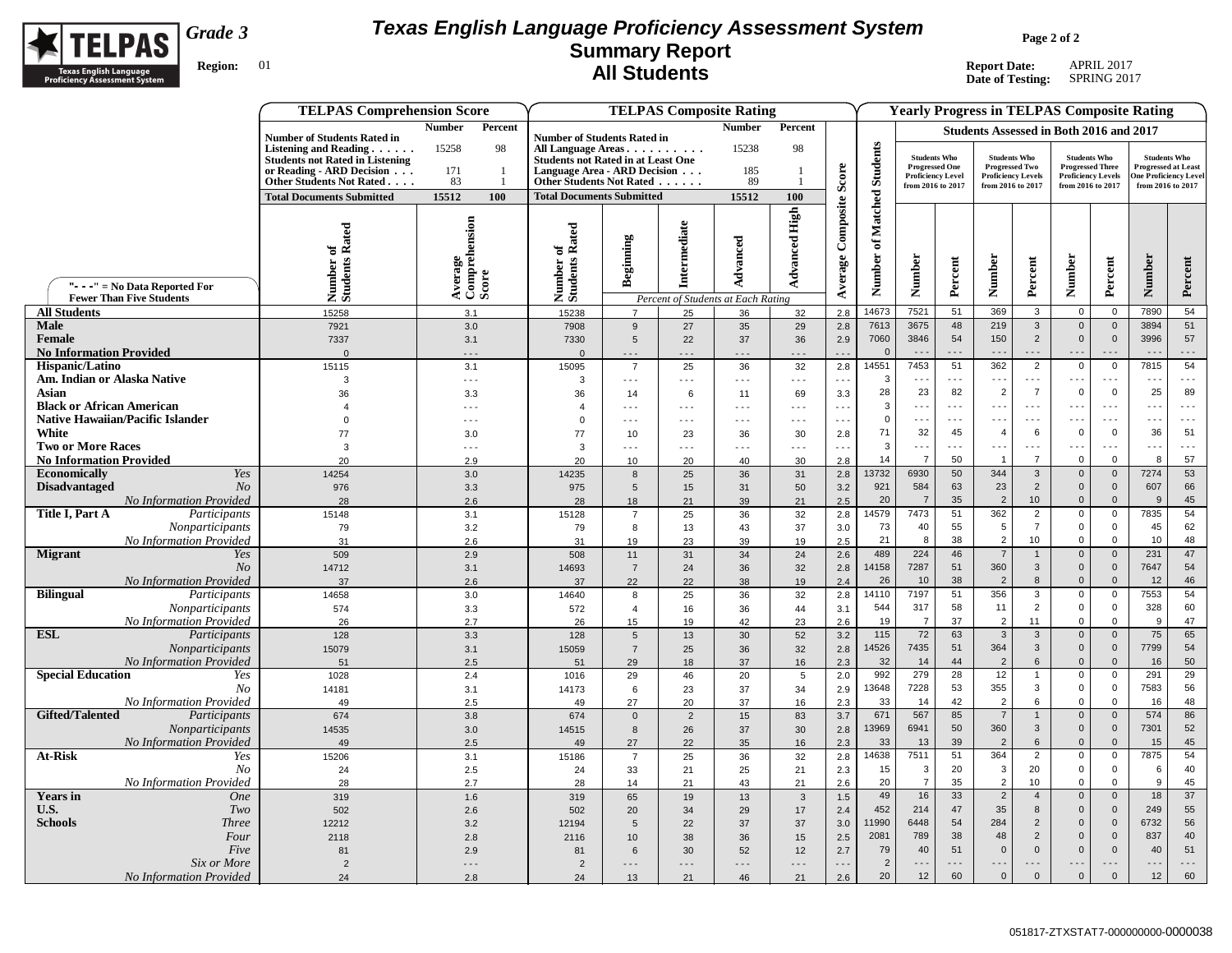

## **Texas English Language Proficiency Assessment System Summary Report All Students**

**Page 2 of 2**

|                                                  | <b>TELPAS Comprehension Score</b>                                                                                                                              |                                                              |                                                                                                                                                                   |                           |                | <b>TELPAS Composite Rating</b>     |                      |                                 |                      |                                              |                          |                                                                           |                                |                                                                             |                                      | <b>Yearly Progress in TELPAS Composite Rating</b>                                |                                |
|--------------------------------------------------|----------------------------------------------------------------------------------------------------------------------------------------------------------------|--------------------------------------------------------------|-------------------------------------------------------------------------------------------------------------------------------------------------------------------|---------------------------|----------------|------------------------------------|----------------------|---------------------------------|----------------------|----------------------------------------------|--------------------------|---------------------------------------------------------------------------|--------------------------------|-----------------------------------------------------------------------------|--------------------------------------|----------------------------------------------------------------------------------|--------------------------------|
|                                                  |                                                                                                                                                                | <b>Number</b><br>Percent                                     |                                                                                                                                                                   |                           |                | <b>Number</b>                      | Percent              |                                 |                      |                                              |                          |                                                                           |                                | Students Assessed in Both 2016 and 2017                                     |                                      |                                                                                  |                                |
|                                                  | <b>Number of Students Rated in</b><br>Listening and Reading<br><b>Students not Rated in Listening</b><br>or Reading - ARD Decision<br>Other Students Not Rated | 15258<br>98<br>171<br>$\overline{1}$<br>83<br>$\overline{1}$ | <b>Number of Students Rated in</b><br>All Language Areas<br><b>Students not Rated in at Least One</b><br>Language Area - ARD Decision<br>Other Students Not Rated |                           | $\ddots$       | 15238<br>185<br>89                 | 98                   | Score                           | <b>Students</b>      | <b>Students Who</b><br><b>Progressed One</b> | <b>Proficiency Level</b> | <b>Students Who</b><br><b>Progressed Two</b><br><b>Proficiency Levels</b> |                                | <b>Students Who</b><br><b>Progressed Three</b><br><b>Proficiency Levels</b> |                                      | <b>Students Who</b><br><b>Progressed at Least</b><br><b>One Proficiency Leve</b> |                                |
|                                                  | <b>Total Documents Submitted</b>                                                                                                                               | 100<br>15512                                                 | <b>Total Documents Submitted</b>                                                                                                                                  |                           |                | 15512                              | 100                  |                                 |                      | from 2016 to 2017                            |                          | from 2016 to 2017                                                         |                                | from 2016 to 2017                                                           |                                      | from 2016 to 2017                                                                |                                |
|                                                  | Number of<br>Students Rated                                                                                                                                    | Average<br>Comprehension<br>Score                            | Number of<br>Students Rated                                                                                                                                       | Beginning                 | Intermediate   | Advanced                           | <b>Advanced High</b> | Composite                       | of Matched           |                                              |                          |                                                                           |                                |                                                                             |                                      |                                                                                  |                                |
| "- - -" = $No Data Reported For$                 |                                                                                                                                                                |                                                              |                                                                                                                                                                   |                           |                |                                    |                      | Average                         | Number               | Number                                       | Percent                  | Number                                                                    | Percent                        | Number                                                                      | Percent                              | Number                                                                           | Percent                        |
| <b>Fewer Than Five Students</b>                  |                                                                                                                                                                |                                                              |                                                                                                                                                                   |                           |                | Percent of Students at Each Rating |                      |                                 |                      |                                              |                          |                                                                           |                                |                                                                             |                                      |                                                                                  |                                |
| <b>All Students</b>                              | 15258                                                                                                                                                          | 3.1                                                          | 15238                                                                                                                                                             | $\overline{7}$            | 25             | 36                                 | 32                   | 2.8                             | 14673                | 7521                                         | 51                       | 369                                                                       | 3                              | $\overline{\mathbf{0}}$                                                     | $\mathbf{0}$                         | 7890                                                                             | 54                             |
| <b>Male</b>                                      | 7921                                                                                                                                                           | 3.0                                                          | 7908                                                                                                                                                              | 9                         | 27             | 35                                 | 29                   | 2.8                             | 7613                 | 3675<br>3846                                 | 48<br>54                 | 219                                                                       | 3 <sup>5</sup>                 | $\mathbb O$                                                                 | $\mathbf 0$<br>$\overline{0}$        | 3894<br>3996                                                                     | 51                             |
| Female<br><b>No Information Provided</b>         | 7337<br>$\Omega$                                                                                                                                               | 3.1<br>$- - -$                                               | 7330<br>$\Omega$                                                                                                                                                  | 5<br>$\sim$ $\sim$ $\sim$ | 22<br>- - -    | 37<br>$- - -$                      | 36<br>- - -          | 2.9<br>$\sim$ $\sim$            | 7060<br>$\Omega$     | $  -$                                        | $\sim$ $\sim$ $\sim$     | 150<br>$  -$                                                              | $\overline{2}$<br>$- - -$      | $\mathbf 0$<br>$- - -$                                                      | $\sim$ $\sim$ $\sim$                 | $  -$                                                                            | 57<br>$\sim$ $\sim$ $\sim$     |
| Hispanic/Latino                                  | 15115                                                                                                                                                          | 3.1                                                          | 15095                                                                                                                                                             | $\overline{7}$            | 25             | 36                                 | 32                   | 2.8                             | 14551                | 7453                                         | 51                       | 362                                                                       | $\overline{2}$                 | $\Omega$                                                                    | $\mathbf 0$                          | 7815                                                                             | 54                             |
| Am. Indian or Alaska Native                      | -3                                                                                                                                                             | $\overline{\phantom{a}}$                                     | 3                                                                                                                                                                 | $\sim$ $\sim$ $\sim$      | $- - -$        | $- - -$                            | $\sim$ $\sim$ $\sim$ |                                 | $\mathbf{3}$         | $\sim$ $\sim$ $\sim$                         | $- - -$                  | $\sim$ $\sim$ $\sim$                                                      | $ -$                           | $\sim$ $\sim$ $\sim$                                                        | $\sim$ $\sim$ $\sim$                 | $\sim$ $\sim$ $\sim$                                                             | $\sim$ $\sim$ $\sim$           |
| Asian                                            | 36                                                                                                                                                             | 3.3                                                          | 36                                                                                                                                                                | 14                        | 6              | 11                                 | 69                   | 3.3                             | 28                   | 23                                           | 82                       | $\overline{2}$                                                            | $\overline{7}$                 | $\overline{0}$                                                              | $\mathbf 0$                          | 25                                                                               | 89                             |
| <b>Black or African American</b>                 |                                                                                                                                                                | $- - -$                                                      | $\overline{4}$                                                                                                                                                    | $- - -$                   | $- - -$        | $\sim$ $\sim$ $\sim$               | $\sim$ $\sim$ $\sim$ | $\sim$ $\sim$                   | 3                    | $  -$                                        | $\sim$ $\sim$ $\sim$     | $\sim$ $\sim$                                                             | $\ddotsc$                      | $\sim$ $\sim$ $\sim$                                                        | $- - -$                              | $\sim$ $\sim$ $\sim$                                                             | $\sim$ $\sim$ $\sim$           |
| <b>Native Hawaiian/Pacific Islander</b>          | $\Omega$                                                                                                                                                       | $- - -$                                                      | $\Omega$                                                                                                                                                          | $- - -$                   | $- - -$        | $\sim$ $\sim$ $\sim$               | $- - -$              | $\sim$ $\sim$                   | $\mathbf 0$          | $\sim$ $\sim$                                | $\sim$ $\sim$            | $\overline{a}$ .                                                          | $\sim$ $\sim$ $\sim$           | $\sim$ $\sim$                                                               | $\sim$ $\sim$ $\sim$                 | .                                                                                | $\sim$ $\sim$ $\sim$           |
| White<br><b>Two or More Races</b>                | 77<br>3                                                                                                                                                        | 3.0<br>$- - -$                                               | $77 \,$<br>$\mathbf{3}$                                                                                                                                           | 10                        | 23<br>$- - -$  | 36<br>$- - -$                      | 30                   | 2.8<br>$\sim$                   | 71<br>$\mathbf{3}$   | 32<br>$- - -$                                | 45<br>$- - -$            | $\overline{4}$<br>$  -$                                                   | 6<br>$- - -$                   | $\mathbf 0$<br>$\sim$ $\sim$                                                | $\mathbf{0}$<br>$\sim$ $\sim$ $\sim$ | 36<br>- - -                                                                      | 51<br>$\sim$ $\sim$ $\sim$     |
| <b>No Information Provided</b>                   | 20                                                                                                                                                             | 2.9                                                          | 20                                                                                                                                                                | $- - -$<br>10             | 20             | 40                                 | $- - -$<br>30        | 2.8                             | 14                   | $\overline{7}$                               | 50                       | $\overline{1}$                                                            | $\overline{7}$                 | $\overline{0}$                                                              | $\mathbf{0}$                         | 8                                                                                | 57                             |
| Yes<br><b>Economically</b>                       | 14254                                                                                                                                                          | 3.0                                                          | 14235                                                                                                                                                             | 8                         | 25             | 36                                 | 31                   | 2.8                             | 13732                | 6930                                         | 50                       | 344                                                                       | $\mathbf{3}$                   | $\mathbf 0$                                                                 | $\mathbf 0$                          | 7274                                                                             | 53                             |
| <b>Disadvantaged</b><br>N <sub>O</sub>           | 976                                                                                                                                                            | 3.3                                                          | 975                                                                                                                                                               | 5                         | 15             | 31                                 | 50                   | 3.2                             | 921                  | 584                                          | 63                       | 23                                                                        | $\overline{2}$                 | $\overline{0}$                                                              | $\mathbf 0$                          | 607                                                                              | 66                             |
| No Information Provided                          | 28                                                                                                                                                             | 2.6                                                          | 28                                                                                                                                                                | 18                        | 21             | 39                                 | 21                   | 2.5                             | 20                   | $\overline{7}$                               | 35                       | $\overline{2}$                                                            | 10                             | $\overline{0}$                                                              | $\mathbf{0}$                         | 9                                                                                | 45                             |
| Title I, Part A<br>Participants                  | 15148                                                                                                                                                          | 3.1                                                          | 15128                                                                                                                                                             | $\overline{7}$            | 25             | 36                                 | 32                   | 2.8                             | 14579                | 7473                                         | 51                       | 362                                                                       | $\overline{2}$                 | $\overline{0}$                                                              | $\mathbf 0$                          | 7835                                                                             | 54                             |
| Nonparticipants                                  | 79                                                                                                                                                             | 3.2                                                          | 79                                                                                                                                                                | 8                         | 13             | 43                                 | 37                   | 3.0                             | 73                   | 40                                           | 55                       | .5                                                                        | $\overline{7}$                 | $\overline{0}$                                                              | 0                                    | 45                                                                               | 62                             |
| No Information Provided<br><b>Migrant</b><br>Yes | 31<br>509                                                                                                                                                      | 2.6<br>2.9                                                   | 31<br>508                                                                                                                                                         | 19<br>11                  | 23<br>31       | 39<br>34                           | 19<br>24             | 2.5<br>2.6                      | 21<br>489            | 8<br>224                                     | 38<br>46                 | $\overline{2}$<br>$\overline{7}$                                          | 10<br>$\mathbf{1}$             | $\mathbf 0$<br>$\mathbb O$                                                  | $\mathbf{0}$<br>$\mathbf 0$          | 10<br>231                                                                        | 48<br>47                       |
| N <sub>O</sub>                                   | 14712                                                                                                                                                          | 3.1                                                          | 14693                                                                                                                                                             | $\overline{7}$            | 24             | 36                                 | 32                   | 2.8                             | 14158                | 7287                                         | 51                       | 360                                                                       | $\mathbf{3}$                   | $\mathbf 0$                                                                 | $\mathbf 0$                          | 7647                                                                             | 54                             |
| <b>No Information Provided</b>                   | 37                                                                                                                                                             | 2.6                                                          | 37                                                                                                                                                                | 22                        | 22             | 38                                 | 19                   | 2.4                             | 26                   | 10                                           | 38                       | $\overline{2}$                                                            | $\bf8$                         | $\overline{0}$                                                              | $\mathbf 0$                          | 12                                                                               | 46                             |
| Participants<br><b>Bilingual</b>                 | 14658                                                                                                                                                          | 3.0                                                          | 14640                                                                                                                                                             | 8                         | 25             | 36                                 | 32                   | 2.8                             | 14110                | 7197                                         | 51                       | 356                                                                       | $\mathbf{3}$                   | $\mathbf 0$                                                                 | $\mathbf 0$                          | 7553                                                                             | 54                             |
| Nonparticipants                                  | 574                                                                                                                                                            | 3.3                                                          | 572                                                                                                                                                               | $\overline{4}$            | 16             | 36                                 | 44                   | 3.1                             | 544                  | 317                                          | 58                       | 11                                                                        | $\overline{2}$                 | $\overline{0}$                                                              | $\mathsf 0$                          | 328                                                                              | 60                             |
| No Information Provided                          | 26                                                                                                                                                             | 2.7                                                          | 26                                                                                                                                                                | 15                        | 19             | 42                                 | 23                   | 2.6                             | 19                   | $\overline{7}$                               | 37                       | $\overline{2}$                                                            | 11                             | $\mathbf 0$                                                                 | $\mathbf{0}$                         | 9                                                                                | 47                             |
| <b>ESL</b><br>Participants                       | 128                                                                                                                                                            | 3.3                                                          | 128                                                                                                                                                               | 5                         | 13             | 30                                 | 52                   | 3.2                             | 115                  | $\overline{72}$                              | 63<br>51                 | $\mathbf{3}$                                                              | $\mathbf{3}$<br>$\mathbf{3}$   | $\mathsf 0$                                                                 | $\mathbf 0$<br>$\mathbf{0}$          | 75<br>7799                                                                       | 65                             |
| Nonparticipants<br>No Information Provided       | 15079<br>51                                                                                                                                                    | 3.1<br>2.5                                                   | 15059<br>51                                                                                                                                                       | $\overline{7}$<br>29      | 25<br>18       | 36<br>37                           | 32<br>16             | 2.8<br>2.3                      | 14526<br>32          | 7435<br>14                                   | 44                       | 364<br>$\overline{2}$                                                     | $6\phantom{1}$                 | $\mathbb O$<br>$\mathbf 0$                                                  | $\mathbf{0}$                         | 16                                                                               | 54<br>50                       |
| <b>Special Education</b><br>Yes                  | 1028                                                                                                                                                           | 2.4                                                          | 1016                                                                                                                                                              | 29                        | 46             | 20                                 | $5\phantom{.0}$      | 2.0                             | 992                  | 279                                          | 28                       | 12                                                                        | $\mathbf{1}$                   | $\mathbf 0$                                                                 | 0                                    | 291                                                                              | 29                             |
| N <sub>O</sub>                                   | 14181                                                                                                                                                          | 3.1                                                          | 14173                                                                                                                                                             | 6                         | 23             | 37                                 | 34                   | 2.9                             | 13648                | 7228                                         | 53                       | 355                                                                       | $\mathbf{3}$                   | $\mathbf 0$                                                                 | $\mathbf 0$                          | 7583                                                                             | 56                             |
| No Information Provided                          | 49                                                                                                                                                             | 2.5                                                          | 49                                                                                                                                                                | 27                        | 20             | 37                                 | 16                   | 2.3                             | 33                   | 14                                           | 42                       | $\overline{2}$                                                            | 6                              | $\mathbf 0$                                                                 | $\mathsf 0$                          | 16                                                                               | 48                             |
| <b>Gifted/Talented</b><br>Participants           | 674                                                                                                                                                            | 3.8                                                          | 674                                                                                                                                                               | $\Omega$                  | $\overline{2}$ | 15                                 | 83                   | 3.7                             | 671                  | 567                                          | 85                       | $\overline{7}$                                                            | $\mathbf{1}$                   | $\mathbf 0$                                                                 | $\mathbf 0$                          | 574                                                                              | 86                             |
| Nonparticipants                                  | 14535                                                                                                                                                          | 3.0                                                          | 14515                                                                                                                                                             | 8                         | 26             | 37                                 | 30                   | 2.8                             | 13969                | 6941                                         | 50                       | 360                                                                       | $\mathbf{3}$<br>$6\phantom{1}$ | $\overline{0}$<br>$\overline{0}$                                            | $\mathbf 0$<br>$\mathbf{0}$          | 7301                                                                             | 52                             |
| No Information Provided<br>At-Risk<br>Yes        | 49<br>15206                                                                                                                                                    | 2.5<br>3.1                                                   | 49<br>15186                                                                                                                                                       | 27<br>$\overline{7}$      | 22<br>25       | 35<br>36                           | 16<br>32             | 2.3<br>2.8                      | 33<br>14638          | 13<br>7511                                   | 39<br>51                 | $\overline{2}$<br>364                                                     | $\overline{2}$                 | $\overline{0}$                                                              | $\mathsf 0$                          | 15<br>7875                                                                       | 45<br>54                       |
| N <sub>O</sub>                                   | 24                                                                                                                                                             | 2.5                                                          | 24                                                                                                                                                                | 33                        | 21             | 25                                 | 21                   | 2.3                             | 15                   | 3                                            | 20                       | $\overline{3}$                                                            | 20                             | $\mathbf 0$                                                                 | $\mathsf 0$                          | 6                                                                                | 40                             |
| <b>No Information Provided</b>                   | 28                                                                                                                                                             | 2.7                                                          | 28                                                                                                                                                                | 14                        | 21             | 43                                 | 21                   | 2.6                             | 20                   | $\overline{7}$                               | 35                       | $\overline{2}$                                                            | 10                             | $\mathbf 0$                                                                 | $\mathbf 0$                          | $\mathbf{Q}$                                                                     | 45                             |
| <b>Years</b> in<br><b>One</b>                    | 319                                                                                                                                                            | 1.6                                                          | 319                                                                                                                                                               | 65                        | 19             | 13                                 | $\mathbf{3}$         | 1.5                             | 49                   | 16                                           | 33                       | $\overline{2}$                                                            | $\overline{4}$                 | $\mathbf 0$                                                                 | $\mathbf 0$                          | 18                                                                               | 37                             |
| U.S.<br>Two                                      | 502                                                                                                                                                            | 2.6                                                          | 502                                                                                                                                                               | 20                        | 34             | 29                                 | 17                   | 2.4                             | 452                  | 214                                          | 47                       | 35                                                                        | $\bf8$                         | $\mathbb O$                                                                 | $\mathbf{0}$                         | 249                                                                              | 55                             |
| <b>Schools</b><br><b>Three</b>                   | 12212                                                                                                                                                          | 3.2                                                          | 12194                                                                                                                                                             | 5                         | 22             | 37                                 | 37                   | 3.0                             | 11990                | 6448                                         | 54                       | 284                                                                       | $\overline{2}$                 | $\mathsf 0$                                                                 | $\mathbf 0$                          | 6732                                                                             | 56                             |
| Four                                             | 2118                                                                                                                                                           | 2.8                                                          | 2116                                                                                                                                                              | 10                        | 38             | 36                                 | 15                   | 2.5                             | 2081                 | 789                                          | 38                       | 48                                                                        | $\overline{2}$                 | $\mathbb O$                                                                 | $\mathbf 0$                          | 837                                                                              | 40                             |
| Five<br>Six or More                              | 81                                                                                                                                                             | 2.9<br>$- - -$                                               | 81                                                                                                                                                                | 6<br>$- - -$              | 30             | 52<br>$ -$                         | 12<br>$ -$           | 2.7                             | 79<br>$\overline{2}$ | 40                                           | 51<br>$\overline{a}$     | $\Omega$                                                                  | $\mathbf{0}$                   | $\overline{0}$                                                              | $\mathbf 0$                          | 40                                                                               | 51<br>$\overline{\phantom{a}}$ |
| No Information Provided                          | $\overline{2}$<br>24                                                                                                                                           | 2.8                                                          | $\overline{2}$<br>24                                                                                                                                              | 13                        | $- - -$<br>21  | 46                                 | 21                   | $\overline{\phantom{a}}$<br>2.6 | 20                   | 12                                           | 60                       | $\Omega$                                                                  | $\mathbf{0}$                   | $\overline{0}$                                                              | $\mathbf{0}$                         | 12                                                                               | 60                             |
|                                                  |                                                                                                                                                                |                                                              |                                                                                                                                                                   |                           |                |                                    |                      |                                 |                      |                                              |                          |                                                                           |                                |                                                                             |                                      |                                                                                  |                                |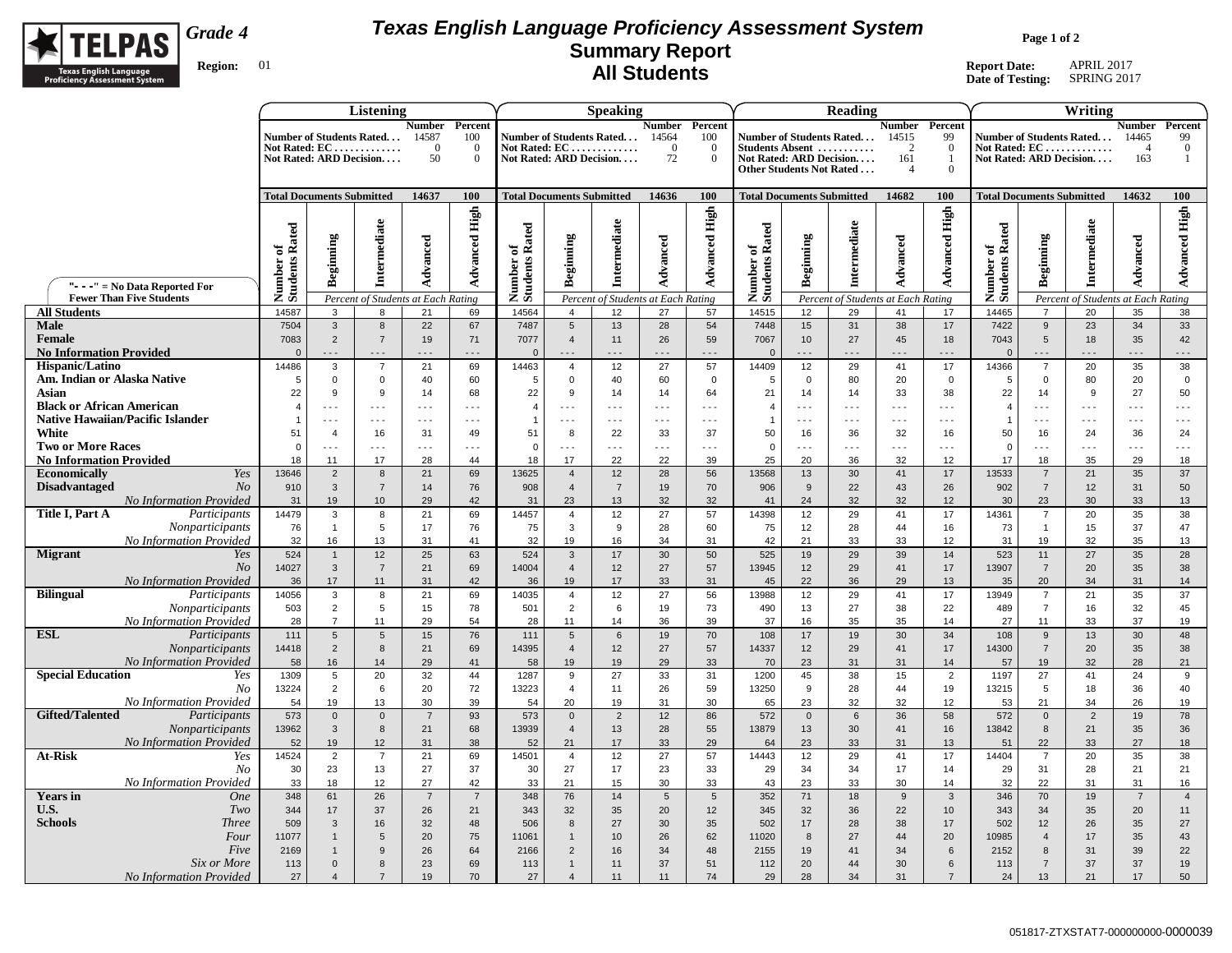

## **Texas English Language Proficiency Assessment System Summary Report All Students**

**Page 1 of 2**

|                                                                   |                                  |                     | Listening                                                              |                                           |                                         |                                                                      |                                  | <b>Speaking</b>      |                                          |                                              |                                                                                                           |                      | Reading                            |                                                     |                                                   |                                                                                |                                  | Writing                  |                                           |                                       |
|-------------------------------------------------------------------|----------------------------------|---------------------|------------------------------------------------------------------------|-------------------------------------------|-----------------------------------------|----------------------------------------------------------------------|----------------------------------|----------------------|------------------------------------------|----------------------------------------------|-----------------------------------------------------------------------------------------------------------|----------------------|------------------------------------|-----------------------------------------------------|---------------------------------------------------|--------------------------------------------------------------------------------|----------------------------------|--------------------------|-------------------------------------------|---------------------------------------|
|                                                                   |                                  |                     | Number of Students Rated<br>Not Rated: $EC$<br>Not Rated: ARD Decision | Number Percent<br>14587<br>$\theta$<br>50 | 100<br>$\overline{0}$<br>$\overline{0}$ | Number of Students Rated<br>Not Rated: EC<br>Not Rated: ARD Decision |                                  |                      | <b>Number</b><br>14564<br>$\Omega$<br>72 | Percent<br>100<br>$\Omega$<br>$\overline{0}$ | Number of Students Rated<br>Students Absent<br>Not Rated: ARD Decision<br><b>Other Students Not Rated</b> |                      |                                    | Number<br>14515<br>$\mathcal{D}$<br>161<br>$\Delta$ | Percent<br>99<br>$\overline{0}$<br>-1<br>$\Omega$ | Number of Students Rated<br>Not Rated: $EC$<br><b>Not Rated: ARD Decision.</b> |                                  |                          | <b>Number</b><br>14465<br>$\Delta$<br>163 | Percent<br>99<br>$\overline{0}$<br>-1 |
|                                                                   | <b>Total Documents Submitted</b> |                     |                                                                        | 14637                                     | 100                                     | <b>Total Documents Submitted</b>                                     |                                  |                      | 14636                                    | 100                                          | <b>Total Documents Submitted</b>                                                                          |                      |                                    | 14682                                               | 100                                               | <b>Total Documents Submitted</b>                                               |                                  |                          | 14632                                     | 100                                   |
|                                                                   | Number of<br>Students Rated      | Beginning           | Intermediate                                                           | Advanced                                  | <b>Advanced High</b>                    | Rated<br>ัธ<br>Number c<br>Students 1                                | Beginning                        | Intermediate         | Advanced                                 | <b>Advanced High</b>                         | Rated<br>ัธ<br>Number of<br>Students 1                                                                    | Beginning            | Intermediate                       | Advanced                                            | <b>Advanced High</b>                              | of<br>s Rated<br>Number c<br>Students 1                                        | Beginning                        | Intermediate             | Advanced                                  | High<br>Advanced                      |
| "- - -" = No Data Reported For<br><b>Fewer Than Five Students</b> |                                  |                     | Percent of Students at Each Rating                                     |                                           |                                         |                                                                      |                                  |                      | Percent of Students at Each Rating       |                                              |                                                                                                           |                      | Percent of Students at Each Rating |                                                     |                                                   |                                                                                |                                  |                          | Percent of Students at Each Rating        |                                       |
| <b>All Students</b>                                               | 14587                            | 3                   | 8                                                                      | 21                                        | 69                                      | 14564                                                                | $\overline{4}$                   | 12                   | 27                                       | 57                                           | 14515                                                                                                     | 12                   | 29                                 | 41                                                  | 17                                                | 14465                                                                          | $\overline{7}$                   | 20                       | 35                                        | 38                                    |
| <b>Male</b>                                                       | 7504                             | $\mathbf{3}$        | 8                                                                      | 22                                        | 67                                      | 7487                                                                 | $5\phantom{.0}$                  | 13                   | 28                                       | 54                                           | 7448                                                                                                      | 15                   | 31                                 | 38                                                  | 17                                                | 7422                                                                           | 9                                | 23                       | 34                                        | 33                                    |
| Female                                                            | 7083                             | $\overline{2}$      | $\overline{7}$                                                         | 19                                        | 71                                      | 7077                                                                 | $\overline{4}$                   | 11                   | 26                                       | 59                                           | 7067                                                                                                      | 10 <sup>10</sup>     | 27                                 | 45                                                  | 18                                                | 7043                                                                           | $5\phantom{.0}$                  | 18                       | 35                                        | 42                                    |
| <b>No Information Provided</b>                                    | $\Omega$                         |                     | $ -$                                                                   | $- -$                                     | $\overline{\phantom{a}}$                | $\overline{0}$                                                       | - - -                            | $- -$                | $- - -$                                  | .                                            | $\mathsf 0$                                                                                               | $- - -$              | $- - -$                            | $- - -$                                             | $\sim$ $\sim$ $\sim$                              | $\mathbf 0$                                                                    | $\ddotsc$                        | .                        | $- - -$                                   | $- - -$                               |
| Hispanic/Latino                                                   | 14486                            | 3                   | $\overline{7}$                                                         | 21                                        | 69                                      | 14463                                                                | $\overline{4}$                   | 12                   | 27                                       | 57                                           | 14409                                                                                                     | 12                   | 29                                 | 41                                                  | 17                                                | 14366                                                                          | $\overline{7}$                   | 20                       | 35                                        | 38                                    |
| Am. Indian or Alaska Native                                       | 5                                | $\mathbf 0$         | $\mathsf 0$                                                            | 40                                        | 60                                      | 5                                                                    | $\mathsf 0$                      | 40                   | 60                                       | $\mathbf 0$                                  | 5                                                                                                         | $\mathsf 0$          | 80                                 | 20                                                  | $\overline{0}$                                    | 5                                                                              | $\mathbf 0$                      | 80                       | 20                                        | $\mathbf 0$                           |
| Asian                                                             | 22                               | $\boldsymbol{9}$    | $\boldsymbol{9}$                                                       | 14                                        | 68                                      | 22                                                                   | 9                                | 14                   | 14                                       | 64                                           | 21                                                                                                        | 14                   | 14                                 | 33                                                  | 38                                                | 22                                                                             | 14                               | $\boldsymbol{9}$         | 27                                        | 50                                    |
| <b>Black or African American</b>                                  | $\overline{4}$                   | $- -$               | $\sim$ $\sim$ $\sim$                                                   | $\sim$ $\sim$ $\sim$                      | $\sim$ $\sim$ $\sim$                    | $\overline{4}$                                                       | $\sim$ $\sim$ $\sim$             | $- - -$              | $\sim$ $\sim$ $\sim$                     | $\sim$ $\sim$ $\sim$                         | $\overline{4}$                                                                                            | $\sim$ $\sim$ $\sim$ | $\overline{\phantom{a}}$           | $\sim$ $\sim$ $\sim$                                | $\sim$ $\sim$ $\sim$                              | $\overline{4}$                                                                 | $\sim$ $\sim$ $\sim$             | $- - -$                  | $\sim$ $\sim$ $\sim$                      | $\sim$ $\sim$ $\sim$                  |
| <b>Native Hawaiian/Pacific Islander</b>                           |                                  | $  -$               | $\sim$ $\sim$ $\sim$                                                   | $\sim$ $\sim$ $\sim$                      | $- - -$                                 |                                                                      | $ -$                             | $- - -$              | $- - -$                                  | $\sim$ $\sim$ $\sim$                         | $\overline{1}$                                                                                            | $- - -$              | $- -$                              | $- - -$                                             | $- - -$                                           | $\overline{1}$                                                                 | $\sim$ $\sim$ $\sim$             | $\sim$ $\sim$ $\sim$     | $- - -$                                   | $- - -$                               |
| White                                                             | 51                               | $\overline{4}$      | 16                                                                     | 31                                        | 49                                      | 51                                                                   | 8                                | 22                   | 33                                       | 37                                           | 50                                                                                                        | 16                   | 36                                 | 32                                                  | 16                                                | 50                                                                             | 16                               | 24                       | 36                                        | 24                                    |
| <b>Two or More Races</b>                                          | $\Omega$                         | $\sim$ $\sim$       | $\sim$ $\sim$ $\sim$                                                   | $\sim$ $\sim$ $\sim$                      | $- - -$                                 | $\overline{0}$                                                       | $\sim$ $\sim$ $\sim$             | $\sim$ $\sim$ $\sim$ | $\sim$ $\sim$ $\sim$                     | $\overline{\phantom{a}}$                     | $\mathsf 0$                                                                                               | $- - -$              | $\overline{\phantom{a}}$           | .                                                   | $\overline{\phantom{a}}$                          | $\mathbf 0$                                                                    | $\sim$ $\sim$                    | $\overline{\phantom{a}}$ | $\sim$ $\sim$ $\sim$                      | $- - -$                               |
| <b>No Information Provided</b>                                    | 18                               | 11                  | 17                                                                     | 28                                        | 44                                      | 18                                                                   | 17                               | 22                   | 22                                       | 39                                           | 25                                                                                                        | 20                   | 36                                 | 32                                                  | 12                                                | 17                                                                             | 18                               | 35                       | 29                                        | 18                                    |
| <b>Economically</b><br>Yes                                        | 13646                            | $\overline{2}$      | 8                                                                      | 21                                        | 69                                      | 13625                                                                | $\overline{4}$                   | 12                   | 28                                       | 56                                           | 13568                                                                                                     | 13                   | 30                                 | 41                                                  | 17                                                | 13533                                                                          | $\overline{7}$                   | 21                       | 35                                        | 37                                    |
| <b>Disadvantaged</b><br>No                                        | 910                              | $\mathbf{3}$        | $\overline{7}$                                                         | 14                                        | 76                                      | 908                                                                  | $\overline{4}$                   | $\overline{7}$       | 19                                       | 70                                           | 906                                                                                                       | 9                    | 22                                 | 43                                                  | 26                                                | 902                                                                            | $\overline{7}$                   | 12                       | 31                                        | 50                                    |
| <b>No Information Provided</b>                                    | 31                               | 19                  | 10                                                                     | 29                                        | 42                                      | 31                                                                   | 23                               | 13                   | 32                                       | 32                                           | 41                                                                                                        | 24                   | 32                                 | 32                                                  | 12                                                | 30                                                                             | 23                               | 30                       | 33                                        | 13                                    |
| Title I, Part A<br>Participants                                   | 14479                            | 3                   | 8                                                                      | 21                                        | 69                                      | 14457                                                                | $\overline{4}$                   | 12                   | 27                                       | 57                                           | 14398                                                                                                     | 12                   | 29                                 | 41                                                  | 17                                                | 14361                                                                          | $\overline{7}$                   | 20                       | 35                                        | 38                                    |
| Nonparticipants                                                   | 76                               | $\mathbf{1}$        | 5                                                                      | 17                                        | 76                                      | 75                                                                   | 3                                | 9                    | 28                                       | 60                                           | 75                                                                                                        | 12                   | 28                                 | 44                                                  | 16                                                | 73                                                                             | $\mathbf{1}$                     | 15                       | 37                                        | 47                                    |
| No Information Provided                                           | 32                               | 16                  | 13                                                                     | 31                                        | 41                                      | 32                                                                   | 19                               | 16                   | 34                                       | 31                                           | 42                                                                                                        | 21                   | 33                                 | 33                                                  | 12                                                | 31                                                                             | 19                               | 32                       | 35                                        | 13                                    |
| <b>Migrant</b><br>Yes                                             | 524                              | $\overline{1}$      | 12                                                                     | 25                                        | 63                                      | 524                                                                  | $\mathbf{3}$                     | 17                   | 30                                       | 50                                           | 525                                                                                                       | 19                   | 29                                 | 39                                                  | 14                                                | 523                                                                            | 11                               | 27                       | 35                                        | 28                                    |
| N <sub>O</sub>                                                    | 14027                            | $\mathbf{3}$        | $\overline{7}$                                                         | 21                                        | 69                                      | 14004                                                                | $\overline{4}$                   | 12                   | 27                                       | 57                                           | 13945                                                                                                     | 12                   | 29                                 | 41                                                  | 17                                                | 13907                                                                          | $\overline{7}$                   | 20                       | 35                                        | 38                                    |
| <b>No Information Provided</b>                                    | 36                               | 17                  | 11                                                                     | 31                                        | 42                                      | 36                                                                   | 19                               | 17                   | 33                                       | 31                                           | 45                                                                                                        | 22                   | 36                                 | 29                                                  | 13                                                | 35                                                                             | 20                               | 34                       | 31                                        | 14                                    |
| Participants<br><b>Bilingual</b>                                  | 14056                            | $\mathbf{3}$        | 8<br>5                                                                 | 21                                        | 69                                      | 14035                                                                | $\overline{4}$<br>$\overline{2}$ | 12                   | 27                                       | 56<br>73                                     | 13988                                                                                                     | 12                   | 29<br>27                           | 41<br>38                                            | 17                                                | 13949                                                                          | $\overline{7}$<br>$\overline{7}$ | 21                       | 35                                        | 37                                    |
| Nonparticipants<br><b>No Information Provided</b>                 | 503<br>28                        | 2<br>$\overline{7}$ | 11                                                                     | 15<br>29                                  | 78<br>54                                | 501<br>28                                                            | 11                               | 6<br>14              | 19<br>36                                 | 39                                           | 490<br>37                                                                                                 | 13<br>16             | 35                                 | 35                                                  | 22<br>14                                          | 489<br>27                                                                      | 11                               | 16<br>33                 | 32<br>37                                  | 45<br>19                              |
| <b>ESL</b><br>Participants                                        | 111                              | $5\phantom{.0}$     | $5\phantom{.0}$                                                        | 15                                        | 76                                      | 111                                                                  | $5\phantom{.0}$                  | $6\phantom{1}$       | 19                                       | 70                                           | 108                                                                                                       | 17                   | 19                                 | 30                                                  | 34                                                | 108                                                                            | 9                                | 13                       | 30                                        | 48                                    |
| Nonparticipants                                                   | 14418                            | $\overline{2}$      | $\bf8$                                                                 | 21                                        | 69                                      | 14395                                                                | $\overline{4}$                   | 12                   | 27                                       | 57                                           | 14337                                                                                                     | 12                   | 29                                 | 41                                                  | $17$                                              | 14300                                                                          | $\overline{7}$                   | 20                       | 35                                        | 38                                    |
| <b>No Information Provided</b>                                    | 58                               | 16                  | 14                                                                     | 29                                        | 41                                      | 58                                                                   | 19                               | 19                   | 29                                       | 33                                           | 70                                                                                                        | 23                   | 31                                 | 31                                                  | 14                                                | 57                                                                             | 19                               | 32                       | 28                                        | 21                                    |
| <b>Special Education</b><br>Yes                                   | 1309                             | $\,$ 5              | 20                                                                     | 32                                        | 44                                      | 1287                                                                 | 9                                | 27                   | 33                                       | 31                                           | 1200                                                                                                      | 45                   | 38                                 | 15                                                  | $\overline{2}$                                    | 1197                                                                           | 27                               | 41                       | 24                                        | 9                                     |
| N <sub>O</sub>                                                    | 13224                            | $\overline{2}$      | 6                                                                      | 20                                        | 72                                      | 13223                                                                | $\overline{4}$                   | 11                   | 26                                       | 59                                           | 13250                                                                                                     | 9                    | 28                                 | 44                                                  | 19                                                | 13215                                                                          | $5\phantom{.0}$                  | 18                       | 36                                        | 40                                    |
| No Information Provided                                           | 54                               | 19                  | 13                                                                     | 30                                        | 39                                      | 54                                                                   | 20                               | 19                   | 31                                       | 30                                           | 65                                                                                                        | 23                   | 32                                 | 32                                                  | 12                                                | 53                                                                             | 21                               | 34                       | 26                                        | 19                                    |
| <b>Gifted/Talented</b><br>Participants                            | 573                              | $\mathsf 0$         | $\mathbf{0}$                                                           | $\overline{7}$                            | 93                                      | 573                                                                  | $\mathbf 0$                      | $\overline{2}$       | 12                                       | 86                                           | 572                                                                                                       | $\mathbf{0}$         | $6\phantom{.}$                     | 36                                                  | 58                                                | 572                                                                            | $\mathbf 0$                      | $\overline{2}$           | 19                                        | 78                                    |
| Nonparticipants                                                   | 13962                            | $\mathbf{3}$        | 8                                                                      | 21                                        | 68                                      | 13939                                                                | $\overline{4}$                   | 13                   | 28                                       | 55                                           | 13879                                                                                                     | 13                   | 30                                 | 41                                                  | 16                                                | 13842                                                                          | $\bf8$                           | 21                       | 35                                        | 36                                    |
| <b>No Information Provided</b>                                    | 52                               | 19                  | 12                                                                     | 31                                        | 38                                      | 52                                                                   | 21                               | 17                   | 33                                       | 29                                           | 64                                                                                                        | 23                   | 33                                 | 31                                                  | 13                                                | 51                                                                             | 22                               | 33                       | 27                                        | 18                                    |
| At-Risk<br>Yes                                                    | 14524                            | $\overline{2}$      | $\overline{7}$                                                         | 21                                        | 69                                      | 14501                                                                | $\overline{4}$                   | 12                   | 27                                       | 57                                           | 14443                                                                                                     | 12                   | 29                                 | 41                                                  | 17                                                | 14404                                                                          | $\overline{7}$                   | 20                       | 35                                        | 38                                    |
| N <sub>O</sub>                                                    | 30                               | 23                  | 13                                                                     | 27                                        | 37                                      | 30                                                                   | 27                               | 17                   | 23                                       | 33                                           | 29                                                                                                        | 34                   | 34                                 | 17                                                  | 14                                                | 29                                                                             | 31                               | 28                       | 21                                        | 21                                    |
| <b>No Information Provided</b>                                    | 33                               | 18                  | 12                                                                     | 27                                        | 42                                      | 33                                                                   | 21                               | 15                   | 30                                       | 33                                           | 43                                                                                                        | 23                   | 33                                 | 30                                                  | 14                                                | 32                                                                             | 22                               | 31                       | 31                                        | 16                                    |
| <b>Years in</b><br><b>One</b>                                     | 348                              | 61                  | 26                                                                     | $\overline{7}$                            | $\overline{7}$                          | 348                                                                  | 76                               | 14                   | 5                                        | 5                                            | 352                                                                                                       | 71                   | 18                                 | 9                                                   | $\mathbf{3}$                                      | 346                                                                            | 70                               | 19                       | $\overline{7}$                            | $\overline{4}$                        |
| U.S.<br>Two                                                       | 344                              | 17                  | 37                                                                     | 26                                        | 21                                      | 343                                                                  | 32                               | 35                   | 20                                       | 12                                           | 345                                                                                                       | 32                   | 36                                 | 22                                                  | 10                                                | 343                                                                            | 34                               | 35                       | 20                                        | 11                                    |
| <b>Schools</b><br><b>Three</b>                                    | 509                              | $\mathbf{3}$        | 16                                                                     | 32                                        | 48                                      | 506                                                                  | 8                                | 27                   | 30                                       | 35                                           | 502                                                                                                       | 17                   | 28                                 | 38                                                  | 17                                                | 502                                                                            | 12                               | 26                       | 35                                        | 27                                    |
| Four                                                              | 11077                            | $\overline{1}$      | 5                                                                      | 20                                        | 75                                      | 11061                                                                | 1                                | 10                   | 26                                       | 62                                           | 11020                                                                                                     | 8                    | 27                                 | 44                                                  | 20                                                | 10985                                                                          | $\overline{4}$                   | 17                       | 35                                        | 43                                    |
| Five                                                              | 2169                             | $\overline{1}$      | 9                                                                      | 26                                        | 64                                      | 2166                                                                 | $\overline{2}$                   | 16                   | 34                                       | 48                                           | 2155                                                                                                      | 19                   | 41                                 | 34                                                  | $\,6\,$                                           | 2152                                                                           | $\,$ 8                           | 31                       | 39                                        | 22                                    |
| Six or More                                                       | 113                              | $\mathbf{0}$        | 8                                                                      | 23                                        | 69                                      | 113                                                                  | 1                                | 11                   | 37                                       | 51                                           | 112                                                                                                       | 20                   | 44                                 | 30                                                  | $6\phantom{.}$                                    | 113                                                                            | $\overline{7}$                   | 37                       | 37                                        | 19                                    |
| <b>No Information Provided</b>                                    | 27                               | $\overline{4}$      | $\overline{7}$                                                         | 19                                        | 70                                      | 27                                                                   | $\overline{\mathbf{4}}$          | 11                   | 11                                       | 74                                           | 29                                                                                                        | 28                   | 34                                 | 31                                                  | $\overline{7}$                                    | 24                                                                             | 13                               | 21                       | 17                                        | 50                                    |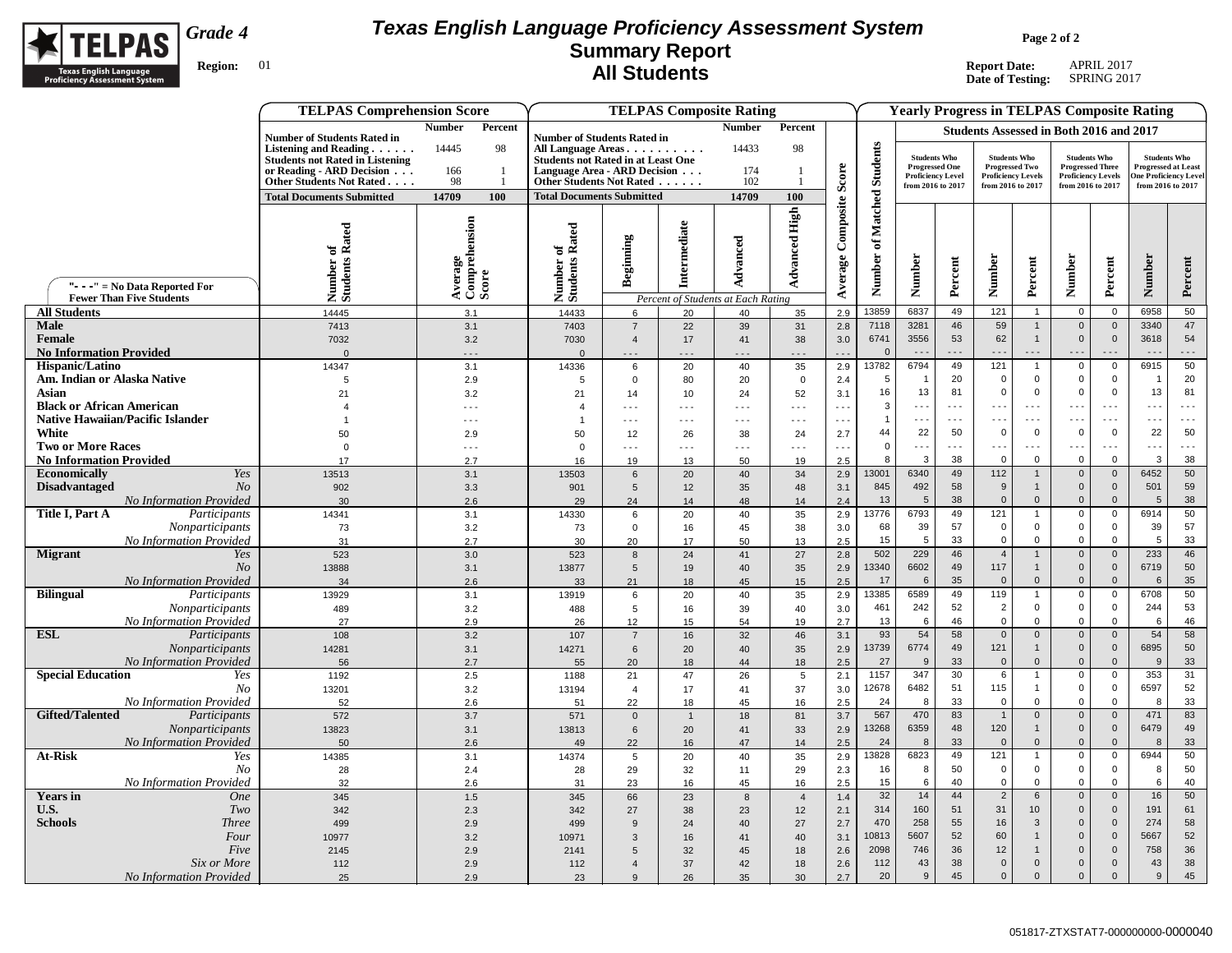

## **Texas English Language Proficiency Assessment System Summary Report All Students**

**Page 2 of 2**

|                                                                   | <b>TELPAS Comprehension Score</b>                                                                                                                                       |                                                  |                                                                                                                                                                   |                            | <b>TELPAS Composite Rating</b>                     |                            |                            |                      |                       |                                                                   |                          |                                                                                                |                               |                                                                                                  |                              | <b>Yearly Progress in TELPAS Composite Rating</b>                                                      |                      |
|-------------------------------------------------------------------|-------------------------------------------------------------------------------------------------------------------------------------------------------------------------|--------------------------------------------------|-------------------------------------------------------------------------------------------------------------------------------------------------------------------|----------------------------|----------------------------------------------------|----------------------------|----------------------------|----------------------|-----------------------|-------------------------------------------------------------------|--------------------------|------------------------------------------------------------------------------------------------|-------------------------------|--------------------------------------------------------------------------------------------------|------------------------------|--------------------------------------------------------------------------------------------------------|----------------------|
|                                                                   |                                                                                                                                                                         | <b>Number</b><br><b>Percent</b>                  |                                                                                                                                                                   |                            |                                                    | <b>Number</b>              | Percent                    |                      |                       |                                                                   |                          |                                                                                                |                               | Students Assessed in Both 2016 and 2017                                                          |                              |                                                                                                        |                      |
|                                                                   | <b>Number of Students Rated in</b><br>Listening and Reading $\ldots$<br><b>Students not Rated in Listening</b><br>or Reading - ARD Decision<br>Other Students Not Rated | 14445<br>98<br>166<br>-1<br>98<br>$\overline{1}$ | <b>Number of Students Rated in</b><br>All Language Areas<br><b>Students not Rated in at Least One</b><br>Language Area - ARD Decision<br>Other Students Not Rated |                            | $\ldots$                                           | 14433<br>174<br>102        | 98                         | Score                | <b>Students</b>       | <b>Students Who</b><br><b>Progressed One</b><br>from 2016 to 2017 | <b>Proficiency Level</b> | <b>Students Who</b><br><b>Progressed Two</b><br><b>Proficiency Levels</b><br>from 2016 to 2017 |                               | <b>Students Who</b><br><b>Progressed Three</b><br><b>Proficiency Levels</b><br>from 2016 to 2017 |                              | <b>Students Who</b><br><b>Progressed at Least</b><br><b>One Proficiency Level</b><br>from 2016 to 2017 |                      |
|                                                                   | <b>Total Documents Submitted</b>                                                                                                                                        | 14709<br>100                                     | <b>Total Documents Submitted</b>                                                                                                                                  |                            |                                                    | 14709                      | 100                        |                      |                       |                                                                   |                          |                                                                                                |                               |                                                                                                  |                              |                                                                                                        |                      |
| "- - -" = No Data Reported For<br><b>Fewer Than Five Students</b> | Number of<br>Students Rated                                                                                                                                             | ension<br>Average<br>Comprehe<br>Score           | Number of<br>Students Rated                                                                                                                                       | Beginning                  | Intermediate<br>Percent of Students at Each Rating | Advanced                   | <b>Advanced High</b>       | Composite<br>Average | of Matched<br>Number  | <b>Number</b>                                                     | Percent                  | Number                                                                                         | Percent                       | Number                                                                                           | Percent                      | Number                                                                                                 | Percent              |
| <b>All Students</b>                                               | 14445                                                                                                                                                                   | 3.1                                              | 14433                                                                                                                                                             | 6                          | 20                                                 | 40                         | 35                         | 2.9                  | 13859                 | 6837                                                              | 49                       | 121                                                                                            | $\mathbf{1}$                  | $\mathbf 0$                                                                                      | $\mathbf 0$                  | 6958                                                                                                   | 50                   |
| Male                                                              | 7413                                                                                                                                                                    | 3.1                                              | 7403                                                                                                                                                              | $\overline{7}$             | 22                                                 | 39                         | 31                         | 2.8                  | 7118                  | 3281                                                              | 46                       | 59                                                                                             | $\mathbf{1}$                  | $\overline{0}$                                                                                   | $\mathbf 0$                  | 3340                                                                                                   | 47                   |
| Female                                                            | 7032                                                                                                                                                                    | 3.2                                              | 7030                                                                                                                                                              | $\overline{4}$             | 17                                                 | 41                         | 38                         | 3.0                  | 6741                  | 3556                                                              | 53                       | 62                                                                                             | $\mathbf{1}$                  | $\mathbf 0$                                                                                      | $\mathbf 0$                  | 3618                                                                                                   | 54                   |
| <b>No Information Provided</b>                                    | $\Omega$                                                                                                                                                                | $- - -$                                          | $\Omega$                                                                                                                                                          | .                          | .                                                  | $- - -$                    | - - -                      | $\sim$ $\sim$        | $\Omega$              | $ -$                                                              | .                        | .                                                                                              | $- - -$                       | $- - -$                                                                                          | $- - -$                      | $  -$                                                                                                  | $\sim$ $\sim$ $\sim$ |
| <b>Hispanic/Latino</b>                                            | 14347                                                                                                                                                                   | 3.1                                              | 14336                                                                                                                                                             | 6                          | 20                                                 | 40                         | 35                         | 2.9                  | 13782                 | 6794                                                              | 49                       | 121                                                                                            | $\overline{1}$                | $\overline{0}$                                                                                   | $\mathsf 0$                  | 6915                                                                                                   | 50                   |
| Am. Indian or Alaska Native<br>Asian                              | 5                                                                                                                                                                       | 2.9                                              | 5                                                                                                                                                                 | $\Omega$                   | 80                                                 | 20                         | $\mathbf 0$                | 2.4                  | $5\phantom{.0}$<br>16 | $\overline{1}$<br>13                                              | 20<br>81                 | $\mathbf 0$<br>$\Omega$                                                                        | $\mathbf{0}$<br>$\mathbf 0$   | $\mathbf 0$<br>$\mathbf 0$                                                                       | $\mathbf{0}$<br>$\mathbf{0}$ | $\overline{1}$<br>13                                                                                   | 20<br>81             |
| <b>Black or African American</b>                                  | 21                                                                                                                                                                      | 3.2<br>$- - -$                                   | 21<br>$\boldsymbol{\Delta}$                                                                                                                                       | 14<br>$\sim$ $\sim$ $\sim$ | 10<br>$\sim$ $\sim$ $\sim$                         | 24<br>$\sim$ $\sim$ $\sim$ | 52<br>$\sim$ $\sim$ $\sim$ | 3.1<br>$\sim$ $\sim$ | $\mathbf{3}$          | $\sim$ $\sim$ $\sim$                                              | $- - -$                  | $- - -$                                                                                        | $\sim$ $\sim$ $\sim$          | $  -$                                                                                            | $- - -$                      | $  -$                                                                                                  | $\sim$ $\sim$ $\sim$ |
| Native Hawaiian/Pacific Islander                                  |                                                                                                                                                                         | $- -$                                            | $\mathbf{1}$                                                                                                                                                      | $\sim$ $\sim$ $\sim$       | $\sim$ $\sim$ $\sim$                               | $\sim$ $\sim$ $\sim$       | $- -$                      | $\sim$               | $\mathbf{1}$          | $\sim$ $\sim$ $\sim$                                              | $- - -$                  | .                                                                                              | $ -$                          | $\sim$ $\sim$ $\sim$                                                                             | $\sim$ $\sim$ $\sim$         | $\overline{\phantom{a}}$                                                                               | $\sim$               |
| White                                                             | 50                                                                                                                                                                      | 2.9                                              | 50                                                                                                                                                                | 12                         | 26                                                 | 38                         | 24                         | 2.7                  | 44                    | 22                                                                | 50                       | $\Omega$                                                                                       | $\mathbf 0$                   | $\mathbf 0$                                                                                      | $\mathbf{0}$                 | 22                                                                                                     | 50                   |
| <b>Two or More Races</b>                                          | $\Omega$                                                                                                                                                                | $\overline{\phantom{a}}$                         | $\mathbf 0$                                                                                                                                                       | $- - -$                    | $\sim$ $\sim$ $\sim$                               | $\sim$ $\sim$ $\sim$       | $\sim$ $\sim$ $\sim$       | $\sim$ $\sim$ $\sim$ | $\mathbf 0$           | $\sim$ $\sim$                                                     | $\sim$ $\sim$            | $\sim$ $\sim$ $\sim$                                                                           | $- - -$                       | $\sim$ $\sim$                                                                                    | $\sim$ $\sim$ $\sim$         | $\overline{\phantom{a}}$                                                                               | $\Box$ .             |
| <b>No Information Provided</b>                                    | 17                                                                                                                                                                      | 2.7                                              | 16                                                                                                                                                                | 19                         | 13                                                 | 50                         | 19                         | 2.5                  | 8                     | 3                                                                 | 38                       | $\overline{0}$                                                                                 | $\mathbf 0$                   | $\overline{0}$                                                                                   | $\mathsf 0$                  | 3                                                                                                      | 38                   |
| Yes<br><b>Economically</b>                                        | 13513                                                                                                                                                                   | 3.1                                              | 13503                                                                                                                                                             | $\,6\,$                    | 20                                                 | 40                         | 34                         | 2.9                  | 13001                 | 6340                                                              | 49                       | 112                                                                                            | $\mathbf{1}$                  | $\mathbf 0$                                                                                      | $\mathbf 0$                  | 6452                                                                                                   | 50                   |
| <b>Disadvantaged</b><br>N <sub>O</sub>                            | 902                                                                                                                                                                     | 3.3                                              | 901                                                                                                                                                               | $\overline{5}$             | 12                                                 | 35                         | 48                         | 3.1                  | 845                   | 492                                                               | 58                       | 9                                                                                              | $\mathbf{1}$                  | $\mathbb O$                                                                                      | $\mathbf 0$                  | 501                                                                                                    | 59                   |
| No Information Provided<br>Title I, Part A<br>Participants        | 30<br>14341                                                                                                                                                             | 2.6<br>3.1                                       | 29<br>14330                                                                                                                                                       | 24<br>6                    | 14<br>20                                           | 48<br>40                   | 14<br>35                   | 2.4<br>2.9           | 13<br>13776           | $\sqrt{5}$<br>6793                                                | 38<br>49                 | $\Omega$<br>121                                                                                | $\mathbf 0$<br>$\overline{1}$ | $\mathbf 0$<br>$\mathbf 0$                                                                       | $\mathbf 0$<br>$\mathbf 0$   | $\sqrt{5}$<br>6914                                                                                     | 38<br>50             |
| Nonparticipants                                                   | 73                                                                                                                                                                      | 3.2                                              | 73                                                                                                                                                                | $\Omega$                   | 16                                                 | 45                         | 38                         | 3.0                  | 68                    | 39                                                                | 57                       | $\overline{0}$                                                                                 | $\mathsf 0$                   | $\overline{0}$                                                                                   | $\mathsf 0$                  | 39                                                                                                     | 57                   |
| No Information Provided                                           | 31                                                                                                                                                                      | 2.7                                              | 30                                                                                                                                                                | 20                         | 17                                                 | 50                         | 13                         | 2.5                  | 15                    | 5                                                                 | 33                       | $\mathbf 0$                                                                                    | $\mathsf 0$                   | $\Omega$                                                                                         | $\mathsf 0$                  | 5                                                                                                      | 33                   |
| <b>Migrant</b><br>Yes                                             | 523                                                                                                                                                                     | 3.0                                              | 523                                                                                                                                                               | 8                          | 24                                                 | 41                         | 27                         | 2.8                  | 502                   | 229                                                               | 46                       | $\overline{4}$                                                                                 | $\mathbf{1}$                  | $\mathsf 0$                                                                                      | $\mathbf 0$                  | 233                                                                                                    | 46                   |
| N <sub>O</sub>                                                    | 13888                                                                                                                                                                   | 3.1                                              | 13877                                                                                                                                                             | 5                          | 19                                                 | 40                         | 35                         | 2.9                  | 13340                 | 6602                                                              | 49                       | 117                                                                                            | $\mathbf{1}$                  | $\overline{0}$                                                                                   | $\mathbf 0$                  | 6719                                                                                                   | 50                   |
| <b>No Information Provided</b>                                    | 34                                                                                                                                                                      | 2.6                                              | 33                                                                                                                                                                | 21                         | 18                                                 | 45                         | 15                         | 2.5                  | 17                    | 6                                                                 | 35                       | $\mathbf{0}$                                                                                   | $\mathbf{0}$                  | $\mathbf{0}$                                                                                     | $\mathbf{0}$                 | 6                                                                                                      | $35\,$               |
| <b>Bilingual</b><br>Participants                                  | 13929                                                                                                                                                                   | 3.1                                              | 13919                                                                                                                                                             | 6                          | 20                                                 | 40                         | 35                         | 2.9                  | 13385                 | 6589                                                              | 49                       | 119<br>$\overline{2}$                                                                          | $\mathbf{1}$<br>$\mathsf 0$   | $\mathbf{0}$                                                                                     | $\mathbf{0}$                 | 6708<br>244                                                                                            | 50                   |
| Nonparticipants<br>No Information Provided                        | 489<br>27                                                                                                                                                               | 3.2<br>2.9                                       | 488<br>26                                                                                                                                                         | 5<br>12                    | 16<br>15                                           | 39<br>54                   | 40<br>19                   | 3.0<br>2.7           | 461<br>13             | 242<br>6                                                          | 52<br>46                 | $\Omega$                                                                                       | $\mathbf{0}$                  | $\mathbf 0$<br>$\mathbf 0$                                                                       | $\mathbf 0$<br>$\Omega$      | 6                                                                                                      | 53<br>46             |
| <b>ESL</b><br>Participants                                        | 108                                                                                                                                                                     | 3.2                                              | 107                                                                                                                                                               | $\overline{7}$             | 16                                                 | 32                         | 46                         | 3.1                  | 93                    | 54                                                                | 58                       | $\mathbf 0$                                                                                    | $\mathbf 0$                   | $\mathbf 0$                                                                                      | $\mathbf 0$                  | 54                                                                                                     | 58                   |
| Nonparticipants                                                   | 14281                                                                                                                                                                   | 3.1                                              | 14271                                                                                                                                                             | $\,6\,$                    | 20                                                 | 40                         | 35                         | 2.9                  | 13739                 | 6774                                                              | 49                       | 121                                                                                            | $\mathbf{1}$                  | $\mathbb O$                                                                                      | $\mathbf 0$                  | 6895                                                                                                   | 50                   |
| No Information Provided                                           | 56                                                                                                                                                                      | 2.7                                              | 55                                                                                                                                                                | 20                         | 18                                                 | 44                         | 18                         | 2.5                  | 27                    | 9                                                                 | 33                       | $\overline{0}$                                                                                 | $\mathbf 0$                   | $\overline{0}$                                                                                   | $\mathbf{0}$                 | 9                                                                                                      | 33                   |
| <b>Special Education</b><br>Yes                                   | 1192                                                                                                                                                                    | 2.5                                              | 1188                                                                                                                                                              | 21                         | 47                                                 | 26                         | 5                          | 2.1                  | 1157                  | 347                                                               | 30                       | 6                                                                                              | $\mathbf{1}$                  | $\mathbf 0$                                                                                      | 0                            | 353                                                                                                    | 31                   |
| N <sub>O</sub>                                                    | 13201                                                                                                                                                                   | 3.2                                              | 13194                                                                                                                                                             | $\overline{4}$             | 17                                                 | 41                         | 37                         | 3.0                  | 12678                 | 6482                                                              | 51                       | 115                                                                                            | $\mathbf{1}$                  | $\Omega$                                                                                         | 0                            | 6597                                                                                                   | 52                   |
| No Information Provided<br><b>Gifted/Talented</b>                 | 52                                                                                                                                                                      | 2.6                                              | 51                                                                                                                                                                | 22                         | 18                                                 | 45                         | 16                         | 2.5                  | 24<br>567             | 8<br>470                                                          | 33<br>83                 | $\mathbf 0$<br>$\overline{1}$                                                                  | $\mathbf{0}$<br>$\mathbf{0}$  | $\mathbf 0$<br>$\mathsf 0$                                                                       | $\mathbf 0$<br>$\mathbf 0$   | 8<br>471                                                                                               | 33<br>83             |
| Participants<br>Nonparticipants                                   | 572<br>13823                                                                                                                                                            | 3.7<br>3.1                                       | 571<br>13813                                                                                                                                                      | $\mathbf{0}$<br>6          | $\mathbf{1}$<br>20                                 | 18<br>41                   | 81<br>33                   | 3.7<br>2.9           | 13268                 | 6359                                                              | 48                       | 120                                                                                            | $\mathbf{1}$                  | $\mathbb O$                                                                                      | $\mathbf 0$                  | 6479                                                                                                   | 49                   |
| No Information Provided                                           | 50                                                                                                                                                                      | 2.6                                              | 49                                                                                                                                                                | 22                         | 16                                                 | 47                         | 14                         | 2.5                  | 24                    | 8                                                                 | 33                       | $\Omega$                                                                                       | $\mathbf{0}$                  | $\mathbf 0$                                                                                      | $\mathbf{0}$                 | 8                                                                                                      | 33                   |
| At-Risk<br>Yes                                                    | 14385                                                                                                                                                                   | 3.1                                              | 14374                                                                                                                                                             | 5                          | 20                                                 | 40                         | 35                         | 2.9                  | 13828                 | 6823                                                              | 49                       | 121                                                                                            | $\mathbf{1}$                  | $\mathbf 0$                                                                                      | $\mathbf 0$                  | 6944                                                                                                   | 50                   |
| $N_{O}$                                                           | 28                                                                                                                                                                      | 2.4                                              | 28                                                                                                                                                                | 29                         | 32                                                 | 11                         | 29                         | 2.3                  | 16                    | 8                                                                 | 50                       | $\Omega$                                                                                       | $\mathsf 0$                   | $\mathbf 0$                                                                                      | $\mathbf 0$                  | 8                                                                                                      | 50                   |
| No Information Provided                                           | 32                                                                                                                                                                      | 2.6                                              | 31                                                                                                                                                                | 23                         | 16                                                 | 45                         | 16                         | 2.5                  | 15                    | 6                                                                 | 40                       | $\mathbf 0$                                                                                    | $\mathsf 0$                   | $\mathbf 0$                                                                                      | $\mathbf{0}$                 | 6                                                                                                      | 40                   |
| <b>Years</b> in<br><b>One</b>                                     | 345                                                                                                                                                                     | 1.5                                              | 345                                                                                                                                                               | 66                         | 23                                                 | 8                          | $\overline{4}$             | 1.4                  | 32                    | 14                                                                | 44                       | $\overline{2}$                                                                                 | $6\phantom{.}6$               | $\mathbb O$                                                                                      | $\mathbf 0$                  | 16                                                                                                     | 50                   |
| U.S.<br>Two<br><b>Schools</b><br><b>Three</b>                     | 342                                                                                                                                                                     | 2.3                                              | 342                                                                                                                                                               | 27                         | 38                                                 | 23                         | 12                         | 2.1                  | 314<br>470            | 160<br>258                                                        | 51<br>55                 | 31<br>16                                                                                       | 10<br>$\mathbf{3}$            | $\mathbf 0$<br>$\mathsf 0$                                                                       | $\mathbf 0$<br>$\mathbf 0$   | 191<br>274                                                                                             | 61<br>58             |
| Four                                                              | 499<br>10977                                                                                                                                                            | 2.9<br>3.2                                       | 499<br>10971                                                                                                                                                      | 9<br>3                     | 24<br>16                                           | 40<br>41                   | 27<br>40                   | 2.7<br>3.1           | 10813                 | 5607                                                              | 52                       | 60                                                                                             | $\mathbf{1}$                  | $\overline{0}$                                                                                   | $\mathbf{0}$                 | 5667                                                                                                   | 52                   |
| Five                                                              | 2145                                                                                                                                                                    | 2.9                                              | 2141                                                                                                                                                              | 5                          | 32                                                 | 45                         | 18                         | 2.6                  | 2098                  | 746                                                               | 36                       | 12                                                                                             | $\mathbf{1}$                  | $\mathbb O$                                                                                      | $\Omega$                     | 758                                                                                                    | 36                   |
| Six or More                                                       | 112                                                                                                                                                                     | 2.9                                              | 112                                                                                                                                                               | $\overline{4}$             | 37                                                 | 42                         | 18                         | 2.6                  | 112                   | 43                                                                | 38                       | $\Omega$                                                                                       | $\mathbf{0}$                  | $\Omega$                                                                                         | $\mathbf 0$                  | 43                                                                                                     | 38                   |
| <b>No Information Provided</b>                                    | 25                                                                                                                                                                      | 2.9                                              | 23                                                                                                                                                                | 9                          | 26                                                 | 35                         | 30                         | 2.7                  | 20                    | 9                                                                 | 45                       | $\mathbf 0$                                                                                    | $\mathsf{O}\xspace$           | $\mathbf 0$                                                                                      | $\Omega$                     | 9                                                                                                      | 45                   |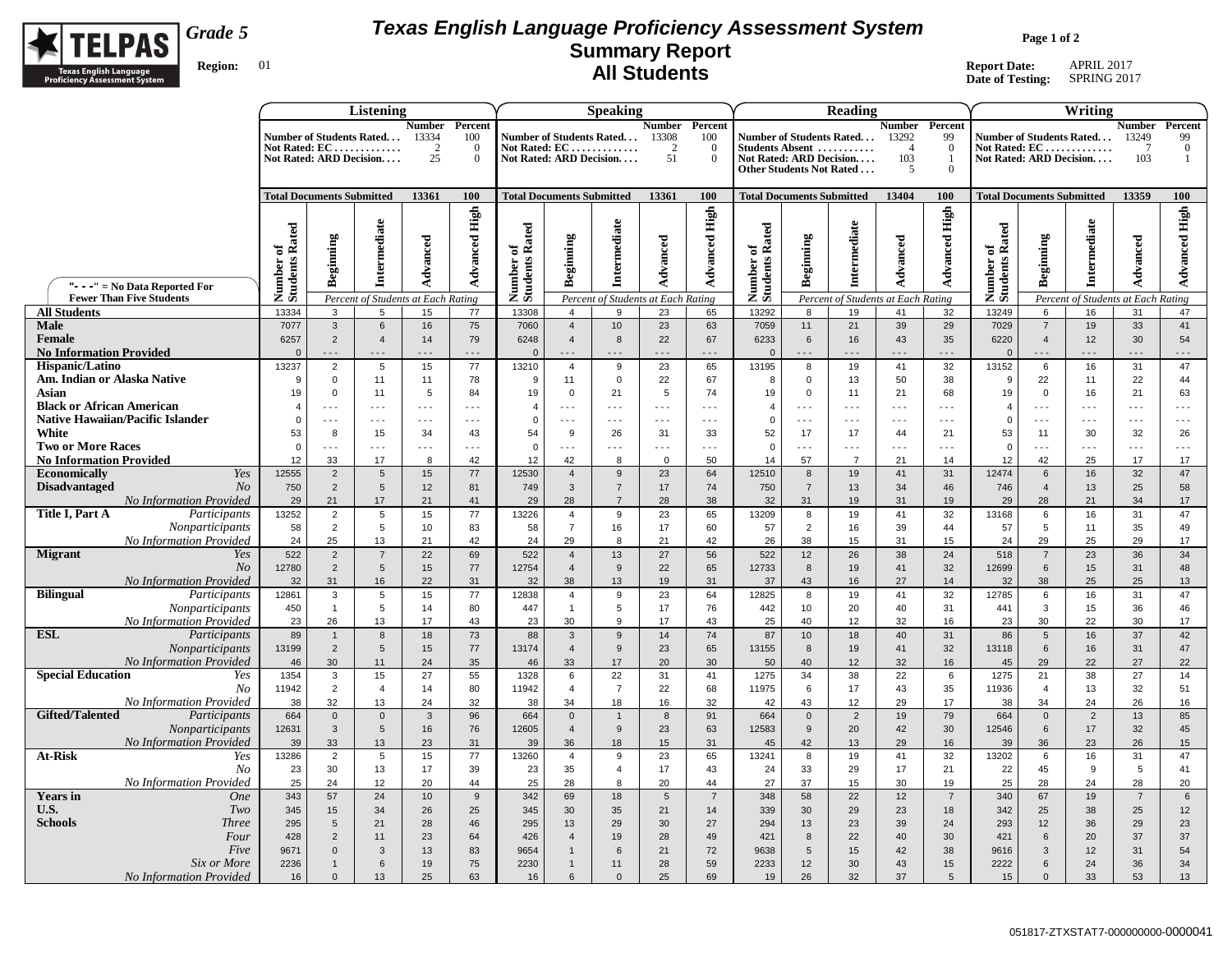

## **Texas English Language Proficiency Assessment System Summary Report All Students**

**Page 1 of 2**

|                                                                   | Listening                        |                           |                                    |                            |                                | <b>Speaking</b>                  |                                            |                                    |                                |                            | Reading                                             |                            |                                    |                        |                                | Writing                          |                            |                                    |                            |                                  |
|-------------------------------------------------------------------|----------------------------------|---------------------------|------------------------------------|----------------------------|--------------------------------|----------------------------------|--------------------------------------------|------------------------------------|--------------------------------|----------------------------|-----------------------------------------------------|----------------------------|------------------------------------|------------------------|--------------------------------|----------------------------------|----------------------------|------------------------------------|----------------------------|----------------------------------|
|                                                                   |                                  |                           | Number of Students Rated           | Number Percent<br>13334    | 100                            |                                  |                                            | Number of Students Rated           | <b>Number Percent</b><br>13308 | 100                        | Number of Students Rated                            |                            |                                    | <b>Number</b><br>13292 | Percent<br>99                  |                                  |                            | Number of Students Rated           | <b>Number</b><br>13249     | Percent<br>99                    |
|                                                                   |                                  |                           | Not Rated: EC                      | 2                          | $\overline{0}$                 |                                  |                                            | Not Rated: EC                      | $\overline{2}$                 | $\overline{0}$             | Students Absent                                     |                            |                                    | $\overline{4}$         | $\overline{0}$                 |                                  |                            | Not Rated: $EC$                    | $\mathcal{I}$              | $\overline{0}$                   |
|                                                                   |                                  |                           | Not Rated: ARD Decision            | 25                         | $\overline{0}$                 |                                  |                                            | Not Rated: ARD Decision            | 51                             | $\theta$                   | Not Rated: ARD Decision<br>Other Students Not Rated |                            |                                    | 103<br>.5              | -1<br>$\Omega$                 |                                  |                            | Not Rated: ARD Decision            | 103                        | -1                               |
|                                                                   |                                  |                           |                                    | 13361                      |                                |                                  |                                            |                                    |                                | 100                        |                                                     |                            |                                    |                        |                                |                                  |                            |                                    | 13359                      |                                  |
|                                                                   | <b>Total Documents Submitted</b> |                           |                                    |                            | 100                            | <b>Total Documents Submitted</b> |                                            |                                    | 13361                          |                            | <b>Total Documents Submitted</b>                    |                            |                                    | 13404                  | 100                            | <b>Total Documents Submitted</b> |                            |                                    |                            | 100                              |
|                                                                   |                                  |                           |                                    |                            | <b>Advanced High</b>           |                                  |                                            |                                    |                                | <b>Advanced High</b>       |                                                     |                            |                                    |                        | <b>Advanced High</b>           |                                  |                            |                                    |                            | <b>Advanced High</b>             |
|                                                                   | Number of<br>Students Rated      | Beginning                 | Intermediate                       |                            |                                | Rated                            |                                            | Intermediate                       |                                |                            | Number of<br>Students Rated                         |                            | Intermediate                       |                        |                                | of<br>Rated                      |                            | Intermediate                       |                            |                                  |
|                                                                   |                                  |                           |                                    |                            |                                | ัธ                               |                                            |                                    |                                |                            |                                                     |                            |                                    |                        |                                |                                  |                            |                                    |                            |                                  |
|                                                                   |                                  |                           |                                    | Advanced                   |                                | Number<br>Students               | Beginning                                  |                                    | Advanced                       |                            |                                                     | Beginning                  |                                    | Advanced               |                                | Number c<br>Students 1           | Beginning                  |                                    | Advanced                   |                                  |
| "- - -" = No Data Reported For<br><b>Fewer Than Five Students</b> |                                  |                           | Percent of Students at Each Rating |                            |                                |                                  |                                            | Percent of Students at Each Rating |                                |                            |                                                     |                            | Percent of Students at Each Rating |                        |                                |                                  |                            | Percent of Students at Each Rating |                            |                                  |
| <b>All Students</b>                                               | 13334                            | 3                         | 5                                  | 15                         | 77                             | 13308                            | $\overline{4}$                             | 9                                  | 23                             | 65                         | 13292                                               | 8                          | 19                                 | 41                     | 32                             | 13249                            | 6                          | 16                                 | 31                         | 47                               |
| <b>Male</b>                                                       | 7077                             | $\mathbf{3}$              | $6\phantom{.}$                     | 16                         | 75                             | 7060                             | $\overline{4}$                             | 10                                 | 23                             | 63                         | 7059                                                | 11                         | 21                                 | 39                     | 29                             | 7029                             | $\overline{7}$             | 19                                 | 33                         | 41                               |
| Female                                                            | 6257                             | $\overline{2}$            | $\overline{4}$                     | 14                         | 79                             | 6248                             | $\overline{4}$                             | 8                                  | 22                             | 67                         | 6233                                                | $6\phantom{.}6$            | 16                                 | 43                     | 35                             | 6220                             | $\overline{4}$             | 12                                 | 30                         | 54                               |
| <b>No Information Provided</b><br>Hispanic/Latino                 | $\Omega$<br>13237                | $\overline{2}$            | $- - -$<br>$5\phantom{.0}$         | $\overline{a}$ .<br>15     | $\overline{\phantom{a}}$<br>77 | $\Omega$<br>13210                | $\overline{\phantom{a}}$<br>$\overline{4}$ | - - -<br>9                         | $\cdots$<br>23                 | $\ddotsc$<br>65            | $\mathbf{0}$<br>13195                               | 8                          | $- - -$<br>19                      | $- - -$<br>41          | $- - -$<br>32                  | $\mathbf{0}$<br>13152            | $- - -$<br>$6\phantom{.}$  | - - -<br>16                        | $- - -$<br>31              | $\overline{\phantom{a}}$ .<br>47 |
| Am. Indian or Alaska Native                                       | 9                                | $\mathsf 0$               | 11                                 | 11                         | 78                             | 9                                | 11                                         | $\mathbf 0$                        | 22                             | 67                         | 8                                                   | $\mathbf 0$                | 13                                 | 50                     | 38                             | 9                                | 22                         | 11                                 | 22                         | 44                               |
| Asian                                                             | 19                               | $\mathbf 0$               | 11                                 | 5                          | 84                             | 19                               | $\mathbf 0$                                | 21                                 | 5                              | 74                         | 19                                                  | $\mathbf 0$                | 11                                 | 21                     | 68                             | 19                               | $\mathbf 0$                | 16                                 | 21                         | 63                               |
| <b>Black or African American</b>                                  |                                  | $- - -$                   | $- - -$                            | $- - -$                    | $\sim$ $\sim$ $\sim$           | $\overline{4}$                   | $\sim$ $\sim$ $\sim$                       | $ -$                               | $\sim$ $\sim$ $\sim$           | $\sim$ $\sim$ $\sim$       | $\overline{4}$                                      | $- - -$                    | $- - -$                            | $- - -$                | $\sim$ $\sim$ $\sim$           | $\overline{4}$                   | $\sim$ $\sim$ $\sim$       | $- - -$                            | $\sim$ $\sim$ $\sim$       | $- - -$                          |
| <b>Native Hawaiian/Pacific Islander</b>                           | $\Omega$                         | $- - -$                   | $- - -$                            | $- - -$                    | $\sim$ $\sim$ $\sim$           | $\mathbf 0$                      | $\sim$ $\sim$ $\sim$                       | $- - -$                            | $\sim$ $\sim$ $\sim$           | $- - -$                    | $\mathbf 0$                                         | $- - -$                    | $- - -$                            | $- - -$                | $\sim$ $\sim$ $\sim$           | $\mathbf 0$                      | $\sim$ $\sim$ $\sim$       | $- - -$                            | $\sim$ $\sim$ $\sim$       | $\sim$ $\sim$ $\sim$             |
| White<br><b>Two or More Races</b>                                 | 53<br>$\Omega$                   | 8<br>$\sim$ $\sim$ $\sim$ | 15<br>$\sim$ $\sim$ $\sim$         | 34<br>$\sim$ $\sim$ $\sim$ | 43<br>$\overline{\phantom{a}}$ | 54<br>$\mathbf 0$                | 9<br>$\sim$ $\sim$ $\sim$                  | 26<br>$\sim$ $\sim$ $\sim$         | 31<br>$\sim$ $\sim$ $\sim$     | 33<br>$\sim$ $\sim$ $\sim$ | 52<br>$\mathsf 0$                                   | 17<br>$\sim$ $\sim$ $\sim$ | 17<br>$- - -$                      | 44<br>.                | 21<br>$\overline{\phantom{a}}$ | 53<br>$\mathbf 0$                | 11<br>$\sim$ $\sim$ $\sim$ | 30<br>$\sim$ $\sim$ $\sim$         | 32<br>$\sim$ $\sim$ $\sim$ | 26<br>$\overline{\phantom{a}}$   |
| <b>No Information Provided</b>                                    | 12                               | 33                        | 17                                 | 8                          | 42                             | 12                               | 42                                         | 8                                  | $\mathbf 0$                    | 50                         | 14                                                  | 57                         | $\overline{7}$                     | 21                     | 14                             | 12                               | 42                         | 25                                 | 17                         | 17                               |
| <b>Economically</b><br>Yes                                        | 12555                            | $\overline{2}$            | $5\phantom{.0}$                    | 15                         | 77                             | 12530                            | $\overline{4}$                             | 9                                  | 23                             | 64                         | 12510                                               | 8                          | 19                                 | 41                     | 31                             | 12474                            | $\,6\,$                    | 16                                 | 32                         | 47                               |
| <b>Disadvantaged</b><br>No                                        | 750                              | 2                         | $5\phantom{.0}$                    | 12                         | 81                             | 749                              | 3                                          | $\overline{7}$                     | 17                             | 74                         | 750                                                 | $\overline{7}$             | 13                                 | 34                     | 46                             | 746                              | $\overline{4}$             | 13                                 | 25                         | 58                               |
| No Information Provided<br>Title I, Part A<br>Participants        | 29<br>13252                      | 21<br>$\sqrt{2}$          | 17<br>5                            | 21<br>15                   | 41<br>77                       | 29<br>13226                      | 28<br>$\overline{4}$                       | $\overline{7}$<br>9                | 28<br>23                       | 38<br>65                   | 32<br>13209                                         | 31<br>8                    | 19<br>19                           | 31<br>41               | 19<br>32                       | 29<br>13168                      | 28<br>6                    | 21<br>16                           | 34<br>31                   | 17<br>47                         |
| Nonparticipants                                                   | 58                               | $\overline{2}$            | 5                                  | 10 <sup>1</sup>            | 83                             | 58                               | $\overline{7}$                             | 16                                 | 17                             | 60                         | 57                                                  | 2                          | 16                                 | 39                     | 44                             | 57                               | $\sqrt{5}$                 | 11                                 | 35                         | 49                               |
| No Information Provided                                           | 24                               | 25                        | 13                                 | 21                         | 42                             | 24                               | 29                                         | 8                                  | 21                             | 42                         | 26                                                  | 38                         | 15                                 | 31                     | 15                             | 24                               | 29                         | 25                                 | 29                         | 17                               |
| <b>Migrant</b><br>Yes                                             | 522                              | $\sqrt{2}$                | $\overline{7}$                     | 22                         | 69                             | 522                              | $\overline{4}$                             | 13                                 | 27                             | 56                         | 522                                                 | 12                         | 26                                 | 38                     | 24                             | 518                              | $\overline{7}$             | 23                                 | 36                         | 34                               |
| N <sub>O</sub>                                                    | 12780                            | $\overline{2}$            | $5\phantom{.0}$                    | 15                         | 77                             | 12754                            | $\overline{4}$                             | 9                                  | 22                             | 65                         | 12733                                               | 8                          | 19                                 | 41                     | 32                             | 12699                            | $\,6\,$                    | 15                                 | 31                         | 48                               |
| No Information Provided<br><b>Bilingual</b><br>Participants       | 32<br>12861                      | 31<br>3                   | 16<br>5                            | 22<br>15                   | 31<br>77                       | 32<br>12838                      | 38<br>$\overline{4}$                       | 13<br>9                            | 19<br>23                       | 31<br>64                   | 37<br>12825                                         | 43<br>8                    | 16<br>19                           | 27<br>41               | 14<br>32                       | 32<br>12785                      | 38<br>$\,6\,$              | 25<br>16                           | 25<br>31                   | 13<br>47                         |
| Nonparticipants                                                   | 450                              | $\mathbf{1}$              | 5                                  | 14                         | 80                             | 447                              | $\mathbf{1}$                               | 5                                  | 17                             | 76                         | 442                                                 | 10                         | 20                                 | 40                     | 31                             | 441                              | $\mathbf{3}$               | 15                                 | 36                         | 46                               |
| No Information Provided                                           | 23                               | 26                        | 13                                 | 17                         | 43                             | 23                               | 30                                         | 9                                  | 17                             | 43                         | 25                                                  | 40                         | 12                                 | 32                     | 16                             | 23                               | 30                         | 22                                 | 30                         | 17                               |
| <b>ESL</b><br>Participants                                        | 89                               | $\mathbf{1}$              | 8                                  | 18                         | 73                             | 88                               | $\mathbf{3}$                               | 9                                  | 14                             | 74                         | 87                                                  | 10 <sup>1</sup>            | 18                                 | 40                     | 31                             | 86                               | $5\overline{5}$            | 16                                 | 37                         | 42                               |
| Nonparticipants<br><b>No Information Provided</b>                 | 13199<br>46                      | $\sqrt{2}$<br>30          | $5\phantom{.0}$<br>11              | 15<br>24                   | 77<br>35                       | 13174<br>46                      | $\overline{4}$<br>33                       | 9<br>17                            | 23<br>20                       | 65<br>30                   | 13155<br>50                                         | 8<br>40                    | 19<br>12                           | 41<br>32               | 32<br>16                       | 13118<br>45                      | $\,6\,$<br>29              | 16<br>22                           | 31<br>27                   | 47<br>22                         |
| <b>Special Education</b><br>Yes                                   | 1354                             | 3                         | 15                                 | 27                         | 55                             | 1328                             | 6                                          | 22                                 | 31                             | 41                         | 1275                                                | 34                         | 38                                 | 22                     | $6\phantom{a}$                 | 1275                             | 21                         | 38                                 | 27                         | 14                               |
| N <sub>O</sub>                                                    | 11942                            | $\overline{2}$            | $\overline{4}$                     | 14                         | 80                             | 11942                            | $\overline{4}$                             | $\overline{7}$                     | 22                             | 68                         | 11975                                               | 6                          | 17                                 | 43                     | 35                             | 11936                            | $\overline{4}$             | 13                                 | 32                         | 51                               |
| No Information Provided                                           | 38                               | 32                        | 13                                 | 24                         | 32                             | 38                               | 34                                         | 18                                 | 16                             | 32                         | 42                                                  | 43                         | 12                                 | 29                     | 17                             | 38                               | 34                         | 24                                 | 26                         | 16                               |
| <b>Gifted/Talented</b><br>Participants                            | 664                              | $\mathbf{0}$              | $\mathbf{0}$                       | $\overline{3}$             | 96                             | 664                              | $\mathbf{0}$                               | $\overline{1}$                     | 8                              | 91                         | 664                                                 | $\mathbf{0}$               | 2                                  | 19                     | 79                             | 664                              | $\mathbf 0$                | $\overline{2}$                     | 13                         | 85                               |
| Nonparticipants<br>No Information Provided                        | 12631<br>39                      | $\mathbf{3}$<br>33        | 5<br>13                            | 16<br>23                   | 76<br>31                       | 12605<br>39                      | $\overline{4}$<br>36                       | 9<br>18                            | 23<br>15                       | 63<br>31                   | 12583<br>45                                         | $\overline{9}$<br>42       | 20<br>13                           | 42<br>29               | 30<br>16                       | 12546<br>39                      | $6\phantom{1}$<br>36       | 17<br>23                           | 32<br>26                   | 45<br>15                         |
| <b>At-Risk</b><br>Yes                                             | 13286                            | $\sqrt{2}$                | 5                                  | 15                         | 77                             | 13260                            | $\overline{4}$                             | 9                                  | 23                             | 65                         | 13241                                               | 8                          | 19                                 | 41                     | 32                             | 13202                            | $\,6\,$                    | 16                                 | 31                         | 47                               |
| N <sub>O</sub>                                                    | 23                               | 30                        | 13                                 | 17                         | 39                             | 23                               | 35                                         | $\overline{4}$                     | 17                             | 43                         | 24                                                  | 33                         | 29                                 | 17                     | 21                             | 22                               | 45                         | 9                                  | 5                          | 41                               |
| No Information Provided                                           | 25                               | 24                        | 12                                 | 20                         | 44                             | 25                               | 28                                         | 8                                  | 20                             | 44                         | 27                                                  | 37                         | 15                                 | 30                     | 19                             | 25                               | 28                         | 24                                 | 28                         | 20                               |
| <b>Years</b> in<br><b>One</b>                                     | 343<br>345                       | 57                        | 24<br>34                           | 10<br>26                   | 9<br>25                        | 342<br>345                       | 69<br>30                                   | 18<br>35                           | 5<br>21                        | $\overline{7}$<br>14       | 348<br>339                                          | 58<br>30                   | 22<br>29                           | 12<br>23               | $\overline{7}$<br>18           | 340<br>342                       | 67<br>25                   | 19<br>38                           | $\overline{7}$<br>25       | $\,6\,$<br>12                    |
| U.S.<br>Two<br><b>Schools</b><br><b>Three</b>                     | 295                              | 15<br>$5\phantom{.0}$     | 21                                 | 28                         | 46                             | 295                              | 13                                         | 29                                 | 30                             | 27                         | 294                                                 | 13                         | 23                                 | 39                     | 24                             | 293                              | 12                         | 36                                 | 29                         | 23                               |
| Four                                                              | 428                              | $\overline{2}$            | 11                                 | 23                         | 64                             | 426                              | $\overline{4}$                             | 19                                 | 28                             | 49                         | 421                                                 | 8                          | 22                                 | 40                     | 30                             | 421                              | $\,6\,$                    | 20                                 | 37                         | 37                               |
| Five                                                              | 9671                             | $\mathbf{0}$              | $\mathbf{3}$                       | 13                         | 83                             | 9654                             | 1                                          | 6                                  | 21                             | 72                         | 9638                                                | $5\phantom{.0}$            | 15                                 | 42                     | 38                             | 9616                             | $\sqrt{3}$                 | 12                                 | 31                         | 54                               |
| Six or More                                                       | 2236                             | $\overline{1}$            | 6                                  | 19                         | 75                             | 2230                             | $\mathbf{1}$                               | 11                                 | 28                             | 59                         | 2233                                                | 12                         | 30                                 | 43                     | 15                             | 2222                             | 6                          | 24                                 | 36                         | 34                               |
| No Information Provided                                           | 16                               | $\Omega$                  | 13                                 | 25                         | 63                             | 16                               | 6                                          | $\mathbf{0}$                       | 25                             | 69                         | 19                                                  | 26                         | 32                                 | 37                     | $5\overline{5}$                | 15                               | $\overline{0}$             | 33                                 | 53                         | 13                               |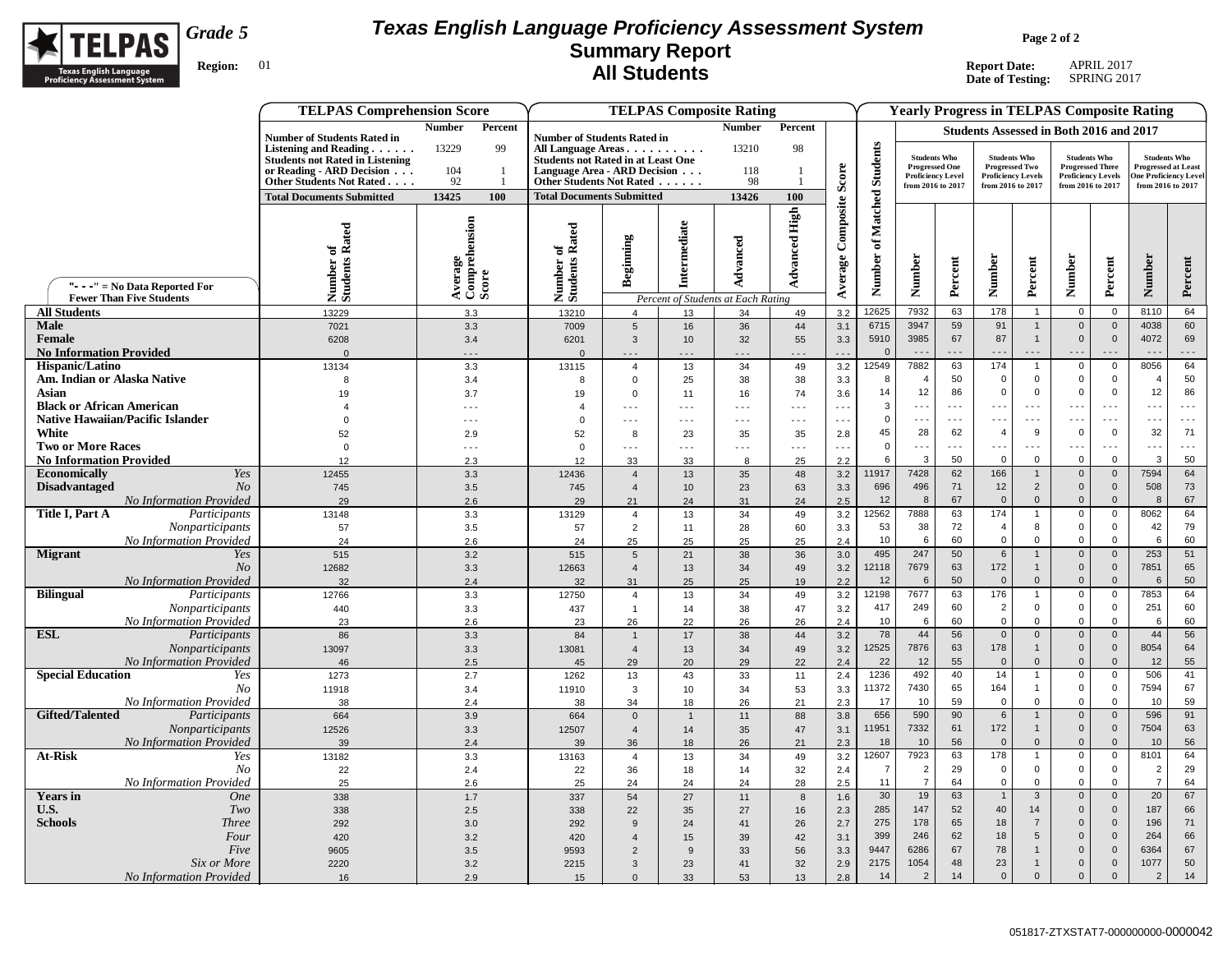

## **Texas English Language Proficiency Assessment System Summary Report All Students**

**Page 2 of 2**

|                                                            | <b>TELPAS Comprehension Score</b>                                                                                                 |                                                              |                                                                                                                             |                                  |                | <b>TELPAS Composite Rating</b>     |                      |                      |                                   |                                                                   |                            |                               |                                                                           |                                                                                                  |                                      | <b>Yearly Progress in TELPAS Composite Rating</b>                                 |                            |
|------------------------------------------------------------|-----------------------------------------------------------------------------------------------------------------------------------|--------------------------------------------------------------|-----------------------------------------------------------------------------------------------------------------------------|----------------------------------|----------------|------------------------------------|----------------------|----------------------|-----------------------------------|-------------------------------------------------------------------|----------------------------|-------------------------------|---------------------------------------------------------------------------|--------------------------------------------------------------------------------------------------|--------------------------------------|-----------------------------------------------------------------------------------|----------------------------|
|                                                            | <b>Number of Students Rated in</b>                                                                                                | <b>Number</b><br>Percent                                     | <b>Number of Students Rated in</b>                                                                                          |                                  |                | <b>Number</b>                      | Percent              |                      |                                   |                                                                   |                            |                               |                                                                           | <b>Students Assessed in Both 2016 and 2017</b>                                                   |                                      |                                                                                   |                            |
|                                                            | Listening and Reading $\ldots$<br><b>Students not Rated in Listening</b><br>or Reading - ARD Decision<br>Other Students Not Rated | 99<br>13229<br>104<br>$\overline{1}$<br>92<br>$\overline{1}$ | All Language Areas<br><b>Students not Rated in at Least One</b><br>Language Area - ARD Decision<br>Other Students Not Rated |                                  |                | 13210<br>118<br>98                 | 98<br>$\mathbf{1}$   | Score                | <b>Students</b>                   | <b>Students Who</b><br><b>Progressed One</b><br>from 2016 to 2017 | <b>Proficiency Level</b>   | from 2016 to 2017             | <b>Students Who</b><br><b>Progressed Two</b><br><b>Proficiency Levels</b> | <b>Students Who</b><br><b>Progressed Three</b><br><b>Proficiency Levels</b><br>from 2016 to 2017 |                                      | <b>Students Who</b><br><b>Progressed at Least</b><br><b>One Proficiency Level</b> |                            |
|                                                            | <b>Total Documents Submitted</b>                                                                                                  | 13425<br>100                                                 | <b>Total Documents Submitted</b>                                                                                            |                                  |                | 13426                              | 100                  |                      |                                   |                                                                   |                            |                               |                                                                           |                                                                                                  |                                      | from 2016 to 2017                                                                 |                            |
| "- - -" = $No Data Reported For$                           | Number of<br>Students Rated                                                                                                       | ension<br>Average<br>Comprehe<br>Score                       | Rated<br>$\mathbf{a}$<br>Number o<br>Students I                                                                             | Beginning                        | Intermediate   | Advanced                           | <b>Advanced High</b> | Composite<br>Average | Matched<br>$\mathbf{a}$<br>Number | Number                                                            | Percent                    | Number                        | Percent                                                                   | Number                                                                                           | Percent                              | Number                                                                            | Percent                    |
| <b>Fewer Than Five Students</b>                            |                                                                                                                                   |                                                              |                                                                                                                             |                                  |                | Percent of Students at Each Rating |                      |                      |                                   |                                                                   |                            |                               |                                                                           |                                                                                                  |                                      |                                                                                   |                            |
| <b>All Students</b>                                        | 13229                                                                                                                             | 3.3                                                          | 13210                                                                                                                       | $\overline{4}$                   | 13             | 34                                 | 49                   | 3.2                  | 12625                             | 7932                                                              | 63                         | 178                           | $\mathbf{1}$                                                              | $\mathbf 0$                                                                                      | $\mathbf 0$                          | 8110                                                                              | 64                         |
| Male                                                       | 7021                                                                                                                              | 3.3                                                          | 7009                                                                                                                        | 5                                | 16             | 36                                 | 44                   | 3.1                  | 6715                              | 3947                                                              | 59                         | 91                            | $\mathbf{1}$                                                              | $\mathbb O$                                                                                      | $\mathbf 0$                          | 4038                                                                              | 60                         |
| Female<br><b>No Information Provided</b>                   | 6208<br>$\Omega$                                                                                                                  | 3.4                                                          | 6201                                                                                                                        | 3                                | 10             | 32                                 | 55                   | 3.3                  | 5910<br>$\Omega$                  | 3985<br>$ -$                                                      | 67<br>$  -$                | 87<br>.                       | $\mathbf{1}$<br>$- - -$                                                   | $\mathbb O$<br>$- - -$                                                                           | $\mathbf{0}$<br>$  -$                | 4072<br>$  -$                                                                     | 69<br>$\sim$ $\sim$ $\sim$ |
| Hispanic/Latino                                            | 13134                                                                                                                             | $\ddotsc$<br>3.3                                             | $\Omega$<br>13115                                                                                                           | - - -<br>$\overline{4}$          | 13             | $- - -$<br>34                      | .<br>49              | 3.2                  | 12549                             | 7882                                                              | 63                         | 174                           | $\overline{1}$                                                            | $\overline{0}$                                                                                   | $\mathsf 0$                          | 8056                                                                              | 64                         |
| Am. Indian or Alaska Native                                | 8                                                                                                                                 | 3.4                                                          | 8                                                                                                                           | $\mathsf 0$                      | 25             | 38                                 | 38                   | 3.3                  | 8                                 | $\overline{4}$                                                    | 50                         | $\overline{\mathbf{0}}$       | $\mathsf 0$                                                               | $\mathbf 0$                                                                                      | $\mathbf 0$                          | $\overline{4}$                                                                    | 50                         |
| Asian                                                      | 19                                                                                                                                | 3.7                                                          | 19                                                                                                                          | $\Omega$                         | 11             | 16                                 | 74                   | 3.6                  | 14                                | 12                                                                | 86                         | $\overline{\mathbf{0}}$       | $\mathbf 0$                                                               | $\overline{0}$                                                                                   | $\mathsf 0$                          | 12                                                                                | 86                         |
| <b>Black or African American</b>                           |                                                                                                                                   | $- - -$                                                      | $\boldsymbol{\Delta}$                                                                                                       | $- - -$                          | $- - -$        | $\ddotsc$                          | $\sim$ $\sim$ $\sim$ | $\sim$ $\sim$        | 3                                 | $  -$                                                             | $  -$                      | $\sim$ $\sim$ $\sim$          | $- -$                                                                     | $\sim$ $\sim$                                                                                    | $\sim$ $\sim$                        | .                                                                                 | $\sim$ $\sim$ $\sim$       |
| Native Hawaiian/Pacific Islander                           | $\Omega$                                                                                                                          | $- - -$                                                      | $\Omega$                                                                                                                    | $- - -$                          | $- - -$        | $- - -$                            | $- - -$              | $ -$                 | $\mathbf 0$                       | $\sim$ $\sim$ $\sim$                                              | $\sim$ $\sim$ $\sim$       | $\sim$ $\sim$ $\sim$          | $\sim$ $\sim$ $\sim$                                                      | $\sim$ $\sim$ $\sim$                                                                             | $\sim$ $\sim$ $\sim$                 | $\ddotsc$                                                                         | $\sim$                     |
| White                                                      | 52                                                                                                                                | 2.9                                                          | 52                                                                                                                          | 8                                | 23             | 35                                 | 35                   | 2.8                  | 45                                | 28<br>$\sim$ $\sim$ $\sim$                                        | 62<br>$\sim$ $\sim$ $\sim$ | $\overline{4}$                | 9<br>$- - -$                                                              | $\mathbf 0$<br>$\sim$ $\sim$ $\sim$                                                              | $\mathbf{0}$<br>$\sim$ $\sim$ $\sim$ | 32<br>$\overline{\phantom{a}}$                                                    | 71<br>$\sim$               |
| <b>Two or More Races</b><br><b>No Information Provided</b> | $\mathbf 0$<br>12                                                                                                                 | $- - -$<br>2.3                                               | $\mathbf{0}$<br>12                                                                                                          | $- - -$<br>33                    | $- - -$<br>33  | $\sim$ $\sim$ $\sim$<br>8          | $- - -$<br>25        | $\sim$ .<br>2.2      | $\mathbf 0$<br>6                  | 3                                                                 | 50                         | $  -$<br>$\overline{0}$       | $\mathbf 0$                                                               | $\mathbf 0$                                                                                      | $\mathbf 0$                          | 3                                                                                 | 50                         |
| <b>Economically</b><br>Yes                                 | 12455                                                                                                                             | 3.3                                                          | 12436                                                                                                                       | $\overline{4}$                   | 13             | 35                                 | 48                   | 3.2                  | 11917                             | 7428                                                              | 62                         | 166                           | $\mathbf{1}$                                                              | $\mathbf 0$                                                                                      | $\mathbf 0$                          | 7594                                                                              | 64                         |
| <b>Disadvantaged</b><br>N <sub>O</sub>                     | 745                                                                                                                               | 3.5                                                          | 745                                                                                                                         | $\overline{4}$                   | 10             | 23                                 | 63                   | 3.3                  | 696                               | 496                                                               | 71                         | 12                            | $\overline{2}$                                                            | $\overline{0}$                                                                                   | $\mathbf 0$                          | 508                                                                               | 73                         |
| No Information Provided                                    | 29                                                                                                                                | 2.6                                                          | 29                                                                                                                          | 21                               | 24             | 31                                 | 24                   | 2.5                  | 12                                | 8                                                                 | 67                         | $\overline{0}$                | $\mathbf 0$                                                               | $\overline{0}$                                                                                   | $\mathbf 0$                          | 8                                                                                 | 67                         |
| Title I, Part A<br>Participants                            | 13148                                                                                                                             | 3.3                                                          | 13129                                                                                                                       | $\overline{4}$                   | 13             | 34                                 | 49                   | 3.2                  | 12562                             | 7888                                                              | 63                         | 174                           | $\overline{1}$                                                            | $\overline{0}$                                                                                   | $\mathbf 0$                          | 8062                                                                              | 64                         |
| Nonparticipants                                            | 57                                                                                                                                | $3.5\,$                                                      | 57                                                                                                                          | $\overline{2}$                   | 11             | 28                                 | 60                   | 3.3                  | 53<br>10                          | 38<br>6                                                           | 72<br>60                   | $\overline{4}$                | 8<br>$\mathsf 0$                                                          | $\mathbf 0$<br>$\overline{0}$                                                                    | $\mathsf 0$<br>$\mathsf 0$           | 42<br>6                                                                           | 79<br>60                   |
| No Information Provided<br><b>Migrant</b><br>Yes           | 24<br>515                                                                                                                         | 2.6<br>3.2                                                   | 24<br>515                                                                                                                   | 25<br>$\overline{5}$             | 25<br>21       | 25<br>38                           | 25<br>36             | 2.4<br>3.0           | 495                               | 247                                                               | 50                         | $\mathbf 0$<br>6              | $\mathbf{1}$                                                              | $\mathbb O$                                                                                      | $\mathbf 0$                          | 253                                                                               | 51                         |
| N <sub>O</sub>                                             | 12682                                                                                                                             | 3.3                                                          | 12663                                                                                                                       | $\overline{4}$                   | 13             | 34                                 | 49                   | 3.2                  | 12118                             | 7679                                                              | 63                         | 172                           | $\mathbf{1}$                                                              | $\Omega$                                                                                         | $\mathbf 0$                          | 7851                                                                              | 65                         |
| No Information Provided                                    | 32                                                                                                                                | 2.4                                                          | 32                                                                                                                          | 31                               | 25             | 25                                 | 19                   | 2.2                  | 12                                | $6\phantom{1}6$                                                   | 50                         | $\overline{0}$                | $\mathbf 0$                                                               | $\mathbb O$                                                                                      | $\mathbf{0}$                         | 6                                                                                 | 50                         |
| Participants<br><b>Bilingual</b>                           | 12766                                                                                                                             | 3.3                                                          | 12750                                                                                                                       | $\overline{4}$                   | 13             | 34                                 | 49                   | 3.2                  | 12198                             | 7677                                                              | 63                         | 176                           | $\mathbf{1}$                                                              | $\mathbf 0$                                                                                      | $\mathsf 0$                          | 7853                                                                              | 64                         |
| Nonparticipants                                            | 440                                                                                                                               | 3.3                                                          | 437                                                                                                                         | $\mathbf{1}$                     | 14             | 38                                 | 47                   | 3.2                  | 417                               | 249                                                               | 60                         | $\overline{2}$                | $\mathbf{0}$                                                              | $\mathsf 0$                                                                                      | $\mathbf 0$                          | 251                                                                               | 60                         |
| No Information Provided                                    | 23                                                                                                                                | 2.6                                                          | 23                                                                                                                          | 26                               | 22             | 26                                 | 26                   | 2.4                  | 10<br>78                          | 6<br>44                                                           | 60                         | $\mathbf 0$<br>$\overline{0}$ | $\mathsf 0$                                                               | $\mathbf 0$                                                                                      | $\mathbf{0}$                         | 6<br>44                                                                           | 60<br>56                   |
| <b>ESL</b><br>Participants<br>Nonparticipants              | 86<br>13097                                                                                                                       | 3.3<br>3.3                                                   | 84<br>13081                                                                                                                 | $\overline{1}$<br>$\overline{4}$ | 17<br>13       | 38<br>34                           | 44<br>49             | 3.2<br>3.2           | 12525                             | 7876                                                              | 56<br>63                   | 178                           | $\mathsf{O}\xspace$<br>$\mathbf{1}$                                       | $\mathbb O$<br>$\mathbf 0$                                                                       | $\mathbf 0$<br>$\mathbf{0}$          | 8054                                                                              | 64                         |
| No Information Provided                                    | 46                                                                                                                                | 2.5                                                          | 45                                                                                                                          | 29                               | 20             | 29                                 | 22                   | 2.4                  | 22                                | 12                                                                | 55                         | $\mathbf 0$                   | $\mathbf 0$                                                               | $\overline{0}$                                                                                   | $\mathbf 0$                          | 12                                                                                | 55                         |
| <b>Special Education</b><br>Yes                            | 1273                                                                                                                              | 2.7                                                          | 1262                                                                                                                        | 13                               | 43             | 33                                 | 11                   | 2.4                  | 1236                              | 492                                                               | 40                         | 14                            | $\mathbf{1}$                                                              | $\mathbf 0$                                                                                      | $\mathbf{0}$                         | 506                                                                               | 41                         |
| No                                                         | 11918                                                                                                                             | 3.4                                                          | 11910                                                                                                                       | $\mathbf{3}$                     | 10             | 34                                 | 53                   | 3.3                  | 11372                             | 7430                                                              | 65                         | 164                           | $\mathbf{1}$                                                              | $\overline{0}$                                                                                   | 0                                    | 7594                                                                              | 67                         |
| No Information Provided                                    | 38                                                                                                                                | 2.4                                                          | 38                                                                                                                          | 34                               | 18             | 26                                 | 21                   | 2.3                  | 17                                | 10                                                                | 59                         | $\mathbf 0$                   | $\mathsf 0$                                                               | $\mathbf 0$                                                                                      | $\mathsf 0$                          | 10                                                                                | 59                         |
| <b>Gifted/Talented</b><br>Participants                     | 664                                                                                                                               | 3.9                                                          | 664                                                                                                                         | $\mathbf 0$<br>$\overline{4}$    | $\overline{1}$ | 11                                 | 88                   | 3.8                  | 656<br>11951                      | 590<br>7332                                                       | 90<br>61                   | 6<br>172                      | $\mathbf{1}$<br>$\mathbf{1}$                                              | $\mathbf 0$<br>$\mathsf 0$                                                                       | $\mathbf 0$<br>$\mathbf 0$           | 596<br>7504                                                                       | 91<br>63                   |
| Nonparticipants<br>No Information Provided                 | 12526<br>39                                                                                                                       | 3.3<br>2.4                                                   | 12507<br>39                                                                                                                 | 36                               | 14<br>18       | 35<br>26                           | 47<br>21             | 3.1<br>2.3           | 18                                | 10                                                                | 56                         | $\mathbf{0}$                  | $\mathbf{0}$                                                              | $\mathbf 0$                                                                                      | $\mathbf{0}$                         | 10                                                                                | 56                         |
| At-Risk<br>Yes                                             | 13182                                                                                                                             | 3.3                                                          | 13163                                                                                                                       | $\overline{4}$                   | 13             | 34                                 | 49                   | 3.2                  | 12607                             | 7923                                                              | 63                         | 178                           | $\overline{1}$                                                            | $\mathbf 0$                                                                                      | $\mathbf 0$                          | 8101                                                                              | 64                         |
| N <sub>O</sub>                                             | 22                                                                                                                                | 2.4                                                          | 22                                                                                                                          | 36                               | 18             | 14                                 | 32                   | 2.4                  | 7                                 | $\overline{2}$                                                    | 29                         | $\overline{0}$                | $\mathbf 0$                                                               | $\mathbf{0}$                                                                                     | $\mathbf{0}$                         | $\overline{2}$                                                                    | 29                         |
| No Information Provided                                    | 25                                                                                                                                | 2.6                                                          | 25                                                                                                                          | 24                               | 24             | 24                                 | 28                   | 2.5                  | 11                                | $\overline{7}$                                                    | 64                         | $\mathbf 0$                   | $\mathsf 0$                                                               | $\mathsf 0$                                                                                      | $\mathsf 0$                          | $\overline{7}$                                                                    | 64                         |
| <b>Years</b> in<br><b>One</b>                              | 338                                                                                                                               | 1.7                                                          | 337                                                                                                                         | 54                               | 27             | 11                                 | 8                    | 1.6                  | 30                                | 19                                                                | 63                         | $\mathbf{1}$                  | $\mathbf{3}$                                                              | $\mathbb O$                                                                                      | $\mathbf 0$                          | 20                                                                                | 67                         |
| U.S.<br>Two<br><b>Schools</b>                              | 338                                                                                                                               | 2.5                                                          | 338                                                                                                                         | 22                               | 35             | 27                                 | 16                   | 2.3                  | 285<br>275                        | 147<br>178                                                        | 52<br>65                   | 40<br>18                      | 14<br>$\overline{7}$                                                      | $\overline{0}$<br>$\mathsf 0$                                                                    | $\mathbf 0$<br>$\mathbf 0$           | 187<br>196                                                                        | 66<br>71                   |
| <b>Three</b><br>Four                                       | 292<br>420                                                                                                                        | 3.0<br>3.2                                                   | 292<br>420                                                                                                                  | 9<br>$\overline{4}$              | 24<br>15       | 41<br>39                           | 26<br>42             | 2.7<br>3.1           | 399                               | 246                                                               | 62                         | 18                            | $5\phantom{.0}$                                                           | $\overline{0}$                                                                                   | $\mathbf{0}$                         | 264                                                                               | 66                         |
| Five                                                       | 9605                                                                                                                              | 3.5                                                          | 9593                                                                                                                        | $\overline{2}$                   | 9              | 33                                 | 56                   | 3.3                  | 9447                              | 6286                                                              | 67                         | 78                            | $\mathbf{1}$                                                              | $\mathbb O$                                                                                      | $\Omega$                             | 6364                                                                              | 67                         |
| Six or More                                                | 2220                                                                                                                              | 3.2                                                          | 2215                                                                                                                        | 3                                | 23             | 41                                 | 32                   | 2.9                  | 2175                              | 1054                                                              | 48                         | 23                            | $\mathbf{1}$                                                              | $\Omega$                                                                                         | $\Omega$                             | 1077                                                                              | 50                         |
| No Information Provided                                    | 16                                                                                                                                | 2.9                                                          | 15                                                                                                                          | $\Omega$                         | 33             | 53                                 | 13                   | 2.8                  | 14                                | $\overline{2}$                                                    | 14                         | $\mathbf 0$                   | $\mathbf 0$                                                               | $\overline{0}$                                                                                   | $\mathbf{0}$                         | $\overline{2}$                                                                    | 14                         |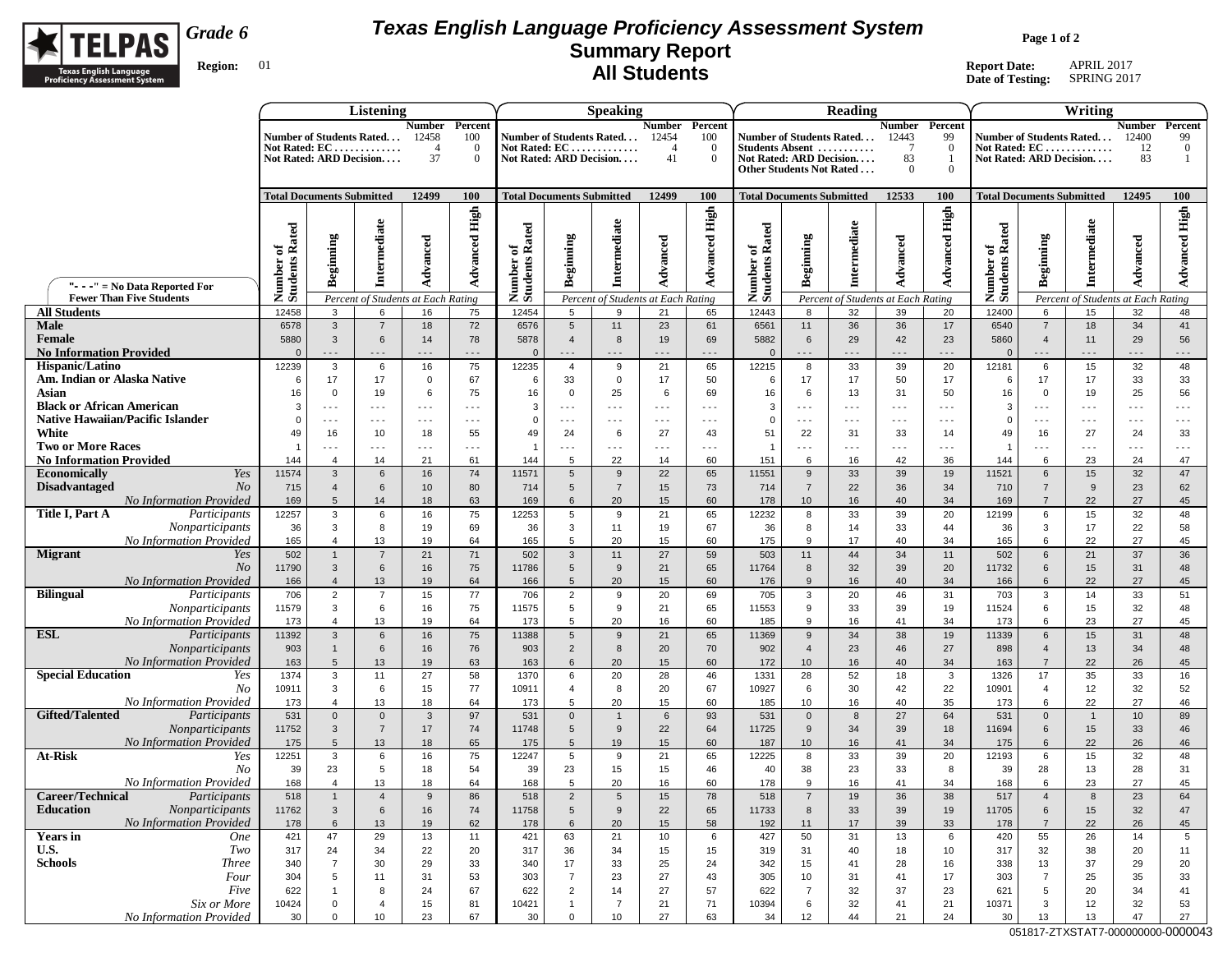

## **Texas English Language Proficiency Assessment System Summary Report All Students**

**Page 1 of 2**

**Report Date:** APRIL 2017 **Date of Testing:** SPRING 2017

|                                                                             |                             | <b>Listening</b>                 |                                                                        |                                                        |                                       |                                  |                                   | Speaking                                                             |                                                   |                                                    |                                             |                                 | Reading                                             |                                                     |                                                   |                                   |                                             | Writing                                                                        |                                              |                                 |
|-----------------------------------------------------------------------------|-----------------------------|----------------------------------|------------------------------------------------------------------------|--------------------------------------------------------|---------------------------------------|----------------------------------|-----------------------------------|----------------------------------------------------------------------|---------------------------------------------------|----------------------------------------------------|---------------------------------------------|---------------------------------|-----------------------------------------------------|-----------------------------------------------------|---------------------------------------------------|-----------------------------------|---------------------------------------------|--------------------------------------------------------------------------------|----------------------------------------------|---------------------------------|
|                                                                             |                             |                                  | Number of Students Rated<br>Not Rated: $EC$<br>Not Rated: ARD Decision | <b>Number</b> Percent<br>12458<br>$\overline{4}$<br>37 | 100<br>$\overline{0}$<br>$\mathbf{0}$ |                                  |                                   | Number of Students Rated<br>Not Rated: EC<br>Not Rated: ARD Decision | <b>Number</b><br>12454<br>$\mathbf{\Delta}$<br>41 | Percent<br>100<br>$\overline{0}$<br>$\overline{0}$ | Number of Students Rated<br>Students Absent |                                 | Not Rated: ARD Decision<br>Other Students Not Rated | <b>Number</b><br>12443<br>7<br>83<br>$\overline{0}$ | Percent<br>99<br>$\Omega$<br>-1<br>$\overline{0}$ |                                   |                                             | Number of Students Rated<br>Not Rated: $EC$<br><b>Not Rated: ARD Decision.</b> | <b>Number</b><br>12400<br>12<br>83           | Percent<br>99<br>$\Omega$<br>-1 |
|                                                                             |                             | <b>Total Documents Submitted</b> |                                                                        | 12499                                                  | <b>100</b>                            | <b>Total Documents Submitted</b> |                                   |                                                                      | 12499                                             | 100                                                | <b>Total Documents Submitted</b>            |                                 |                                                     | 12533                                               | 100                                               | <b>Total Documents Submitted</b>  |                                             |                                                                                | 12495                                        | <b>100</b>                      |
|                                                                             | Number of<br>Students Rated | Beginning                        | Intermediate                                                           | Advanced                                               | <b>Advanced High</b>                  | Rated<br>ಕ<br>Number<br>Students | Beginning                         | Intermediate                                                         | Advanced                                          | <b>Advanced High</b>                               | Rated<br>ัธ<br>Number o<br>Students I       | Beginning                       | Intermediate                                        | Advanced                                            | <b>Advanced High</b>                              | of<br>Rated<br>Number<br>Students | Beginning                                   | Intermediate                                                                   | Advanced                                     | <b>Advanced High</b>            |
| "- - - " = $No Data Reported For$<br><b>Fewer Than Five Students</b>        |                             |                                  | Percent of Students at Each Rating                                     |                                                        |                                       |                                  |                                   | Percent of Students at Each Rating                                   |                                                   |                                                    |                                             |                                 |                                                     | Percent of Students at Each Rating                  |                                                   |                                   |                                             | Percent of Students at Each Rating                                             |                                              |                                 |
| <b>All Students</b>                                                         | 12458                       | 3                                | 6                                                                      | 16                                                     | 75                                    | 12454                            | $5\overline{5}$                   | 9                                                                    | 21                                                | 65                                                 | 12443                                       | 8                               | 32                                                  | 39                                                  | 20                                                | 12400                             | 6                                           | 15                                                                             | 32                                           | 48                              |
| Male<br>Female<br><b>No Information Provided</b>                            | 6578<br>5880<br>$\Omega$    | $\mathbf{3}$<br>$\mathbf{3}$     | $\overline{7}$<br>6<br>$- - -$                                         | 18<br>14<br>$- - -$                                    | 72<br>78<br>$- - -$                   | 6576<br>5878<br>$\mathbf{0}$     | 5<br>$\overline{4}$<br>- - -      | 11<br>8<br>$- - -$                                                   | 23<br>19<br>$- - -$                               | 61<br>69<br>$- - -$                                | 6561<br>5882<br>$\mathbf{0}$                | 11<br>6<br>---                  | 36<br>29<br>$- - -$                                 | 36<br>42<br>$- - -$                                 | 17<br>23<br>.                                     | 6540<br>5860<br>$\Omega$          | $\overline{7}$<br>$\overline{4}$<br>$- - -$ | 18<br>11<br>- - -                                                              | 34<br>29<br>$- - -$                          | 41<br>56<br>$- - -$             |
| Hispanic/Latino                                                             | 12239                       | 3                                | 6                                                                      | 16                                                     | 75                                    | 12235                            | $\overline{4}$                    | 9                                                                    | 21                                                | 65                                                 | 12215                                       | 8                               | 33                                                  | 39                                                  | 20                                                | 12181                             | 6                                           | 15                                                                             | 32                                           | 48                              |
| Am. Indian or Alaska Native                                                 | 6                           | 17                               | 17                                                                     | $\mathsf 0$                                            | 67                                    | 6                                | 33                                | $\mathbf 0$                                                          | 17                                                | 50                                                 | 6                                           | 17                              | 17                                                  | 50                                                  | 17                                                | 6                                 | 17                                          | 17                                                                             | 33                                           | 33                              |
| Asian                                                                       | 16                          | $\mathbf 0$                      | 19                                                                     | 6                                                      | 75                                    | 16                               | $\mathbf 0$                       | 25                                                                   | 6                                                 | 69                                                 | 16                                          | 6                               | 13                                                  | 31                                                  | 50                                                | 16                                | $\mathbf 0$                                 | 19                                                                             | 25                                           | 56                              |
| <b>Black or African American</b><br><b>Native Hawaiian/Pacific Islander</b> | 3                           | $\sim$ $\sim$ $\sim$             | $\sim$ $\sim$ $\sim$<br>$- - -$                                        | $- - -$<br>$- - -$                                     | $\sim$ $\sim$ $\sim$<br>$- - -$       | 3<br>$\Omega$                    | $\sim$ $\sim$ $\sim$<br>$- - -$   | $\sim$ $\sim$ $\sim$<br>$- - -$                                      | $\sim$ $\sim$ $\sim$<br>$- - -$                   | $\sim$ $\sim$ $\sim$<br>$- - -$                    | 3<br>$\mathbf 0$                            | $\sim$ $\sim$ $\sim$<br>$- - -$ | $\sim$ $\sim$ $\sim$<br>$- - -$                     | $\sim$ $\sim$ $\sim$<br>$- - -$                     | $\sim$ $\sim$ $\sim$<br>$- - -$                   | 3<br>$\Omega$                     | $\sim$ $\sim$ $\sim$<br>$- - -$             | $- - -$<br>$- - -$                                                             | $\sim$ $\sim$ $\sim$<br>$\sim$ $\sim$ $\sim$ | $\sim$ $\sim$ $\sim$<br>$- - -$ |
| White                                                                       | 49                          | 16                               | 10                                                                     | 18                                                     | 55                                    | 49                               | 24                                | 6                                                                    | 27                                                | 43                                                 | 51                                          | 22                              | 31                                                  | 33                                                  | 14                                                | 49                                | 16                                          | 27                                                                             | 24                                           | 33                              |
| <b>Two or More Races</b>                                                    | -1                          | $ -$                             | $\sim$ $\sim$ $\sim$                                                   | $\sim$ $\sim$ $\sim$                                   | $\sim$ $\sim$ $\sim$                  | $\overline{1}$                   | $\sim$ $\sim$ $\sim$              | $- - -$                                                              | $\sim$ $\sim$ $\sim$                              | $\sim$ $\sim$ $\sim$                               | $\overline{1}$                              | $\sim$ $\sim$ $\sim$            | $- - -$                                             | $- - -$                                             | $\sim$ $\sim$ $\sim$                              | $\overline{1}$                    | $\sim$ $\sim$ $\sim$                        | $- - -$                                                                        | $- - -$                                      | $- - -$                         |
| <b>No Information Provided</b>                                              | 144                         | $\overline{4}$                   | 14                                                                     | 21                                                     | 61                                    | 144                              | 5                                 | 22                                                                   | 14                                                | 60                                                 | 151                                         | 6                               | 16                                                  | 42                                                  | 36                                                | 144                               | 6                                           | 23                                                                             | 24                                           | 47                              |
| <b>Economically</b><br>Yes                                                  | 11574                       | $\overline{3}$                   | 6                                                                      | 16                                                     | 74                                    | 11571                            | 5                                 | 9                                                                    | 22                                                | 65                                                 | 11551                                       | 9                               | 33                                                  | 39                                                  | 19                                                | 11521                             | $6\phantom{1}$                              | 15                                                                             | 32                                           | 47                              |
| <b>Disadvantaged</b><br>N <sub>O</sub>                                      | 715                         | $\overline{4}$                   | 6                                                                      | 10                                                     | 80                                    | 714                              | $5\phantom{.0}$                   | $\overline{7}$                                                       | 15                                                | 73                                                 | 714                                         | $\overline{7}$                  | 22                                                  | 36                                                  | 34                                                | 710                               | $\overline{7}$                              | 9                                                                              | 23                                           | 62                              |
| <b>No Information Provided</b>                                              | 169                         | 5                                | 14                                                                     | 18                                                     | 63                                    | 169                              | 6                                 | 20                                                                   | 15                                                | 60                                                 | 178                                         | 10 <sup>1</sup>                 | 16                                                  | 40                                                  | 34                                                | 169                               | $\overline{7}$                              | 22                                                                             | 27                                           | 45                              |
| Title I, Part A<br>Participants<br>Nonparticipants                          | 12257<br>36                 | 3<br>3                           | 6<br>8                                                                 | 16<br>19                                               | 75<br>69                              | 12253<br>36                      | 5<br>3                            | 9<br>11                                                              | 21<br>19                                          | 65<br>67                                           | 12232<br>36                                 | 8<br>8                          | 33<br>14                                            | 39<br>33                                            | 20<br>44                                          | 12199<br>36                       | 6<br>$\mathbf{3}$                           | 15<br>17                                                                       | 32<br>22                                     | 48<br>58                        |
| No Information Provided                                                     | 165                         | $\overline{4}$                   | 13                                                                     | 19                                                     | 64                                    | 165                              | 5                                 | 20                                                                   | 15                                                | 60                                                 | 175                                         | 9                               | 17                                                  | 40                                                  | 34                                                | 165                               | $6\phantom{.}$                              | 22                                                                             | 27                                           | 45                              |
| <b>Migrant</b><br>Yes                                                       | 502                         | $\mathbf{1}$                     | $\overline{7}$                                                         | 21                                                     | 71                                    | 502                              | $\mathbf{3}$                      | 11                                                                   | 27                                                | 59                                                 | 503                                         | 11                              | 44                                                  | 34                                                  | 11                                                | 502                               | $6\phantom{.}$                              | 21                                                                             | 37                                           | 36                              |
| N <sub>O</sub>                                                              | 11790                       | 3                                | $6\phantom{.}6$                                                        | 16                                                     | 75                                    | 11786                            | $5\phantom{.0}$                   | 9                                                                    | 21                                                | 65                                                 | 11764                                       | 8                               | 32                                                  | 39                                                  | 20                                                | 11732                             | $\,6\,$                                     | 15                                                                             | 31                                           | 48                              |
| <b>No Information Provided</b>                                              | 166                         | $\overline{4}$                   | 13                                                                     | 19                                                     | 64                                    | 166                              | $5\phantom{.0}$                   | 20                                                                   | 15                                                | 60                                                 | 176                                         | 9                               | 16                                                  | 40                                                  | 34                                                | 166                               | $6\phantom{1}$                              | 22                                                                             | 27                                           | 45                              |
| <b>Bilingual</b><br>Participants                                            | 706                         | $\overline{2}$                   | $\overline{7}$                                                         | 15                                                     | 77                                    | 706                              | $\overline{2}$                    | 9                                                                    | 20                                                | 69                                                 | 705                                         | 3                               | 20                                                  | 46                                                  | 31                                                | 703                               | 3                                           | 14                                                                             | 33                                           | 51                              |
| Nonparticipants<br>No Information Provided                                  | 11579<br>173                | 3<br>$\overline{4}$              | 6<br>13                                                                | 16<br>19                                               | 75<br>64                              | 11575<br>173                     | 5<br>5                            | 9<br>20                                                              | 21<br>16                                          | 65<br>60                                           | 11553<br>185                                | 9<br>$\mathbf{Q}$               | 33<br>16                                            | 39<br>41                                            | 19<br>34                                          | 11524<br>173                      | 6<br>6                                      | 15<br>23                                                                       | 32<br>27                                     | 48<br>45                        |
| <b>ESL</b><br>Participants                                                  | 11392                       | $\mathbf{3}$                     | 6                                                                      | 16                                                     | 75                                    | 11388                            | $5\phantom{.0}$                   | 9                                                                    | 21                                                | 65                                                 | 11369                                       | 9                               | 34                                                  | 38                                                  | 19                                                | 11339                             | $\,6\,$                                     | 15                                                                             | 31                                           | 48                              |
| Nonparticipants                                                             | 903                         | $\mathbf{1}$                     | 6                                                                      | 16                                                     | 76                                    | 903                              | $\overline{2}$                    | 8                                                                    | 20                                                | 70                                                 | 902                                         | $\overline{4}$                  | 23                                                  | 46                                                  | 27                                                | 898                               | $\overline{4}$                              | 13                                                                             | 34                                           | 48                              |
| <b>No Information Provided</b>                                              | 163                         | $5\phantom{.0}$                  | 13                                                                     | 19                                                     | 63                                    | 163                              | 6                                 | 20                                                                   | 15                                                | 60                                                 | 172                                         | 10 <sup>1</sup>                 | 16                                                  | 40                                                  | 34                                                | 163                               | $\overline{7}$                              | 22                                                                             | 26                                           | 45                              |
| <b>Special Education</b><br>Yes                                             | 1374                        | $\mathbf{3}$                     | 11                                                                     | 27                                                     | 58                                    | 1370                             | 6                                 | 20                                                                   | 28                                                | 46                                                 | 1331                                        | 28                              | 52                                                  | 18                                                  | $\mathbf{3}$                                      | 1326                              | 17                                          | 35                                                                             | 33                                           | 16                              |
| No                                                                          | 10911                       | 3                                | 6                                                                      | 15                                                     | 77                                    | 10911                            | $\overline{4}$                    | 8                                                                    | 20                                                | 67                                                 | 10927                                       | 6                               | 30                                                  | 42                                                  | 22                                                | 10901                             | $\overline{4}$                              | 12                                                                             | 32                                           | 52                              |
| No Information Provided<br><b>Gifted/Talented</b><br>Participants           | 173<br>531                  | $\overline{4}$<br>$\mathbf 0$    | 13<br>$\mathbf 0$                                                      | 18<br>$\mathbf{3}$                                     | 64<br>97                              | 173<br>531                       | 5<br>$\mathbf 0$                  | 20<br>$\overline{1}$                                                 | 15<br>$6\phantom{1}$                              | 60<br>93                                           | 185<br>531                                  | 10 <sup>1</sup><br>$\mathbf 0$  | 16<br>8                                             | 40<br>27                                            | 35<br>64                                          | 173<br>531                        | 6<br>$\mathbf 0$                            | 22<br>$\mathbf{1}$                                                             | 27<br>10                                     | 46<br>89                        |
| Nonparticipants                                                             | 11752                       | $\mathbf{3}$                     | $\overline{7}$                                                         | 17                                                     | 74                                    | 11748                            | $5\phantom{.0}$                   | 9                                                                    | 22                                                | 64                                                 | 11725                                       | 9                               | 34                                                  | 39                                                  | 18                                                | 11694                             | $\,6\,$                                     | 15                                                                             | 33                                           | 46                              |
| <b>No Information Provided</b>                                              | 175                         | 5                                | 13                                                                     | 18                                                     | 65                                    | 175                              | 5                                 | 19                                                                   | 15                                                | 60                                                 | 187                                         | 10                              | 16                                                  | 41                                                  | 34                                                | 175                               | $6\phantom{1}$                              | 22                                                                             | 26                                           | 46                              |
| At-Risk<br>Yes                                                              | 12251                       | 3                                | 6                                                                      | 16                                                     | 75                                    | 12247                            | $5\phantom{.0}$                   | 9                                                                    | 21                                                | 65                                                 | 12225                                       | 8                               | 33                                                  | 39                                                  | 20                                                | 12193                             | $\,6\,$                                     | 15                                                                             | 32                                           | 48                              |
| No                                                                          | 39                          | 23                               | 5                                                                      | 18                                                     | 54                                    | 39                               | 23                                | 15                                                                   | 15                                                | 46                                                 | 40                                          | 38                              | 23                                                  | 33                                                  | 8                                                 | 39                                | 28                                          | 13                                                                             | 28                                           | 31                              |
| <b>No Information Provided</b><br>Career/Technical                          | 168<br>518                  | $\overline{4}$<br>$\mathbf{1}$   | 13<br>$\overline{4}$                                                   | 18<br>$9\,$                                            | 64<br>86                              | 168<br>518                       | 5                                 | 20<br>5                                                              | 16<br>15                                          | 60<br>78                                           | 178<br>518                                  | 9<br>$\overline{7}$             | 16<br>19                                            | 41                                                  | 34<br>38                                          | 168<br>517                        | 6<br>$\overline{4}$                         | 23<br>$\bf 8$                                                                  | 27<br>23                                     | 45<br>64                        |
| Participants<br>Nonparticipants<br>Education                                | 11762                       | 3                                | 6                                                                      | 16                                                     | 74                                    | 11758                            | $\overline{c}$<br>$5\phantom{.0}$ | 9                                                                    | 22                                                | 65                                                 | 11733                                       | 8                               | 33                                                  | 36<br>39                                            | 19                                                | 11705                             | $6\phantom{.}6$                             | 15                                                                             | 32                                           | 47                              |
| <b>No Information Provided</b>                                              | 178                         | 6                                | 13                                                                     | 19                                                     | 62                                    | 178                              | 6                                 | 20                                                                   | 15                                                | 58                                                 | 192                                         | 11                              | 17                                                  | 39                                                  | 33                                                | 178                               | $\overline{7}$                              | 22                                                                             | 26                                           | 45                              |
| <b>Years</b> in<br><b>One</b>                                               | 421                         | 47                               | 29                                                                     | 13                                                     | 11                                    | 421                              | 63                                | 21                                                                   | 10                                                | 6                                                  | 427                                         | 50                              | 31                                                  | 13                                                  | 6                                                 | 420                               | 55                                          | 26                                                                             | 14                                           | 5                               |
| U.S.<br>Two                                                                 | 317                         | 24                               | 34                                                                     | 22                                                     | 20                                    | 317                              | 36                                | 34                                                                   | 15                                                | 15                                                 | 319                                         | 31                              | 40                                                  | 18                                                  | 10                                                | 317                               | 32                                          | 38                                                                             | 20                                           | 11                              |
| <b>Schools</b><br><b>Three</b>                                              | 340                         | $\overline{7}$                   | 30                                                                     | 29                                                     | 33                                    | 340                              | 17                                | 33                                                                   | 25                                                | 24                                                 | 342                                         | 15                              | 41                                                  | 28                                                  | 16                                                | 338                               | 13                                          | 37                                                                             | 29                                           | 20                              |
| Four                                                                        | 304                         | 5                                | 11                                                                     | 31                                                     | 53                                    | 303                              | $\overline{7}$                    | 23                                                                   | 27                                                | 43                                                 | 305                                         | 10                              | 31                                                  | 41                                                  | 17                                                | 303                               | $\overline{7}$                              | 25                                                                             | 35                                           | 33                              |
| Five<br>Six or More                                                         | 622<br>10424                | $\mathbf{1}$<br>$\mathbf 0$      | 8<br>$\overline{4}$                                                    | 24<br>15                                               | 67<br>81                              | 622<br>10421                     | $\overline{2}$<br>$\mathbf{1}$    | 14<br>$\overline{7}$                                                 | 27<br>21                                          | 57<br>71                                           | 622<br>10394                                | $\overline{7}$<br>6             | 32<br>32                                            | 37<br>41                                            | 23<br>21                                          | 621<br>10371                      | $5\phantom{.0}$<br>$\mathbf{3}$             | 20<br>12                                                                       | 34<br>32                                     | 41<br>53                        |
| No Information Provided                                                     | 30                          | $\mathbf 0$                      | 10                                                                     | 23                                                     | 67                                    | 30 <sup>°</sup>                  | $\mathsf{O}$                      | 10 <sub>1</sub>                                                      | 27                                                | 63                                                 | 34                                          | 12                              | 44                                                  | 21                                                  | 24                                                | 30                                | 13                                          | 13                                                                             | 47                                           | 27                              |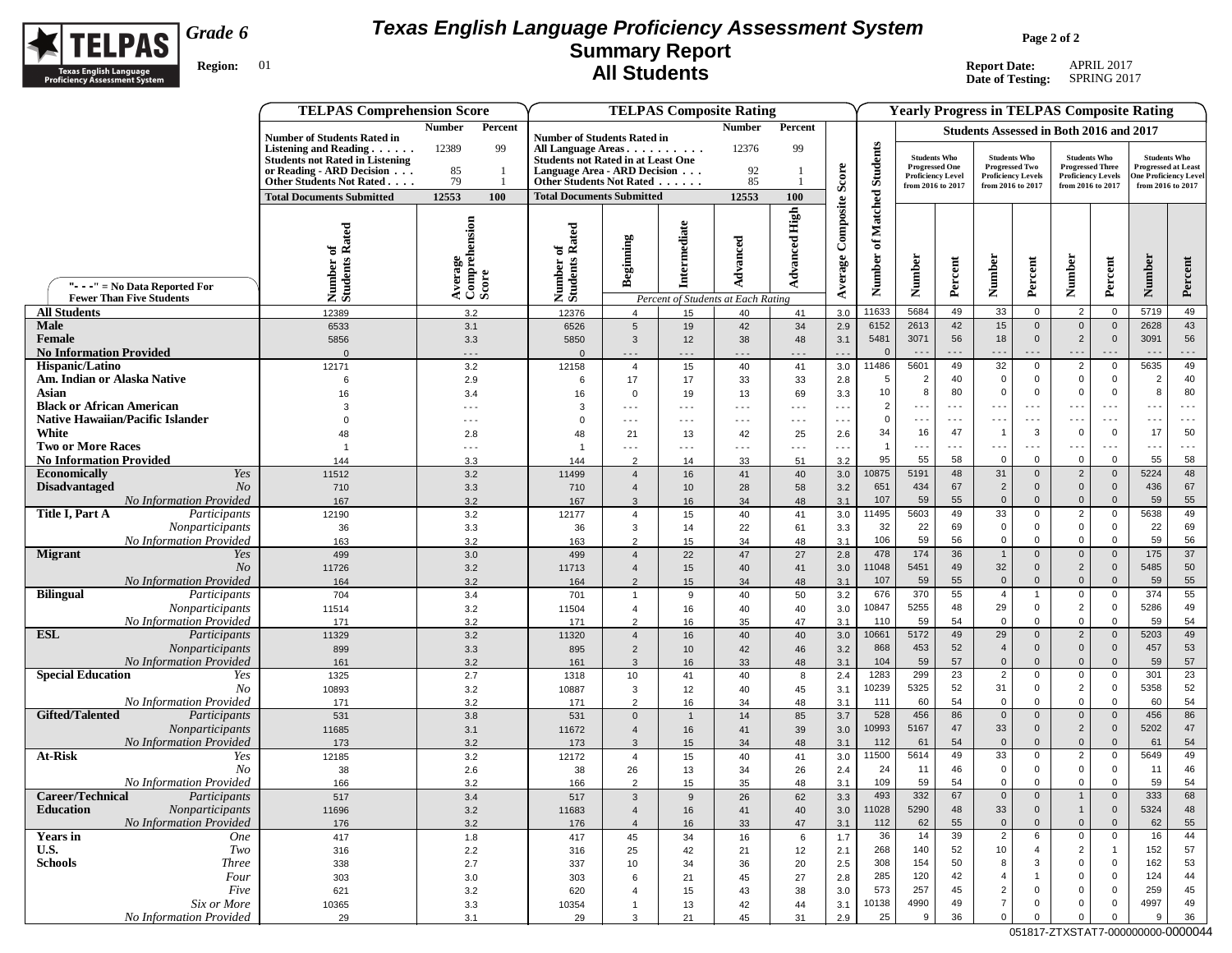

## **Texas English Language Proficiency Assessment System Summary Report All Students**

**Page 2 of 2**

**Report Date:** APRIL 2017 **Date of Testing:** SPRING 2017

|                                                                | <b>TELPAS Comprehension Score</b>                                                                                                           |                                   |                                                                                                                                       |                                  |                      | <b>TELPAS Composite Rating</b>     |                      |                            |                        |                        |                                               |                                         |                            |                                                |                             | <b>Yearly Progress in TELPAS Composite Rating</b> |                      |
|----------------------------------------------------------------|---------------------------------------------------------------------------------------------------------------------------------------------|-----------------------------------|---------------------------------------------------------------------------------------------------------------------------------------|----------------------------------|----------------------|------------------------------------|----------------------|----------------------------|------------------------|------------------------|-----------------------------------------------|-----------------------------------------|----------------------------|------------------------------------------------|-----------------------------|---------------------------------------------------|----------------------|
|                                                                |                                                                                                                                             | <b>Number</b><br>Percent          |                                                                                                                                       |                                  |                      | <b>Number</b>                      | Percent              |                            |                        |                        |                                               | Students Assessed in Both 2016 and 2017 |                            |                                                |                             |                                                   |                      |
|                                                                | <b>Number of Students Rated in</b><br>Listening and Reading $\ldots$<br><b>Students not Rated in Listening</b><br>or Reading - ARD Decision | 99<br>12389<br>85                 | <b>Number of Students Rated in</b><br>All Language Areas<br><b>Students not Rated in at Least One</b><br>Language Area - ARD Decision |                                  |                      | 12376<br>92                        | 99                   |                            | <b>Students</b>        | <b>Students Who</b>    | <b>Progressed One</b>                         | <b>Progressed Two</b>                   | <b>Students Who</b>        | <b>Students Who</b><br><b>Progressed Three</b> |                             | <b>Students Who</b><br><b>Progressed at Least</b> |                      |
|                                                                | Other Students Not Rated                                                                                                                    | 79                                | Other Students Not Rated                                                                                                              |                                  |                      | 85                                 |                      | Score                      |                        |                        | <b>Proficiency Level</b><br>from 2016 to 2017 | <b>Proficiency Levels</b>               | from 2016 to 2017          | <b>Proficiency Levels</b><br>from 2016 to 2017 |                             | <b>One Proficiency Level</b><br>from 2016 to 2017 |                      |
|                                                                | <b>Total Documents Submitted</b>                                                                                                            | 12553<br>100                      | <b>Total Documents Submitted</b>                                                                                                      |                                  |                      | 12553                              | 100                  |                            |                        |                        |                                               |                                         |                            |                                                |                             |                                                   |                      |
| "- - -" = No Data Reported For                                 | Number of<br>Students Rated                                                                                                                 | Average<br>Comprehension<br>Score | Rated<br>ಕ<br>Number o<br>Students l                                                                                                  | Beginning                        | Intermediate         | Advanced                           | <b>Advanced High</b> | Composite<br>Average       | Matched<br>đ<br>Number | <b>Number</b>          | Percent                                       | Number                                  | Percent                    | Number                                         | Percent                     | Number                                            | Percent              |
| <b>Fewer Than Five Students</b>                                |                                                                                                                                             |                                   |                                                                                                                                       |                                  |                      | Percent of Students at Each Rating |                      |                            |                        |                        |                                               |                                         |                            |                                                |                             |                                                   |                      |
| <b>All Students</b>                                            | 12389                                                                                                                                       | 3.2                               | 12376                                                                                                                                 | $\overline{4}$                   | 15                   | 40                                 | 41                   | 3.0                        | 11633                  | 5684                   | 49                                            | 33                                      | 0                          | $\overline{2}$                                 | $\overline{0}$              | 5719                                              | 49                   |
| <b>Male</b>                                                    | 6533                                                                                                                                        | 3.1                               | 6526                                                                                                                                  | $5\phantom{.0}$                  | 19                   | 42                                 | 34                   | 2.9                        | 6152                   | 2613                   | 42                                            | 15                                      | $\mathbf{0}$               | $\mathbf 0$                                    | $\mathbf 0$                 | 2628                                              | 43                   |
| Female                                                         | 5856                                                                                                                                        | 3.3                               | 5850                                                                                                                                  | $\mathbf{3}$                     | 12                   | 38                                 | 48                   | 3.1                        | 5481                   | 3071                   | 56                                            | 18                                      | $\mathbf{0}$               | $\overline{2}$                                 | $\overline{0}$              | 3091                                              | 56                   |
| <b>No Information Provided</b>                                 | $\mathbf{0}$                                                                                                                                | $\sim$ $\sim$ $\sim$              | $\Omega$                                                                                                                              | $- - -$                          | $- - -$              | $- - -$                            | - - -                | $\overline{\phantom{a}}$ . | $\Omega$               | $\sim$ $\sim$          | .                                             | $\overline{\phantom{a}}$ .              |                            | $- - -$                                        | $  -$                       |                                                   | $\ddotsc$            |
| Hispanic/Latino<br>Am. Indian or Alaska Native                 | 12171                                                                                                                                       | 3.2                               | 12158                                                                                                                                 | $\overline{4}$                   | 15                   | 40                                 | 41                   | 3.0                        | 11486                  | 5601<br>$\overline{2}$ | 49<br>40                                      | 32<br>$\mathbf 0$                       | $\mathbf 0$<br>$\mathbf 0$ | $\overline{c}$<br>$\mathbf 0$                  | $\mathbf 0$<br>$\mathbf 0$  | 5635<br>$\overline{2}$                            | 49<br>40             |
| Asian                                                          | 6<br>16                                                                                                                                     | 2.9<br>3.4                        | 6<br>16                                                                                                                               | 17<br>$\mathbf 0$                | 17<br>19             | 33<br>13                           | 33<br>69             | 2.8<br>3.3                 | 5<br>10                | 8                      | 80                                            | $\Omega$                                | $\mathbf 0$                | $\mathbf 0$                                    | $\mathbf{0}$                | 8                                                 | 80                   |
| <b>Black or African American</b>                               | 3                                                                                                                                           | $ -$                              | 3                                                                                                                                     | $- - -$                          | $- - -$              | $- - -$                            | $- - -$              | $  -$                      | $\overline{2}$         | $\sim$ $\sim$ $\sim$   | $\sim$ $\sim$ $\sim$                          | .                                       | $- - -$                    | $\sim$ $\sim$ $\sim$                           | $\sim$ $\sim$ $\sim$        | $  -$                                             | $\sim$ $\sim$ $\sim$ |
| <b>Native Hawaiian/Pacific Islander</b>                        | $\Omega$                                                                                                                                    | $- - -$                           | $\Omega$                                                                                                                              | $- - -$                          | $- - -$              | $- - -$                            | $- - -$              | $  -$                      | $\mathbf 0$            | $- - -$                | $- - -$                                       | .                                       | $- - -$                    | $\sim$ $\sim$ $\sim$                           | $\sim$ $\sim$ $\sim$        | .                                                 | $\sim$ $\sim$ $\sim$ |
| White                                                          | 48                                                                                                                                          | 2.8                               | 48                                                                                                                                    | 21                               | 13                   | 42                                 | 25                   | 2.6                        | 34                     | 16                     | 47                                            | -1                                      | 3                          | $\overline{0}$                                 | $\mathbf 0$                 | 17                                                | 50                   |
| <b>Two or More Races</b>                                       | $\overline{\mathbf{1}}$                                                                                                                     | $\sim$ $\sim$ $\sim$              | $\overline{1}$                                                                                                                        | $\sim$ $\sim$                    | $\sim$ $\sim$ $\sim$ | $\sim$ $\sim$ $\sim$               | $\sim$ $\sim$ $\sim$ | $\sim$                     |                        | $\sim$ $\sim$ $\sim$   | $\sim$ $\sim$ $\sim$                          | .                                       | $- - -$                    | $\sim$ $\sim$ $\sim$                           | $\sim$ $\sim$ $\sim$        | $- - -$                                           | $\sim$ $\sim$ $\sim$ |
| <b>No Information Provided</b>                                 | 144                                                                                                                                         | 3.3                               | 144                                                                                                                                   | $\overline{2}$                   | 14                   | 33                                 | 51                   | 3.2                        | 95                     | 55                     | 58                                            | 0                                       | 0                          | $\mathbf 0$                                    | $\mathbf 0$                 | 55                                                | 58                   |
| <b>Economically</b><br>Yes                                     | 11512                                                                                                                                       | 3.2                               | 11499                                                                                                                                 | $\overline{4}$                   | 16                   | 41                                 | 40                   | 3.0                        | 10875                  | 5191                   | 48                                            | 31                                      | $\mathbf{0}$               | $\overline{2}$                                 | $\mathbf 0$                 | 5224                                              | 48                   |
| <b>Disadvantaged</b><br>N <sub>O</sub>                         | 710                                                                                                                                         | 3.3                               | 710                                                                                                                                   | $\overline{4}$                   | 10                   | 28                                 | 58                   | 3.2                        | 651                    | 434                    | 67                                            | $\overline{2}$                          | $\mathbf{0}$               | $\mathbf 0$                                    | $\mathbf 0$                 | 436                                               | 67                   |
| No Information Provided                                        | 167                                                                                                                                         | 3.2                               | 167                                                                                                                                   | 3                                | 16                   | 34                                 | 48                   | 3.1                        | 107                    | 59                     | 55                                            | $\mathbf 0$                             | $\mathbf 0$                | $\mathbf 0$                                    | $\mathbf 0$                 | 59                                                | 55                   |
| Title I, Part A<br>Participants                                | 12190                                                                                                                                       | 3.2                               | 12177                                                                                                                                 | $\overline{4}$                   | 15                   | 40                                 | 41                   | 3.0                        | 11495                  | 5603                   | 49                                            | 33                                      | $\mathsf 0$                | $\overline{2}$                                 | 0                           | 5638                                              | 49                   |
| Nonparticipants<br>No Information Provided                     | 36                                                                                                                                          | 3.3                               | 36                                                                                                                                    | $\mathbf{3}$<br>$\overline{2}$   | 14                   | 22                                 | 61                   | 3.3                        | 32<br>106              | 22<br>59               | 69<br>56                                      | $\mathbf 0$<br>$\Omega$                 | $\mathbf 0$<br>$\mathsf 0$ | $\mathbf 0$<br>$\overline{0}$                  | $\mathbf 0$<br>$\mathbf 0$  | 22<br>59                                          | 69<br>56             |
| <b>Migrant</b><br>Yes                                          | 163<br>499                                                                                                                                  | 3.2<br>3.0                        | 163<br>499                                                                                                                            | $\overline{4}$                   | 15<br>22             | 34<br>47                           | 48<br>27             | 3.1<br>2.8                 | 478                    | 174                    | 36                                            | $\overline{1}$                          | $\mathbf{0}$               | $\mathbf 0$                                    | $\mathbf 0$                 | 175                                               | 37                   |
| No.                                                            | 11726                                                                                                                                       | 3.2                               | 11713                                                                                                                                 | $\overline{4}$                   | 15                   | 40                                 | 41                   | 3.0                        | 11048                  | 5451                   | 49                                            | 32                                      | $\mathbf{0}$               | $\overline{2}$                                 | $\mathbf 0$                 | 5485                                              | 50                   |
| <b>No Information Provided</b>                                 | 164                                                                                                                                         | 3.2                               | 164                                                                                                                                   | 2                                | 15                   | 34                                 | 48                   | 3.1                        | 107                    | 59                     | 55                                            | $\mathbf 0$                             | $\mathbf{0}$               | $\mathbf 0$                                    | $\mathbf 0$                 | 59                                                | 55                   |
| <b>Bilingual</b><br>Participants                               | 704                                                                                                                                         | 3.4                               | 701                                                                                                                                   | $\overline{1}$                   | 9                    | 40                                 | 50                   | 3.2                        | 676                    | 370                    | 55                                            | $\overline{4}$                          | $\mathbf{1}$               | $\mathbf 0$                                    | $\mathbf 0$                 | 374                                               | 55                   |
| Nonparticipants                                                | 11514                                                                                                                                       | 3.2                               | 11504                                                                                                                                 | $\overline{4}$                   | 16                   | 40                                 | 40                   | 3.0                        | 10847                  | 5255                   | 48                                            | 29                                      | $\mathbf{0}$               | $\overline{c}$                                 | $\mathbf 0$                 | 5286                                              | 49                   |
| No Information Provided                                        | 171                                                                                                                                         | 3.2                               | 171                                                                                                                                   | 2                                | 16                   | 35                                 | 47                   | 3.1                        | 110                    | 59                     | 54                                            | $\Omega$                                | $\mathbf 0$                | $\mathbf 0$                                    | $\Omega$                    | 59                                                | 54                   |
| <b>ESL</b><br>Participants                                     | 11329                                                                                                                                       | 3.2                               | 11320                                                                                                                                 | $\overline{4}$                   | 16                   | 40                                 | 40                   | 3.0                        | 10661                  | 5172                   | 49                                            | 29                                      | $\mathbf 0$                | $\overline{c}$                                 | $\mathbf{0}$                | 5203                                              | 49                   |
| Nonparticipants                                                | 899                                                                                                                                         | 3.3                               | 895                                                                                                                                   | $\overline{2}$                   | 10                   | 42                                 | 46                   | 3.2                        | 868                    | 453                    | 52                                            | $\overline{4}$                          | $\mathbf 0$                | $\overline{0}$                                 | $\mathbf 0$                 | 457                                               | 53                   |
| <b>No Information Provided</b>                                 | 161                                                                                                                                         | 3.2                               | 161                                                                                                                                   | $\mathbf{3}$                     | 16                   | 33                                 | 48                   | 3.1                        | 104<br>1283            | 59<br>299              | 57<br>23                                      | $\mathbf 0$<br>$\overline{2}$           | $\mathbf 0$<br>$\mathbf 0$ | $\overline{0}$<br>$\mathbf 0$                  | $\mathbf 0$<br>$\mathbf 0$  | 59<br>301                                         | 57<br>23             |
| <b>Special Education</b><br>Yes<br>No                          | 1325<br>10893                                                                                                                               | 2.7<br>3.2                        | 1318<br>10887                                                                                                                         | 10<br>3                          | 41<br>12             | 40<br>40                           | 8<br>45              | 2.4<br>3.1                 | 10239                  | 5325                   | 52                                            | 31                                      | $\mathbf 0$                | $\overline{2}$                                 | $\mathbf 0$                 | 5358                                              | 52                   |
| No Information Provided                                        | 171                                                                                                                                         | 3.2                               | 171                                                                                                                                   | 2                                | 16                   | 34                                 | 48                   | 3.1                        | 111                    | 60                     | 54                                            | $\mathbf 0$                             | $\mathbf 0$                | $\mathbf 0$                                    | $\mathbf 0$                 | 60                                                | 54                   |
| <b>Gifted/Talented</b><br>Participants                         | 531                                                                                                                                         | 3.8                               | 531                                                                                                                                   | $\mathbf 0$                      | $\mathbf{1}$         | 14                                 | 85                   | 3.7                        | 528                    | 456                    | 86                                            | $\mathbf 0$                             | $\mathbf{0}$               | $\mathbf 0$                                    | $\mathbf 0$                 | 456                                               | 86                   |
| Nonparticipants                                                | 11685                                                                                                                                       | 3.1                               | 11672                                                                                                                                 | $\overline{4}$                   | 16                   | 41                                 | 39                   | 3.0                        | 10993                  | 5167                   | 47                                            | 33                                      | $\mathbf{0}$               | $\overline{2}$                                 | $\mathbf 0$                 | 5202                                              | 47                   |
| No Information Provided                                        | 173                                                                                                                                         | 3.2                               | 173                                                                                                                                   | 3                                | 15                   | 34                                 | 48                   | 3.1                        | 112                    | 61                     | 54                                            | $\Omega$                                | $\mathbf 0$                | $\mathbf 0$                                    | $\Omega$                    | 61                                                | 54                   |
| <b>At-Risk</b><br>Yes                                          | 12185                                                                                                                                       | 3.2                               | 12172                                                                                                                                 | $\overline{4}$                   | 15                   | 40                                 | 41                   | 3.0                        | 11500                  | 5614                   | 49                                            | 33                                      | 0                          | $\overline{2}$                                 | $\mathbf 0$                 | 5649                                              | 49                   |
| N <sub>O</sub>                                                 | 38                                                                                                                                          | 2.6                               | 38                                                                                                                                    | 26                               | 13                   | 34                                 | 26                   | 2.4                        | 24                     | 11                     | 46                                            | $\mathsf 0$                             | $\mathbf 0$                | $\mathbf 0$                                    | $\mathbf 0$                 | 11                                                | 46                   |
| <b>No Information Provided</b>                                 | 166                                                                                                                                         | 3.2                               | 166                                                                                                                                   | $\overline{2}$                   | 15                   | 35                                 | 48                   | 3.1                        | 109<br>493             | 59<br>332              | 54                                            | $\mathbf 0$<br>$\overline{0}$           | $\mathsf 0$                | $\mathbf 0$<br>$\overline{1}$                  | 0                           | 59                                                | 54                   |
| Career/Technical<br>Participants                               | 517                                                                                                                                         | 3.4                               | 517                                                                                                                                   | $\mathbf{3}$                     | 9                    | 26                                 | 62                   | 3.3                        | 11028                  | 5290                   | 67<br>48                                      | 33                                      | $\mathbf 0$<br>$\mathbf 0$ | $\overline{1}$                                 | $\mathbf 0$<br>$\mathbf{0}$ | 333<br>5324                                       | 68<br>48             |
| <b>Education</b><br>Nonparticipants<br>No Information Provided | 11696<br>176                                                                                                                                | 3.2<br>3.2                        | 11683<br>176                                                                                                                          | $\overline{4}$<br>$\overline{4}$ | 16<br>16             | 41<br>33                           | 40<br>47             | 3.0<br>3.1                 | 112                    | 62                     | 55                                            | $\mathbf 0$                             | $\mathbf{0}$               | $\mathbf 0$                                    | $\overline{0}$              | 62                                                | 55                   |
| <b>Years in</b><br><b>One</b>                                  | 417                                                                                                                                         | 1.8                               | 417                                                                                                                                   | 45                               | 34                   | 16                                 | 6                    | 1.7                        | 36                     | 14                     | 39                                            | $\overline{2}$                          | 6                          | $\mathbf 0$                                    | $\mathbf 0$                 | 16                                                | 44                   |
| U.S.<br>Two                                                    | 316                                                                                                                                         | 2.2                               | 316                                                                                                                                   | 25                               | 42                   | 21                                 | 12                   | 2.1                        | 268                    | 140                    | 52                                            | 10                                      | $\overline{4}$             | $\overline{c}$                                 | $\mathbf{1}$                | 152                                               | 57                   |
| <b>Schools</b><br><i>Three</i>                                 | 338                                                                                                                                         | 2.7                               | 337                                                                                                                                   | 10                               | 34                   | 36                                 | 20                   | 2.5                        | 308                    | 154                    | 50                                            | 8                                       | 3                          | $\mathbf 0$                                    | 0                           | 162                                               | 53                   |
| Four                                                           | 303                                                                                                                                         | 3.0                               | 303                                                                                                                                   | 6                                | 21                   | 45                                 | 27                   | 2.8                        | 285                    | 120                    | 42                                            | 4                                       | $\mathbf{1}$               | $\overline{0}$                                 | 0                           | 124                                               | 44                   |
| Five                                                           | 621                                                                                                                                         | 3.2                               | 620                                                                                                                                   | $\overline{4}$                   | 15                   | 43                                 | 38                   | 3.0                        | 573                    | 257                    | 45                                            | $\overline{2}$                          | $\mathbf 0$                | $\mathbf 0$                                    | $\mathbf 0$                 | 259                                               | 45                   |
| Six or More                                                    | 10365                                                                                                                                       | 3.3                               | 10354                                                                                                                                 | $\overline{1}$                   | 13                   | 42                                 | 44                   | 3.1                        | 10138                  | 4990                   | 49                                            | 7                                       | 0                          | $\mathbf 0$                                    | 0                           | 4997                                              | 49                   |
| No Information Provided                                        | 29                                                                                                                                          | 3.1                               | 29                                                                                                                                    | 3                                | 21                   | 45                                 | 31                   | 2.9                        | 25                     | 9                      | 36                                            | $\Omega$                                | $\mathbf 0$                | $\mathbf 0$                                    | $\mathbf 0$                 | 9                                                 | 36                   |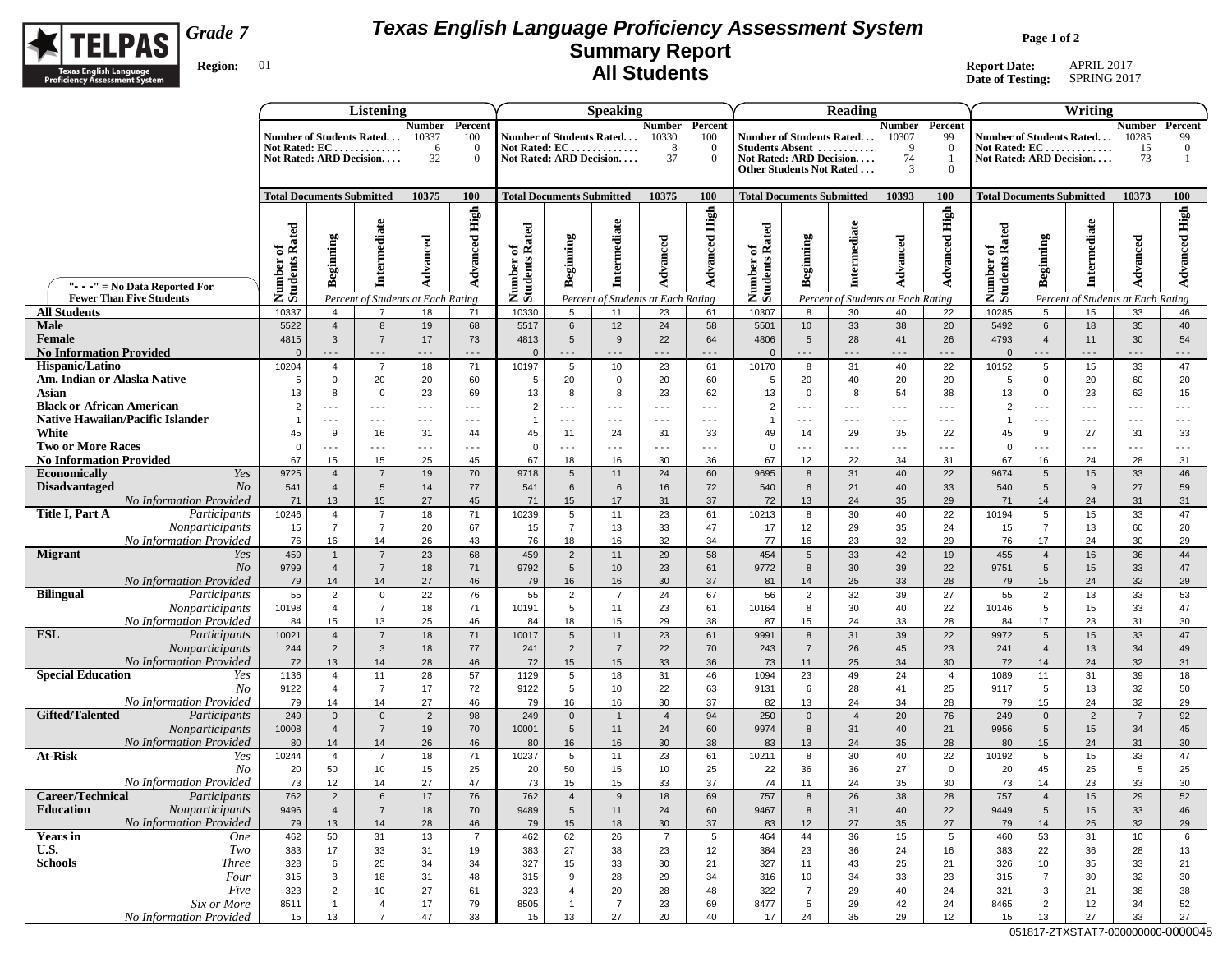

## **Texas English Language Proficiency Assessment System Summary Report All Students**

**Page 1 of 2**

**Report Date:** APRIL 2017 **Date of Testing:** SPRING 2017

|                                                            |                                  |                                         | Listening                                                            |                                    |                                       |                                        |                                            | Speaking                                                             |                                            |                                         |                                            |                                | Reading                                              |                                  |                                                   |                                          |                                           | Writing                                                                |                             |                                       |
|------------------------------------------------------------|----------------------------------|-----------------------------------------|----------------------------------------------------------------------|------------------------------------|---------------------------------------|----------------------------------------|--------------------------------------------|----------------------------------------------------------------------|--------------------------------------------|-----------------------------------------|--------------------------------------------|--------------------------------|------------------------------------------------------|----------------------------------|---------------------------------------------------|------------------------------------------|-------------------------------------------|------------------------------------------------------------------------|-----------------------------|---------------------------------------|
|                                                            |                                  |                                         | Number of Students Rated<br>Not Rated: EC<br>Not Rated: ARD Decision | Number Percent<br>10337<br>6<br>32 | 100<br>$\overline{0}$<br>$\mathbf{0}$ |                                        |                                            | Number of Students Rated<br>Not Rated: EC<br>Not Rated: ARD Decision | <b>Number Percent</b><br>10330<br>-8<br>37 | 100<br>$\overline{0}$<br>$\overline{0}$ | Students Absent<br>Not Rated: ARD Decision |                                | Number of Students Rated<br>Other Students Not Rated | Number<br>10307<br>-9<br>74<br>3 | Percent<br>99<br>$\overline{0}$<br>-1<br>$\Omega$ |                                          |                                           | Number of Students Rated<br>Not Rated: $EC$<br>Not Rated: ARD Decision | Number<br>10285<br>15<br>73 | Percent<br>99<br>$\overline{0}$<br>-1 |
|                                                            | <b>Total Documents Submitted</b> |                                         |                                                                      | 10375                              | <b>100</b>                            | <b>Total Documents Submitted</b>       |                                            |                                                                      | 10375                                      | 100                                     | <b>Total Documents Submitted</b>           |                                |                                                      | 10393                            | 100                                               | <b>Total Documents Submitted</b>         |                                           |                                                                        | 10373                       | <b>100</b>                            |
| "- - -" = $No Data Reported For$                           | Number of<br>Students Rated      | Beginning                               | Intermediate                                                         | Advanced                           | <b>Advanced High</b>                  | Rated<br>ัธ<br>Number of<br>Students 1 | Beginning                                  | Intermediate                                                         | Advanced                                   | <b>Advanced High</b>                    | Number of<br>Students Rated                | Beginning                      | Intermediate                                         | Advanced                         | <b>Advanced High</b>                              | of<br>s Rated<br>Number of<br>Students 1 | Beginning                                 | Intermediate                                                           | Advanced                    | High<br>Advanced                      |
| <b>Fewer Than Five Students</b>                            |                                  |                                         | Percent of Students at Each Rating                                   |                                    |                                       |                                        |                                            | Percent of Students at Each Rating                                   |                                            |                                         |                                            |                                | Percent of Students at Each Rating                   |                                  |                                                   |                                          |                                           | Percent of Students at Each Rating                                     |                             |                                       |
| <b>All Students</b>                                        | 10337                            | $\overline{4}$                          | $\overline{7}$                                                       | 18                                 | 71                                    | 10330                                  | 5                                          | 11                                                                   | 23                                         | 61                                      | 10307                                      | 8                              | 30                                                   | 40                               | 22                                                | 10285                                    | 5                                         | 15                                                                     | 33                          | 46                                    |
| <b>Male</b><br>Female<br><b>No Information Provided</b>    | 5522<br>4815<br>$\Omega$         | $\overline{4}$<br>$\mathbf{3}$<br>- - - | 8<br>$\overline{7}$<br>$- - -$                                       | 19<br>17<br>$\sim$ $\sim$ $\sim$   | 68<br>73<br>$- - -$                   | 5517<br>4813<br>$\Omega$               | $6\phantom{.}$<br>$5\phantom{.0}$<br>- - - | 12<br>9<br>$- - -$                                                   | 24<br>22<br>$- - -$                        | 58<br>64<br>- - -                       | 5501<br>4806<br>$\Omega$                   | 10<br>$5\overline{)}$<br>- - - | 33<br>28<br>$- - -$                                  | 38<br>41<br>$- - -$              | 20<br>26<br>$- - -$                               | 5492<br>4793<br>$\Omega$                 | $6\phantom{.}$<br>$\overline{4}$<br>- - - | 18<br>11<br>$- - -$                                                    | 35<br>30<br>$- - -$         | 40<br>54<br>$- - -$                   |
| <b>Hispanic/Latino</b>                                     | 10204                            | $\overline{4}$                          | $\overline{7}$                                                       | 18                                 | 71                                    | 10197                                  | 5                                          | 10                                                                   | 23                                         | 61                                      | 10170                                      | 8                              | 31                                                   | 40                               | 22                                                | 10152                                    | 5                                         | 15                                                                     | 33                          | 47                                    |
| Am. Indian or Alaska Native<br>Asian                       | 5<br>13                          | $\mathbf{0}$<br>8                       | 20<br>$\mathbf 0$                                                    | 20<br>23                           | 60<br>69                              | $\sqrt{5}$<br>13                       | 20<br>8                                    | $\mathbf 0$<br>8                                                     | 20<br>23                                   | 60<br>62                                | $5\phantom{.0}$<br>13                      | 20<br>$\mathbf 0$              | 40<br>8                                              | 20<br>54                         | 20<br>38                                          | $5\phantom{.0}$<br>13                    | $\mathbf 0$<br>$\mathbf 0$                | 20<br>23                                                               | 60<br>62                    | 20<br>15                              |
| <b>Black or African American</b>                           |                                  | $- - -$                                 | $- - -$                                                              | $\sim$ $\sim$ $\sim$               | $\sim$ $\sim$ $\sim$                  | $\overline{2}$                         | $- - -$                                    | $- - -$                                                              | $\sim$ $\sim$ $\sim$                       | $\sim$ $\sim$ $\sim$                    | $\overline{2}$                             | $\sim$ $\sim$ $\sim$           | $- - -$                                              | $\sim$ $\sim$ $\sim$             | $\sim$ $\sim$ $\sim$                              | $\overline{2}$                           | $\sim$ $\sim$ $\sim$                      | $\sim$ $\sim$ $\sim$                                                   | $\sim$ $\sim$ $\sim$        | $\sim$ $\sim$ $\sim$                  |
| <b>Native Hawaiian/Pacific Islander</b>                    |                                  | $- - -$                                 | $- - -$                                                              | $- - -$                            | $- - -$                               |                                        | $\sim$ $\sim$ $\sim$                       | $\sim$ $\sim$ $\sim$                                                 | $\sim$ $\sim$ $\sim$                       | $\sim$ $\sim$ $\sim$                    | $\mathbf{1}$                               | $- - -$                        | $- - -$                                              | - - -                            | $\sim$ $\sim$ $\sim$                              |                                          | $- - -$                                   | $- - -$                                                                | $- - -$                     | $- - -$                               |
| White                                                      | 45                               | 9                                       | 16                                                                   | 31                                 | 44                                    | 45                                     | 11                                         | 24                                                                   | 31                                         | 33                                      | 49                                         | 14                             | 29                                                   | 35                               | 22                                                | 45                                       | $\overline{9}$                            | 27                                                                     | 31                          | 33                                    |
| <b>Two or More Races</b><br><b>No Information Provided</b> | $\Omega$<br>67                   | $\sim$ $\sim$ $\sim$<br>15              | $\sim$ $\sim$ $\sim$<br>15                                           | $\sim$ $\sim$ $\sim$<br>25         | $- - -$<br>45                         | $\overline{0}$<br>67                   | $\sim$ $\sim$ $\sim$<br>18                 | $\sim$ $\sim$ $\sim$<br>16                                           | $\sim$ $\sim$ $\sim$<br>30                 | $- - -$<br>36                           | $\mathbf 0$<br>67                          | $- - -$<br>12                  | $\overline{\phantom{a}}$<br>22                       | $- - -$<br>34                    | $- - -$<br>31                                     | $\Omega$<br>67                           | $\sim$ $\sim$ $\sim$<br>16                | $\sim$ $\sim$ $\sim$<br>24                                             | $\sim$ $\sim$ $\sim$<br>28  | $- - -$<br>31                         |
| <b>Economically</b><br>Yes                                 | 9725                             | $\overline{4}$                          | $\overline{7}$                                                       | 19                                 | 70                                    | 9718                                   | $5\phantom{.0}$                            | 11                                                                   | 24                                         | 60                                      | 9695                                       | 8                              | 31                                                   | 40                               | 22                                                | 9674                                     | $5\phantom{.0}$                           | 15                                                                     | 33                          | 46                                    |
| <b>Disadvantaged</b><br>N <sub>O</sub>                     | 541                              | $\overline{4}$                          | $5\phantom{.0}$                                                      | 14                                 | 77                                    | 541                                    | 6                                          | 6                                                                    | 16                                         | 72                                      | 540                                        | 6                              | 21                                                   | 40                               | 33                                                | 540                                      | $\sqrt{5}$                                | 9                                                                      | 27                          | 59                                    |
| <b>No Information Provided</b>                             | 71                               | 13                                      | 15                                                                   | 27                                 | 45                                    | 71                                     | 15                                         | 17                                                                   | 31                                         | 37                                      | 72                                         | 13                             | 24                                                   | 35                               | 29                                                | 71                                       | 14                                        | 24                                                                     | 31                          | 31                                    |
| Title I, Part A<br>Participants                            | 10246                            | $\overline{4}$                          | $\overline{7}$                                                       | 18                                 | 71                                    | 10239                                  | 5                                          | 11                                                                   | 23                                         | 61                                      | 10213                                      | 8                              | 30                                                   | 40                               | 22                                                | 10194                                    | 5                                         | 15                                                                     | 33                          | 47                                    |
| Nonparticipants<br><b>No Information Provided</b>          | 15<br>76                         | $\overline{7}$<br>16                    | $\overline{7}$<br>14                                                 | 20<br>26                           | 67<br>43                              | 15<br>76                               | $\overline{7}$<br>18                       | 13<br>16                                                             | 33<br>32                                   | 47<br>34                                | 17<br>77                                   | 12<br>16                       | 29<br>23                                             | 35<br>32                         | 24<br>29                                          | 15<br>76                                 | $\overline{7}$<br>17                      | 13<br>24                                                               | 60<br>30                    | 20<br>29                              |
| <b>Migrant</b><br>Yes                                      | 459                              | $\overline{1}$                          | $\overline{7}$                                                       | 23                                 | 68                                    | 459                                    | $\overline{2}$                             | 11                                                                   | 29                                         | 58                                      | 454                                        | 5                              | 33                                                   | 42                               | 19                                                | 455                                      | $\overline{4}$                            | 16                                                                     | 36                          | 44                                    |
| No.                                                        | 9799                             | $\overline{4}$                          | $\overline{7}$                                                       | 18                                 | 71                                    | 9792                                   | $5\phantom{.0}$                            | 10                                                                   | 23                                         | 61                                      | 9772                                       | 8                              | 30                                                   | 39                               | 22                                                | 9751                                     | $5\phantom{.0}$                           | 15                                                                     | 33                          | 47                                    |
| <b>No Information Provided</b>                             | 79                               | 14                                      | 14                                                                   | 27                                 | 46                                    | 79                                     | 16                                         | 16                                                                   | 30                                         | 37                                      | 81                                         | 14                             | 25                                                   | 33                               | 28                                                | 79                                       | 15                                        | 24                                                                     | 32                          | 29                                    |
| <b>Bilingual</b><br>Participants                           | 55                               | $\overline{2}$                          | $\mathbf 0$                                                          | 22                                 | 76                                    | 55                                     | $\overline{2}$                             | $\overline{7}$                                                       | 24                                         | 67                                      | 56                                         | $\overline{2}$                 | 32                                                   | 39                               | 27                                                | 55                                       | $\overline{2}$                            | 13                                                                     | 33                          | 53                                    |
| Nonparticipants<br>No Information Provided                 | 10198<br>84                      | $\overline{4}$<br>15                    | $\overline{7}$<br>13                                                 | 18<br>25                           | 71<br>46                              | 10191<br>84                            | 5<br>18                                    | 11<br>15                                                             | 23<br>29                                   | 61<br>38                                | 10164<br>87                                | 8<br>15                        | 30<br>24                                             | 40<br>33                         | 22<br>28                                          | 10146<br>84                              | $5\phantom{.0}$<br>17                     | 15<br>23                                                               | 33<br>31                    | 47<br>30                              |
| <b>ESL</b><br>Participants                                 | 10021                            | $\overline{4}$                          | $\overline{7}$                                                       | 18                                 | 71                                    | 10017                                  | $5\phantom{.0}$                            | 11                                                                   | 23                                         | 61                                      | 9991                                       | 8                              | 31                                                   | 39                               | 22                                                | 9972                                     | $\,$ 5 $\,$                               | 15                                                                     | 33                          | 47                                    |
| Nonparticipants                                            | 244                              | $\overline{2}$                          | 3                                                                    | 18                                 | 77                                    | 241                                    | $\overline{2}$                             | $\overline{7}$                                                       | 22                                         | 70                                      | 243                                        | $\overline{7}$                 | 26                                                   | 45                               | 23                                                | 241                                      | $\overline{4}$                            | 13                                                                     | 34                          | 49                                    |
| <b>No Information Provided</b>                             | 72                               | 13                                      | 14                                                                   | 28                                 | 46                                    | 72                                     | 15                                         | 15                                                                   | 33                                         | 36                                      | 73                                         | 11                             | 25                                                   | 34                               | 30 <sup>°</sup>                                   | 72                                       | 14                                        | 24                                                                     | 32                          | 31                                    |
| <b>Special Education</b><br>Yes<br>No                      | 1136<br>9122                     | $\overline{4}$<br>$\overline{4}$        | 11<br>$\overline{7}$                                                 | 28<br>17                           | 57<br>72                              | 1129<br>9122                           | 5<br>5                                     | 18<br>10                                                             | 31<br>22                                   | 46<br>63                                | 1094<br>9131                               | 23<br>6                        | 49<br>28                                             | 24<br>41                         | $\overline{4}$<br>25                              | 1089<br>9117                             | 11<br>5                                   | 31<br>13                                                               | 39<br>32                    | 18<br>50                              |
| No Information Provided                                    | 79                               | 14                                      | 14                                                                   | 27                                 | 46                                    | 79                                     | 16                                         | 16                                                                   | 30                                         | 37                                      | 82                                         | 13                             | 24                                                   | 34                               | 28                                                | 79                                       | 15                                        | 24                                                                     | 32                          | 29                                    |
| <b>Gifted/Talented</b><br>Participants                     | 249                              | $\mathbf{0}$                            | $\mathbf{0}$                                                         | $\overline{2}$                     | 98                                    | 249                                    | $\mathbf 0$                                | $\overline{1}$                                                       | $\overline{4}$                             | 94                                      | 250                                        | $\mathbf 0$                    | $\overline{4}$                                       | 20                               | 76                                                | 249                                      | $\mathbf 0$                               | $\overline{2}$                                                         | $\overline{7}$              | 92                                    |
| Nonparticipants                                            | 10008                            | $\overline{4}$                          | $\overline{7}$                                                       | 19                                 | 70                                    | 10001                                  | $5\phantom{.0}$                            | 11                                                                   | 24                                         | 60                                      | 9974                                       | 8                              | 31                                                   | 40                               | 21                                                | 9956                                     | $5\phantom{.0}$                           | 15                                                                     | 34                          | 45                                    |
| <b>No Information Provided</b>                             | 80                               | 14                                      | 14                                                                   | 26                                 | 46                                    | 80                                     | 16                                         | 16                                                                   | 30                                         | 38                                      | 83                                         | 13                             | 24                                                   | 35                               | 28                                                | 80                                       | 15                                        | 24                                                                     | 31                          | 30                                    |
| <b>At-Risk</b><br>Yes<br>N <sub>O</sub>                    | 10244<br>20                      | $\overline{4}$<br>50                    | $\overline{7}$<br>10                                                 | 18<br>15                           | 71<br>25                              | 10237<br>20                            | 5<br>50                                    | 11<br>15                                                             | 23<br>10                                   | 61<br>25                                | 10211<br>22                                | 8<br>36                        | 30<br>36                                             | 40<br>27                         | 22<br>$\overline{0}$                              | 10192<br>20                              | 5<br>45                                   | 15<br>25                                                               | 33<br>$\,$ 5 $\,$           | 47<br>25                              |
| No Information Provided                                    | 73                               | 12                                      | 14                                                                   | 27                                 | 47                                    | 73                                     | 15                                         | 15                                                                   | 33                                         | 37                                      | 74                                         | 11                             | 24                                                   | 35                               | 30                                                | 73                                       | 14                                        | 23                                                                     | 33                          | 30                                    |
| Career/Technical<br>Participants                           | 762                              | 2                                       | 6                                                                    | 17                                 | 76                                    | 762                                    | 4                                          | 9                                                                    | 18                                         | 69                                      | 757                                        | 8                              | 26                                                   | 38                               | 28                                                | 757                                      | $\overline{4}$                            | 15                                                                     | 29                          | 52                                    |
| Nonparticipants<br><b>Education</b>                        | 9496                             | $\overline{4}$                          | $\overline{7}$                                                       | 18                                 | 70                                    | 9489                                   | $5\phantom{.0}$                            | 11                                                                   | 24                                         | 60                                      | 9467                                       | 8                              | 31                                                   | 40                               | 22                                                | 9449                                     | $5\phantom{.0}$                           | 15                                                                     | 33                          | 46                                    |
| No Information Provided<br><b>Years</b> in<br><b>One</b>   | 79<br>462                        | 13<br>50                                | 14<br>31                                                             | 28<br>13                           | 46<br>$\overline{7}$                  | 79<br>462                              | 15<br>62                                   | 18<br>26                                                             | 30 <sup>°</sup><br>$\overline{7}$          | 37<br>$5\phantom{.0}$                   | 83<br>464                                  | 12<br>44                       | 27<br>36                                             | 35<br>15                         | 27<br>$5\phantom{.0}$                             | 79<br>460                                | 14<br>53                                  | 25<br>31                                                               | 32<br>10                    | 29<br>6                               |
| U.S.<br>Two                                                | 383                              | 17                                      | 33                                                                   | 31                                 | 19                                    | 383                                    | 27                                         | 38                                                                   | 23                                         | 12                                      | 384                                        | 23                             | 36                                                   | 24                               | 16                                                | 383                                      | 22                                        | 36                                                                     | 28                          | 13                                    |
| <b>Schools</b><br><i>Three</i>                             | 328                              | 6                                       | 25                                                                   | 34                                 | 34                                    | 327                                    | 15                                         | 33                                                                   | 30                                         | 21                                      | 327                                        | 11                             | 43                                                   | 25                               | 21                                                | 326                                      | 10                                        | 35                                                                     | 33                          | 21                                    |
| Four                                                       | 315                              | $\mathbf{3}$                            | 18                                                                   | 31                                 | 48                                    | 315                                    | 9                                          | 28                                                                   | 29                                         | 34                                      | 316                                        | 10                             | 34                                                   | 33                               | 23                                                | 315                                      | $\overline{7}$                            | 30                                                                     | 32                          | 30                                    |
| Five                                                       | 323                              | $\overline{2}$                          | 10                                                                   | 27                                 | 61                                    | 323                                    | $\overline{4}$                             | 20                                                                   | 28                                         | 48                                      | 322                                        | $\overline{7}$                 | 29                                                   | 40                               | 24                                                | 321                                      | $\mathbf{3}$                              | 21                                                                     | 38                          | 38                                    |
| Six or More<br>No Information Provided                     | 8511<br>15                       | $\mathbf{1}$<br>13                      | $\overline{4}$<br>$\overline{7}$                                     | 17<br>47                           | 79<br>33                              | 8505<br>15                             | $\mathbf{1}$<br>13                         | $\overline{7}$<br>27                                                 | 23<br>20                                   | 69<br>40                                | 8477<br>17                                 | 5<br>24                        | 29<br>35                                             | 42<br>29                         | 24<br>12                                          | 8465<br>15                               | $\overline{2}$<br>13                      | 12<br>27                                                               | 34<br>33                    | 52<br>27                              |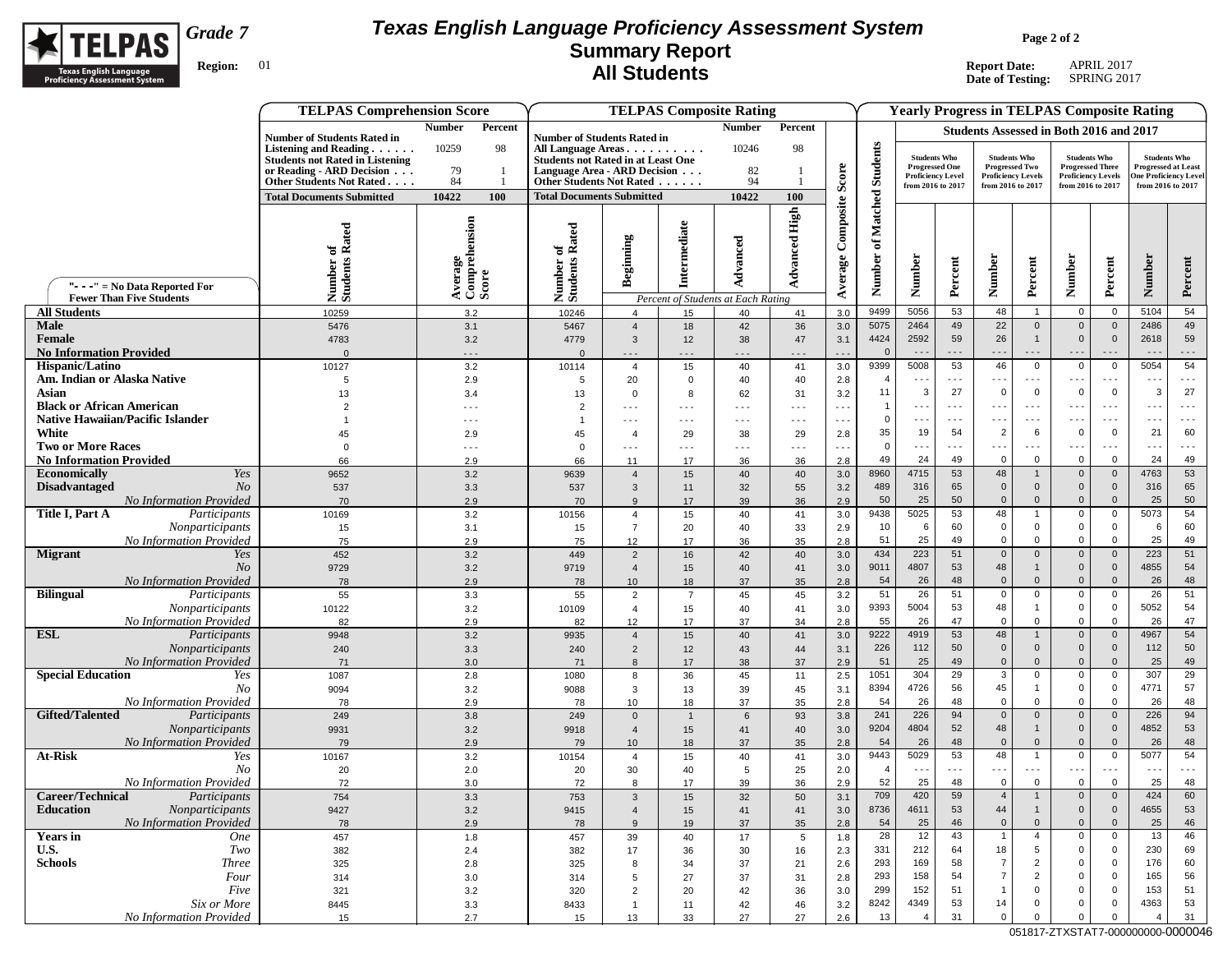

## **Texas English Language Proficiency Assessment System Summary Report All Students**

**Page 2 of 2**

**Report Date:** APRIL 2017 **Date of Testing:** SPRING 2017

| <b>TELPAS Comprehension Score</b><br><b>TELPAS Composite Rating</b><br><b>Yearly Progress in TELPAS Composite Rating</b><br><b>Number</b><br>Percent<br><b>Number</b><br>Percent<br>Students Assessed in Both 2016 and 2017<br><b>Number of Students Rated in</b><br><b>Number of Students Rated in</b>                                                    |                                                                             |                                                                                   |
|------------------------------------------------------------------------------------------------------------------------------------------------------------------------------------------------------------------------------------------------------------------------------------------------------------------------------------------------------------|-----------------------------------------------------------------------------|-----------------------------------------------------------------------------------|
|                                                                                                                                                                                                                                                                                                                                                            |                                                                             |                                                                                   |
| 98<br>98<br>Listening and Reading $\ldots$<br>10259<br>10246<br>All Language Areas                                                                                                                                                                                                                                                                         |                                                                             |                                                                                   |
| <b>Students</b><br><b>Students Who</b><br><b>Students Who</b><br><b>Students not Rated in Listening</b><br><b>Students not Rated in at Least One</b><br><b>Progressed One</b><br><b>Progressed Two</b><br>or Reading - ARD Decision<br>79<br>Language Area - ARD Decision<br>82<br>-1<br><b>Proficiency Level</b><br><b>Proficiency Levels</b>             | <b>Students Who</b><br><b>Progressed Three</b><br><b>Proficiency Levels</b> | <b>Students Who</b><br><b>Progressed at Least</b><br><b>One Proficiency Level</b> |
| Score<br>Other Students Not Rated<br>84<br>94<br>-1<br>Other Students Not Rated<br>from 2016 to 2017<br>from 2016 to 2017<br><b>Total Documents Submitted</b>                                                                                                                                                                                              | from 2016 to 2017                                                           | from 2016 to 2017                                                                 |
| 10422<br>100<br>10422<br>100<br><b>Total Documents Submitted</b>                                                                                                                                                                                                                                                                                           |                                                                             |                                                                                   |
| Matched<br>Composite<br><b>Advanced High</b><br>ension<br>Intermediate<br>Number of<br>Students Rated<br>Number of<br>Students Rated<br>Beginning<br>Advanced<br>$\mathbf{a}$<br>Comprehe<br>Score<br>Number<br>Average<br>Number<br>Number<br>erage<br>Percent<br>Percent                                                                                 | Number<br>Percent                                                           | Number<br>Percent                                                                 |
| "- - -" = $No Data Reported For$<br><b>Fewer Than Five Students</b>                                                                                                                                                                                                                                                                                        |                                                                             |                                                                                   |
| Percent of Students at Each Rating<br><b>All Students</b><br>10259<br>9499<br>5056<br>53<br>48<br>3.2<br>10246<br>15<br>41<br>3.0<br>$\mathbf{1}$<br>$\overline{4}$<br>40                                                                                                                                                                                  | $\mathbf 0$<br>$\mathbf 0$                                                  | 54<br>5104                                                                        |
| 22<br>5075<br>2464<br>49<br>Male<br>36<br>$\overline{0}$<br>5476<br>3.1<br>5467<br>$\overline{4}$<br>18<br>42<br>3.0                                                                                                                                                                                                                                       | $\mathbf 0$<br>$\mathbf 0$                                                  | 49<br>2486                                                                        |
| 2592<br>26<br>Female<br>4424<br>59<br>4783<br>3.2<br>3<br>$\mathbf{1}$<br>4779<br>12<br>38<br>47<br>3.1                                                                                                                                                                                                                                                    | $\overline{0}$<br>$\mathbf 0$                                               | 59<br>2618                                                                        |
| <b>No Information Provided</b><br>$\Omega$<br>$\overline{0}$<br>$\sim$ $\sim$ $\sim$<br>$- - -$<br>$- -$<br>$- - -$<br>$\mathbf{0}$<br>$\sim$ $\sim$<br>$- - -$<br>$\overline{\phantom{a}}$ .<br>$  -$<br>$  -$                                                                                                                                            | $- - -$<br>$- - -$                                                          | $\sim$ $\sim$ $\sim$<br>$- -$                                                     |
| 5008<br>53<br>9399<br>46<br>$\mathbf 0$<br>Hispanic/Latino<br>10127<br>3.2<br>15<br>41<br>3.0<br>10114<br>$\overline{4}$<br>40                                                                                                                                                                                                                             | $\mathbf{0}$<br>$\mathbf 0$                                                 | 54<br>5054                                                                        |
| Am. Indian or Alaska Native<br>2.9<br>20<br>5<br>5<br>$\mathbf 0$<br>40<br>40<br>2.8<br>$\overline{4}$<br>$\sim$ $\sim$ $\sim$<br>$- - -$<br>.<br>$- - -$                                                                                                                                                                                                  | $\sim$ $\sim$ $\sim$<br>$- - -$                                             | $\sim$ $\sim$ $\sim$<br>$  -$                                                     |
| 27<br>Asian<br>11<br>3<br>$\mathbf 0$<br>3.2<br>- 0<br>13<br>3.4<br>13<br>$\mathbf 0$<br>8<br>62<br>31                                                                                                                                                                                                                                                     | $\overline{0}$<br>$\mathbf 0$                                               | 3<br>27                                                                           |
| <b>Black or African American</b><br>$\overline{1}$<br>$\overline{2}$<br>$- - -$<br>$- - -$<br>$- -$<br>$- - -$<br>$- - -$<br>$\sim$ $\sim$ $\sim$<br>$- - -$<br>$- - -$<br>$- - -$<br>$\sim$ $\sim$                                                                                                                                                        | $\sim$ $\sim$ $\sim$<br>$\sim$ $\sim$ $\sim$                                | $\sim$ $\sim$ $\sim$<br>$  -$                                                     |
| <b>Native Hawaiian/Pacific Islander</b><br>$\mathbf 0$<br>$\sim$ $\sim$ $\sim$<br>$- - -$<br>$- - -$<br>$- - -$<br>$- - -$<br>$- - -$<br>-1<br>$\sim$ $\sim$ $\sim$<br>$\sim$ $\sim$ $\sim$<br>$- - -$<br>$  -$                                                                                                                                            | $\sim$ $\sim$ $\sim$<br>$- - -$                                             | $\sim$ $\sim$ $\sim$<br>$- - -$                                                   |
| White<br>35<br>54<br>2.9<br>45<br>29<br>38<br>29<br>2.8<br>19<br>$\overline{2}$<br>6<br>$\overline{4}$<br>45                                                                                                                                                                                                                                               | $\overline{0}$<br>$\mathbf 0$                                               | 21<br>60                                                                          |
| <b>Two or More Races</b><br>$\mathbf 0$<br>$\mathbf 0$<br>$\mathbf 0$<br>$\sim$ $\sim$ $\sim$<br>$\sim$ $\sim$ $\sim$<br>$\sim$ $\sim$ $\sim$<br>$\sim$ $\sim$ $\sim$<br>$\sim$ $\sim$ $\sim$<br>$\sim$ $\sim$ .<br>$  -$<br>$\sim$ $\sim$ $\sim$<br>.<br>$- - -$<br><b>No Information Provided</b><br>49<br>49<br>66<br>24<br>$\mathbf{0}$<br>$\mathbf 0$ | $\sim$ $\sim$<br>$\sim$ $\sim$ $\sim$<br>$\mathbf 0$<br>$\mathbf 0$         | $\sim$ $\sim$ $\sim$<br>$\overline{\phantom{a}}$<br>24<br>49                      |
| 66<br>2.8<br>2.9<br>11<br>17<br>36<br>36<br><b>Economically</b><br>4715<br>53<br>48<br>Yes<br>8960<br>9652<br>3.2<br>9639<br>$\overline{4}$<br>15<br>40<br>40<br>3.0<br>$\mathbf{1}$                                                                                                                                                                       | $\mathbf 0$<br>$\mathbf{0}$                                                 | 4763<br>53                                                                        |
| <b>Disadvantaged</b><br>N <sub>O</sub><br>489<br>65<br>$\mathbf 0$<br>537<br>3.3<br>$\mathbf{3}$<br>32<br>55<br>3.2<br>316<br>$\mathbf{0}$<br>537<br>11                                                                                                                                                                                                    | $\mathbf 0$<br>$\mathbf{0}$                                                 | 316<br>65                                                                         |
| 25<br>50<br>50<br>$\mathbf 0$<br><b>No Information Provided</b><br>70<br>2.9<br>36<br>2.9<br>$\Omega$<br>70<br>9<br>17<br>39                                                                                                                                                                                                                               | $\overline{0}$<br>$\mathbf 0$                                               | 50<br>25                                                                          |
| Title I, Part A<br>9438<br>5025<br>53<br>48<br>Participants<br>3.2<br>$\overline{1}$<br>10169<br>$\overline{4}$<br>15<br>40<br>41<br>3.0<br>10156                                                                                                                                                                                                          | $\overline{0}$<br>$\mathbf 0$                                               | 54<br>5073                                                                        |
| 60<br>Nonparticipants<br>$\overline{7}$<br>10<br>6<br>$\overline{0}$<br>$\mathbf 0$<br>15<br>3.1<br>20<br>40<br>33<br>2.9<br>15                                                                                                                                                                                                                            | $\mathbf 0$<br>$\mathbf 0$                                                  | 60<br>6                                                                           |
| <b>No Information Provided</b><br>51<br>25<br>49<br>$\mathbf 0$<br>75<br>2.9<br>75<br>12<br>17<br>36<br>35<br>2.8<br>$\overline{0}$                                                                                                                                                                                                                        | $\mathbf 0$<br>$\mathbf 0$                                                  | 49<br>25                                                                          |
| 434<br>223<br>51<br><b>Migrant</b><br>$\mathbf 0$<br>$\mathbf{0}$<br>Yes<br>452<br>3.2<br>449<br>$\overline{2}$<br>42<br>40<br>3.0<br>16                                                                                                                                                                                                                   | $\mathbf 0$<br>$\mathbf 0$                                                  | 51<br>223                                                                         |
| 4807<br>N <sub>O</sub><br>9011<br>53<br>48<br>9729<br>3.2<br>9719<br>$\overline{4}$<br>15<br>40<br>41<br>3.0<br>$\mathbf{1}$                                                                                                                                                                                                                               | $\mathbf 0$<br>$\mathbf{0}$                                                 | 4855<br>54                                                                        |
| 48<br>No Information Provided<br>54<br>26<br>$\mathbf 0$<br>78<br>2.9<br>18<br>35<br>2.8<br>$\mathbf 0$<br>78<br>10<br>37                                                                                                                                                                                                                                  | $\mathbf 0$<br>$\mathbf 0$                                                  | 26<br>48                                                                          |
| 51<br>26<br>51<br>$\mathsf 0$<br><b>Bilingual</b><br>Participants<br>55<br>$\mathbf 0$<br>3.3<br>55<br>$\overline{2}$<br>$\overline{7}$<br>45<br>45<br>3.2<br>9393<br>53<br>5004<br>48<br>$\mathbf{1}$                                                                                                                                                     | $\mathsf 0$<br>$\mathbf 0$<br>$\Omega$<br>$\mathbf 0$                       | 51<br>26<br>5052<br>54                                                            |
| Nonparticipants<br>10122<br>3.2<br>40<br>10109<br>$\overline{4}$<br>15<br>41<br>3.0<br>No Information Provided<br>26<br>47<br>55<br>$\overline{\mathbf{0}}$<br>$\mathbf 0$<br>82<br>82<br>34<br>2.9<br>12<br>17<br>37<br>2.8                                                                                                                               | $\overline{0}$<br>$\mathbf 0$                                               | 47<br>26                                                                          |
| <b>ESL</b><br>Participants<br>9222<br>4919<br>53<br>48<br>3.2<br>$\overline{4}$<br>41<br>3.0<br>$\mathbf{1}$<br>9948<br>9935<br>15<br>40                                                                                                                                                                                                                   | $\mathbf 0$<br>$\mathbf 0$                                                  | 54<br>4967                                                                        |
| Nonparticipants<br>226<br>112<br>50<br>$\overline{0}$<br>$\mathbf{0}$<br>3.3<br>$\overline{2}$<br>12<br>43<br>240<br>240<br>44<br>3.1                                                                                                                                                                                                                      | $\mathbf 0$<br>$\mathbf 0$                                                  | 50<br>112                                                                         |
| No Information Provided<br>25<br>51<br>49<br>$\mathbf{0}$<br>71<br>3.0<br>37<br>2.9<br>$\mathbf 0$<br>71<br>8<br>17<br>38                                                                                                                                                                                                                                  | $\overline{0}$<br>$\mathbf 0$                                               | 25<br>49                                                                          |
| 1051<br>304<br>29<br>3<br><b>Special Education</b><br>Yes<br>$\mathbf 0$<br>1087<br>36<br>2.5<br>2.8<br>1080<br>8<br>45<br>11                                                                                                                                                                                                                              | $\mathbf 0$<br>0                                                            | 29<br>307                                                                         |
| 8394<br>4726<br>56<br>45<br>No<br>9094<br>$3.2\,$<br>$\mathbf{3}$<br>13<br>39<br>45<br>3.1<br>$\mathbf{1}$<br>9088                                                                                                                                                                                                                                         | $\mathbf 0$<br>$\mathbf 0$                                                  | 4771<br>57                                                                        |
| 48<br><b>No Information Provided</b><br>54<br>26<br>$\mathbf 0$<br>78<br>2.9<br>10<br>37<br>35<br>2.8<br>$\mathbf 0$<br>78<br>18                                                                                                                                                                                                                           | $\overline{0}$<br>$\mathbf 0$                                               | 48<br>26                                                                          |
| 226<br>241<br>94<br><b>Gifted/Talented</b><br>Participants<br>3.8<br>$\mathbf{0}$<br>$\mathbf{0}$<br>249<br>249<br>$\mathbf{0}$<br>$6\phantom{1}$<br>93<br>3.8<br>$\overline{1}$                                                                                                                                                                           | $\mathbf 0$<br>$\mathbf 0$                                                  | 226<br>94                                                                         |
| Nonparticipants<br>9204<br>4804<br>52<br>48<br>9931<br>3.2<br>40<br>9918<br>$\overline{4}$<br>15<br>41<br>3.0<br>$\mathbf{1}$<br>48<br>54<br>26<br>$\overline{0}$<br>$\mathbf 0$                                                                                                                                                                           | $\overline{0}$<br>$\mathbf{0}$<br>$\overline{0}$<br>$\mathbf 0$             | 4852<br>53<br>26<br>48                                                            |
| <b>No Information Provided</b><br>79<br>2.9<br>79<br>37<br>35<br>2.8<br>10<br>18<br>At-Risk<br>9443<br>5029<br>53<br>48<br>Yes<br>10167<br>3.2<br>10154<br>15<br>41<br>3.0<br>$\overline{1}$<br>$\overline{4}$<br>40                                                                                                                                       | $\mathbf 0$<br>$\mathbf 0$                                                  | 54<br>5077                                                                        |
| $N_{O}$<br>20<br>2.0<br>30<br>40<br>5<br>25<br>$\overline{4}$<br>20<br>2.0<br>$\ddotsc$<br>.<br>$- - -$<br>$- - -$                                                                                                                                                                                                                                         | $\sim$ $\sim$ $\sim$<br>$- - -$                                             | $\sim$ $\sim$ $\sim$<br>$- - -$                                                   |
| No Information Provided<br>72<br>52<br>25<br>48<br>3.0<br>72<br>8<br>17<br>39<br>36<br>2.9<br>$\mathbf 0$<br>$\mathbf 0$                                                                                                                                                                                                                                   | $\mathbf 0$<br>0                                                            | 48<br>25                                                                          |
| Career/Technical<br>709<br>420<br>59<br>Participants<br>50<br>4 <br>$\overline{1}$<br>754<br>3.3<br>753<br>15<br>32<br>3.1<br>3 <sup>1</sup>                                                                                                                                                                                                               | $\mathbf{0}$<br>$\mathbf{0}$                                                | 424<br>60                                                                         |
| 8736<br>4611<br>53<br><b>Education</b><br>Nonparticipants<br>44<br>3.0<br>9415<br>15<br>41<br>41<br>9427<br>3.2<br>$\overline{4}$<br>$\mathbf{1}$                                                                                                                                                                                                          | $\mathbf 0$<br>$\mathbf 0$                                                  | 4655<br>53                                                                        |
| <b>No Information Provided</b><br>54<br>25<br>46<br>$\mathbf 0$<br>78<br>2.9<br>35<br>2.8<br>$\mathbf 0$<br>78<br>9<br>19<br>37                                                                                                                                                                                                                            | $\mathbf 0$<br>$\mathbf{0}$                                                 | 25<br>46                                                                          |
| 28<br>12<br>43<br><b>Years in</b><br><b>One</b><br>457<br>4<br>1.8<br>457<br>39<br>40<br>17<br>5<br>1.8<br>$\overline{1}$                                                                                                                                                                                                                                  | 0<br>0                                                                      | 46<br>13                                                                          |
| U.S.<br>Two<br>331<br>18<br>5<br>212<br>64<br>382<br>2.4<br>382<br>17<br>36<br>30<br>16<br>2.3                                                                                                                                                                                                                                                             | $\mathbf 0$<br>0                                                            | 230<br>69                                                                         |
| <b>Schools</b><br><b>Three</b><br>293<br>169<br>58<br>$\overline{7}$<br>$\overline{2}$<br>325<br>2.8<br>8<br>37<br>21<br>2.6<br>325<br>34                                                                                                                                                                                                                  | $\mathbf 0$<br>0                                                            | 176<br>60                                                                         |
| Four<br>293<br>5<br>158<br>54<br>-7<br>$\overline{2}$<br>314<br>3.0<br>27<br>37<br>31<br>2.8<br>314<br>299<br>$\overline{\mathbf{1}}$                                                                                                                                                                                                                      | 0<br>0                                                                      | 165<br>56<br>153                                                                  |
| Five<br>152<br>51<br>$\mathbf 0$<br>321<br>$3.2\,$<br>$\overline{2}$<br>320<br>20<br>42<br>36<br>3.0<br>8242<br>Six or More<br>4349<br>53<br>14<br>0<br>8445<br>3.3<br>8433<br>$\mathbf{1}$<br>42<br>46<br>3.2<br>11                                                                                                                                       | $\mathbf 0$<br>0<br>$\mathbf 0$<br>0                                        | 51<br>4363<br>53                                                                  |
| 13<br>31<br>$\mathsf 0$<br>No Information Provided<br>15<br>2.7<br>27<br>2.6<br>$\overline{4}$<br>$\mathbf 0$<br>15<br>13<br>33<br>27                                                                                                                                                                                                                      | $\mathbf 0$<br>$\mathbf 0$                                                  | 31<br>$\overline{4}$                                                              |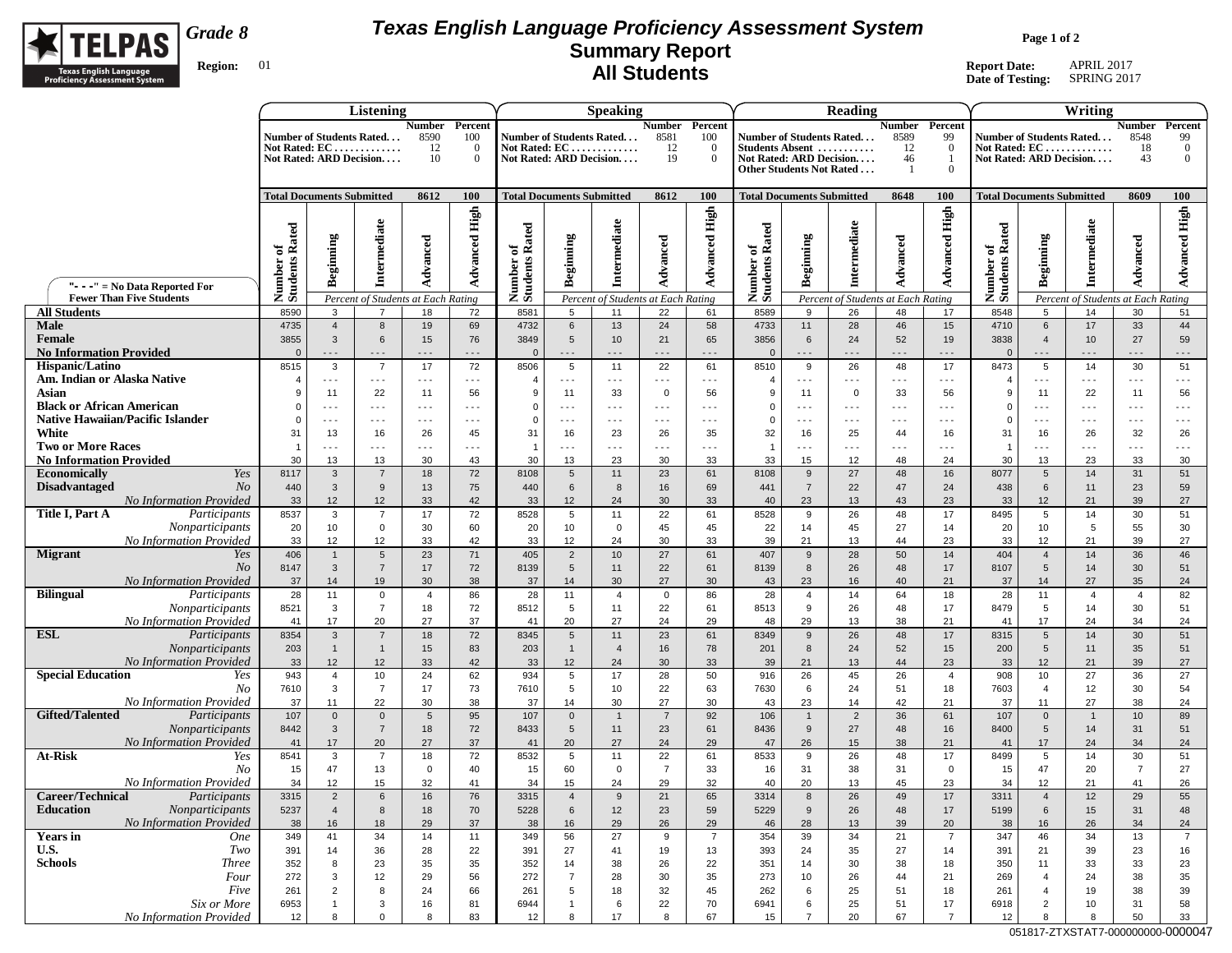

## **Texas English Language Proficiency Assessment System Summary Report All Students**

**Page 1 of 2**

**Report Date:** APRIL 2017 **Date of Testing:** SPRING 2017

|                                                              |                                  |                                           | Listening                                                              |                                    |                                       |                                   |                                              | <b>Speaking</b>                                                        |                                     |                                                    |                                                                         |                      | Reading                            |                                         |                                                         |                                      |                                                          | Writing                                                                        |                                   |                                             |
|--------------------------------------------------------------|----------------------------------|-------------------------------------------|------------------------------------------------------------------------|------------------------------------|---------------------------------------|-----------------------------------|----------------------------------------------|------------------------------------------------------------------------|-------------------------------------|----------------------------------------------------|-------------------------------------------------------------------------|----------------------|------------------------------------|-----------------------------------------|---------------------------------------------------------|--------------------------------------|----------------------------------------------------------|--------------------------------------------------------------------------------|-----------------------------------|---------------------------------------------|
|                                                              |                                  |                                           | Number of Students Rated<br>Not Rated: $EC$<br>Not Rated: ARD Decision | Number Percent<br>8590<br>12<br>10 | 100<br>$\overline{0}$<br>$\mathbf{0}$ |                                   |                                              | Number of Students Rated<br>Not Rated: $EC$<br>Not Rated: ARD Decision | <b>Number</b><br>8581<br>12<br>19   | Percent<br>100<br>$\overline{0}$<br>$\overline{0}$ | Number of Students Rated<br>Students Absent<br>Other Students Not Rated |                      | Not Rated: ARD Decision            | <b>Number</b><br>8589<br>12<br>46<br>-1 | Percent<br>99<br>$\overline{0}$<br>-1<br>$\overline{0}$ |                                      |                                                          | Number of Students Rated<br>Not Rated: $EC$<br><b>Not Rated: ARD Decision.</b> | <b>Number</b><br>8548<br>18<br>43 | Percent<br>99<br>$\overline{0}$<br>$\Omega$ |
|                                                              | <b>Total Documents Submitted</b> |                                           |                                                                        | 8612                               | <b>100</b>                            | <b>Total Documents Submitted</b>  |                                              |                                                                        | 8612                                | 100                                                | <b>Total Documents Submitted</b>                                        |                      |                                    | 8648                                    | 100                                                     | <b>Total Documents Submitted</b>     |                                                          |                                                                                | 8609                              | <b>100</b>                                  |
| "- - -" = $No Data Reported For$                             | Number of<br>Students Rated      | Beginning                                 | Intermediate                                                           | Advanced                           | <b>Advanced High</b>                  | Rated<br>ัธ<br>Number<br>Students | Beginning                                    | Intermediate                                                           | Advanced                            | <b>Advanced High</b>                               | Rated<br>ซ<br>Number of<br>Students 1                                   | Beginning            | Intermediate                       | Advanced                                | <b>Advanced High</b>                                    | Rated<br>đ<br>Number c<br>Students 1 | Beginning                                                | Intermediate                                                                   | Advanced                          | High<br>Advanced                            |
| <b>Fewer Than Five Students</b>                              |                                  |                                           | Percent of Students at Each Rating                                     |                                    |                                       |                                   |                                              | Percent of Students at Each Rating                                     |                                     |                                                    |                                                                         |                      | Percent of Students at Each Rating |                                         |                                                         |                                      |                                                          | Percent of Students at Each Rating                                             |                                   |                                             |
| <b>All Students</b>                                          | 8590                             | 3                                         | $\overline{7}$                                                         | 18                                 | 72                                    | 8581                              | 5                                            | 11                                                                     | 22                                  | 61                                                 | 8589                                                                    | 9                    | 26                                 | 48                                      | 17                                                      | 8548                                 | 5                                                        | 14                                                                             | 30                                | 51                                          |
| <b>Male</b><br>Female<br><b>No Information Provided</b>      | 4735<br>3855<br>$\Omega$         | $\overline{4}$<br>$\mathbf{3}$<br>$- - -$ | 8<br>6<br>$- - -$                                                      | 19<br>15<br>$- - -$                | 69<br>76<br>$- - -$                   | 4732<br>3849<br>$\Omega$          | $6\phantom{.}$<br>$5\phantom{.0}$<br>$- - -$ | 13<br>10<br>$- - -$                                                    | 24<br>21<br>$\sim$ $\sim$ $\sim$    | 58<br>65<br>$\sim$ $\sim$ $\sim$                   | 4733<br>3856<br>$\mathbf{0}$                                            | 11<br>6<br>.         | 28<br>24<br>$- - -$                | 46<br>52<br>$- - -$                     | 15<br>19<br>$\sim$ $\sim$ $\sim$                        | 4710<br>3838<br>$\mathbf{0}$         | $6\phantom{1}$<br>$\overline{4}$<br>$\sim$ $\sim$ $\sim$ | 17<br>10<br>$- - -$                                                            | 33<br>27<br>$- - -$               | 44<br>59<br>$- - -$                         |
| <b>Hispanic/Latino</b>                                       | 8515                             | 3                                         | $\overline{7}$                                                         | 17                                 | 72                                    | 8506                              | 5                                            | 11                                                                     | 22                                  | 61                                                 | 8510                                                                    | 9                    | 26                                 | 48                                      | 17                                                      | 8473                                 | $5\phantom{.0}$                                          | 14                                                                             | 30                                | 51                                          |
| Am. Indian or Alaska Native<br>Asian                         |                                  | $- - -$<br>11                             | $\sim$ $\sim$ $\sim$<br>22                                             | $\sim$ $\sim$ $\sim$<br>11         | $- - -$<br>56                         | $\overline{4}$<br>9               | $\sim$ $\sim$ $\sim$<br>11                   | $\sim$ $\sim$ $\sim$<br>33                                             | $\sim$ $\sim$ $\sim$<br>$\mathbf 0$ | $\sim$ $\sim$ $\sim$<br>56                         | $\overline{4}$<br>9                                                     | $- - -$<br>11        | $- - -$<br>$\mathsf 0$             | $- - -$<br>33                           | $\sim$ $\sim$ $\sim$<br>56                              | $\overline{4}$<br>9                  | $\sim$ $\sim$ $\sim$<br>11                               | $\sim$ $\sim$ $\sim$<br>22                                                     | $\sim$ $\sim$ $\sim$<br>11        | $\sim$ $\sim$ $\sim$<br>56                  |
| <b>Black or African American</b>                             |                                  | $- - -$                                   | $\sim$ $\sim$ $\sim$                                                   | $\sim$ $\sim$ $\sim$               | $\sim$ $\sim$ $\sim$                  | $\Omega$                          | $\sim$ $\sim$ $\sim$                         | $\sim$ $\sim$ $\sim$                                                   | $\sim$ $\sim$ $\sim$                | $\sim$ $\sim$ $\sim$                               | $\mathbf 0$                                                             | $\sim$ $\sim$ $\sim$ | $- - -$                            | $\sim$ $\sim$ $\sim$                    | $\sim$ $\sim$ $\sim$                                    | $\Omega$                             | $\sim$ $\sim$ $\sim$                                     | $- - -$                                                                        | $- - -$                           | $- - -$                                     |
| <b>Native Hawaiian/Pacific Islander</b>                      | $\Omega$                         | $- - -$                                   | $- - -$                                                                | $- - -$                            | $- - -$                               | $\Omega$                          | $- - -$                                      | $- - -$                                                                | $- - -$                             | $- - -$                                            | $\mathbf 0$                                                             | $- - -$              | $- - -$                            | $- - -$                                 | $- - -$                                                 | $\Omega$                             | $- - -$                                                  | $- - -$                                                                        | $- - -$                           | $- - -$                                     |
| White                                                        | 31                               | 13                                        | 16                                                                     | 26                                 | 45                                    | 31                                | 16                                           | 23                                                                     | 26                                  | 35                                                 | 32                                                                      | 16                   | 25                                 | 44                                      | 16                                                      | 31                                   | 16                                                       | 26                                                                             | 32                                | 26                                          |
| <b>Two or More Races</b>                                     | -1                               | $- - -$                                   | $- - -$                                                                | $\sim$ $\sim$ $\sim$               | $- - -$                               | -1                                | $\sim$ $\sim$ $\sim$                         | $\sim$ $\sim$ $\sim$                                                   | $\sim$ $\sim$ $\sim$                | $\sim$ $\sim$ $\sim$                               | $\overline{1}$                                                          | $\sim$ $\sim$ $\sim$ | $- - -$                            | - - -                                   | $- - -$                                                 | $\overline{1}$                       | $\sim$ $\sim$ $\sim$                                     | $- - -$                                                                        | $\sim$ $\sim$ $\sim$              | $- - -$                                     |
| <b>No Information Provided</b><br><b>Economically</b><br>Yes | 30<br>8117                       | 13<br>$\mathbf{3}$                        | 13<br>$\overline{7}$                                                   | 30<br>18                           | 43<br>72                              | 30<br>8108                        | 13<br>5                                      | 23<br>11                                                               | 30<br>23                            | 33<br>61                                           | 33<br>8108                                                              | 15<br>9              | 12<br>27                           | 48<br>48                                | 24<br>16                                                | 30<br>8077                           | 13<br>$\sqrt{5}$                                         | 23<br>14                                                                       | 33<br>31                          | 30<br>51                                    |
| <b>Disadvantaged</b><br>No                                   | 440                              | $\mathbf{3}$                              | 9                                                                      | 13                                 | 75                                    | 440                               | 6                                            | 8                                                                      | 16                                  | 69                                                 | 441                                                                     | $\overline{7}$       | 22                                 | 47                                      | 24                                                      | 438                                  | $\,6\,$                                                  | 11                                                                             | 23                                | 59                                          |
| <b>No Information Provided</b>                               | 33                               | 12                                        | 12                                                                     | 33                                 | 42                                    | 33                                | 12                                           | 24                                                                     | 30                                  | 33                                                 | 40                                                                      | 23                   | 13                                 | 43                                      | 23                                                      | 33                                   | 12                                                       | 21                                                                             | 39                                | 27                                          |
| Title I. Part A<br>Participants                              | 8537                             | 3                                         | $\overline{7}$                                                         | 17                                 | 72                                    | 8528                              | 5                                            | 11                                                                     | 22                                  | 61                                                 | 8528                                                                    | 9                    | 26                                 | 48                                      | 17                                                      | 8495                                 | 5                                                        | 14                                                                             | 30                                | 51                                          |
| Nonparticipants                                              | 20                               | 10                                        | $\mathbf 0$                                                            | 30                                 | 60                                    | 20                                | 10                                           | $\mathbf 0$                                                            | 45                                  | 45                                                 | 22                                                                      | 14                   | 45                                 | 27                                      | 14                                                      | 20                                   | 10                                                       | 5                                                                              | 55                                | 30                                          |
| <b>No Information Provided</b><br><b>Migrant</b><br>Yes      | 33<br>406                        | 12<br>$\overline{1}$                      | 12<br>$5\phantom{.0}$                                                  | 33<br>23                           | 42<br>71                              | 33<br>405                         | 12<br>$\overline{2}$                         | 24<br>10                                                               | 30<br>27                            | 33<br>61                                           | 39<br>407                                                               | 21<br>9              | 13<br>28                           | 44<br>50                                | 23<br>14                                                | 33<br>404                            | 12<br>$\overline{4}$                                     | 21<br>14                                                                       | 39<br>36                          | 27<br>46                                    |
| No.                                                          | 8147                             | $\mathbf{3}$                              | $\overline{7}$                                                         | 17                                 | 72                                    | 8139                              | 5                                            | 11                                                                     | 22                                  | 61                                                 | 8139                                                                    | 8                    | 26                                 | 48                                      | 17                                                      | 8107                                 | $5\phantom{.0}$                                          | 14                                                                             | 30                                | 51                                          |
| <b>No Information Provided</b>                               | 37                               | 14                                        | 19                                                                     | 30                                 | 38                                    | 37                                | 14                                           | 30                                                                     | 27                                  | 30                                                 | 43                                                                      | 23                   | 16                                 | 40                                      | 21                                                      | 37                                   | 14                                                       | 27                                                                             | 35                                | 24                                          |
| <b>Bilingual</b><br>Participants                             | 28                               | 11                                        | $\mathbf 0$                                                            | $\overline{4}$                     | 86                                    | 28                                | 11                                           | $\overline{4}$                                                         | $\mathbf 0$                         | 86                                                 | 28                                                                      | $\overline{4}$       | 14                                 | 64                                      | 18                                                      | 28                                   | 11                                                       | $\overline{4}$                                                                 | $\overline{4}$                    | 82                                          |
| Nonparticipants                                              | 8521                             | 3                                         | $\overline{7}$                                                         | 18                                 | 72                                    | 8512                              | 5                                            | 11                                                                     | 22                                  | 61                                                 | 8513                                                                    | 9                    | 26                                 | 48                                      | 17                                                      | 8479                                 | 5                                                        | 14                                                                             | 30                                | 51                                          |
| No Information Provided<br><b>ESL</b><br>Participants        | 41<br>8354                       | 17<br>$\mathbf{3}$                        | 20<br>$\overline{7}$                                                   | 27<br>18                           | 37<br>72                              | 41<br>8345                        | 20<br>$5\phantom{.0}$                        | 27<br>11                                                               | 24<br>23                            | 29<br>61                                           | 48<br>8349                                                              | 29<br>9              | 13<br>26                           | 38<br>48                                | 21<br>17                                                | 41<br>8315                           | 17<br>$\,$ 5 $\,$                                        | 24<br>14                                                                       | 34<br>30                          | 24<br>51                                    |
| Nonparticipants                                              | 203                              | $\overline{1}$                            | $\mathbf{1}$                                                           | 15                                 | 83                                    | 203                               | $\mathbf{1}$                                 | $\overline{4}$                                                         | 16                                  | 78                                                 | 201                                                                     | 8                    | 24                                 | 52                                      | 15                                                      | 200                                  | $\sqrt{5}$                                               | 11                                                                             | 35                                | 51                                          |
| <b>No Information Provided</b>                               | 33                               | 12                                        | 12                                                                     | 33                                 | 42                                    | 33                                | 12                                           | 24                                                                     | 30                                  | 33                                                 | 39                                                                      | 21                   | 13                                 | 44                                      | 23                                                      | 33                                   | 12                                                       | 21                                                                             | 39                                | 27                                          |
| <b>Special Education</b><br>Yes                              | 943                              | $\overline{4}$                            | 10                                                                     | 24                                 | 62                                    | 934                               | 5                                            | 17                                                                     | 28                                  | 50                                                 | 916                                                                     | 26                   | 45                                 | 26                                      | $\overline{4}$                                          | 908                                  | 10                                                       | 27                                                                             | 36                                | 27                                          |
| No<br>No Information Provided                                | 7610                             | 3                                         | $\overline{7}$                                                         | 17                                 | 73                                    | 7610                              | 5                                            | 10                                                                     | 22                                  | 63                                                 | 7630                                                                    | 6                    | 24                                 | 51<br>42                                | 18                                                      | 7603                                 | $\overline{4}$                                           | 12                                                                             | 30                                | 54                                          |
| <b>Gifted/Talented</b><br>Participants                       | 37<br>107                        | 11<br>$\mathbf{0}$                        | 22<br>$\mathbf{0}$                                                     | 30<br>$\overline{5}$               | 38<br>95                              | 37<br>107                         | 14<br>$\mathbf 0$                            | 30<br>$\overline{1}$                                                   | 27<br>$\overline{7}$                | 30<br>92                                           | 43<br>106                                                               | 23<br>$\overline{1}$ | 14<br>$\overline{2}$               | 36                                      | 21<br>61                                                | 37<br>107                            | 11<br>$\mathbf 0$                                        | 27<br>$\mathbf{1}$                                                             | 38<br>10                          | 24<br>89                                    |
| Nonparticipants                                              | 8442                             | $\mathbf{3}$                              | $\overline{7}$                                                         | 18                                 | 72                                    | 8433                              | $5\phantom{.0}$                              | 11                                                                     | 23                                  | 61                                                 | 8436                                                                    | 9                    | 27                                 | 48                                      | 16                                                      | 8400                                 | $5\phantom{.0}$                                          | 14                                                                             | 31                                | 51                                          |
| <b>No Information Provided</b>                               | 41                               | 17                                        | 20                                                                     | 27                                 | 37                                    | 41                                | 20                                           | 27                                                                     | 24                                  | 29                                                 | 47                                                                      | 26                   | 15                                 | 38                                      | 21                                                      | 41                                   | 17                                                       | 24                                                                             | 34                                | 24                                          |
| At-Risk<br>Yes                                               | 8541                             | 3                                         | $\overline{7}$                                                         | 18                                 | 72                                    | 8532                              | 5                                            | 11                                                                     | 22                                  | 61                                                 | 8533                                                                    | 9                    | 26                                 | 48                                      | 17                                                      | 8499                                 | $5\phantom{.0}$                                          | 14                                                                             | 30                                | 51                                          |
| N <sub>O</sub><br><b>No Information Provided</b>             | 15<br>34                         | 47<br>12                                  | 13<br>15                                                               | $\mathbf 0$<br>32                  | 40<br>41                              | 15<br>34                          | 60<br>15                                     | $\mathbf 0$<br>24                                                      | $\overline{7}$<br>29                | 33<br>32                                           | 16<br>40                                                                | 31<br>20             | 38<br>13                           | 31<br>45                                | $\mathbf 0$<br>23                                       | 15<br>34                             | 47<br>12                                                 | 20<br>21                                                                       | $\overline{7}$<br>41              | 27<br>26                                    |
| Career/Technical<br>Participants                             | 3315                             | $\overline{2}$                            | 6                                                                      | 16                                 | ${\bf 76}$                            | 3315                              | 4                                            | 9                                                                      | 21                                  | 65                                                 | 3314                                                                    | 8                    | $26\,$                             | 49                                      | 17                                                      | 3311                                 | 4                                                        | 12                                                                             | 29                                | 55                                          |
| Nonparticipants<br><b>Education</b>                          | 5237                             | $\overline{4}$                            | 8                                                                      | 18                                 | 70                                    | 5228                              | 6                                            | 12                                                                     | 23                                  | 59                                                 | 5229                                                                    | 9                    | 26                                 | 48                                      | 17                                                      | 5199                                 | $6\phantom{1}6$                                          | 15                                                                             | 31                                | 48                                          |
| No Information Provided                                      | 38                               | 16                                        | 18                                                                     | 29                                 | 37                                    | 38                                | 16                                           | 29                                                                     | 26                                  | 29                                                 | 46                                                                      | 28                   | 13                                 | 39                                      | 20                                                      | 38                                   | 16                                                       | 26                                                                             | 34                                | 24                                          |
| <b>Years</b> in<br><b>One</b>                                | 349                              | 41                                        | 34                                                                     | 14                                 | 11                                    | 349                               | 56                                           | 27                                                                     | 9                                   | $\overline{7}$                                     | 354                                                                     | 39                   | 34                                 | 21                                      | $\overline{7}$                                          | 347                                  | 46                                                       | 34                                                                             | 13                                | $\overline{7}$                              |
| U.S.<br>Two<br><b>Schools</b><br><b>Three</b>                | 391<br>352                       | 14<br>8                                   | 36<br>23                                                               | 28<br>35                           | 22<br>35                              | 391<br>352                        | 27<br>14                                     | 41<br>38                                                               | 19<br>26                            | 13<br>22                                           | 393<br>351                                                              | 24<br>14             | 35<br>30                           | 27<br>38                                | 14<br>18                                                | 391<br>350                           | 21<br>11                                                 | 39<br>33                                                                       | 23<br>33                          | 16<br>23                                    |
| Four                                                         | 272                              | 3                                         | 12                                                                     | 29                                 | 56                                    | 272                               | $\overline{7}$                               | 28                                                                     | 30                                  | 35                                                 | 273                                                                     | 10                   | 26                                 | 44                                      | 21                                                      | 269                                  | $\overline{4}$                                           | 24                                                                             | 38                                | 35                                          |
| Five                                                         | 261                              | $\overline{2}$                            | 8                                                                      | 24                                 | 66                                    | 261                               | 5                                            | 18                                                                     | 32                                  | 45                                                 | 262                                                                     | 6                    | 25                                 | 51                                      | 18                                                      | 261                                  | $\overline{4}$                                           | 19                                                                             | 38                                | 39                                          |
| Six or More                                                  | 6953                             | $\mathbf{1}$                              | 3                                                                      | 16                                 | 81                                    | 6944                              | $\mathbf{1}$                                 | 6                                                                      | 22                                  | 70                                                 | 6941                                                                    | 6                    | 25                                 | 51                                      | 17                                                      | 6918                                 | $\overline{2}$                                           | 10                                                                             | 31                                | 58                                          |
| No Information Provided                                      | 12                               | 8                                         | $\mathbf 0$                                                            | 8                                  | 83                                    | 12                                | 8                                            | 17                                                                     | 8                                   | 67                                                 | 15                                                                      |                      | 20                                 | 67                                      | $\overline{7}$                                          | 12                                   | 8                                                        | 8                                                                              | 50                                | 33                                          |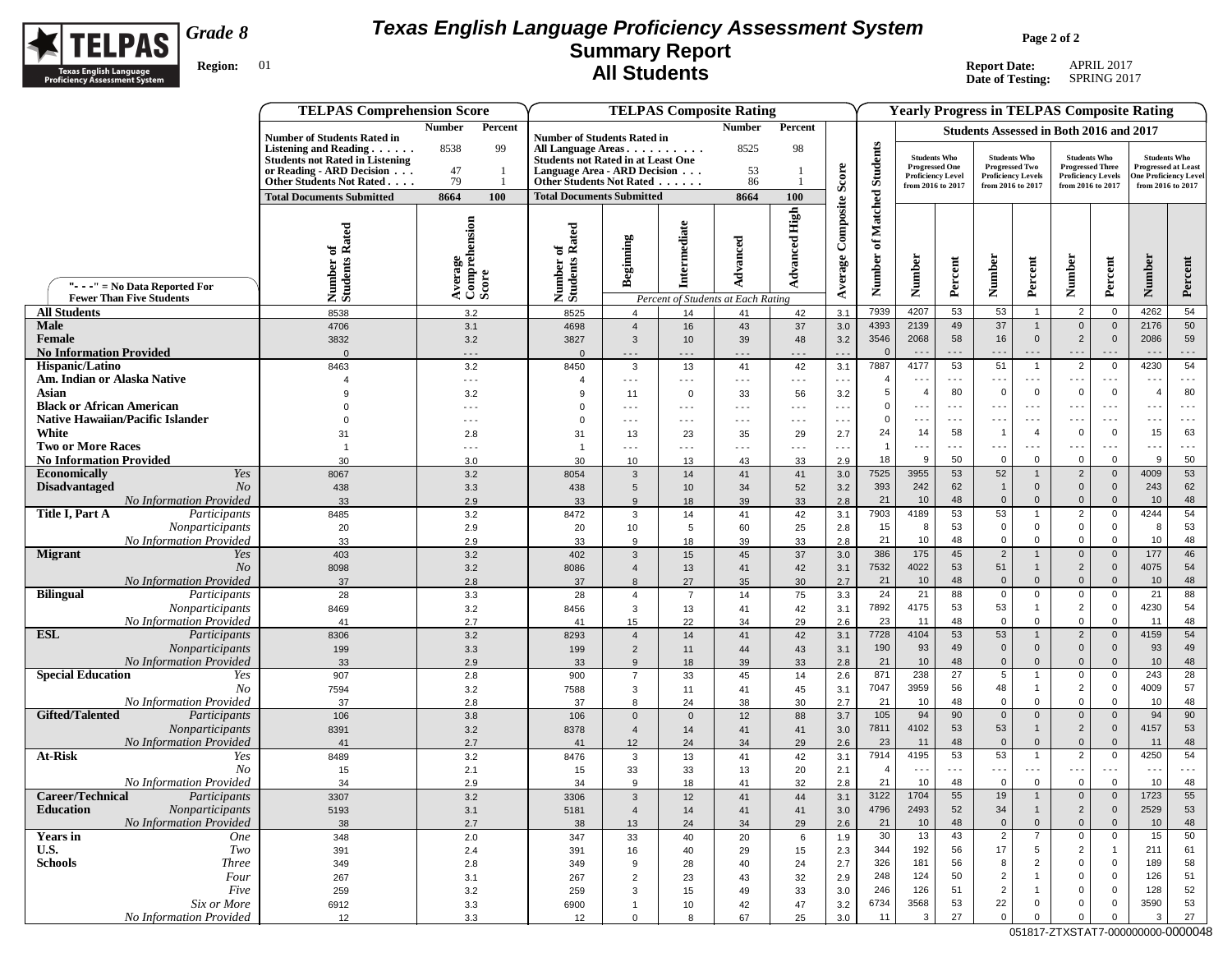

## **Texas English Language Proficiency Assessment System Summary Report All Students**

**Page 2 of 2**

**Report Date:** APRIL 2017 **Date of Testing:** SPRING 2017

|                                                                             | <b>TELPAS Comprehension Score</b>                           |                                   |                                                              |                                 | <b>TELPAS Composite Rating</b>     |                      |                      |               |                            |                       |                            |                                         |                                                    |                                                      |                                 | <b>Yearly Progress in TELPAS Composite Rating</b>          |                                              |
|-----------------------------------------------------------------------------|-------------------------------------------------------------|-----------------------------------|--------------------------------------------------------------|---------------------------------|------------------------------------|----------------------|----------------------|---------------|----------------------------|-----------------------|----------------------------|-----------------------------------------|----------------------------------------------------|------------------------------------------------------|---------------------------------|------------------------------------------------------------|----------------------------------------------|
|                                                                             |                                                             | <b>Number</b><br>Percent          |                                                              |                                 |                                    | <b>Number</b>        | Percent              |               |                            |                       |                            | Students Assessed in Both 2016 and 2017 |                                                    |                                                      |                                 |                                                            |                                              |
|                                                                             | <b>Number of Students Rated in</b><br>Listening and Reading | 99<br>8538                        | <b>Number of Students Rated in</b><br>All Language Areas     |                                 |                                    | 8525                 | 98                   |               |                            |                       |                            |                                         |                                                    |                                                      |                                 |                                                            |                                              |
|                                                                             | <b>Students not Rated in Listening</b>                      |                                   | <b>Students not Rated in at Least One</b>                    |                                 |                                    |                      |                      |               |                            | <b>Students Who</b>   |                            |                                         | <b>Students Who</b>                                | <b>Students Who</b>                                  |                                 | <b>Students Who</b>                                        |                                              |
|                                                                             | or Reading - ARD Decision<br>Other Students Not Rated       | 47<br>$\overline{1}$<br>79<br>- 1 | Language Area - ARD Decision                                 |                                 |                                    | 53                   |                      | Score         | <b>Students</b>            | <b>Progressed One</b> | <b>Proficiency Level</b>   |                                         | <b>Progressed Two</b><br><b>Proficiency Levels</b> | <b>Progressed Three</b><br><b>Proficiency Levels</b> |                                 | <b>Progressed at Least</b><br><b>One Proficiency Level</b> |                                              |
|                                                                             | <b>Total Documents Submitted</b>                            | 8664<br>100                       | Other Students Not Rated<br><b>Total Documents Submitted</b> |                                 |                                    | 86<br>8664           | 100                  |               |                            |                       | from 2016 to 2017          | from 2016 to 2017                       |                                                    | from 2016 to 2017                                    |                                 | from 2016 to 2017                                          |                                              |
|                                                                             |                                                             |                                   |                                                              |                                 |                                    |                      |                      |               |                            |                       |                            |                                         |                                                    |                                                      |                                 |                                                            |                                              |
|                                                                             |                                                             |                                   |                                                              |                                 |                                    |                      | <b>Advanced High</b> | Composite     | Matched                    |                       |                            |                                         |                                                    |                                                      |                                 |                                                            |                                              |
|                                                                             | Number of<br>Students Rated                                 | ension                            | Number of<br>Students Rated                                  |                                 | Intermediate                       |                      |                      |               | $\mathbf{a}$               |                       |                            |                                         |                                                    |                                                      |                                 |                                                            |                                              |
|                                                                             |                                                             |                                   |                                                              | Beginning                       |                                    | Advanced             |                      |               |                            |                       |                            |                                         |                                                    |                                                      |                                 |                                                            |                                              |
|                                                                             |                                                             | Average<br>Comprehe<br>Score      |                                                              |                                 |                                    |                      |                      | Average       | Number                     | Number                | Percent                    | Number                                  | Percent                                            | Number                                               | Percent                         | Number                                                     | Percent                                      |
| "- - -" = $No$ Data Reported For                                            |                                                             |                                   |                                                              |                                 |                                    |                      |                      |               |                            |                       |                            |                                         |                                                    |                                                      |                                 |                                                            |                                              |
| <b>Fewer Than Five Students</b>                                             |                                                             |                                   |                                                              |                                 | Percent of Students at Each Rating |                      |                      |               |                            |                       |                            |                                         |                                                    |                                                      |                                 |                                                            |                                              |
| <b>All Students</b><br><b>Male</b>                                          | 8538                                                        | 3.2                               | 8525                                                         | $\overline{4}$                  | 14                                 | 41                   | 42                   | 3.1           | 7939<br>4393               | 4207<br>2139          | 53<br>49                   | 53<br>37                                | $\mathbf{1}$<br>$\mathbf{1}$                       | $\overline{2}$<br>$\mathbf 0$                        | $\mathbf{0}$<br>$\mathbf 0$     | 4262<br>2176                                               | 54<br>50                                     |
| Female                                                                      | 4706<br>3832                                                | 3.1<br>3.2                        | 4698<br>3827                                                 | $\overline{4}$<br>3             | 16<br>10                           | 43<br>39             | 37<br>48             | 3.0<br>3.2    | 3546                       | 2068                  | 58                         | 16                                      | $\mathbf 0$                                        | $\overline{2}$                                       | $\mathbf{0}$                    | 2086                                                       | 59                                           |
| <b>No Information Provided</b>                                              | $\overline{0}$                                              | $- - -$                           | $\Omega$                                                     | $- - -$                         | - - -                              | $- - -$              | - - -                | $\sim$ $\sim$ | $\Omega$                   | $  -$                 | $  -$                      | - - -                                   | $- - -$                                            | $- - -$                                              | $- - -$                         | $  -$                                                      | $\sim$ $\sim$ $\sim$                         |
| Hispanic/Latino                                                             | 8463                                                        | 3.2                               | 8450                                                         | 3                               | 13                                 | 41                   | 42                   | 3.1           | 7887                       | 4177                  | 53                         | 51                                      | $\overline{1}$                                     | $\overline{2}$                                       | $\mathbf 0$                     | 4230                                                       | 54                                           |
| Am. Indian or Alaska Native                                                 |                                                             | $\sim$ $\sim$ $\sim$              | $\boldsymbol{\Delta}$                                        | $\sim$ $\sim$ $\sim$            | $\sim$ $\sim$ $\sim$               | $\sim$ $\sim$ $\sim$ | $- - -$              | $  -$         | $\overline{4}$             | $- - -$               | $\sim$ $\sim$ $\sim$       | .                                       | $\sim$ $\sim$ $\sim$                               | $\sim$ $\sim$ $\sim$                                 | $\sim$ $\sim$ $\sim$            | $\ddotsc$                                                  | $\sim$ $\sim$ $\sim$                         |
| Asian                                                                       |                                                             | 3.2                               | 9                                                            | 11                              | $\Omega$                           | 33                   | 56                   | 3.2           | 5                          | $\overline{4}$        | 80                         | $\overline{0}$                          | $\mathbf 0$                                        | $\overline{0}$                                       | $\mathbf 0$                     | $\overline{4}$                                             | 80                                           |
| <b>Black or African American</b><br><b>Native Hawaiian/Pacific Islander</b> |                                                             | $- - -$                           | $\Omega$<br>$\Omega$                                         | $\sim$ $\sim$ $\sim$<br>$- - -$ | $\sim$ $\sim$ $\sim$<br>$- - -$    | $- - -$<br>$- - -$   | $- - -$              | $  -$         | $\mathbf 0$<br>$\mathbf 0$ | $- - -$<br>$ -$       | $- - -$<br>$- - -$         | .<br>$\overline{\phantom{a}}$           | $- - -$<br>$\sim$ $\sim$ $\sim$                    | $- - -$<br>$- - -$                                   | $\sim$ $\sim$ $\sim$<br>$- - -$ | $- - -$<br>$\overline{\phantom{a}}$                        | $\sim$ $\sim$ $\sim$<br>$\sim$ $\sim$ $\sim$ |
| White                                                                       | 31                                                          | - - -<br>2.8                      | 31                                                           | 13                              | 23                                 | 35                   | $- - -$<br>29        | $ -$<br>2.7   | 24                         | 14                    | 58                         | $\overline{\mathbf{1}}$                 | $\overline{4}$                                     | $\Omega$                                             | $\mathbf{0}$                    | 15                                                         | 63                                           |
| <b>Two or More Races</b>                                                    |                                                             | $- - -$                           | $\overline{1}$                                               | $\sim$ $\sim$ $\sim$            | $\sim$ $\sim$ $\sim$               | $\sim$ $\sim$ $\sim$ | $- - -$              | $\sim$ $\sim$ | $\overline{1}$             | $- - -$               | $- - -$                    | .                                       | $\sim$ $\sim$ $\sim$                               | $\sim$ $\sim$ $\sim$                                 | $\sim$ $\sim$ $\sim$            | $- - -$                                                    | $\sim$ $\sim$ $\sim$                         |
| <b>No Information Provided</b>                                              | 30                                                          | 3.0                               | 30                                                           | 10                              | 13                                 | 43                   | 33                   | 2.9           | 18                         | 9                     | 50                         | $\mathbf 0$                             | $\Omega$                                           | $\overline{0}$                                       | $\mathbf 0$                     | 9                                                          | 50                                           |
| <b>Economically</b><br>Yes                                                  | 8067                                                        | 3.2                               | 8054                                                         | $\mathbf{3}$                    | 14                                 | 41                   | 41                   | 3.0           | 7525                       | 3955                  | 53                         | 52                                      | $\mathbf{1}$                                       | $\overline{2}$                                       | $\mathbf 0$                     | 4009                                                       | 53                                           |
| <b>Disadvantaged</b><br>N <sub>O</sub>                                      | 438                                                         | 3.3                               | 438                                                          | 5                               | 10                                 | 34                   | 52                   | 3.2           | 393                        | 242                   | 62                         | $\mathbf{1}$                            | $\mathbf 0$                                        | $\overline{0}$                                       | $\mathbf 0$                     | 243                                                        | 62                                           |
| No Information Provided<br>Title I, Part A                                  | 33<br>8485                                                  | 2.9                               | 33                                                           | 9                               | 18                                 | 39                   | 33                   | 2.8           | 21<br>7903                 | 10<br>4189            | 48<br>53                   | $\mathbf 0$<br>53                       | $\mathbf 0$<br>$\mathbf{1}$                        | $\overline{0}$<br>$\overline{2}$                     | $\mathbf 0$<br>$\mathbf 0$      | 10<br>4244                                                 | 48<br>54                                     |
| Participants<br>Nonparticipants                                             | 20                                                          | 3.2<br>2.9                        | 8472<br>20                                                   | $\mathbf{3}$<br>10              | 14<br>5                            | 41<br>60             | 42<br>25             | 3.1<br>$2.8$  | 15                         | 8                     | 53                         | $\overline{0}$                          | $\mathbf 0$                                        | $\mathbf 0$                                          | $\mathbf 0$                     | 8                                                          | 53                                           |
| No Information Provided                                                     | 33                                                          | 2.9                               | 33                                                           | 9                               | 18                                 | 39                   | 33                   | 2.8           | 21                         | 10                    | 48                         | $\mathbf 0$                             | $\mathbf 0$                                        | $\mathbf 0$                                          | $\mathbf 0$                     | 10                                                         | 48                                           |
| <b>Migrant</b><br>Yes                                                       | 403                                                         | 3.2                               | 402                                                          | 3                               | 15                                 | 45                   | 37                   | 3.0           | 386                        | 175                   | 45                         | $\overline{2}$                          | $\mathbf{1}$                                       | $\mathbf 0$                                          | $\mathbf 0$                     | 177                                                        | 46                                           |
| N <sub>O</sub>                                                              | 8098                                                        | $3.2\,$                           | 8086                                                         | $\overline{4}$                  | 13                                 | 41                   | 42                   | 3.1           | 7532                       | 4022                  | 53                         | 51                                      | $\mathbf{1}$                                       | $\overline{2}$                                       | $\mathbf{0}$                    | 4075                                                       | 54                                           |
| <b>No Information Provided</b>                                              | 37                                                          | 2.8                               | 37                                                           | 8                               | 27                                 | 35                   | 30                   | 2.7           | 21<br>24                   | 10<br>21              | 48<br>88                   | $\Omega$<br>$\mathbf 0$                 | $\mathbf 0$                                        | $\overline{0}$                                       | $\Omega$<br>0                   | 10<br>21                                                   | 48<br>88                                     |
| <b>Bilingual</b><br>Participants<br>Nonparticipants                         | 28<br>8469                                                  | 3.3<br>3.2                        | 28<br>8456                                                   | $\overline{4}$<br>3             | $\overline{7}$<br>13               | 14<br>41             | 75<br>42             | 3.3<br>3.1    | 7892                       | 4175                  | 53                         | 53                                      | 0<br>$\mathbf{1}$                                  | $\mathbf 0$<br>$\overline{2}$                        | $\mathbf 0$                     | 4230                                                       | 54                                           |
| No Information Provided                                                     | 41                                                          | 2.7                               | 41                                                           | 15                              | 22                                 | 34                   | 29                   | 2.6           | 23                         | 11                    | 48                         | $\mathbf 0$                             | $\mathbf 0$                                        | $\overline{0}$                                       | $\mathbf 0$                     | 11                                                         | 48                                           |
| <b>ESL</b><br>Participants                                                  | 8306                                                        | 3.2                               | 8293                                                         | $\overline{4}$                  | 14                                 | 41                   | 42                   | 3.1           | 7728                       | 4104                  | 53                         | 53                                      | $\mathbf{1}$                                       | $\overline{2}$                                       | $\mathbf{0}$                    | 4159                                                       | 54                                           |
| Nonparticipants                                                             | 199                                                         | 3.3                               | 199                                                          | $\overline{2}$                  | 11                                 | 44                   | 43                   | 3.1           | 190                        | 93                    | 49                         | $\overline{0}$                          | $\mathbf 0$                                        | $\mathbb O$                                          | $\mathbf 0$                     | 93                                                         | 49                                           |
| No Information Provided                                                     | 33                                                          | 2.9                               | 33                                                           | 9                               | 18                                 | 39                   | 33                   | 2.8           | 21                         | 10                    | 48                         | $\mathbf 0$                             | $\mathbf{0}$                                       | $\overline{0}$                                       | $\mathbf 0$                     | 10                                                         | 48                                           |
| <b>Special Education</b><br>Yes<br>N <sub>O</sub>                           | 907<br>7594                                                 | $2.8\,$<br>3.2                    | 900<br>7588                                                  | $\overline{7}$<br>$\mathbf{3}$  | 33<br>11                           | 45<br>41             | 14<br>45             | 2.6<br>3.1    | 871<br>7047                | 238<br>3959           | 27<br>56                   | 5<br>48                                 | $\overline{1}$<br>$\mathbf{1}$                     | $\mathbf 0$<br>$\overline{2}$                        | 0<br>0                          | 243<br>4009                                                | 28<br>57                                     |
| No Information Provided                                                     | 37                                                          | 2.8                               | 37                                                           | 8                               | 24                                 | 38                   | 30                   | 2.7           | 21                         | 10                    | 48                         | $\Omega$                                | $\mathbf 0$                                        | $\mathbf 0$                                          | $\mathbf 0$                     | 10                                                         | 48                                           |
| <b>Gifted/Talented</b><br>Participants                                      | 106                                                         | 3.8                               | 106                                                          | $\mathbf{0}$                    | $\mathbf{0}$                       | 12                   | 88                   | 3.7           | 105                        | 94                    | 90                         | $\mathbf 0$                             | $\mathbf 0$                                        | $\overline{0}$                                       | $\mathbf 0$                     | 94                                                         | 90                                           |
| Nonparticipants                                                             | 8391                                                        | 3.2                               | 8378                                                         | $\overline{4}$                  | 14                                 | 41                   | 41                   | 3.0           | 7811                       | 4102                  | 53                         | 53                                      | $\mathbf{1}$                                       | $\overline{2}$                                       | $\mathbf{0}$                    | 4157                                                       | 53                                           |
| <b>No Information Provided</b>                                              | 41                                                          | 2.7                               | 41                                                           | 12                              | 24                                 | 34                   | 29                   | 2.6           | 23                         | 11                    | 48                         | $\mathbf 0$                             | $\mathbf 0$                                        | $\overline{0}$                                       | $\mathbf 0$                     | 11                                                         | 48<br>54                                     |
| At-Risk<br>Yes<br>N <sub>O</sub>                                            | 8489                                                        | 3.2<br>2.1                        | 8476<br>15                                                   | 3<br>33                         | 13<br>33                           | 41<br>13             | 42<br>20             | 3.1           | 7914<br>$\overline{4}$     | 4195<br>$\sim$ $\sim$ | 53<br>$\sim$ $\sim$ $\sim$ | 53<br>.                                 | $\overline{1}$                                     | $\overline{2}$<br>$\sim$ $\sim$ $\sim$               | $\mathbf 0$                     | 4250<br>$\overline{\phantom{a}}$                           | $\sim$ $\sim$ $\sim$                         |
| <b>No Information Provided</b>                                              | 15<br>34                                                    | 2.9                               | 34                                                           | 9                               | 18                                 | 41                   | 32                   | 2.1<br>2.8    | 21                         | 10                    | 48                         | $\mathbf 0$                             | 0                                                  | $\mathbf 0$                                          | 0                               | 10                                                         | 48                                           |
| Career/Technical<br>Participants                                            | 3307                                                        | 3.2                               | 3306                                                         | 3                               | 12                                 | 41                   | 44                   | 3.1           | 3122                       | 1704                  | 55                         | 19                                      |                                                    | $\mathbf 0$                                          | $\mathbf 0$                     | 1723                                                       | 55                                           |
| <b>Education</b><br>Nonparticipants                                         | 5193                                                        | 3.1                               | 5181                                                         | $\overline{4}$                  | 14                                 | 41                   | 41                   | 3.0           | 4796                       | 2493                  | 52                         | 34                                      | $\mathbf{1}$                                       | $\overline{2}$                                       | $\mathsf{O}\xspace$             | 2529                                                       | 53                                           |
| <b>No Information Provided</b>                                              | 38                                                          | 2.7                               | 38                                                           | 13                              | 24                                 | 34                   | 29                   | 2.6           | 21                         | 10                    | 48                         | $\mathbf{0}$                            | $\mathbf 0$                                        | $\mathbf 0$                                          | $\mathbf{0}$                    | 10                                                         | 48                                           |
| <b>Years</b> in<br><b>One</b>                                               | 348                                                         | 2.0                               | 347                                                          | 33                              | 40                                 | 20                   | 6                    | 1.9           | 30                         | 13                    | 43                         | $\overline{2}$                          | $\overline{7}$                                     | $\mathbf 0$                                          | 0                               | 15                                                         | 50                                           |
| U.S.<br>Two<br><b>Schools</b><br><b>Three</b>                               | 391<br>349                                                  | 2.4<br>2.8                        | 391                                                          | 16<br>9                         | 40<br>28                           | 29<br>40             | 15<br>24             | 2.3           | 344<br>326                 | 192<br>181            | 56<br>56                   | 17<br>8                                 | 5<br>$\overline{2}$                                | $\overline{2}$<br>$\mathbf 0$                        | $\overline{1}$<br>$\Omega$      | 211<br>189                                                 | 61<br>58                                     |
| Four                                                                        | 267                                                         | 3.1                               | 349<br>267                                                   | $\overline{2}$                  | 23                                 | 43                   | 32                   | 2.7<br>2.9    | 248                        | 124                   | 50                         | $\overline{2}$                          | $\mathbf{1}$                                       | 0                                                    | 0                               | 126                                                        | 51                                           |
| Five                                                                        | 259                                                         | $3.2\,$                           | 259                                                          | 3                               | 15                                 | 49                   | 33                   | 3.0           | 246                        | 126                   | 51                         | $\overline{2}$                          | $\mathbf{1}$                                       | $\overline{0}$                                       | 0                               | 128                                                        | 52                                           |
| Six or More                                                                 | 6912                                                        | 3.3                               | 6900                                                         | $\mathbf{1}$                    | 10                                 | 42                   | 47                   | 3.2           | 6734                       | 3568                  | 53                         | 22                                      | 0                                                  | $\mathbf 0$                                          | 0                               | 3590                                                       | 53                                           |
| No Information Provided                                                     | 12                                                          | 3.3                               | 12                                                           | $\mathbf 0$                     | 8                                  | 67                   | 25                   | 3.0           | 11                         | 3                     | 27                         | 0                                       | $\mathbf 0$                                        | $\overline{0}$                                       | 0                               | 3                                                          | 27                                           |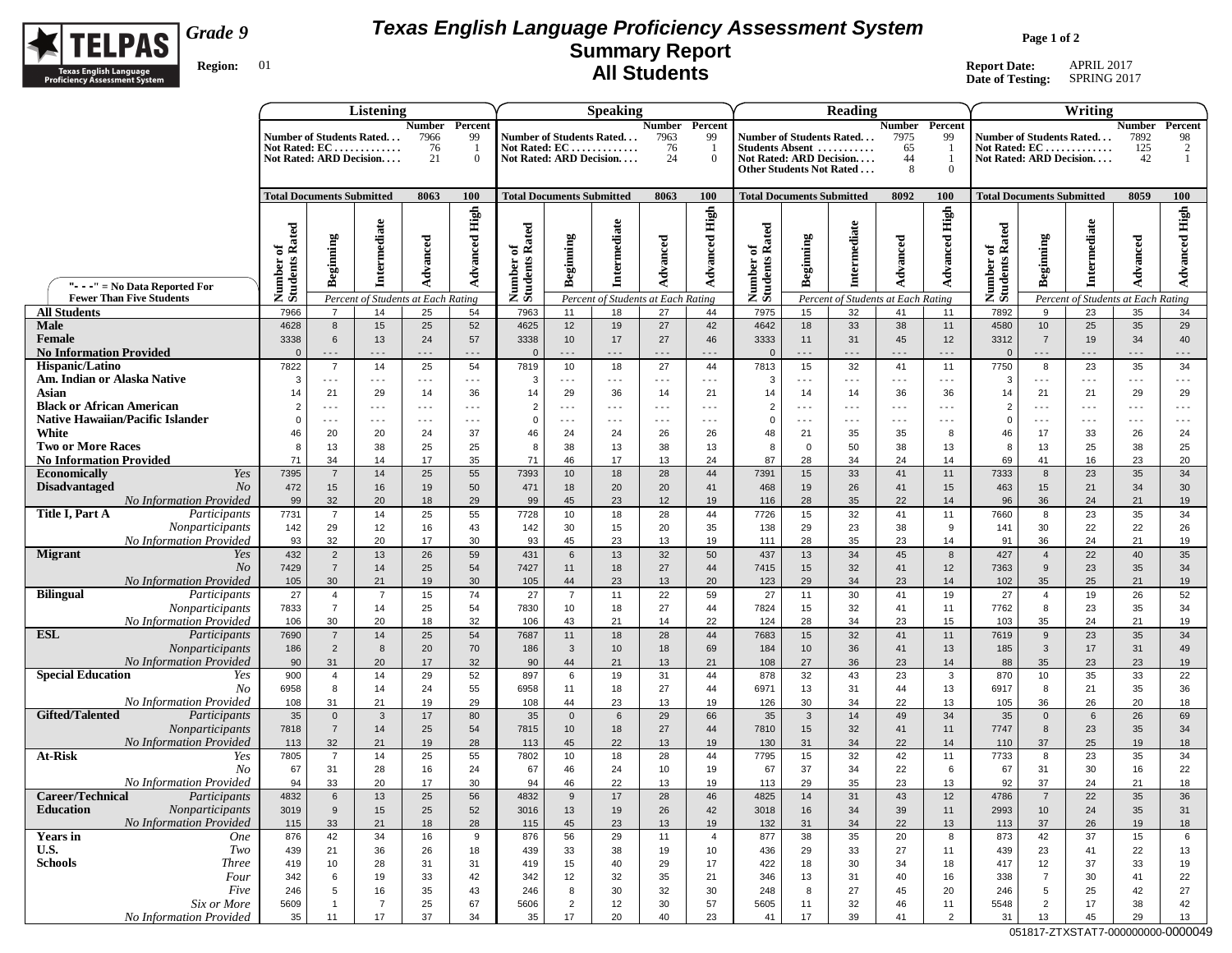

## **Texas English Language Proficiency Assessment System Summary Report All Students**

**Page 1 of 2**

**Report Date:** APRIL 2017 **Date of Testing:** SPRING 2017

|                                                         |                                  | Listening                      |                                                                        |                                    |                                 |                                  |                                 | <b>Speaking</b>                                                        |                                   |                                                   |                                                                                |                                 | Reading                         |                                        |                                                         |                                      |                                              | Writing                                                                |                                    |                                    |
|---------------------------------------------------------|----------------------------------|--------------------------------|------------------------------------------------------------------------|------------------------------------|---------------------------------|----------------------------------|---------------------------------|------------------------------------------------------------------------|-----------------------------------|---------------------------------------------------|--------------------------------------------------------------------------------|---------------------------------|---------------------------------|----------------------------------------|---------------------------------------------------------|--------------------------------------|----------------------------------------------|------------------------------------------------------------------------|------------------------------------|------------------------------------|
|                                                         |                                  |                                | Number of Students Rated<br>Not Rated: $EC$<br>Not Rated: ARD Decision | Number Percent<br>7966<br>76<br>21 | 99<br>- 1<br>$\mathbf{0}$       |                                  |                                 | Number of Students Rated<br>Not Rated: $EC$<br>Not Rated: ARD Decision | <b>Number</b><br>7963<br>76<br>24 | Percent<br>99<br>$\overline{1}$<br>$\overline{0}$ | Number of Students Rated<br>Students Absent<br><b>Other Students Not Rated</b> |                                 | Not Rated: ARD Decision         | <b>Number</b><br>7975<br>65<br>44<br>8 | Percent<br>99<br>$\overline{1}$<br>-1<br>$\overline{0}$ |                                      |                                              | Number of Students Rated<br>Not Rated: $EC$<br>Not Rated: ARD Decision | <b>Number</b><br>7892<br>125<br>42 | Percent<br>98<br>2<br>$\mathbf{1}$ |
|                                                         | <b>Total Documents Submitted</b> |                                |                                                                        | 8063                               | <b>100</b>                      | <b>Total Documents Submitted</b> |                                 |                                                                        | 8063                              | 100                                               | <b>Total Documents Submitted</b>                                               |                                 |                                 | 8092                                   | 100                                                     | <b>Total Documents Submitted</b>     |                                              |                                                                        | 8059                               | 100                                |
| "---" = No Data Reported For                            | Number of<br>Students Rated      | Beginning                      | Intermediate                                                           | Advanced                           | <b>Advanced High</b>            | Rated<br>್<br>Number<br>Students | Beginning                       | Intermediate                                                           | Advanced                          | <b>Advanced High</b>                              | Number of<br>Students Rated                                                    | Beginning                       | Intermediate                    | Advanced                               | <b>Advanced High</b>                                    | Rated<br>đ<br>Number c<br>Students 1 | Beginning                                    | Intermediate                                                           | Advanced                           | High<br>Advanced                   |
| <b>Fewer Than Five Students</b>                         |                                  |                                |                                                                        | Percent of Students at Each Rating |                                 |                                  |                                 | Percent of Students at Each Rating                                     |                                   |                                                   |                                                                                |                                 |                                 | Percent of Students at Each Rating     |                                                         |                                      |                                              | Percent of Students at Each Rating                                     |                                    |                                    |
| <b>All Students</b>                                     | 7966                             | $\overline{7}$                 | 14                                                                     | 25                                 | 54                              | 7963                             | 11                              | 18                                                                     | 27                                | 44                                                | 7975                                                                           | 15                              | 32                              | 41                                     | 11                                                      | 7892                                 | 9                                            | 23                                                                     | 35                                 | 34                                 |
| <b>Male</b><br>Female<br><b>No Information Provided</b> | 4628<br>3338<br>$\Omega$         | 8<br>$6\phantom{1}$<br>$- - -$ | 15<br>13<br>$- - -$                                                    | 25<br>24<br>$- - -$                | 52<br>57<br>$- - -$             | 4625<br>3338<br>$\Omega$         | 12<br>10<br>$- - -$             | 19<br>17<br>$- - -$                                                    | 27<br>27<br>$\sim$ $\sim$ $\sim$  | 42<br>46<br>$- - -$                               | 4642<br>3333<br>$\mathbf{0}$                                                   | 18<br>11<br>.                   | 33<br>31<br>$- - -$             | 38<br>45<br>$- - -$                    | 11<br>12<br>$\sim$ $\sim$ $\sim$                        | 4580<br>3312<br>$\mathbf{0}$         | 10<br>$\overline{7}$<br>$\sim$ $\sim$ $\sim$ | 25<br>19<br>- - -                                                      | 35<br>34<br>$- - -$                | 29<br>40<br>$- - -$                |
| <b>Hispanic/Latino</b>                                  | 7822                             | $\overline{7}$                 | 14                                                                     | 25                                 | 54                              | 7819                             | 10                              | 18                                                                     | 27                                | 44                                                | 7813                                                                           | 15                              | 32                              | 41                                     | 11                                                      | 7750                                 | 8                                            | 23                                                                     | 35                                 | 34                                 |
| Am. Indian or Alaska Native                             | 3                                | $\sim$ $\sim$ $\sim$           | $\sim$ $\sim$ $\sim$                                                   | $\sim$ $\sim$ $\sim$               | $- - -$                         | -3                               | $\sim$ $\sim$ $\sim$            | $\sim$ $\sim$ $\sim$                                                   | $\sim$ $\sim$ $\sim$              | $\sim$ $\sim$ $\sim$                              | 3                                                                              | $\sim$ $\sim$ $\sim$            | $- - -$                         | $\sim$ $\sim$ $\sim$                   | $\sim$ $\sim$ $\sim$                                    | 3                                    | $\sim$ $\sim$ $\sim$                         | $\sim$ $\sim$ $\sim$                                                   | $\sim$ $\sim$ $\sim$               | $\sim$ $\sim$ $\sim$               |
| Asian<br><b>Black or African American</b>               | 14                               | 21                             | 29                                                                     | 14                                 | 36                              | 14                               | 29                              | 36                                                                     | 14                                | 21                                                | 14                                                                             | 14                              | 14                              | 36                                     | 36                                                      | 14                                   | 21                                           | 21                                                                     | 29                                 | 29                                 |
| <b>Native Hawaiian/Pacific Islander</b>                 | $\Omega$                         | $- - -$<br>$- - -$             | $\sim$ $\sim$ $\sim$<br>$- - -$                                        | $\sim$ $\sim$ $\sim$<br>$- - -$    | $\sim$ $\sim$ $\sim$<br>$- - -$ | $\overline{2}$<br>$\mathbf 0$    | $\sim$ $\sim$ $\sim$<br>$- - -$ | $\sim$ $\sim$ $\sim$<br>$- - -$                                        | $\sim$ $\sim$ $\sim$<br>$- - -$   | $\sim$ $\sim$ $\sim$<br>$- - -$                   | $\overline{2}$<br>$\mathbf 0$                                                  | $\sim$ $\sim$ $\sim$<br>$- - -$ | $\sim$ $\sim$ $\sim$<br>$- - -$ | $- - -$<br>$- - -$                     | $\sim$ $\sim$ $\sim$<br>$- - -$                         | $\overline{2}$<br>$\mathbf 0$        | $\sim$ $\sim$ $\sim$<br>$- - -$              | $- - -$<br>$- - -$                                                     | $\sim$ $\sim$ $\sim$<br>$- - -$    | $\sim$ $\sim$ $\sim$<br>$- - -$    |
| White                                                   | 46                               | 20                             | 20                                                                     | 24                                 | 37                              | 46                               | 24                              | 24                                                                     | 26                                | 26                                                | 48                                                                             | 21                              | 35                              | 35                                     | 8                                                       | 46                                   | 17                                           | 33                                                                     | 26                                 | 24                                 |
| <b>Two or More Races</b>                                | 8                                | 13                             | 38                                                                     | 25                                 | 25                              | 8                                | 38                              | 13                                                                     | 38                                | 13                                                | 8                                                                              | $\mathbf 0$                     | 50                              | 38                                     | 13                                                      | 8                                    | 13                                           | 25                                                                     | 38                                 | 25                                 |
| <b>No Information Provided</b>                          | 71                               | 34                             | 14                                                                     | 17                                 | 35                              | 71                               | 46                              | 17                                                                     | 13                                | 24                                                | 87                                                                             | 28                              | 34                              | 24                                     | 14                                                      | 69                                   | 41                                           | 16                                                                     | 23                                 | 20                                 |
| <b>Economically</b><br>Yes                              | 7395                             | $\overline{7}$                 | 14                                                                     | 25                                 | 55                              | 7393                             | 10                              | 18                                                                     | 28                                | 44                                                | 7391                                                                           | 15                              | 33                              | 41                                     | 11                                                      | 7333                                 | 8                                            | 23                                                                     | 35                                 | 34                                 |
| <b>Disadvantaged</b><br>No                              | 472                              | 15                             | 16                                                                     | 19                                 | 50                              | 471                              | 18                              | 20                                                                     | 20                                | 41                                                | 468                                                                            | 19                              | 26                              | 41                                     | 15                                                      | 463                                  | 15                                           | 21                                                                     | 34                                 | 30                                 |
| <b>No Information Provided</b>                          | 99                               | 32                             | 20                                                                     | 18                                 | 29                              | 99                               | 45                              | 23                                                                     | 12                                | 19                                                | 116                                                                            | 28                              | 35                              | 22                                     | 14                                                      | 96                                   | 36                                           | 24                                                                     | 21                                 | 19                                 |
| Title I, Part A<br>Participants                         | 7731                             | $\overline{7}$                 | 14                                                                     | 25                                 | 55                              | 7728                             | 10                              | 18                                                                     | 28                                | 44                                                | 7726                                                                           | 15                              | 32                              | 41                                     | 11                                                      | 7660                                 | 8                                            | 23                                                                     | 35                                 | 34                                 |
| Nonparticipants                                         | 142                              | 29                             | 12                                                                     | 16                                 | 43                              | 142                              | 30                              | 15                                                                     | 20                                | 35                                                | 138                                                                            | 29                              | 23                              | 38                                     | 9                                                       | 141                                  | 30                                           | 22                                                                     | 22                                 | 26                                 |
| <b>No Information Provided</b><br><b>Migrant</b><br>Yes | 93<br>432                        | 32<br>$\overline{2}$           | 20<br>13                                                               | 17<br>26                           | 30<br>59                        | 93<br>431                        | 45<br>$6\phantom{1}$            | 23<br>13                                                               | 13<br>32                          | 19<br>50                                          | 111<br>437                                                                     | 28<br>13                        | 35<br>34                        | 23<br>45                               | 14<br>8                                                 | 91<br>427                            | 36<br>$\overline{4}$                         | 24<br>22                                                               | 21<br>40                           | 19<br>35                           |
| No.                                                     | 7429                             | $\overline{7}$                 | 14                                                                     | 25                                 | 54                              | 7427                             | 11                              | 18                                                                     | 27                                | 44                                                | 7415                                                                           | 15                              | 32                              | 41                                     | 12                                                      | 7363                                 | $9\,$                                        | 23                                                                     | 35                                 | 34                                 |
| <b>No Information Provided</b>                          | 105                              | 30                             | 21                                                                     | 19                                 | 30                              | 105                              | 44                              | 23                                                                     | 13                                | 20                                                | 123                                                                            | 29                              | 34                              | 23                                     | 14                                                      | 102                                  | 35                                           | 25                                                                     | 21                                 | 19                                 |
| <b>Bilingual</b><br>Participants                        | 27                               | $\overline{4}$                 | $\overline{7}$                                                         | 15                                 | 74                              | 27                               | $\overline{7}$                  | 11                                                                     | 22                                | 59                                                | 27                                                                             | 11                              | 30                              | 41                                     | 19                                                      | 27                                   | $\overline{4}$                               | 19                                                                     | 26                                 | 52                                 |
| Nonparticipants                                         | 7833                             | $\overline{7}$                 | 14                                                                     | 25                                 | 54                              | 7830                             | 10                              | 18                                                                     | 27                                | 44                                                | 7824                                                                           | 15                              | 32                              | 41                                     | 11                                                      | 7762                                 | 8                                            | 23                                                                     | 35                                 | 34                                 |
| No Information Provided                                 | 106                              | 30                             | 20                                                                     | 18                                 | 32                              | 106                              | 43                              | 21                                                                     | 14                                | 22                                                | 124                                                                            | 28                              | 34                              | 23                                     | 15                                                      | 103                                  | 35                                           | 24                                                                     | 21                                 | 19                                 |
| <b>ESL</b><br>Participants                              | 7690                             | $\overline{7}$                 | 14                                                                     | 25                                 | 54                              | 7687                             | 11                              | 18                                                                     | 28                                | 44                                                | 7683                                                                           | 15                              | 32                              | 41                                     | 11                                                      | 7619                                 | $\boldsymbol{9}$                             | 23                                                                     | 35                                 | 34                                 |
| Nonparticipants                                         | 186                              | $\overline{2}$                 | 8                                                                      | 20                                 | 70                              | 186                              | $\mathbf{3}$                    | 10                                                                     | 18                                | 69                                                | 184                                                                            | 10 <sup>1</sup>                 | 36                              | 41                                     | 13                                                      | 185                                  | $\mathbf{3}$                                 | 17                                                                     | 31                                 | 49                                 |
| <b>No Information Provided</b><br>Yes                   | 90                               | 31                             | 20                                                                     | 17                                 | 32                              | 90                               | 44                              | 21                                                                     | 13                                | 21                                                | 108                                                                            | 27                              | 36                              | 23                                     | 14                                                      | 88                                   | 35                                           | 23                                                                     | 23                                 | 19<br>22                           |
| <b>Special Education</b><br>No                          | 900<br>6958                      | $\overline{4}$<br>8            | 14<br>14                                                               | 29<br>24                           | 52<br>55                        | 897<br>6958                      | 6<br>11                         | 19<br>18                                                               | 31<br>27                          | 44<br>44                                          | 878<br>6971                                                                    | 32<br>13                        | 43<br>31                        | 23<br>44                               | $\mathbf{3}$<br>13                                      | 870<br>6917                          | 10<br>8                                      | 35<br>21                                                               | 33<br>35                           | 36                                 |
| No Information Provided                                 | 108                              | 31                             | 21                                                                     | 19                                 | 29                              | 108                              | 44                              | 23                                                                     | 13                                | 19                                                | 126                                                                            | 30                              | 34                              | 22                                     | 13                                                      | 105                                  | 36                                           | 26                                                                     | 20                                 | 18                                 |
| <b>Gifted/Talented</b><br>Participants                  | 35                               | $\mathbf{0}$                   | $\mathbf{3}$                                                           | 17                                 | 80                              | 35                               | $\mathbf{0}$                    | $6\phantom{1}$                                                         | 29                                | 66                                                | 35                                                                             | $\mathbf{3}$                    | 14                              | 49                                     | 34                                                      | 35                                   | $\mathbf 0$                                  | $6\phantom{1}$                                                         | 26                                 | 69                                 |
| Nonparticipants                                         | 7818                             | $\overline{7}$                 | 14                                                                     | 25                                 | 54                              | 7815                             | 10 <sup>1</sup>                 | 18                                                                     | 27                                | 44                                                | 7810                                                                           | 15                              | 32                              | 41                                     | 11                                                      | 7747                                 | 8                                            | 23                                                                     | 35                                 | 34                                 |
| <b>No Information Provided</b>                          | 113                              | 32                             | 21                                                                     | 19                                 | 28                              | 113                              | 45                              | 22                                                                     | 13                                | 19                                                | 130                                                                            | 31                              | 34                              | 22                                     | 14                                                      | 110                                  | 37                                           | 25                                                                     | 19                                 | 18                                 |
| <b>At-Risk</b><br>Yes                                   | 7805                             | $\overline{7}$                 | 14                                                                     | 25                                 | 55                              | 7802                             | 10                              | 18                                                                     | 28                                | 44                                                | 7795                                                                           | 15                              | 32                              | 42                                     | 11                                                      | 7733                                 | 8                                            | 23                                                                     | 35                                 | 34                                 |
| No                                                      | 67                               | 31                             | 28                                                                     | 16                                 | 24                              | 67                               | 46                              | 24                                                                     | 10                                | 19                                                | 67                                                                             | 37                              | 34                              | 22                                     | 6                                                       | 67                                   | 31                                           | 30                                                                     | 16                                 | 22                                 |
| No Information Provided<br>Career/Technical             | 94<br>4832                       | 33<br>$6\phantom{1}6$          | 20<br>$13$                                                             | 17<br>25                           | 30<br>56                        | 94<br>4832                       | 46                              | 22<br>17                                                               | 13<br>28                          | 19                                                | 113<br>4825                                                                    | 29                              | 35<br>31                        | 23<br>43                               | 13<br>12                                                | 92                                   | 37<br>$\overline{7}$                         | 24<br>22                                                               | 21<br>35                           | 18<br>36                           |
| Participants<br>Nonparticipants<br><b>Education</b>     | 3019                             | 9                              | 15                                                                     | 25                                 | 52                              | 3016                             | 9<br>13                         | 19                                                                     | 26                                | 46<br>42                                          | 3018                                                                           | 14<br>16                        | 34                              | 39                                     | 11                                                      | 4786<br>2993                         | 10                                           | 24                                                                     | 35                                 | 31                                 |
| No Information Provided                                 | 115                              | 33                             | 21                                                                     | 18                                 | 28                              | 115                              | 45                              | 23                                                                     | 13                                | 19                                                | 132                                                                            | 31                              | 34                              | 22                                     | 13                                                      | 113                                  | 37                                           | 26                                                                     | 19                                 | 18                                 |
| <b>Years</b> in<br><b>One</b>                           | 876                              | 42                             | 34                                                                     | 16                                 | 9                               | 876                              | 56                              | 29                                                                     | 11                                | $\overline{4}$                                    | 877                                                                            | 38                              | 35                              | 20                                     | 8                                                       | 873                                  | 42                                           | 37                                                                     | 15                                 | 6                                  |
| U.S.<br>Two                                             | 439                              | 21                             | 36                                                                     | 26                                 | 18                              | 439                              | 33                              | 38                                                                     | 19                                | 10                                                | 436                                                                            | 29                              | 33                              | 27                                     | 11                                                      | 439                                  | 23                                           | 41                                                                     | 22                                 | 13                                 |
| <b>Schools</b><br><b>Three</b>                          | 419                              | 10                             | 28                                                                     | 31                                 | 31                              | 419                              | 15                              | 40                                                                     | 29                                | 17                                                | 422                                                                            | 18                              | 30                              | 34                                     | 18                                                      | 417                                  | 12                                           | 37                                                                     | 33                                 | 19                                 |
| Four                                                    | 342                              | 6                              | 19                                                                     | 33                                 | 42                              | 342                              | 12                              | 32                                                                     | 35                                | 21                                                | 346                                                                            | 13                              | 31                              | 40                                     | 16                                                      | 338                                  | $\overline{7}$                               | 30                                                                     | 41                                 | 22                                 |
| Five                                                    | 246                              | $\sqrt{5}$                     | 16                                                                     | 35                                 | 43                              | 246                              | 8                               | 30                                                                     | 32                                | 30                                                | 248                                                                            | 8                               | 27                              | 45                                     | 20                                                      | 246                                  | $5\phantom{.0}$                              | 25                                                                     | 42                                 | 27                                 |
| Six or More<br>No Information Provided                  | 5609<br>35                       | $\mathbf{1}$<br>11             | $\overline{7}$<br>17                                                   | 25<br>37                           | 67<br>34                        | 5606<br>35                       | $\overline{2}$<br>17            | 12<br>20                                                               | 30<br>40                          | 57<br>23                                          | 5605<br>41                                                                     | 11<br>17                        | 32<br>39                        | 46<br>41                               | 11<br>$\overline{2}$                                    | 5548<br>31                           | $\overline{2}$<br>13                         | 17<br>45                                                               | 38<br>29                           | 42<br>13                           |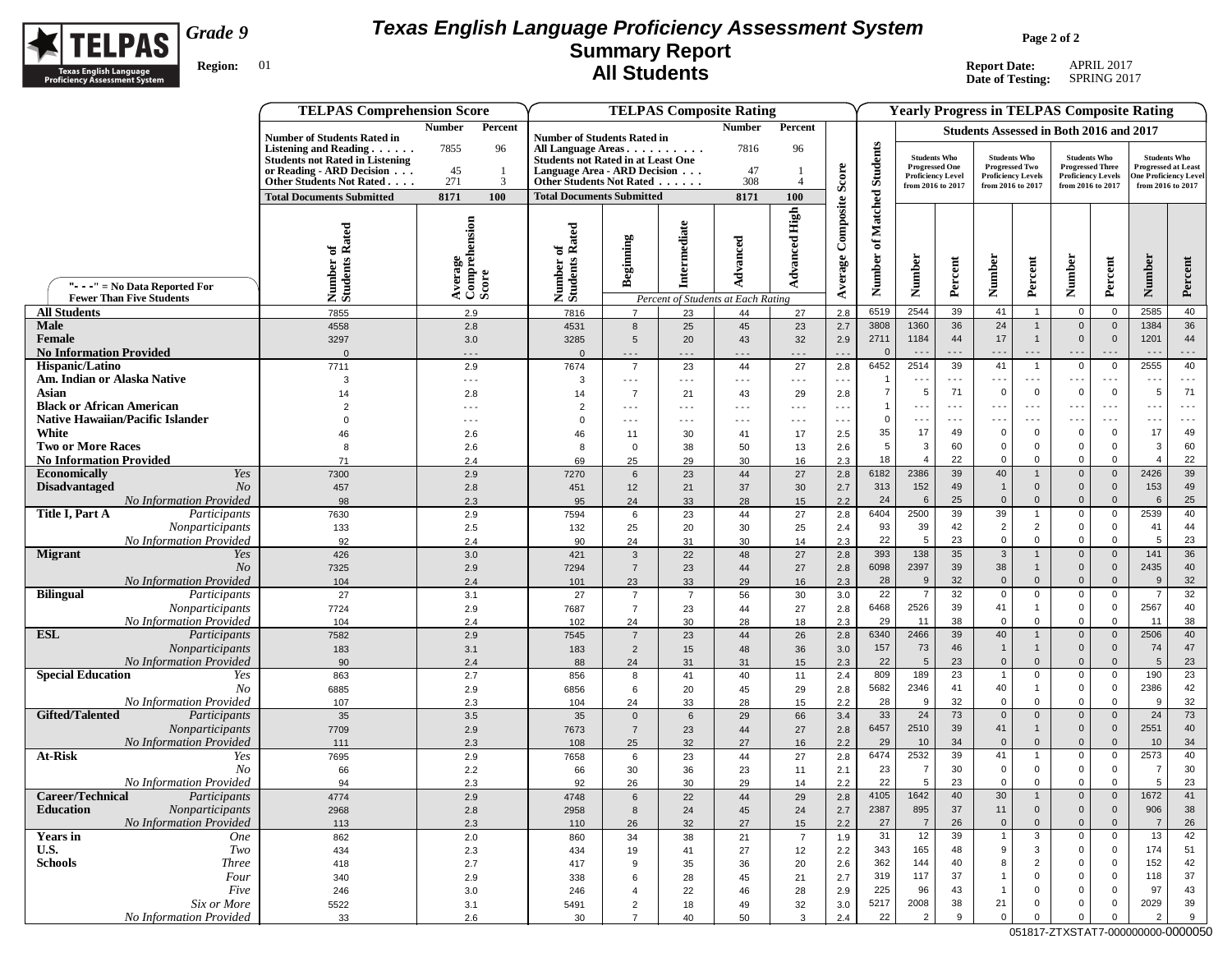

## **Texas English Language Proficiency Assessment System Summary Report All Students**

**Page 2 of 2**

**Report Date:** APRIL 2017 **Date of Testing:** SPRING 2017

|                                                                   | <b>TELPAS Comprehension Score</b>                                   |                                   |                                                                           |                      |                            | <b>TELPAS Composite Rating</b>     |                            |                      |                                |                                              |                                               |                                                |                              |                                                |                                     | <b>Yearly Progress in TELPAS Composite Rating</b> |                                              |
|-------------------------------------------------------------------|---------------------------------------------------------------------|-----------------------------------|---------------------------------------------------------------------------|----------------------|----------------------------|------------------------------------|----------------------------|----------------------|--------------------------------|----------------------------------------------|-----------------------------------------------|------------------------------------------------|------------------------------|------------------------------------------------|-------------------------------------|---------------------------------------------------|----------------------------------------------|
|                                                                   |                                                                     | <b>Number</b><br>Percent          |                                                                           |                      |                            | <b>Number</b>                      | Percent                    |                      |                                |                                              |                                               | <b>Students Assessed in Both 2016 and 2017</b> |                              |                                                |                                     |                                                   |                                              |
|                                                                   | <b>Number of Students Rated in</b><br>Listening and Reading         | 96<br>7855                        | <b>Number of Students Rated in</b><br>All Language Areas                  |                      |                            | 7816                               | 96                         |                      |                                |                                              |                                               |                                                |                              |                                                |                                     |                                                   |                                              |
|                                                                   | <b>Students not Rated in Listening</b><br>or Reading - ARD Decision | 45<br>-1                          | <b>Students not Rated in at Least One</b><br>Language Area - ARD Decision |                      |                            | 47                                 |                            |                      | <b>Students</b>                | <b>Students Who</b><br><b>Progressed One</b> |                                               | <b>Students Who</b><br><b>Progressed Two</b>   |                              | <b>Students Who</b><br><b>Progressed Three</b> |                                     | <b>Students Who</b><br><b>Progressed at Least</b> |                                              |
|                                                                   | Other Students Not Rated                                            | 271<br>3                          | Other Students Not Rated                                                  |                      |                            | 308                                | $\overline{4}$             | Score                |                                |                                              | <b>Proficiency Level</b><br>from 2016 to 2017 | <b>Proficiency Levels</b><br>from 2016 to 2017 |                              | <b>Proficiency Levels</b><br>from 2016 to 2017 |                                     | <b>One Proficiency Level</b><br>from 2016 to 2017 |                                              |
|                                                                   | <b>Total Documents Submitted</b>                                    | 8171<br>100                       | <b>Total Documents Submitted</b>                                          |                      |                            | 8171                               | 100                        |                      |                                |                                              |                                               |                                                |                              |                                                |                                     |                                                   |                                              |
|                                                                   | Number of<br>Students Rated                                         | Average<br>Comprehension<br>Score | Number of<br>Students Rated                                               | Beginning            | Intermediate               | Advanced                           | <b>Advanced High</b>       | Composite<br>Average | Matched<br>$\epsilon$<br>umber | <b>Number</b>                                | Percent                                       | <b>Number</b>                                  | Percent                      | Number                                         | Percent                             | Number                                            | Percent                                      |
| "- - -" = No Data Reported For<br><b>Fewer Than Five Students</b> |                                                                     |                                   |                                                                           |                      |                            | Percent of Students at Each Rating |                            |                      | ź                              |                                              |                                               |                                                |                              |                                                |                                     |                                                   |                                              |
| <b>All Students</b>                                               | 7855                                                                | 2.9                               | 7816                                                                      | $\overline{7}$       | 23                         | 44                                 | 27                         | 2.8                  | 6519                           | 2544                                         | 39                                            | 41                                             | $\mathbf{1}$                 | $\mathbf 0$                                    | $\mathbf 0$                         | 2585                                              | 40                                           |
| Male                                                              | 4558                                                                | 2.8                               | 4531                                                                      | 8                    | 25                         | 45                                 | 23                         | 2.7                  | 3808                           | 1360                                         | 36                                            | 24                                             | $\mathbf{1}$                 | $\mathbf 0$                                    | $\mathbf{0}$                        | 1384                                              | 36                                           |
| Female                                                            | 3297                                                                | $3.0\,$                           | 3285                                                                      | $5\phantom{.0}$      | 20                         | 43                                 | 32                         | 2.9                  | 2711                           | 1184                                         | 44                                            | 17                                             | $\mathbf{1}$                 | $\overline{0}$                                 | $\mathbf{0}$                        | 1201                                              | 44                                           |
| <b>No Information Provided</b>                                    | $\Omega$                                                            | $- - -$                           | $\mathbf{0}$                                                              | $- - -$              |                            | $- - -$                            | $\overline{\phantom{a}}$ . | $\sim$ $\sim$        | $\Omega$                       | $- - -$                                      | $- - -$                                       | $- - -$                                        | $- - -$                      | $- - -$                                        | $- - -$                             | $- -$                                             | $\sim$ $\sim$ $\sim$                         |
| Hispanic/Latino                                                   | 7711                                                                | 2.9                               | 7674                                                                      | $\overline{7}$       | 23                         | 44                                 | 27                         | 2.8                  | 6452                           | 2514                                         | 39                                            | 41                                             | $\overline{1}$               | $\mathbf 0$                                    | $\overline{0}$                      | 2555                                              | 40                                           |
| Am. Indian or Alaska Native                                       | 3                                                                   | $- - -$                           | 3                                                                         | $\sim$ $\sim$ $\sim$ | $- - -$                    | $- - -$                            | $- - -$                    | $- - -$              |                                | $- - -$                                      | $- - -$                                       | .                                              | $- - -$                      | $\sim$ $\sim$ $\sim$                           | $- - -$                             | $  -$                                             | $\sim$ $\sim$ $\sim$                         |
| Asian                                                             | 14                                                                  | 2.8                               | 14                                                                        | $\overline{7}$       | 21                         | 43                                 | 29                         | 2.8                  | $\overline{7}$                 | 5                                            | 71                                            | $\mathbf 0$                                    | $\mathbf 0$                  | $\overline{0}$                                 | $\mathbf 0$                         | 5                                                 | 71                                           |
| <b>Black or African American</b>                                  |                                                                     | $- - -$                           | $\overline{2}$                                                            | $\sim$ $\sim$ $\sim$ | $- - -$                    | $- - -$                            | $- - -$                    | $\sim$ $\sim$        | $\mathbf{1}$<br>$\mathbf 0$    | $- - -$                                      | $- - -$                                       | .                                              | $- - -$<br>$- - -$           | $\sim$ $\sim$ $\sim$                           | $\sim$ $\sim$ $\sim$                | $  -$<br>- - -                                    | $\sim$ $\sim$ $\sim$<br>$\sim$ $\sim$ $\sim$ |
| <b>Native Hawaiian/Pacific Islander</b><br>White                  | 46                                                                  | $- - -$                           | $\Omega$<br>46                                                            | $\sim$ $\sim$ $\sim$ | $\sim$ $\sim$ $\sim$<br>30 | $\sim$ $\sim$ $\sim$<br>41         | $- - -$<br>17              | $- - -$<br>2.5       | 35                             | $- - -$<br>17                                | $- - -$<br>49                                 | - - -<br>$\overline{0}$                        | 0                            | $\sim$ $\sim$ $\sim$<br>$\mathbf 0$            | $\sim$ $\sim$ $\sim$<br>$\mathbf 0$ | 17                                                | 49                                           |
| <b>Two or More Races</b>                                          | 8                                                                   | 2.6<br>2.6                        | 8                                                                         | 11<br>$\mathbf 0$    | 38                         | 50                                 | 13                         | 2.6                  | $5\phantom{.0}$                | 3                                            | 60                                            | $\mathbf 0$                                    | $\mathbf 0$                  | $\mathbf 0$                                    | $\mathbf 0$                         | 3                                                 | 60                                           |
| <b>No Information Provided</b>                                    | 71                                                                  | 2.4                               | 69                                                                        | 25                   | 29                         | 30                                 | 16                         | 2.3                  | 18                             | $\overline{4}$                               | 22                                            | $\mathbf 0$                                    | $\mathbf 0$                  | $\mathbf 0$                                    | $\mathbf 0$                         | $\overline{4}$                                    | 22                                           |
| <b>Economically</b><br>Yes                                        | 7300                                                                | 2.9                               | 7270                                                                      | 6                    | 23                         | 44                                 | 27                         | 2.8                  | 6182                           | 2386                                         | 39                                            | 40                                             | $\mathbf{1}$                 | $\mathbf 0$                                    | $\mathbf{0}$                        | 2426                                              | 39                                           |
| <b>Disadvantaged</b><br>N <sub>O</sub>                            | 457                                                                 | 2.8                               | 451                                                                       | 12                   | 21                         | 37                                 | 30                         | 2.7                  | 313                            | 152                                          | 49                                            | $\mathbf{1}$                                   | $\mathbf 0$                  | $\mathbf 0$                                    | $\mathbf 0$                         | 153                                               | 49                                           |
| No Information Provided                                           | 98                                                                  | 2.3                               | 95                                                                        | 24                   | 33                         | 28                                 | 15                         | 2.2                  | 24                             | $6\phantom{1}6$                              | 25                                            | $\Omega$                                       | $\mathbf 0$                  | $\overline{0}$                                 | $\mathbf{0}$                        | 6                                                 | 25                                           |
| Title I, Part A<br>Participants                                   | 7630                                                                | 2.9                               | 7594                                                                      | 6                    | 23                         | 44                                 | 27                         | 2.8                  | 6404                           | 2500                                         | 39                                            | 39                                             | $\overline{1}$               | $\overline{0}$                                 | $\mathbf 0$                         | 2539                                              | 40                                           |
| Nonparticipants                                                   | 133                                                                 | 2.5                               | 132                                                                       | 25                   | 20                         | 30                                 | 25                         | 2.4                  | 93                             | 39                                           | 42                                            | $\overline{2}$                                 | $\overline{2}$               | $\mathbf 0$                                    | $\mathbf 0$                         | 41                                                | 44                                           |
| <b>No Information Provided</b>                                    | 92                                                                  | 2.4                               | 90                                                                        | 24                   | 31                         | 30                                 | 14                         | 2.3                  | 22                             | 5                                            | 23                                            | $\mathbf 0$                                    | $\mathbf 0$                  | $\mathbf 0$                                    | $\mathbf 0$                         | 5                                                 | 23                                           |
| <b>Migrant</b><br>Yes                                             | 426                                                                 | $3.0\,$                           | 421                                                                       | 3                    | 22                         | 48                                 | 27                         | 2.8                  | 393                            | 138                                          | 35                                            | $\mathbf{3}$                                   | $\mathbf{1}$                 | $\mathbf 0$                                    | $\mathbf 0$                         | 141                                               | 36                                           |
| N <sub>o</sub>                                                    | 7325                                                                | 2.9                               | 7294                                                                      | $\overline{7}$       | 23                         | 44                                 | 27                         | 2.8                  | 6098                           | 2397                                         | 39<br>32                                      | 38                                             | $\mathbf{1}$                 | $\mathbb O$                                    | $\mathbf{0}$                        | 2435                                              | 40                                           |
| No Information Provided<br><b>Bilingual</b><br>Participants       | 104<br>27                                                           | 2.4<br>3.1                        | 101<br>27                                                                 | 23<br>$\overline{7}$ | 33<br>$\overline{7}$       | 29<br>56                           | 16<br>30                   | 2.3<br>3.0           | 28<br>22                       | 9<br>$\overline{7}$                          | 32                                            | $\mathbf 0$<br>$\mathbf 0$                     | $\mathbf 0$<br>$\mathsf 0$   | $\mathbf 0$<br>$\mathbf 0$                     | $\mathbf 0$<br>$\mathbf 0$          | 9<br>$\overline{7}$                               | 32<br>32                                     |
| Nonparticipants                                                   | 7724                                                                | 2.9                               | 7687                                                                      | $\overline{7}$       | 23                         | 44                                 | 27                         | 2.8                  | 6468                           | 2526                                         | 39                                            | 41                                             | $\mathbf{1}$                 | $\overline{0}$                                 | $\mathbf 0$                         | 2567                                              | 40                                           |
| No Information Provided                                           | 104                                                                 | 2.4                               | 102                                                                       | 24                   | 30                         | 28                                 | 18                         | 2.3                  | 29                             | 11                                           | 38                                            | $\mathbf 0$                                    | $\mathbf 0$                  | $\overline{0}$                                 | $\mathbf 0$                         | 11                                                | 38                                           |
| <b>ESL</b><br>Participants                                        | 7582                                                                | 2.9                               | 7545                                                                      | $\overline{7}$       | 23                         | 44                                 | 26                         | 2.8                  | 6340                           | 2466                                         | 39                                            | 40                                             | $\mathbf{1}$                 | $\mathbf 0$                                    | $\mathbf 0$                         | 2506                                              | 40                                           |
| Nonparticipants                                                   | 183                                                                 | 3.1                               | 183                                                                       | $\overline{2}$       | 15                         | 48                                 | 36                         | 3.0                  | 157                            | 73                                           | 46                                            | $\overline{1}$                                 | $\mathbf{1}$                 | $\mathbf 0$                                    | $\mathbf 0$                         | 74                                                | 47                                           |
| No Information Provided                                           | 90                                                                  | 2.4                               | 88                                                                        | 24                   | 31                         | 31                                 | 15                         | 2.3                  | 22                             | $5\phantom{.0}$                              | 23                                            | $\overline{0}$                                 | $\mathbf{0}$                 | $\overline{0}$                                 | $\mathbf{0}$                        | 5                                                 | 23                                           |
| <b>Special Education</b><br>Yes                                   | 863                                                                 | 2.7                               | 856                                                                       | 8                    | 41                         | 40                                 | 11                         | 2.4                  | 809                            | 189                                          | 23                                            | $\mathbf{1}$                                   | $\mathbf 0$                  | $\mathbf 0$                                    | $\mathbf 0$                         | 190                                               | 23                                           |
| No                                                                | 6885                                                                | 2.9                               | 6856                                                                      | 6                    | 20                         | 45                                 | 29                         | 2.8                  | 5682                           | 2346                                         | 41                                            | 40                                             | $\mathbf{1}$                 | $\mathbf 0$                                    | $\mathbf 0$                         | 2386                                              | 42                                           |
| <b>No Information Provided</b>                                    | 107                                                                 | 2.3                               | 104                                                                       | 24                   | 33                         | 28                                 | 15                         | 2.2                  | 28                             | 9                                            | 32                                            | $\mathbf 0$                                    | $\mathsf 0$                  | $\mathbf 0$                                    | $\mathbf 0$                         | 9                                                 | 32                                           |
| <b>Gifted/Talented</b><br>Participants                            | 35                                                                  | $3.5\,$                           | 35                                                                        | $\mathbf 0$          | $\,6\,$                    | 29                                 | 66                         | 3.4                  | 33<br>6457                     | 24                                           | 73<br>39                                      | $\mathbf{0}$<br>41                             | $\mathbf{0}$<br>$\mathbf{1}$ | $\mathbf 0$<br>$\overline{0}$                  | $\mathbf 0$<br>$\mathbf{0}$         | 24                                                | 73<br>40                                     |
| Nonparticipants<br><b>No Information Provided</b>                 | 7709<br>111                                                         | 2.9<br>2.3                        | 7673<br>108                                                               | $\overline{7}$<br>25 | 23<br>32                   | 44<br>27                           | 27<br>16                   | 2.8<br>2.2           | 29                             | 2510<br>10                                   | 34                                            | $\mathbf 0$                                    | $\mathbf 0$                  | $\overline{0}$                                 | $\mathbf 0$                         | 2551<br>10                                        | 34                                           |
| At-Risk<br>Yes                                                    | 7695                                                                | 2.9                               | 7658                                                                      | 6                    | 23                         | 44                                 | 27                         | 2.8                  | 6474                           | 2532                                         | 39                                            | 41                                             | $\mathbf{1}$                 | $\mathbf 0$                                    | 0                                   | 2573                                              | 40                                           |
| N <sub>O</sub>                                                    | 66                                                                  | 2.2                               | 66                                                                        | 30                   | 36                         | 23                                 | 11                         | 2.1                  | 23                             | $\overline{7}$                               | 30                                            | $\mathbf 0$                                    | $\mathsf 0$                  | $\mathbf 0$                                    | $\mathbf 0$                         | $\overline{7}$                                    | 30                                           |
| No Information Provided                                           | 94                                                                  | 2.3                               | 92                                                                        | 26                   | 30                         | 29                                 | 14                         | 2.2                  | 22                             | 5                                            | 23                                            | $\mathbf 0$                                    | $\mathsf 0$                  | $\mathbf 0$                                    | 0                                   | 5                                                 | 23                                           |
| Career/Technical<br>Participants                                  | 4774                                                                | 2.9                               | 4748                                                                      | $6\overline{6}$      | 22                         | $44\,$                             | 29                         | 2.8                  | 4105                           | 1642                                         | 40                                            | 30                                             | $\mathbf{1}$                 | $\mathbf{0}$                                   | $\mathbf{0}$                        | 1672                                              | 41                                           |
| <b>Education</b><br>Nonparticipants                               | 2968                                                                | 2.8                               | 2958                                                                      | 8                    | 24                         | 45                                 | 24                         | 2.7                  | 2387                           | 895                                          | 37                                            | 11                                             | $\mathsf{O}\xspace$          | $\mathbf 0$                                    | $\mathsf{O}\xspace$                 | 906                                               | 38                                           |
| <b>No Information Provided</b>                                    | 113                                                                 | 2.3                               | 110                                                                       | 26                   | 32                         | 27                                 | 15                         | 2.2                  | 27                             | $\overline{7}$                               | 26                                            | $\mathbf 0$                                    | $\mathbf 0$                  | $\mathbf 0$                                    | $\mathbf{0}$                        | $\overline{7}$                                    | 26                                           |
| <b>Years in</b><br><b>One</b>                                     | 862                                                                 | 2.0                               | 860                                                                       | 34                   | 38                         | 21                                 | $\overline{7}$             | 1.9                  | 31                             | 12                                           | 39                                            | $\mathbf 1$                                    | 3                            | 0                                              | 0                                   | 13                                                | 42                                           |
| U.S.<br>Two                                                       | 434                                                                 | 2.3                               | 434                                                                       | 19                   | 41                         | 27                                 | 12                         | 2.2                  | 343                            | 165                                          | 48                                            | 9                                              | 3                            | $\mathbf 0$                                    | 0                                   | 174                                               | 51                                           |
| <b>Schools</b><br><b>Three</b>                                    | 418                                                                 | 2.7                               | 417                                                                       | 9                    | 35                         | 36                                 | 20                         | 2.6                  | 362                            | 144                                          | 40                                            | 8                                              | $\overline{2}$               | $\mathbf 0$                                    | 0                                   | 152                                               | 42                                           |
| Four<br>Five                                                      | 340<br>246                                                          | 2.9                               | 338                                                                       | 6<br>$\overline{4}$  | 28                         | 45                                 | 21<br>28                   | 2.7                  | 319<br>225                     | 117<br>96                                    | 37<br>43                                      | $\overline{\mathbf{1}}$                        | 0<br>$\mathbf 0$             | $\mathbf 0$<br>$\mathbf 0$                     | 0<br>$\mathbf 0$                    | 118<br>97                                         | 37<br>43                                     |
| Six or More                                                       | 5522                                                                | $3.0\,$<br>3.1                    | 246<br>5491                                                               | $\overline{2}$       | 22<br>18                   | 46<br>49                           | 32                         | 2.9<br>3.0           | 5217                           | 2008                                         | 38                                            | 21                                             | 0                            | 0                                              | 0                                   | 2029                                              | 39                                           |
| No Information Provided                                           | 33                                                                  | 2.6                               | 30                                                                        | $\overline{7}$       | 40                         | 50                                 | $\mathbf{3}$               | 2.4                  | 22                             | $\overline{2}$                               | 9                                             | 0                                              | $\mathsf 0$                  | $\overline{0}$                                 | 0                                   | $\overline{2}$                                    | 9                                            |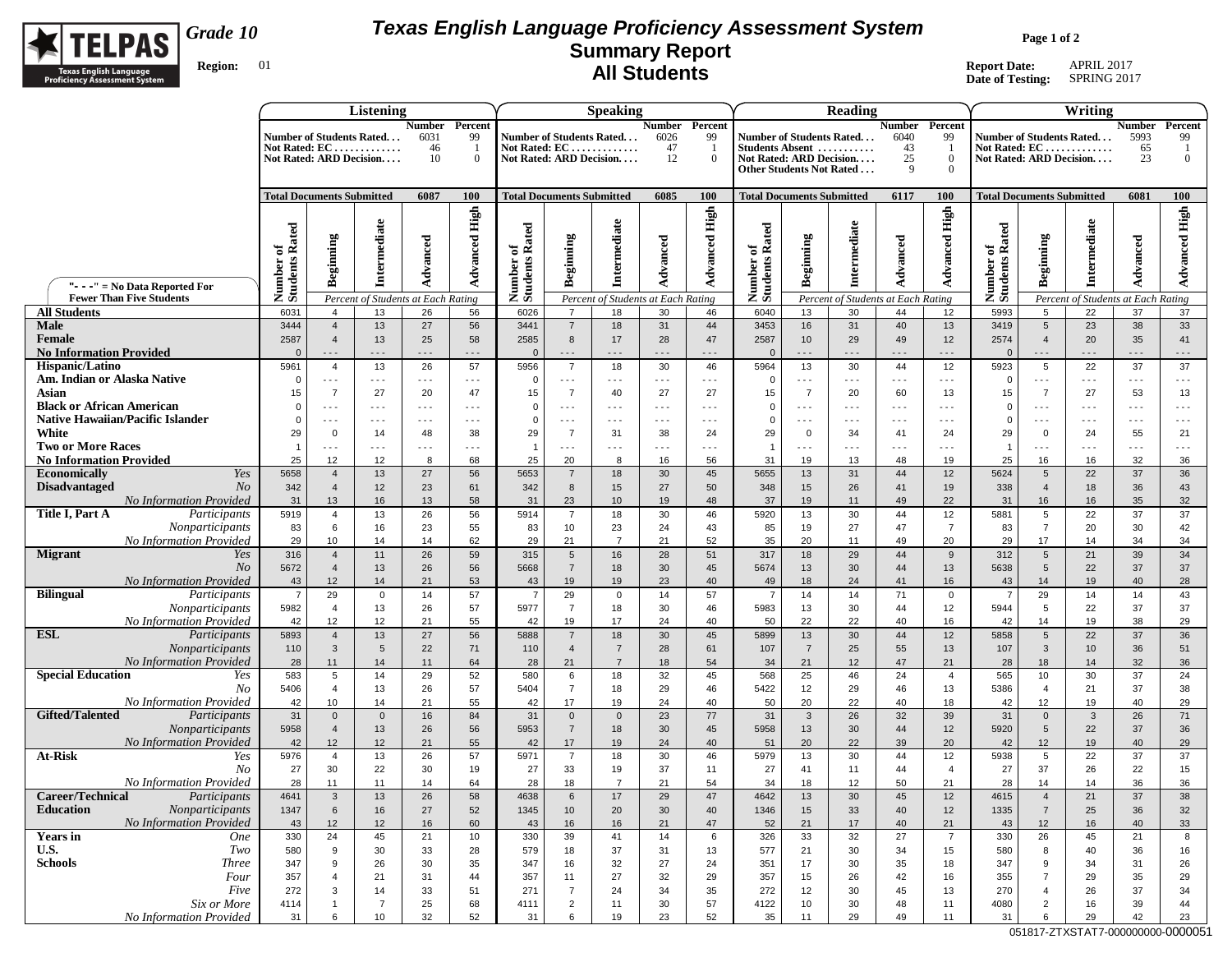

# *Grade 10*

### **Region:** 01

## **Texas English Language Proficiency Assessment System Summary Report All Students**

**Page 1 of 2**

**Report Date:** APRIL 2017 **Date of Testing:** SPRING 2017

|                                                                      |                                  | Listening                                 |                                                                      |                                    |                          |                                        |                                        | <b>Speaking</b>                                                      |                                   |                                  |                                                                                                    |                                        | Reading                            |                                  |                                              |                                        |                                              | Writing                                                                |                            |                                 |
|----------------------------------------------------------------------|----------------------------------|-------------------------------------------|----------------------------------------------------------------------|------------------------------------|--------------------------|----------------------------------------|----------------------------------------|----------------------------------------------------------------------|-----------------------------------|----------------------------------|----------------------------------------------------------------------------------------------------|----------------------------------------|------------------------------------|----------------------------------|----------------------------------------------|----------------------------------------|----------------------------------------------|------------------------------------------------------------------------|----------------------------|---------------------------------|
|                                                                      |                                  |                                           | Number of Students Rated<br>Not Rated: EC<br>Not Rated: ARD Decision | Number Percent<br>6031<br>46<br>10 | 99<br>-1<br>$\mathbf{0}$ |                                        |                                        | Number of Students Rated<br>Not Rated: EC<br>Not Rated: ARD Decision | <b>Number</b><br>6026<br>47<br>12 | Percent<br>99<br>$\overline{0}$  | Number of Students Rated<br>Students Absent<br>Not Rated: ARD Decision<br>Other Students Not Rated |                                        |                                    | Number<br>6040<br>43<br>25<br>-9 | Percent<br>99<br>- 1<br>$\bf{0}$<br>$\Omega$ |                                        |                                              | Number of Students Rated<br>Not Rated: $EC$<br>Not Rated: ARD Decision | Number<br>5993<br>65<br>23 | Percent<br>99<br>-1<br>$\Omega$ |
|                                                                      | <b>Total Documents Submitted</b> |                                           |                                                                      | 6087                               | <b>100</b>               | <b>Total Documents Submitted</b>       |                                        |                                                                      | 6085                              | 100                              | <b>Total Documents Submitted</b>                                                                   |                                        |                                    | 6117                             | 100                                          | <b>Total Documents Submitted</b>       |                                              |                                                                        | 6081                       | <b>100</b>                      |
| "- - -" = $No Data Reported For$                                     | Number of<br>Students Rated      | Beginning                                 | Intermediate                                                         | Advanced                           | High<br>Advanced         | Rated<br>ัธ<br>Number of<br>Students 1 | Beginning                              | Intermediate                                                         | Advanced                          | <b>Advanced High</b>             | Number of<br>Students Rated                                                                        | Beginning                              | Intermediate                       | Advanced                         | <b>Advanced High</b>                         | of<br>Rated<br>Number of<br>Students 1 | Beginning                                    | Intermediate                                                           | Advanced                   | High<br>Advanced                |
| <b>Fewer Than Five Students</b>                                      |                                  |                                           | Percent of Students at Each Rating                                   |                                    |                          |                                        |                                        | Percent of Students at Each Rating                                   |                                   |                                  |                                                                                                    |                                        | Percent of Students at Each Rating |                                  |                                              |                                        |                                              | Percent of Students at Each Rating                                     |                            |                                 |
| <b>All Students</b>                                                  | 6031                             | $\overline{4}$                            | 13                                                                   | 26                                 | 56                       | 6026                                   | $\overline{7}$                         | 18                                                                   | 30                                | 46                               | 6040                                                                                               | 13                                     | 30                                 | 44                               | 12                                           | 5993                                   | 5                                            | 22                                                                     | 37                         | 37                              |
| <b>Male</b><br>Female<br><b>No Information Provided</b>              | 3444<br>2587<br>$\Omega$         | $\overline{4}$<br>$\overline{4}$<br>- - - | 13<br>13<br>$- - -$                                                  | 27<br>25<br>$\sim$ $\sim$ $\sim$   | 56<br>58<br>$- - -$      | 3441<br>2585<br>$\Omega$               | $\overline{7}$<br>8<br>- - -           | 18<br>17<br>$- - -$                                                  | 31<br>28<br>$- - -$               | 44<br>47<br>$\sim$ $\sim$ $\sim$ | 3453<br>2587<br>$\Omega$                                                                           | 16<br>10<br>- - -                      | 31<br>29<br>$- - -$                | 40<br>49<br>$- - -$              | 13<br>12<br>$- - -$                          | 3419<br>2574<br>$\mathbf{0}$           | $5\overline{)}$<br>$\overline{4}$<br>$- - -$ | 23<br>20<br>$- - -$                                                    | 38<br>35<br>$- - -$        | 33<br>41<br>$- - -$             |
| <b>Hispanic/Latino</b>                                               | 5961                             | $\overline{4}$                            | 13                                                                   | 26                                 | 57                       | 5956                                   | $\overline{7}$                         | 18                                                                   | 30                                | 46                               | 5964                                                                                               | 13                                     | 30                                 | 44                               | 12                                           | 5923                                   | 5                                            | 22                                                                     | 37                         | 37                              |
| Am. Indian or Alaska Native<br>Asian                                 | $\Omega$                         | $- - -$<br>$\overline{7}$                 | $\sim$ $\sim$ $\sim$<br>27                                           | $\sim$ $\sim$ $\sim$<br>20         | $- - -$<br>47            | $\mathbf 0$                            | $\sim$ $\sim$ $\sim$<br>$\overline{7}$ | $\sim$ $\sim$ $\sim$<br>40                                           | $\sim$ $\sim$ $\sim$<br>27        | $\sim$ $\sim$ $\sim$<br>27       | $\mathbf 0$<br>15                                                                                  | $\sim$ $\sim$ $\sim$<br>$\overline{7}$ | $- - -$<br>20                      | $- - -$<br>60                    | $\sim$ $\sim$ $\sim$<br>13                   | $\mathbf 0$<br>15                      | $\sim$ $\sim$ $\sim$<br>$\overline{7}$       | $\sim$ $\sim$ $\sim$<br>27                                             | $\sim$ $\sim$ $\sim$<br>53 | $\sim$ $\sim$ $\sim$<br>13      |
| <b>Black or African American</b>                                     | 15                               | $- - -$                                   | $- - -$                                                              | $- - -$                            | $\sim$ $\sim$ $\sim$     | 15<br>$\Omega$                         | $\sim$ $\sim$ $\sim$                   | $- - -$                                                              | $\sim$ $\sim$ $\sim$              | $\sim$ $\sim$ $\sim$             | $\mathbf 0$                                                                                        | $\sim$ $\sim$ $\sim$                   | $- - -$                            | $\sim$ $\sim$ $\sim$             | $\sim$ $\sim$ $\sim$                         | $\Omega$                               | $\sim$ $\sim$ $\sim$                         | $- - -$                                                                | $\sim$ $\sim$ $\sim$       | $\sim$ $\sim$ $\sim$            |
| <b>Native Hawaiian/Pacific Islander</b>                              | $\Omega$                         | $- - -$                                   | $- - -$                                                              | $- - -$                            | $- - -$                  | 0                                      | $\sim$ $\sim$ $\sim$                   | $- - -$                                                              | $- - -$                           | $\sim$ $\sim$ $\sim$             | $\mathbf 0$                                                                                        | $- - -$                                | $- - -$                            | - - -                            | $\sim$ $\sim$ $\sim$                         | $\mathbf 0$                            | $- - -$                                      | $- - -$                                                                | $- - -$                    | $- - -$                         |
| White                                                                | 29                               | $\mathbf 0$                               | 14                                                                   | 48                                 | 38                       | 29                                     | $\overline{7}$                         | 31                                                                   | 38                                | 24                               | 29                                                                                                 | 0                                      | 34                                 | 41                               | 24                                           | 29                                     | $\mathbf 0$                                  | 24                                                                     | 55                         | 21                              |
| <b>Two or More Races</b>                                             | $\overline{1}$                   | $\sim$ $\sim$ $\sim$                      | $\sim$ $\sim$ $\sim$                                                 | $- - -$                            | $- - -$                  |                                        | $\sim$ $\sim$ $\sim$                   | $\sim$ $\sim$ $\sim$                                                 | $\sim$ $\sim$ $\sim$              | $- - -$                          | $\overline{1}$                                                                                     | $- - -$                                | $\overline{\phantom{a}}$           | - - -                            | $- - -$                                      |                                        | $\sim$ $\sim$ $\sim$                         | $\sim$ $\sim$ $\sim$                                                   | $\sim$ $\sim$ $\sim$       | $- - -$                         |
| <b>No Information Provided</b>                                       | 25                               | 12                                        | 12                                                                   | 8                                  | 68                       | 25                                     | 20                                     | 8                                                                    | 16                                | 56                               | 31                                                                                                 | 19                                     | 13                                 | 48                               | 19                                           | 25                                     | 16                                           | 16                                                                     | 32                         | 36                              |
| <b>Economically</b><br>Yes<br><b>Disadvantaged</b><br>N <sub>O</sub> | 5658<br>342                      | $\overline{4}$<br>$\overline{4}$          | 13<br>12                                                             | 27<br>23                           | 56<br>61                 | 5653<br>342                            | $\overline{7}$<br>8                    | 18<br>15                                                             | 30<br>27                          | 45<br>50                         | 5655<br>348                                                                                        | 13<br>15                               | 31<br>26                           | 44<br>41                         | 12<br>19                                     | 5624<br>338                            | $5\phantom{.0}$<br>$\overline{4}$            | 22<br>18                                                               | 37<br>36                   | 36<br>43                        |
| <b>No Information Provided</b>                                       | 31                               | 13                                        | 16                                                                   | 13                                 | 58                       | 31                                     | 23                                     | 10                                                                   | 19                                | 48                               | 37                                                                                                 | 19                                     | 11                                 | 49                               | 22                                           | 31                                     | 16                                           | 16                                                                     | 35                         | 32                              |
| Title I. Part A<br>Participants                                      | 5919                             | $\overline{4}$                            | 13                                                                   | 26                                 | 56                       | 5914                                   | $\overline{7}$                         | 18                                                                   | 30                                | 46                               | 5920                                                                                               | 13                                     | 30                                 | 44                               | 12                                           | 5881                                   | 5                                            | 22                                                                     | 37                         | 37                              |
| Nonparticipants                                                      | 83                               | 6                                         | 16                                                                   | 23                                 | 55                       | 83                                     | 10                                     | 23                                                                   | 24                                | 43                               | 85                                                                                                 | 19                                     | 27                                 | 47                               | $\overline{7}$                               | 83                                     | $\overline{7}$                               | 20                                                                     | 30                         | 42                              |
| <b>No Information Provided</b>                                       | 29                               | 10                                        | 14                                                                   | 14                                 | 62                       | 29                                     | 21                                     | $\overline{7}$                                                       | 21                                | 52                               | 35                                                                                                 | 20                                     | 11                                 | 49                               | 20                                           | 29                                     | 17                                           | 14                                                                     | 34                         | 34                              |
| <b>Migrant</b><br>Yes                                                | 316                              | $\overline{4}$                            | 11                                                                   | 26                                 | 59                       | 315                                    | $5\phantom{.0}$                        | 16                                                                   | 28                                | 51                               | 317                                                                                                | 18                                     | 29                                 | 44                               | 9                                            | 312                                    | $\,$ 5 $\,$                                  | 21                                                                     | 39                         | 34                              |
| No.<br><b>No Information Provided</b>                                | 5672<br>43                       | $\overline{4}$<br>12                      | 13<br>14                                                             | 26<br>21                           | 56<br>53                 | 5668<br>43                             | $\overline{7}$<br>19                   | 18<br>19                                                             | 30<br>23                          | 45<br>40                         | 5674<br>49                                                                                         | 13<br>18                               | 30<br>24                           | 44<br>41                         | 13<br>16                                     | 5638<br>43                             | $5\phantom{.0}$<br>14                        | 22<br>19                                                               | 37<br>40                   | 37<br>28                        |
| <b>Bilingual</b><br>Participants                                     | $\overline{7}$                   | 29                                        | $\mathbf 0$                                                          | 14                                 | 57                       | $\overline{7}$                         | 29                                     | $\overline{0}$                                                       | 14                                | 57                               | $\overline{7}$                                                                                     | 14                                     | 14                                 | 71                               | $\mathbf 0$                                  | $\overline{7}$                         | 29                                           | 14                                                                     | 14                         | 43                              |
| Nonparticipants                                                      | 5982                             | $\overline{4}$                            | 13                                                                   | 26                                 | 57                       | 5977                                   | $\overline{7}$                         | 18                                                                   | 30                                | 46                               | 5983                                                                                               | 13                                     | 30                                 | 44                               | 12                                           | 5944                                   | $5\phantom{.0}$                              | 22                                                                     | 37                         | 37                              |
| No Information Provided                                              | 42                               | 12                                        | 12                                                                   | 21                                 | 55                       | 42                                     | 19                                     | 17                                                                   | 24                                | 40                               | 50                                                                                                 | 22                                     | 22                                 | 40                               | 16                                           | 42                                     | 14                                           | 19                                                                     | 38                         | 29                              |
| <b>ESL</b><br>Participants                                           | 5893                             | $\overline{4}$                            | 13                                                                   | 27                                 | 56                       | 5888                                   | $\overline{7}$                         | 18                                                                   | 30                                | 45                               | 5899                                                                                               | 13                                     | 30                                 | 44                               | 12                                           | 5858                                   | $\sqrt{5}$                                   | 22                                                                     | 37                         | 36                              |
| Nonparticipants                                                      | 110                              | $\mathbf{3}$<br>11                        | 5                                                                    | 22                                 | 71                       | 110                                    | $\overline{4}$<br>21                   | $\overline{7}$<br>$\overline{7}$                                     | 28                                | 61<br>54                         | 107                                                                                                | $\overline{7}$<br>21                   | 25<br>12                           | 55<br>47                         | 13<br>21                                     | 107                                    | $\mathbf{3}$                                 | 10<br>14                                                               | 36<br>32                   | 51<br>36                        |
| <b>No Information Provided</b><br><b>Special Education</b><br>Yes    | 28<br>583                        | 5                                         | 14<br>14                                                             | 11<br>29                           | 64<br>52                 | 28<br>580                              | 6                                      | 18                                                                   | 18<br>32                          | 45                               | 34<br>568                                                                                          | 25                                     | 46                                 | 24                               | $\overline{4}$                               | 28<br>565                              | 18<br>10                                     | 30                                                                     | 37                         | 24                              |
| No                                                                   | 5406                             | $\overline{4}$                            | 13                                                                   | 26                                 | 57                       | 5404                                   | $\overline{7}$                         | 18                                                                   | 29                                | 46                               | 5422                                                                                               | 12                                     | 29                                 | 46                               | 13                                           | 5386                                   | $\overline{4}$                               | 21                                                                     | 37                         | 38                              |
| No Information Provided                                              | 42                               | 10                                        | 14                                                                   | 21                                 | 55                       | 42                                     | 17                                     | 19                                                                   | 24                                | 40                               | 50                                                                                                 | 20                                     | 22                                 | 40                               | 18                                           | 42                                     | 12                                           | 19                                                                     | 40                         | 29                              |
| <b>Gifted/Talented</b><br>Participants                               | 31                               | $\mathbf{0}$                              | $\mathbf{0}$                                                         | 16                                 | 84                       | 31                                     | $\mathbf 0$                            | $\mathbf{0}$                                                         | 23                                | 77                               | 31                                                                                                 | $\mathbf{3}$                           | 26                                 | 32                               | 39                                           | 31                                     | $\mathbf 0$                                  | $\mathbf{3}$                                                           | 26                         | 71                              |
| Nonparticipants<br><b>No Information Provided</b>                    | 5958<br>42                       | $\overline{4}$<br>12                      | 13<br>12                                                             | 26<br>21                           | 56<br>55                 | 5953<br>42                             | $\overline{7}$<br>17                   | 18<br>19                                                             | 30<br>24                          | 45<br>40                         | 5958<br>51                                                                                         | 13<br>20                               | 30<br>22                           | 44<br>39                         | 12<br>20                                     | 5920<br>42                             | $5\phantom{.0}$<br>12                        | 22<br>19                                                               | 37<br>40                   | 36<br>29                        |
| <b>At-Risk</b><br>Yes                                                | 5976                             | $\overline{4}$                            | 13                                                                   | 26                                 | 57                       | 5971                                   | $\overline{7}$                         | 18                                                                   | 30                                | 46                               | 5979                                                                                               | 13                                     | 30                                 | 44                               | 12                                           | 5938                                   | 5                                            | 22                                                                     | 37                         | 37                              |
| N <sub>O</sub>                                                       | 27                               | 30                                        | 22                                                                   | 30                                 | 19                       | 27                                     | 33                                     | 19                                                                   | 37                                | 11                               | 27                                                                                                 | 41                                     | 11                                 | 44                               | $\overline{4}$                               | 27                                     | 37                                           | 26                                                                     | 22                         | 15                              |
| No Information Provided                                              | 28                               | 11                                        | 11                                                                   | 14                                 | 64                       | 28                                     | 18                                     | $\overline{7}$                                                       | 21                                | 54                               | 34                                                                                                 | 18                                     | 12                                 | 50                               | 21                                           | 28                                     | 14                                           | 14                                                                     | 36                         | 36                              |
| Career/Technical<br>Participants                                     | 4641                             | 3                                         | 13                                                                   | 26                                 | 58                       | 4638                                   | 6                                      | 17                                                                   | 29                                | 47                               | 4642                                                                                               | 13                                     | 30                                 | 45                               | 12                                           | 4615                                   | $\overline{4}$                               | 21                                                                     | 37                         | 38                              |
| Nonparticipants<br><b>Education</b><br>No Information Provided       | 1347<br>43                       | $6\phantom{1}6$<br>12                     | 16<br>12                                                             | 27                                 | 52<br>60                 | 1345<br>43                             | 10<br>16                               | 20<br>16                                                             | 30<br>21                          | 40<br>47                         | 1346<br>52                                                                                         | 15<br>21                               | 33<br>17                           | 40<br>40                         | 12<br>21                                     | 1335<br>43                             | $\overline{7}$<br>12                         | 25<br>16                                                               | 36<br>40                   | 32<br>33                        |
| <b>Years</b> in<br><b>One</b>                                        | 330                              | 24                                        | 45                                                                   | 16<br>21                           | 10                       | 330                                    | 39                                     | 41                                                                   | 14                                | 6                                | 326                                                                                                | 33                                     | 32                                 | 27                               | $\overline{7}$                               | 330                                    | 26                                           | 45                                                                     | 21                         | 8                               |
| U.S.<br>Two                                                          | 580                              | 9                                         | 30                                                                   | 33                                 | 28                       | 579                                    | 18                                     | 37                                                                   | 31                                | 13                               | 577                                                                                                | 21                                     | 30                                 | 34                               | 15                                           | 580                                    | 8                                            | 40                                                                     | 36                         | 16                              |
| <b>Schools</b><br><i>Three</i>                                       | 347                              | 9                                         | 26                                                                   | 30                                 | 35                       | 347                                    | 16                                     | 32                                                                   | 27                                | 24                               | 351                                                                                                | 17                                     | 30                                 | 35                               | 18                                           | 347                                    | 9                                            | 34                                                                     | 31                         | 26                              |
| Four                                                                 | 357                              | $\overline{4}$                            | 21                                                                   | 31                                 | 44                       | 357                                    | 11                                     | 27                                                                   | 32                                | 29                               | 357                                                                                                | 15                                     | 26                                 | 42                               | 16                                           | 355                                    | $\overline{7}$                               | 29                                                                     | 35                         | 29                              |
| Five                                                                 | 272                              | 3                                         | 14                                                                   | 33                                 | 51                       | 271                                    | $\overline{7}$                         | 24                                                                   | 34                                | 35                               | 272                                                                                                | 12                                     | 30                                 | 45                               | 13                                           | 270                                    | $\overline{4}$                               | 26                                                                     | 37                         | 34                              |
| Six or More<br>No Information Provided                               | 4114<br>31                       | $\mathbf{1}$<br>6                         | $\overline{7}$<br>10                                                 | 25<br>32                           | 68<br>52                 | 4111<br>31                             | $\overline{2}$<br>6                    | 11<br>19                                                             | 30<br>23                          | 57<br>52                         | 4122<br>35                                                                                         | 10<br>11                               | 30<br>29                           | 48<br>49                         | 11<br>11                                     | 4080<br>31                             | $\overline{2}$<br>6                          | 16<br>29                                                               | 39<br>42                   | 44<br>23                        |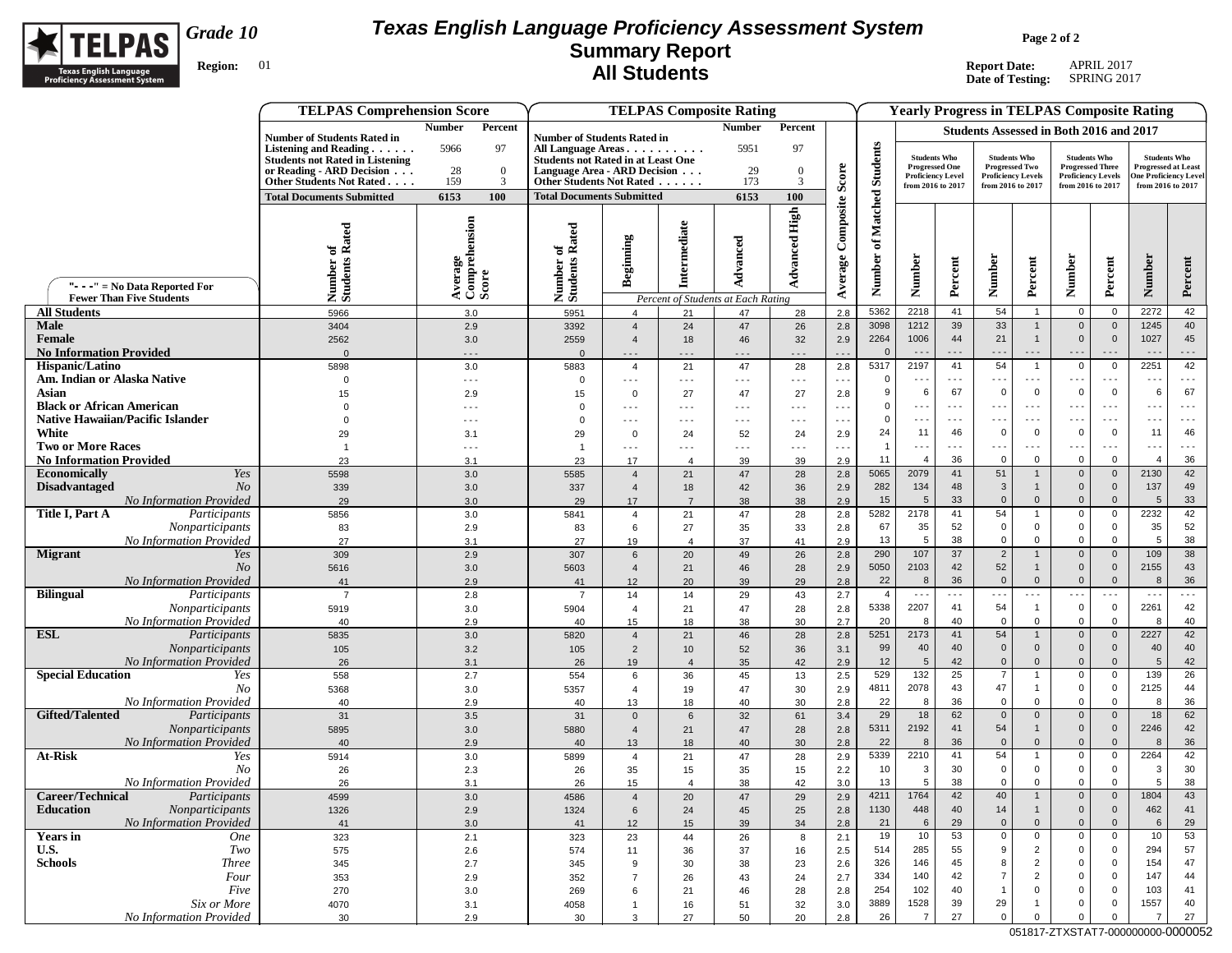

## **Texas English Language Proficiency Assessment System Summary Report All Students**

**Page 2 of 2**

**Report Date:** APRIL 2017 **Date of Testing:** SPRING 2017

|                                                                       | <b>TELPAS Comprehension Score</b>                                        |                              |                                                                 |                                  | <b>TELPAS Composite Rating</b>                 |                      |                      |                        |                      |                           |                          |                                                    |                              |                                                      |                                     | <b>Yearly Progress in TELPAS Composite Rating</b>          |                            |
|-----------------------------------------------------------------------|--------------------------------------------------------------------------|------------------------------|-----------------------------------------------------------------|----------------------------------|------------------------------------------------|----------------------|----------------------|------------------------|----------------------|---------------------------|--------------------------|----------------------------------------------------|------------------------------|------------------------------------------------------|-------------------------------------|------------------------------------------------------------|----------------------------|
|                                                                       |                                                                          | <b>Number</b><br>Percent     |                                                                 |                                  |                                                | <b>Number</b>        | Percent              |                        |                      |                           |                          | <b>Students Assessed in Both 2016 and 2017</b>     |                              |                                                      |                                     |                                                            |                            |
|                                                                       | <b>Number of Students Rated in</b>                                       |                              | <b>Number of Students Rated in</b>                              |                                  |                                                |                      | 97                   |                        |                      |                           |                          |                                                    |                              |                                                      |                                     |                                                            |                            |
|                                                                       | Listening and Reading $\ldots$<br><b>Students not Rated in Listening</b> | 97<br>5966                   | All Language Areas<br><b>Students not Rated in at Least One</b> |                                  |                                                | 5951                 |                      |                        |                      | <b>Students Who</b>       |                          | <b>Students Who</b>                                |                              | <b>Students Who</b>                                  |                                     | <b>Students Who</b>                                        |                            |
|                                                                       | or Reading - ARD Decision                                                | $\mathbf{0}$<br>28           | Language Area - ARD Decision                                    |                                  |                                                | 29                   | $\overline{0}$       | Score                  | <b>Students</b>      | <b>Progressed One</b>     | <b>Proficiency Level</b> | <b>Progressed Two</b><br><b>Proficiency Levels</b> |                              | <b>Progressed Three</b><br><b>Proficiency Levels</b> |                                     | <b>Progressed at Least</b><br><b>One Proficiency Level</b> |                            |
|                                                                       | Other Students Not Rated                                                 | 159<br>3                     | Other Students Not Rated<br><b>Total Documents Submitted</b>    |                                  |                                                | 173                  | 3                    |                        |                      |                           | from 2016 to 2017        | from 2016 to 2017                                  |                              | from 2016 to 2017                                    |                                     | from 2016 to 2017                                          |                            |
|                                                                       | <b>Total Documents Submitted</b>                                         | 6153<br>100                  |                                                                 |                                  |                                                | 6153                 | 100                  |                        |                      |                           |                          |                                                    |                              |                                                      |                                     |                                                            |                            |
|                                                                       |                                                                          |                              |                                                                 |                                  |                                                |                      | <b>Advanced High</b> | Composite              | Matched              |                           |                          |                                                    |                              |                                                      |                                     |                                                            |                            |
|                                                                       |                                                                          | ension                       |                                                                 |                                  |                                                |                      |                      |                        |                      |                           |                          |                                                    |                              |                                                      |                                     |                                                            |                            |
|                                                                       | Number of<br>Students Rated                                              |                              | Number of<br>Students Rated                                     | Beginning                        | Intermediate                                   | Advanced             |                      |                        | $\tilde{\sigma}$     |                           |                          |                                                    |                              |                                                      |                                     |                                                            |                            |
|                                                                       |                                                                          | Average<br>Comprehe<br>Score |                                                                 |                                  |                                                |                      |                      | Average                | Number               | <b>Number</b>             | Percent                  | <b>Number</b>                                      | Percent                      | Number                                               | Percent                             | Number                                                     | Percent                    |
| "- - -" = No Data Reported For                                        |                                                                          |                              |                                                                 |                                  |                                                |                      |                      |                        |                      |                           |                          |                                                    |                              |                                                      |                                     |                                                            |                            |
| <b>Fewer Than Five Students</b>                                       |                                                                          |                              |                                                                 |                                  | Percent of Students at Each Rating             |                      |                      |                        |                      |                           |                          |                                                    |                              |                                                      |                                     |                                                            |                            |
| <b>All Students</b>                                                   | 5966                                                                     | 3.0                          | 5951                                                            | $\overline{4}$                   | 21                                             | 47                   | 28                   | 2.8                    | 5362                 | 2218                      | 41                       | 54                                                 | $\mathbf{1}$                 | $\mathbf 0$                                          | $\mathbf 0$                         | 2272                                                       | 42                         |
| <b>Male</b>                                                           | 3404                                                                     | 2.9                          | 3392                                                            | $\overline{4}$                   | 24                                             | 47                   | 26                   | 2.8                    | 3098                 | 1212                      | 39                       | 33                                                 | $\mathbf{1}$                 | $\mathbf 0$                                          | $\mathbf{0}$                        | 1245                                                       | 40                         |
| Female<br><b>No Information Provided</b>                              | 2562<br>$\Omega$                                                         | 3.0                          | 2559<br>$\mathbf{0}$                                            | $\overline{4}$                   | 18<br>$- - -$                                  | 46                   | 32                   | 2.9                    | 2264<br>$\Omega$     | 1006<br>$\sim$ $\sim$ .   | 44<br>$- - -$            | 21<br>.                                            | $\mathbf{1}$<br>$- - -$      | $\mathbf 0$<br>$- - -$                               | $\mathbf{0}$<br>$- - -$             | 1027<br>$  -$                                              | 45<br>$\sim$ $\sim$ $\sim$ |
| Hispanic/Latino                                                       | 5898                                                                     | $\sim$ $\sim$ $\sim$<br>3.0  | 5883                                                            | $- - -$<br>$\overline{4}$        | 21                                             | $- - -$<br>47        | $- - -$<br>28        | $\sim$ $\sim$<br>2.8   | 5317                 | 2197                      | 41                       | 54                                                 | $\overline{1}$               | $\Omega$                                             | $\mathbf 0$                         | 2251                                                       | 42                         |
| Am. Indian or Alaska Native                                           | $\Omega$                                                                 | $- - -$                      | $\Omega$                                                        | $\sim$ $\sim$ $\sim$             | $\sim$ $\sim$ $\sim$                           | $\sim$ $\sim$ $\sim$ | $- - -$              | $\sim$ $\sim$ $\sim$   | $\mathbf 0$          | $- - -$                   | $- - -$                  | .                                                  | $- - -$                      | $\sim$ $\sim$ $\sim$                                 | $\sim$ $\sim$ $\sim$                | $  -$                                                      | $\sim$ $\sim$ $\sim$       |
| Asian                                                                 | 15                                                                       | 2.9                          | 15                                                              | $\mathbf 0$                      | 27                                             | 47                   | 27                   | 2.8                    | 9                    | 6                         | 67                       | $\mathbf 0$                                        | $\mathbf 0$                  | $\mathbf 0$                                          | $\mathbf 0$                         | 6                                                          | 67                         |
| <b>Black or African American</b>                                      |                                                                          | - - -                        | $\Omega$                                                        | $- - -$                          | $ -$                                           | $- - -$              | $\sim$ $\sim$ $\sim$ | $  -$                  | $\mathbf 0$          | $ -$                      | $\sim$ $\sim$ $\sim$     | $\overline{\phantom{a}}$                           | $- - -$                      | $- - -$                                              | $- - -$                             | $\overline{\phantom{a}}$                                   | $\sim$ $\sim$ $\sim$       |
| <b>Native Hawaiian/Pacific Islander</b>                               |                                                                          | $- - -$                      | $\mathbf 0$                                                     | $- - -$                          | $- - -$                                        | $- - -$              | $- - -$              | $  -$                  | $\mathbf 0$          | $  -$                     | $- - -$                  | .                                                  | $- - -$                      | $- - -$                                              | $- - -$                             |                                                            | $\sim$ $\sim$ $\sim$       |
| White                                                                 | 29                                                                       | 3.1                          | 29                                                              | $\Omega$                         | 24                                             | 52                   | 24                   | 2.9                    | 24                   | 11                        | 46                       | $\mathbf 0$                                        | 0                            | $\overline{0}$<br>$- - -$                            | $\mathbf 0$                         | 11                                                         | 46                         |
| <b>Two or More Races</b><br><b>No Information Provided</b>            | $\overline{1}$<br>23                                                     | $- - -$<br>3.1               | $\overline{1}$<br>23                                            | $\sim$ $\sim$ $\sim$<br>17       | $\sim$ $\sim$ $\sim$<br>$\boldsymbol{\Lambda}$ | $- - -$<br>39        | $- - -$<br>39        | $\sim$ $\sim$ .<br>2.9 | $\overline{1}$<br>11 | $- - -$<br>$\overline{4}$ | $- - -$<br>36            | - - -<br>$\Omega$                                  | $- - -$<br>$\mathbf 0$       | $\mathbf 0$                                          | $\sim$ $\sim$ $\sim$<br>$\mathbf 0$ | $- - -$<br>$\overline{4}$                                  | $\sim$ $\sim$ $\sim$<br>36 |
| <b>Economically</b><br>Yes                                            | 5598                                                                     | $3.0\,$                      | 5585                                                            | $\overline{4}$                   | 21                                             | 47                   | 28                   | 2.8                    | 5065                 | 2079                      | 41                       | 51                                                 | $\mathbf{1}$                 | $\mathbf 0$                                          | $\mathbf 0$                         | 2130                                                       | 42                         |
| <b>Disadvantaged</b><br>N <sub>O</sub>                                | 339                                                                      | 3.0                          | 337                                                             | $\overline{4}$                   | 18                                             | 42                   | 36                   | 2.9                    | 282                  | 134                       | 48                       | 3                                                  | $\mathbf{1}$                 | $\overline{0}$                                       | $\mathbf 0$                         | 137                                                        | 49                         |
| <b>No Information Provided</b>                                        | 29                                                                       | 3.0                          | 29                                                              | 17                               | $\overline{7}$                                 | 38                   | 38                   | 2.9                    | 15                   | 5                         | 33                       | $\mathbf{0}$                                       | $\mathbf 0$                  | $\overline{0}$                                       | $\mathbf 0$                         | 5                                                          | 33                         |
| Title I, Part A<br>Participants                                       | 5856                                                                     | 3.0                          | 5841                                                            | $\overline{4}$                   | 21                                             | 47                   | 28                   | 2.8                    | 5282                 | 2178                      | 41                       | 54                                                 | $\mathbf{1}$                 | $\mathbf 0$                                          | $\mathbf 0$                         | 2232                                                       | 42                         |
| Nonparticipants                                                       | 83                                                                       | 2.9                          | 83                                                              | 6                                | 27                                             | 35                   | 33                   | 2.8                    | 67<br>13             | 35<br>5                   | 52<br>38                 | $\overline{0}$                                     | $\mathsf 0$<br>$\mathbf 0$   | $\mathbf 0$<br>$\mathbf 0$                           | $\mathbf 0$<br>$\mathbf 0$          | 35<br>5                                                    | 52<br>38                   |
| No Information Provided<br><b>Migrant</b><br>Yes                      | 27<br>309                                                                | 3.1<br>2.9                   | 27<br>307                                                       | 19<br>6                          | $\overline{4}$<br>20                           | 37<br>49             | 41<br>26             | 2.9<br>2.8             | 290                  | 107                       | 37                       | 0<br>$\overline{2}$                                | $\mathbf{1}$                 | $\mathbf 0$                                          | $\mathbf 0$                         | 109                                                        | 38                         |
| N <sub>O</sub>                                                        | 5616                                                                     | $3.0\,$                      | 5603                                                            | $\overline{4}$                   | 21                                             | 46                   | 28                   | 2.9                    | 5050                 | 2103                      | 42                       | 52                                                 | $\mathbf{1}$                 | $\mathbf 0$                                          | $\mathbf 0$                         | 2155                                                       | 43                         |
| <b>No Information Provided</b>                                        | 41                                                                       | 2.9                          | 41                                                              | 12                               | 20                                             | 39                   | 29                   | 2.8                    | 22                   | 8                         | 36                       | $\Omega$                                           | $\mathbf{0}$                 | $\overline{0}$                                       | $\overline{0}$                      | 8                                                          | 36                         |
| <b>Bilingual</b><br>Participants                                      | $\overline{7}$                                                           | 2.8                          | $\overline{7}$                                                  | 14                               | 14                                             | 29                   | 43                   | 2.7                    | $\overline{4}$       | $\ddotsc$                 | $\sim$ $\sim$ $\sim$     | .                                                  | $\sim$ $\sim$ $\sim$         | $\sim$ $\sim$ $\sim$                                 | $\sim$ $\sim$ $\sim$                | $\ddotsc$                                                  | $\Box$ .                   |
| Nonparticipants                                                       | 5919                                                                     | 3.0                          | 5904                                                            | $\overline{4}$                   | 21                                             | 47                   | 28                   | 2.8                    | 5338                 | 2207                      | 41                       | 54                                                 | $\overline{1}$               | $\mathbf 0$                                          | $\mathbf 0$                         | 2261                                                       | 42                         |
| No Information Provided<br>Participants<br><b>ESL</b>                 | 40                                                                       | 2.9                          | 40                                                              | 15                               | 18                                             | 38                   | 30                   | 2.7                    | 20<br>5251           | 8<br>2173                 | 40<br>41                 | $\mathbf 0$<br>54                                  | $\mathbf 0$<br>$\mathbf{1}$  | $\mathbf 0$<br>$\mathbf 0$                           | $\mathbf 0$<br>$\mathbf 0$          | 8<br>2227                                                  | 40<br>42                   |
| Nonparticipants                                                       | 5835<br>105                                                              | $3.0\,$<br>3.2               | 5820<br>105                                                     | $\overline{4}$<br>$\overline{2}$ | 21<br>10                                       | 46<br>52             | 28<br>36             | 2.8<br>3.1             | 99                   | 40                        | 40                       | $\overline{0}$                                     | $\mathbf 0$                  | $\overline{0}$                                       | $\mathbf 0$                         | 40                                                         | 40                         |
| <b>No Information Provided</b>                                        | 26                                                                       | 3.1                          | 26                                                              | 19                               | $\overline{4}$                                 | 35                   | 42                   | 2.9                    | 12                   | 5                         | 42                       | $\mathbf 0$                                        | $\mathbf 0$                  | $\mathbf 0$                                          | $\mathbf{0}$                        | 5                                                          | 42                         |
| <b>Special Education</b><br>Yes                                       | 558                                                                      | 2.7                          | 554                                                             | 6                                | 36                                             | 45                   | 13                   | 2.5                    | 529                  | 132                       | 25                       | $\overline{7}$                                     | $\mathbf{1}$                 | $\mathbf 0$                                          | $\mathsf 0$                         | 139                                                        | 26                         |
| No                                                                    | 5368                                                                     | 3.0                          | 5357                                                            | $\overline{4}$                   | 19                                             | 47                   | 30                   | 2.9                    | 4811                 | 2078                      | 43                       | 47                                                 | $\mathbf{1}$                 | $\mathbf 0$                                          | $\mathbf 0$                         | 2125                                                       | 44                         |
| No Information Provided                                               | 40                                                                       | 2.9                          | 40                                                              | 13                               | 18                                             | 40                   | 30                   | 2.8                    | 22                   | 8                         | 36                       | $\mathbf 0$                                        | $\mathbf 0$                  | $\overline{0}$                                       | $\mathbf 0$                         | 8                                                          | 36                         |
| <b>Gifted/Talented</b><br>Participants<br>Nonparticipants             | 31<br>5895                                                               | 3.5<br>$3.0\,$               | 31<br>5880                                                      | $\Omega$<br>$\overline{4}$       | $6\phantom{1}$<br>21                           | 32<br>47             | 61                   | 3.4<br>2.8             | 29<br>5311           | 18<br>2192                | 62<br>41                 | $\mathbf 0$<br>54                                  | $\mathbf{0}$<br>$\mathbf{1}$ | $\mathbf 0$<br>$\mathbf 0$                           | $\mathbf 0$<br>$\mathbf{0}$         | 18<br>2246                                                 | 62<br>42                   |
| <b>No Information Provided</b>                                        | 40                                                                       | 2.9                          | 40                                                              | 13                               | 18                                             | 40                   | 28<br>30             | 2.8                    | 22                   | 8                         | 36                       | $\mathbf 0$                                        | $\mathbf 0$                  | $\mathbf 0$                                          | $\overline{0}$                      | 8                                                          | 36                         |
| <b>At-Risk</b><br>Yes                                                 | 5914                                                                     | 3.0                          | 5899                                                            | 4                                | 21                                             | 47                   | 28                   | 2.9                    | 5339                 | 2210                      | 41                       | 54                                                 | $\mathbf{1}$                 | $\mathbf 0$                                          | 0                                   | 2264                                                       | 42                         |
| N <sub>O</sub>                                                        | 26                                                                       | 2.3                          | 26                                                              | 35                               | 15                                             | 35                   | 15                   | 2.2                    | 10                   | 3                         | 30                       | $\mathbf 0$                                        | $\mathsf 0$                  | $\mathbf 0$                                          | $\mathbf 0$                         | 3                                                          | 30                         |
| No Information Provided                                               | 26                                                                       | 3.1                          | 26                                                              | 15                               | $\overline{4}$                                 | 38                   | 42                   | 3.0                    | 13                   | 5                         | 38                       | 0                                                  | $\mathbf 0$                  | $\mathbf 0$                                          | 0                                   | 5                                                          | 38                         |
| <b>Career/Technical</b><br>Participants                               | 4599                                                                     | 3.0                          | 4586                                                            | $\overline{4}$                   | 20                                             | 47                   | 29                   | 2.9                    | 4211                 | 1764                      | 42                       | 40                                                 | $\mathbf{1}$                 | $\mathbb O$                                          | $\overline{0}$                      | 1804                                                       | 43                         |
| <b>Education</b><br>Nonparticipants<br><b>No Information Provided</b> | 1326                                                                     | 2.9                          | 1324                                                            | 6                                | 24                                             | 45                   | 25                   | 2.8<br>2.8             | 1130<br>21           | 448<br>$6\phantom{1}6$    | 40<br>29                 | 14<br>$\mathbf 0$                                  | $\mathbf{1}$<br>$\mathbf 0$  | $\boldsymbol{0}$<br>$\overline{0}$                   | $\mathbf 0$<br>$\mathbf 0$          | 462<br>6                                                   | 41<br>29                   |
| <b>Years</b> in<br><b>One</b>                                         | 41<br>323                                                                | 3.0<br>2.1                   | 41<br>323                                                       | 12<br>23                         | 15<br>44                                       | 39<br>26             | 34<br>8              | 2.1                    | 19                   | 10                        | 53                       | $\mathbf 0$                                        | 0                            | $\mathbf 0$                                          | 0                                   | 10                                                         | 53                         |
| U.S.<br>Two                                                           | 575                                                                      | 2.6                          | 574                                                             | 11                               | 36                                             | 37                   | 16                   | 2.5                    | 514                  | 285                       | 55                       | 9                                                  | $\overline{2}$               | 0                                                    | 0                                   | 294                                                        | 57                         |
| <b>Schools</b><br><b>Three</b>                                        | 345                                                                      | 2.7                          | 345                                                             | 9                                | 30                                             | 38                   | 23                   | 2.6                    | 326                  | 146                       | 45                       | 8                                                  | $\overline{2}$               | $\mathbf 0$                                          | $\Omega$                            | 154                                                        | 47                         |
| Four                                                                  | 353                                                                      | 2.9                          | 352                                                             | $\overline{7}$                   | 26                                             | 43                   | 24                   | 2.7                    | 334                  | 140                       | 42                       | 7                                                  | $\overline{2}$               | 0                                                    | 0                                   | 147                                                        | 44                         |
| Five                                                                  | 270                                                                      | $3.0\,$                      | 269                                                             | 6                                | 21                                             | 46                   | 28                   | 2.8                    | 254                  | 102                       | 40                       | $\mathbf{1}$                                       | $\mathbf 0$                  | $\mathbf 0$                                          | 0                                   | 103                                                        | 41                         |
| Six or More<br>No Information Provided                                | 4070<br>30                                                               | 3.1<br>2.9                   | 4058<br>30                                                      | $\mathbf{1}$<br>3                | 16<br>27                                       | 51<br>50             | 32<br>20             | 3.0<br>2.8             | 3889<br>26           | 1528<br>$\overline{7}$    | 39<br>27                 | 29<br>0                                            | $\mathbf{1}$<br>$\mathsf 0$  | $\mathbf 0$<br>$\mathbf 0$                           | 0<br>0                              | 1557<br>$\overline{7}$                                     | 40<br>27                   |
|                                                                       |                                                                          |                              |                                                                 |                                  |                                                |                      |                      |                        |                      |                           |                          |                                                    |                              |                                                      |                                     |                                                            |                            |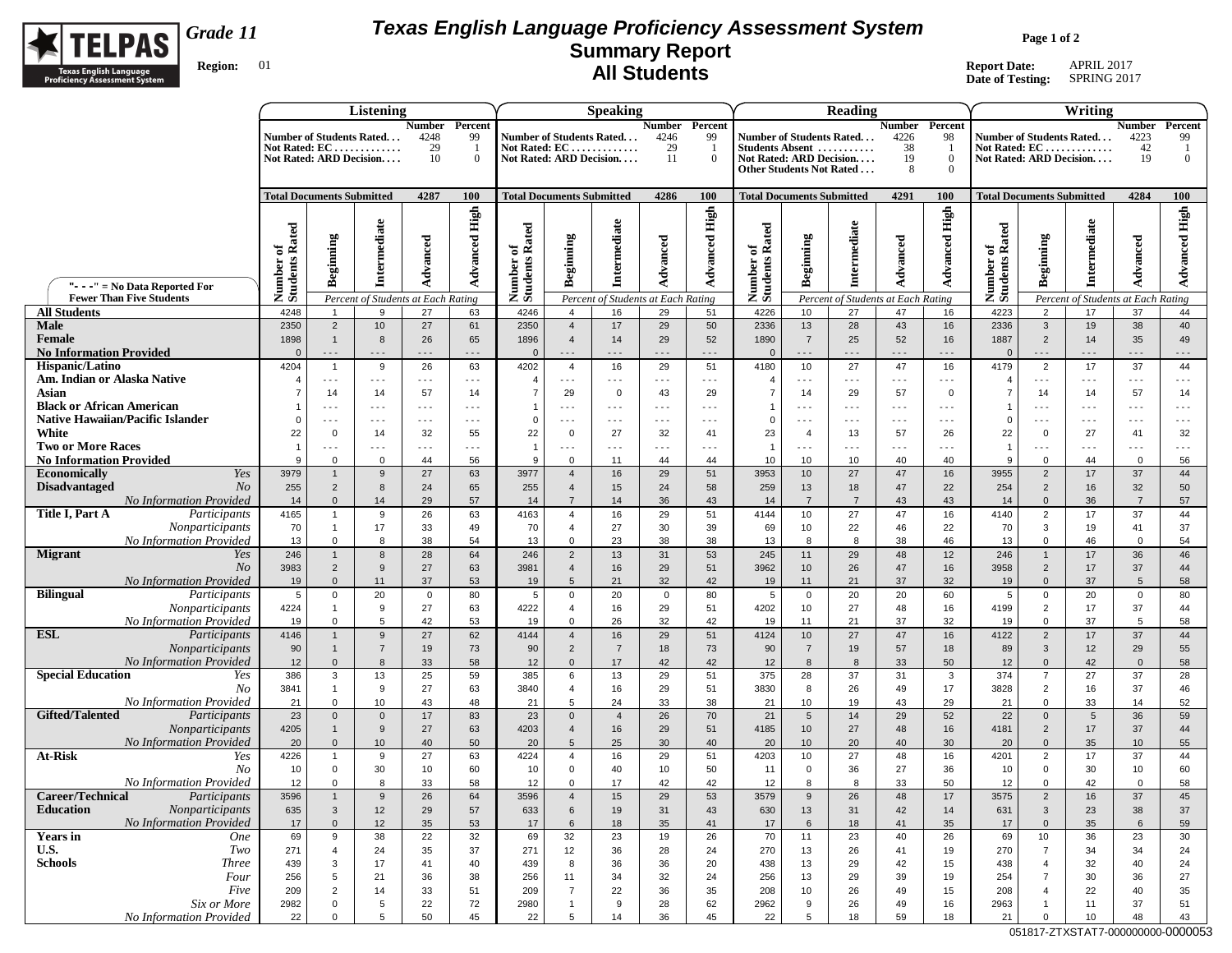

# *Grade 11*

### **Region:** 01

## **Texas English Language Proficiency Assessment System Summary Report All Students**

**Page 1 of 2**

**Report Date:** APRIL 2017 **Date of Testing:** SPRING 2017

|                                                                      |                                  | Listening                                   |                                          |                                  |                            |                                        |                                             | <b>Speaking</b>                          |                            |                                  |                                                                        |                               | Reading                            |                     |                                     |                                        |                                                        | Writing                                    |                            |                            |
|----------------------------------------------------------------------|----------------------------------|---------------------------------------------|------------------------------------------|----------------------------------|----------------------------|----------------------------------------|---------------------------------------------|------------------------------------------|----------------------------|----------------------------------|------------------------------------------------------------------------|-------------------------------|------------------------------------|---------------------|-------------------------------------|----------------------------------------|--------------------------------------------------------|--------------------------------------------|----------------------------|----------------------------|
|                                                                      |                                  |                                             | Number of Students Rated                 | Number Percent<br>4248           | 99                         |                                        |                                             | Number of Students Rated                 | <b>Number</b><br>4246      | Percent<br>99                    | Number of Students Rated                                               |                               |                                    | Number<br>4226      | Percent<br>98                       |                                        |                                                        | Number of Students Rated                   | Number<br>4223             | Percent<br>99              |
|                                                                      |                                  |                                             | Not Rated: EC<br>Not Rated: ARD Decision | 29<br>10                         | -1<br>$\mathbf{0}$         |                                        |                                             | Not Rated: EC<br>Not Rated: ARD Decision | 29<br>11                   | $\overline{0}$                   | Students Absent<br>Not Rated: ARD Decision<br>Other Students Not Rated |                               |                                    | 38<br>19<br>8       | - 1<br>$\bf{0}$<br>$\Omega$         |                                        |                                                        | Not Rated: $EC$<br>Not Rated: ARD Decision | 42<br>19                   | -1<br>$\Omega$             |
|                                                                      | <b>Total Documents Submitted</b> |                                             |                                          | 4287                             | <b>100</b>                 | <b>Total Documents Submitted</b>       |                                             |                                          | 4286                       | 100                              | <b>Total Documents Submitted</b>                                       |                               |                                    | 4291                | 100                                 | <b>Total Documents Submitted</b>       |                                                        |                                            | 4284                       | <b>100</b>                 |
|                                                                      | Number of<br>Students Rated      | Beginning                                   | Intermediate                             | Advanced                         | High<br>Advanced           | Rated<br>ัธ<br>Number of<br>Students 1 | Beginning                                   | Intermediate                             | Advanced                   | <b>Advanced High</b>             | Number of<br>Students Rated                                            | Beginning                     | Intermediate                       | Advanced            | <b>Advanced High</b>                | of<br>Rated<br>Number of<br>Students 1 | Beginning                                              | Intermediate                               | Advanced                   | High<br>Advanced           |
| "- - -" = $No Data Reported For$<br><b>Fewer Than Five Students</b>  |                                  |                                             | Percent of Students at Each Rating       |                                  |                            |                                        |                                             | Percent of Students at Each Rating       |                            |                                  |                                                                        |                               | Percent of Students at Each Rating |                     |                                     |                                        |                                                        | Percent of Students at Each Rating         |                            |                            |
| <b>All Students</b>                                                  | 4248                             | $\overline{1}$                              | 9                                        | 27                               | 63                         | 4246                                   | $\overline{4}$                              | 16                                       | 29                         | 51                               | 4226                                                                   | 10                            | 27                                 | 47                  | 16                                  | 4223                                   | $\overline{2}$                                         | 17                                         | 37                         | 44                         |
| <b>Male</b><br>Female<br><b>No Information Provided</b>              | 2350<br>1898<br>$\Omega$         | $\overline{2}$<br>$\overline{1}$<br>$- - -$ | 10<br>8<br>$- - -$                       | 27<br>26<br>$\sim$ $\sim$ $\sim$ | 61<br>65<br>$- - -$        | 2350<br>1896<br>$\Omega$               | $\overline{4}$<br>$\overline{4}$<br>$- - -$ | 17<br>14<br>$- - -$                      | 29<br>29<br>$- - -$        | 50<br>52<br>$\sim$ $\sim$ $\sim$ | 2336<br>1890<br>$\Omega$                                               | 13<br>$\overline{7}$<br>- - - | 28<br>25<br>$- - -$                | 43<br>52<br>$- - -$ | 16<br>16<br>$- - -$                 | 2336<br>1887<br>$\Omega$               | $\mathbf{3}$<br>$\overline{2}$<br>$\sim$ $\sim$ $\sim$ | 19<br>14<br>$- - -$                        | 38<br>35<br>$- - -$        | 40<br>49<br>$- - -$        |
| <b>Hispanic/Latino</b>                                               | 4204                             | $\overline{1}$                              | 9                                        | 26                               | 63                         | 4202                                   | $\overline{4}$                              | 16                                       | 29                         | 51                               | 4180                                                                   | 10                            | 27                                 | 47                  | 16                                  | 4179                                   | $\overline{2}$                                         | 17                                         | 37                         | 44                         |
| Am. Indian or Alaska Native                                          |                                  | $- - -$                                     | $\sim$ $\sim$ $\sim$                     | $\sim$ $\sim$ $\sim$             | $- - -$                    | $\overline{4}$                         | $\sim$ $\sim$ $\sim$                        | $\sim$ $\sim$ $\sim$                     | $\sim$ $\sim$ $\sim$       | $\sim$ $\sim$ $\sim$             | $\overline{4}$                                                         | $\sim$ $\sim$ $\sim$          | $- - -$                            | $- - -$             | $\sim$ $\sim$ $\sim$                | $\overline{4}$                         | $\sim$ $\sim$ $\sim$                                   | $\sim$ $\sim$ $\sim$                       | $\sim$ $\sim$ $\sim$       | $\sim$ $\sim$ $\sim$       |
| Asian<br><b>Black or African American</b>                            |                                  | 14<br>$- - -$                               | 14<br>$\sim$ $\sim$ $\sim$               | 57<br>$- - -$                    | 14<br>$\sim$ $\sim$ $\sim$ |                                        | 29<br>$\sim$ $\sim$ $\sim$                  | $\overline{0}$<br>$- - -$                | 43<br>$\sim$ $\sim$ $\sim$ | 29<br>$\sim$ $\sim$ $\sim$       | $\overline{7}$<br>$\mathbf{1}$                                         | 14<br>$- - -$                 | 29<br>$- - -$                      | 57<br>$- - -$       | $\mathbf 0$<br>$\sim$ $\sim$ $\sim$ | $\overline{7}$                         | 14<br>$\sim$ $\sim$ $\sim$                             | 14<br>$- - -$                              | 57<br>$\sim$ $\sim$ $\sim$ | 14<br>$\sim$ $\sim$ $\sim$ |
| <b>Native Hawaiian/Pacific Islander</b>                              | $\Omega$                         | $- - -$                                     | $- - -$                                  | $- - -$                          | $- - -$                    | $\mathbf 0$                            | $\sim$ $\sim$ $\sim$                        | $- - -$                                  | $- - -$                    | $\sim$ $\sim$ $\sim$             | $\mathbf 0$                                                            | $- - -$                       | $- - -$                            | - - -               | $\sim$ $\sim$ $\sim$                | $\mathbf 0$                            | $- - -$                                                | $- - -$                                    | $- - -$                    | $- - -$                    |
| White                                                                | 22                               | $\mathbf 0$                                 | 14                                       | 32                               | 55                         | 22                                     | $\mathbf 0$                                 | 27                                       | 32                         | 41                               | 23                                                                     | $\overline{4}$                | 13                                 | 57                  | 26                                  | 22                                     | $\mathbf 0$                                            | 27                                         | 41                         | 32                         |
| <b>Two or More Races</b>                                             | $\overline{1}$                   | $- - -$                                     | $\sim$ $\sim$ $\sim$                     | $- - -$                          | $- - -$                    | $\overline{1}$                         | $\sim$ $\sim$ $\sim$                        | $\sim$ $\sim$ $\sim$                     | $\sim$ $\sim$ $\sim$       | $\sim$ $\sim$ $\sim$             | $\overline{1}$                                                         | $- - -$                       | $\overline{\phantom{a}}$           | - - -               | $- - -$                             | $\overline{1}$                         | $\sim$ $\sim$ $\sim$                                   | $- - -$                                    | $- - -$                    | $- - -$                    |
| <b>No Information Provided</b>                                       | 9                                | $\mathbf 0$                                 | $\mathbf 0$                              | 44                               | 56                         | 9                                      | $\mathbf 0$                                 | 11                                       | 44                         | 44                               | 10                                                                     | 10                            | 10                                 | 40                  | 40                                  | 9                                      | $\mathbf 0$                                            | 44                                         | $\mathbf 0$                | 56                         |
| <b>Economically</b><br>Yes<br><b>Disadvantaged</b><br>N <sub>O</sub> | 3979<br>255                      | $\overline{1}$<br>$\overline{2}$            | 9<br>8                                   | 27<br>24                         | 63<br>65                   | 3977<br>255                            | $\overline{4}$<br>$\overline{4}$            | 16<br>15                                 | 29<br>24                   | 51<br>58                         | 3953<br>259                                                            | 10<br>13                      | 27<br>18                           | 47<br>47            | 16<br>22                            | 3955<br>254                            | $\overline{2}$<br>$\overline{2}$                       | 17<br>16                                   | 37<br>32                   | 44<br>50                   |
| No Information Provided                                              | 14                               | $\mathbf{0}$                                | 14                                       | 29                               | 57                         | 14                                     | $\overline{7}$                              | 14                                       | 36                         | 43                               | 14                                                                     | $\overline{7}$                | $\overline{7}$                     | 43                  | 43                                  | 14                                     | $\mathbf 0$                                            | 36                                         | $\overline{7}$             | 57                         |
| Title I. Part A<br>Participants                                      | 4165                             | $\mathbf{1}$                                | 9                                        | 26                               | 63                         | 4163                                   | $\overline{4}$                              | 16                                       | 29                         | 51                               | 4144                                                                   | 10                            | 27                                 | 47                  | 16                                  | 4140                                   | $\overline{2}$                                         | 17                                         | 37                         | 44                         |
| Nonparticipants                                                      | 70                               | $\mathbf{1}$                                | 17                                       | 33                               | 49                         | 70                                     | $\overline{4}$                              | 27                                       | 30                         | 39                               | 69                                                                     | 10                            | 22                                 | 46                  | 22                                  | 70                                     | 3                                                      | 19                                         | 41                         | 37                         |
| <b>No Information Provided</b>                                       | 13<br>246                        | $\mathbf 0$                                 | 8<br>8                                   | 38<br>28                         | 54<br>64                   | 13<br>246                              | $\mathbf 0$                                 | 23<br>13                                 | 38<br>31                   | 38<br>53                         | 13                                                                     | 8                             | 8                                  | 38                  | 46                                  | 13                                     | $\mathbf 0$                                            | 46<br>17                                   | $\mathbf 0$<br>36          | 54<br>46                   |
| <b>Migrant</b><br>Yes<br>No.                                         | 3983                             | $\overline{1}$<br>$\overline{2}$            | 9                                        | 27                               | 63                         | 3981                                   | $\overline{2}$<br>$\overline{4}$            | 16                                       | 29                         | 51                               | 245<br>3962                                                            | 11<br>10                      | 29<br>26                           | 48<br>47            | 12<br>16                            | 246<br>3958                            | $\mathbf{1}$<br>$\overline{2}$                         | 17                                         | 37                         | 44                         |
| <b>No Information Provided</b>                                       | 19                               | $\mathbf 0$                                 | 11                                       | 37                               | 53                         | 19                                     | 5                                           | 21                                       | 32                         | 42                               | 19                                                                     | 11                            | 21                                 | 37                  | 32                                  | 19                                     | $\mathbf 0$                                            | 37                                         | $5\phantom{.0}$            | 58                         |
| <b>Bilingual</b><br>Participants                                     | 5                                | $\mathbf 0$                                 | 20                                       | $\mathbf 0$                      | 80                         | $5\phantom{.0}$                        | $\mathsf{O}$                                | 20                                       | $\mathbf 0$                | 80                               | 5                                                                      | $\mathbf{0}$                  | 20                                 | 20                  | 60                                  | 5                                      | $\mathsf 0$                                            | 20                                         | $\mathbf{0}$               | 80                         |
| Nonparticipants                                                      | 4224                             | $\overline{1}$                              | 9                                        | 27                               | 63                         | 4222                                   | 4                                           | 16                                       | 29                         | 51                               | 4202                                                                   | 10                            | 27                                 | 48                  | 16                                  | 4199                                   | $\overline{2}$                                         | 17                                         | 37                         | 44                         |
| No Information Provided<br><b>ESL</b><br>Participants                | 19<br>4146                       | $\mathbf{0}$<br>$\mathbf{1}$                | 5<br>9                                   | 42<br>27                         | 53<br>62                   | 19<br>4144                             | $\mathbf 0$<br>$\overline{4}$               | 26<br>16                                 | 32<br>29                   | 42<br>51                         | 19<br>4124                                                             | 11<br>10                      | 21<br>27                           | 37<br>47            | 32<br>16                            | 19<br>4122                             | $\mathbf 0$<br>$\overline{2}$                          | 37<br>17                                   | 5<br>37                    | 58<br>44                   |
| Nonparticipants                                                      | 90                               | $\mathbf{1}$                                | $\overline{7}$                           | 19                               | 73                         | 90                                     | $\overline{2}$                              | $\overline{7}$                           | 18                         | 73                               | 90                                                                     | $\overline{7}$                | 19                                 | 57                  | 18                                  | 89                                     | $\mathbf{3}$                                           | 12                                         | 29                         | 55                         |
| <b>No Information Provided</b>                                       | 12                               | $\mathbf{0}$                                | 8                                        | 33                               | 58                         | 12                                     | $\mathbf{0}$                                | 17                                       | 42                         | 42                               | 12                                                                     | 8                             | 8                                  | 33                  | 50                                  | 12                                     | $\mathbf 0$                                            | 42                                         | $\mathbf{0}$               | 58                         |
| <b>Special Education</b><br>Yes                                      | 386                              | 3                                           | 13                                       | 25                               | 59                         | 385                                    | 6                                           | 13                                       | 29                         | 51                               | 375                                                                    | 28                            | 37                                 | 31                  | $\mathbf{3}$                        | 374                                    | $\overline{7}$                                         | 27                                         | 37                         | 28                         |
| No                                                                   | 3841                             | $\mathbf{1}$                                | 9                                        | 27                               | 63                         | 3840                                   | $\overline{4}$                              | 16                                       | 29                         | 51                               | 3830                                                                   | 8                             | 26                                 | 49                  | 17                                  | 3828                                   | $\overline{2}$                                         | 16                                         | 37                         | 46                         |
| No Information Provided<br><b>Gifted/Talented</b><br>Participants    | 21<br>23                         | $\mathbf 0$<br>$\mathbf{0}$                 | 10<br>$\mathbf{0}$                       | 43<br>17                         | 48<br>83                   | 21<br>23                               | 5<br>$\mathbf 0$                            | 24<br>$\overline{4}$                     | 33<br>26                   | 38<br>70                         | 21<br>21                                                               | 10<br>$5\phantom{.0}$         | 19<br>14                           | 43<br>29            | 29<br>52                            | 21<br>22                               | $\mathbf 0$<br>$\mathbf 0$                             | 33<br>$5\phantom{.0}$                      | 14<br>36                   | 52<br>59                   |
| Nonparticipants                                                      | 4205                             | $\mathbf{1}$                                | 9                                        | 27                               | 63                         | 4203                                   | $\overline{4}$                              | 16                                       | 29                         | 51                               | 4185                                                                   | 10                            | 27                                 | 48                  | 16                                  | 4181                                   | $\overline{2}$                                         | 17                                         | 37                         | 44                         |
| <b>No Information Provided</b>                                       | 20                               | $\mathbf{0}$                                | 10                                       | 40                               | 50                         | 20                                     | 5                                           | 25                                       | 30                         | 40                               | 20                                                                     | 10                            | 20                                 | 40                  | 30                                  | 20                                     | $\mathbf{0}$                                           | 35                                         | 10                         | 55                         |
| <b>At-Risk</b><br>Yes                                                | 4226                             | $\mathbf{1}$                                | 9                                        | 27                               | 63                         | 4224                                   | $\overline{4}$                              | 16                                       | 29                         | 51                               | 4203                                                                   | 10                            | 27                                 | 48                  | 16                                  | 4201                                   | $\overline{2}$                                         | 17                                         | 37                         | 44                         |
| N <sub>O</sub><br>No Information Provided                            | 10<br>12                         | $\mathbf 0$<br>$\mathbf 0$                  | 30<br>8                                  | 10<br>33                         | 60<br>58                   | 10<br>12                               | $\mathsf{O}$<br>$\mathbf 0$                 | 40<br>17                                 | 10<br>42                   | 50<br>42                         | 11<br>12                                                               | $\mathbf 0$<br>8              | 36<br>8                            | 27<br>33            | 36<br>50                            | 10<br>12                               | $\mathbf 0$<br>$\mathbf 0$                             | 30<br>42                                   | 10<br>$\mathsf 0$          | 60<br>58                   |
| Career/Technical<br>Participants                                     | 3596                             | -1                                          | 9                                        | 26                               | 64                         | 3596                                   | 4                                           | 15                                       | 29                         | 53                               | 3579                                                                   | 9                             | 26                                 | 48                  | 17                                  | 3575                                   | $\overline{2}$                                         | 16                                         | 37                         | 45                         |
| Nonparticipants<br><b>Education</b>                                  | 635                              | $\mathbf{3}$                                | 12                                       | 29                               | 57                         | 633                                    | 6                                           | 19                                       | 31                         | 43                               | 630                                                                    | 13                            | 31                                 | 42                  | 14                                  | 631                                    | $\mathbf{3}$                                           | 23                                         | 38                         | 37                         |
| No Information Provided                                              | 17                               | $\mathbf 0$                                 | 12                                       | 35                               | 53                         | 17                                     | 6                                           | 18                                       | 35                         | 41                               | 17                                                                     | 6                             | 18                                 | 41                  | 35                                  | 17                                     | $\mathbf 0$                                            | 35                                         | $6\phantom{.}$             | 59                         |
| <b>Years</b> in<br><b>One</b>                                        | 69                               | $\boldsymbol{9}$                            | 38                                       | 22                               | 32                         | 69                                     | 32                                          | 23                                       | 19                         | 26                               | 70                                                                     | 11                            | 23                                 | 40                  | 26                                  | 69                                     | 10                                                     | 36                                         | 23                         | 30                         |
| U.S.<br>Two<br><b>Schools</b><br><i>Three</i>                        | 271<br>439                       | $\overline{4}$<br>3                         | 24<br>17                                 | 35<br>41                         | 37<br>40                   | 271<br>439                             | 12<br>8                                     | 36<br>36                                 | 28<br>36                   | 24<br>20                         | 270<br>438                                                             | 13<br>13                      | 26<br>29                           | 41<br>42            | 19<br>15                            | 270<br>438                             | $\overline{7}$<br>$\overline{4}$                       | 34<br>32                                   | 34<br>40                   | 24<br>24                   |
| Four                                                                 | 256                              | 5                                           | 21                                       | 36                               | 38                         | 256                                    | 11                                          | 34                                       | 32                         | 24                               | 256                                                                    | 13                            | 29                                 | 39                  | 19                                  | 254                                    | $\overline{7}$                                         | 30                                         | 36                         | 27                         |
| Five                                                                 | 209                              | $\overline{2}$                              | 14                                       | 33                               | 51                         | 209                                    | $\overline{7}$                              | 22                                       | 36                         | 35                               | 208                                                                    | 10                            | 26                                 | 49                  | 15                                  | 208                                    | $\overline{4}$                                         | 22                                         | 40                         | 35                         |
| Six or More                                                          | 2982                             | $\mathbf 0$                                 | 5                                        | 22                               | 72                         | 2980                                   | $\mathbf{1}$                                | 9                                        | 28                         | 62                               | 2962                                                                   | 9                             | 26                                 | 49                  | 16                                  | 2963                                   | $\mathbf{1}$                                           | 11                                         | 37                         | 51                         |
| No Information Provided                                              | 22                               | $\mathsf 0$                                 | 5                                        | 50                               | 45                         | 22                                     | 5                                           | 14                                       | 36                         | 45                               | 22                                                                     | 5                             | 18                                 | 59                  | 18                                  | 21                                     | $\mathbf 0$                                            | 10                                         | 48                         | 43                         |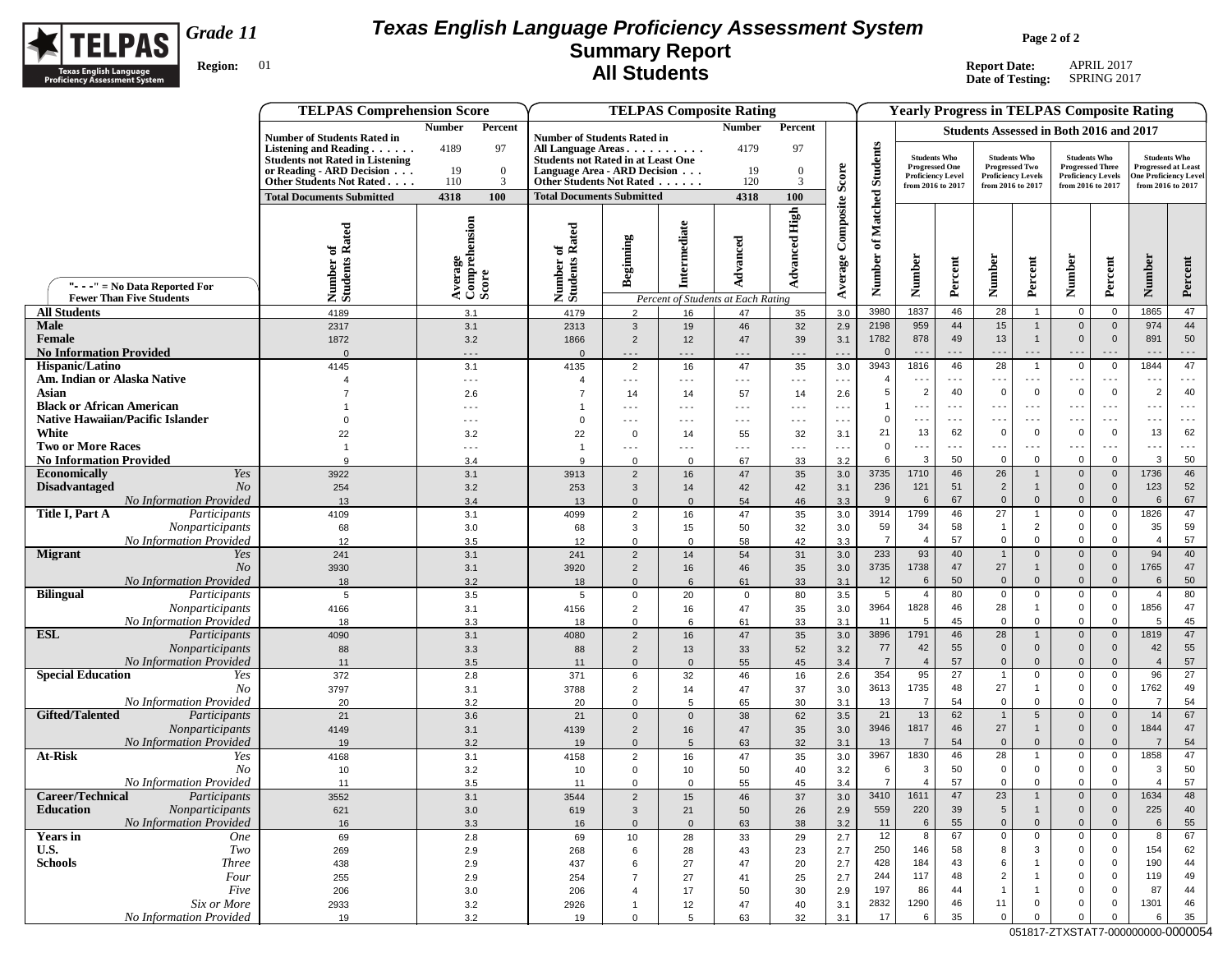

## **Texas English Language Proficiency Assessment System Summary Report All Students**

**Page 2 of 2**

**Report Date:** APRIL 2017 **Date of Testing:** SPRING 2017

|                                                                         | <b>TELPAS Comprehension Score</b>                                                                                                           |                                           |                                                                                                                                       |                                |                        | <b>TELPAS Composite Rating</b>     |                             |                                 |                        |                           |                                                                          | <b>Yearly Progress in TELPAS Composite Rating</b>                         |                             |                                                                             |                                     |                                                                            |                            |
|-------------------------------------------------------------------------|---------------------------------------------------------------------------------------------------------------------------------------------|-------------------------------------------|---------------------------------------------------------------------------------------------------------------------------------------|--------------------------------|------------------------|------------------------------------|-----------------------------|---------------------------------|------------------------|---------------------------|--------------------------------------------------------------------------|---------------------------------------------------------------------------|-----------------------------|-----------------------------------------------------------------------------|-------------------------------------|----------------------------------------------------------------------------|----------------------------|
|                                                                         |                                                                                                                                             | <b>Number</b><br>Percent                  |                                                                                                                                       |                                |                        | <b>Number</b>                      | Percent                     |                                 |                        |                           |                                                                          | <b>Students Assessed in Both 2016 and 2017</b>                            |                             |                                                                             |                                     |                                                                            |                            |
|                                                                         | <b>Number of Students Rated in</b><br>Listening and Reading $\ldots$<br><b>Students not Rated in Listening</b><br>or Reading - ARD Decision | 97<br>4189<br>19<br>$\overline{0}$        | <b>Number of Students Rated in</b><br>All Language Areas<br><b>Students not Rated in at Least One</b><br>Language Area - ARD Decision |                                | .                      | 4179<br>19                         | 97<br>$\mathbf{0}$          | Score                           | <b>Students</b>        |                           | <b>Students Who</b><br><b>Progressed One</b><br><b>Proficiency Level</b> | <b>Students Who</b><br><b>Progressed Two</b><br><b>Proficiency Levels</b> |                             | <b>Students Who</b><br><b>Progressed Three</b><br><b>Proficiency Levels</b> |                                     | <b>Students Who</b><br><b>Progressed at Least</b><br>One Proficiency Level |                            |
|                                                                         | Other Students Not Rated                                                                                                                    | 110<br>3<br>100                           | Other Students Not Rated<br><b>Total Documents Submitted</b>                                                                          |                                |                        | 120                                | 3                           |                                 |                        |                           | from 2016 to 2017                                                        | from 2016 to 2017                                                         |                             | from 2016 to 2017                                                           |                                     | from 2016 to 2017                                                          |                            |
|                                                                         | <b>Total Documents Submitted</b><br>Number of<br>Students Rated                                                                             | 4318<br>Average<br>Comprehension<br>Score | Rated<br>ัธ                                                                                                                           | Beginning                      | Intermediate           | 4318<br>Advanced                   | 100<br><b>Advanced High</b> | Composite                       | Matched<br>đ           |                           |                                                                          |                                                                           |                             |                                                                             |                                     |                                                                            |                            |
|                                                                         |                                                                                                                                             |                                           |                                                                                                                                       |                                |                        |                                    |                             |                                 |                        |                           |                                                                          |                                                                           |                             |                                                                             |                                     |                                                                            |                            |
| "- - -" = No Data Reported For<br><b>Fewer Than Five Students</b>       |                                                                                                                                             |                                           | Number o<br>Students l                                                                                                                |                                |                        | Percent of Students at Each Rating |                             | Average                         | <b>Number</b>          | <b>Number</b>             | Percent                                                                  | Number                                                                    | Percent                     | Number                                                                      | Percent                             | <b>Number</b>                                                              | Percent                    |
| <b>All Students</b>                                                     | 4189                                                                                                                                        | 3.1                                       | 4179                                                                                                                                  | $\overline{2}$                 | 16                     | 47                                 | 35                          | 3.0                             | 3980                   | 1837                      | 46                                                                       | 28                                                                        | $\mathbf{1}$                | $\overline{0}$                                                              | $\mathbf 0$                         | 1865                                                                       | 47                         |
| <b>Male</b>                                                             | 2317                                                                                                                                        | 3.1                                       | 2313                                                                                                                                  | $\mathbf{3}$                   | 19                     | 46                                 | 32                          | 2.9                             | 2198                   | 959                       | 44                                                                       | 15                                                                        | $\mathbf{1}$                | $\mathbf 0$                                                                 | $\mathbf 0$                         | 974                                                                        | 44                         |
| Female                                                                  | 1872                                                                                                                                        | 3.2                                       | 1866                                                                                                                                  | $\overline{2}$                 | 12                     | 47                                 | 39                          | 3.1                             | 1782                   | 878                       | 49                                                                       | 13                                                                        | $\mathbf{1}$                | $\mathbf 0$                                                                 | $\mathbf 0$                         | 891                                                                        | 50                         |
| <b>No Information Provided</b>                                          | $\mathbf{0}$                                                                                                                                | $\sim$ $\sim$ $\sim$                      | $\mathbf{0}$                                                                                                                          | $ -$                           | $- - -$                | $- - -$                            | $- - -$                     | $\sim$ $\sim$                   | $\mathbf{0}$           | $ -$                      | $  -$                                                                    | $\overline{\phantom{a}}$ .                                                | $- - -$                     | $- - -$                                                                     | $- -$                               |                                                                            | $\ddotsc$                  |
| Hispanic/Latino                                                         | 4145                                                                                                                                        | 3.1                                       | 4135                                                                                                                                  | $\overline{2}$                 | 16                     | 47                                 | 35                          | 3.0                             | 3943                   | 1816                      | 46                                                                       | 28                                                                        | $\mathbf{1}$                | $\mathbf 0$                                                                 | $\mathbf 0$                         | 1844                                                                       | 47                         |
| Am. Indian or Alaska Native                                             | $\overline{4}$                                                                                                                              | $\sim$ $\sim$ $\sim$                      | $\overline{4}$                                                                                                                        | $\sim$ $\sim$ $\sim$           | $\sim$ $\sim$ $\sim$   | $- - -$                            | $\sim$ $\sim$ $\sim$        | $\sim$ $\sim$                   | $\overline{4}$         | $- - -$                   | $- - -$                                                                  | $- -$                                                                     | $- - -$                     | $- - -$                                                                     | $\sim$ $\sim$ $\sim$                | $- -$                                                                      | $- - -$                    |
| Asian<br><b>Black or African American</b>                               |                                                                                                                                             | 2.6<br>$ -$                               | $\overline{7}$                                                                                                                        | 14                             | 14                     | 57                                 | 14                          | 2.6                             | 5                      | $\overline{2}$<br>$- - -$ | 40<br>$- - -$                                                            | $\mathbf 0$<br>.                                                          | $\mathbf 0$<br>$- - -$      | $\mathbf 0$<br>$\sim$ $\sim$ $\sim$                                         | $\mathbf 0$<br>$\sim$ $\sim$ $\sim$ | $\overline{2}$<br>.                                                        | 40<br>$\sim$ $\sim$ $\sim$ |
| <b>Native Hawaiian/Pacific Islander</b>                                 | $\Omega$                                                                                                                                    | $- - -$                                   | -1<br>$\Omega$                                                                                                                        | $- - -$<br>$- - -$             | $- - -$<br>$- - -$     | $- - -$<br>$- - -$                 | $- - -$<br>$- - -$          | $- - -$<br>$\sim$ $\sim$ $\sim$ | $\mathbf 0$            | $- - -$                   | $- - -$                                                                  | .                                                                         | $- - -$                     | $- - -$                                                                     | $\sim$ $\sim$ $\sim$                | .                                                                          | $\sim$ $\sim$ $\sim$       |
| White                                                                   | 22                                                                                                                                          | 3.2                                       | 22                                                                                                                                    | $\mathbf 0$                    | 14                     | 55                                 | 32                          | 3.1                             | 21                     | 13                        | 62                                                                       | $\Omega$                                                                  | $\mathbf 0$                 | $\overline{0}$                                                              | $\mathbf 0$                         | 13                                                                         | 62                         |
| <b>Two or More Races</b>                                                | $\overline{1}$                                                                                                                              | $\sim$ $\sim$ $\sim$                      | $\overline{1}$                                                                                                                        | $\sim$ $\sim$ $\sim$           | $\sim$ $\sim$ $\sim$   | $\sim$ $\sim$ $\sim$               | $\sim$ $\sim$ $\sim$        | $\sim$                          | $\mathbf 0$            | $\sim$ $\sim$ $\sim$      | $\sim$ $\sim$ $\sim$                                                     | .                                                                         | $- - -$                     | $\sim$ $\sim$ $\sim$                                                        | $\sim$ $\sim$ $\sim$                | $- - -$                                                                    | $\sim$ $\sim$ $\sim$       |
| <b>No Information Provided</b>                                          | $\mathbf{Q}$                                                                                                                                | 3.4                                       | $\mathbf{q}$                                                                                                                          | $\mathbf 0$                    | $\mathbf 0$            | 67                                 | 33                          | 3.2                             | 6                      | 3                         | 50                                                                       | 0                                                                         | 0                           | $\mathbf 0$                                                                 | $\mathbf 0$                         | 3                                                                          | 50                         |
| <b>Economically</b><br>Yes                                              | 3922                                                                                                                                        | 3.1                                       | 3913                                                                                                                                  | $\overline{2}$                 | 16                     | 47                                 | 35                          | 3.0                             | 3735                   | 1710                      | 46                                                                       | 26                                                                        | $\mathbf{1}$                | $\mathbf 0$                                                                 | $\mathbf 0$                         | 1736                                                                       | 46                         |
| <b>Disadvantaged</b><br>N <sub>O</sub>                                  | 254                                                                                                                                         | 3.2                                       | 253                                                                                                                                   | $\mathbf{3}$                   | 14                     | 42                                 | 42                          | 3.1                             | 236                    | 121                       | 51                                                                       | $\overline{2}$                                                            | $\mathbf{1}$                | $\mathbf 0$                                                                 | $\mathbf 0$                         | 123                                                                        | 52                         |
| No Information Provided                                                 | 13                                                                                                                                          | 3.4                                       | 13                                                                                                                                    | $\mathbf{0}$                   | $\mathbf{0}$           | 54                                 | 46                          | 3.3                             | -9                     | 6                         | 67                                                                       | $\mathbf 0$                                                               | $\mathbf 0$                 | $\mathbf 0$                                                                 | $\mathbf 0$                         | 6                                                                          | 67                         |
| Title I, Part A<br>Participants                                         | 4109                                                                                                                                        | 3.1                                       | 4099                                                                                                                                  | $\overline{2}$                 | 16                     | 47                                 | 35                          | 3.0                             | 3914                   | 1799                      | 46                                                                       | 27                                                                        | $\mathbf{1}$                | $\mathbf 0$                                                                 | $\mathbf 0$                         | 1826                                                                       | 47                         |
| Nonparticipants                                                         | 68                                                                                                                                          | 3.0                                       | 68                                                                                                                                    | 3                              | 15                     | 50                                 | 32                          | 3.0                             | 59                     | 34                        | 58                                                                       | $\overline{1}$                                                            | $\overline{2}$              | $\mathbf 0$<br>$\overline{0}$                                               | $\mathbf 0$                         | 35<br>$\overline{4}$                                                       | 59<br>57                   |
| No Information Provided<br><b>Migrant</b><br>Yes                        | 12<br>241                                                                                                                                   | 3.5<br>3.1                                | 12<br>241                                                                                                                             | $\mathbf 0$<br>$\overline{2}$  | $\mathbf 0$<br>14      | 58<br>54                           | 42<br>31                    | 3.3<br>3.0                      | $\overline{7}$<br>233  | $\overline{4}$<br>93      | 57<br>40                                                                 | $\mathbf 0$<br>$\overline{1}$                                             | $\mathbf 0$<br>$\mathbf{0}$ | $\mathbf 0$                                                                 | $\mathbf 0$<br>$\mathbf 0$          | 94                                                                         | 40                         |
| No.                                                                     | 3930                                                                                                                                        | 3.1                                       | 3920                                                                                                                                  | $\overline{2}$                 | 16                     | 46                                 | 35                          | 3.0                             | 3735                   | 1738                      | 47                                                                       | 27                                                                        | $\mathbf{1}$                | $\mathbf 0$                                                                 | $\mathbf{0}$                        | 1765                                                                       | 47                         |
| <b>No Information Provided</b>                                          | 18                                                                                                                                          | 3.2                                       | 18                                                                                                                                    | $\mathbf 0$                    | 6                      | 61                                 | 33                          | 3.1                             | 12                     | $6\phantom{.}6$           | 50                                                                       | $\mathbf 0$                                                               | $\mathbf{0}$                | $\mathbf 0$                                                                 | $\mathbf 0$                         | 6                                                                          | 50                         |
| <b>Bilingual</b><br>Participants                                        | 5                                                                                                                                           | 3.5                                       | 5                                                                                                                                     | $\mathbf 0$                    | 20                     | $\mathbf 0$                        | 80                          | 3.5                             | 5                      | $\overline{4}$            | 80                                                                       | $\mathbf 0$                                                               | $\mathbf 0$                 | $\mathbf 0$                                                                 | $\mathbf 0$                         | 4                                                                          | 80                         |
| Nonparticipants                                                         | 4166                                                                                                                                        | 3.1                                       | 4156                                                                                                                                  | $\overline{2}$                 | 16                     | 47                                 | 35                          | 3.0                             | 3964                   | 1828                      | 46                                                                       | 28                                                                        | $\mathbf{1}$                | $\mathbf 0$                                                                 | $\mathbf 0$                         | 1856                                                                       | 47                         |
| No Information Provided                                                 | 18                                                                                                                                          | 3.3                                       | 18                                                                                                                                    | $\mathbf 0$                    | 6                      | 61                                 | 33                          | 3.1                             | 11                     | 5                         | 45                                                                       | $\Omega$                                                                  | $\mathsf 0$                 | $\mathbf 0$                                                                 | $\Omega$                            | 5                                                                          | 45                         |
| <b>ESL</b><br>Participants                                              | 4090                                                                                                                                        | 3.1                                       | 4080                                                                                                                                  | $\overline{2}$                 | 16                     | 47                                 | 35                          | 3.0                             | 3896                   | 1791                      | 46                                                                       | 28                                                                        | $\mathbf{1}$                | $\mathbf 0$                                                                 | $\mathbf 0$                         | 1819                                                                       | 47                         |
| Nonparticipants                                                         | 88                                                                                                                                          | 3.3                                       | 88                                                                                                                                    | $\overline{2}$                 | 13                     | 33                                 | 52                          | 3.2                             | 77                     | 42                        | 55                                                                       | $\mathbf{0}$                                                              | $\mathbf 0$                 | $\overline{0}$                                                              | $\mathbf 0$                         | 42                                                                         | 55                         |
| <b>No Information Provided</b>                                          | 11                                                                                                                                          | 3.5                                       | 11                                                                                                                                    | $\Omega$                       | $\mathbf{0}$           | 55                                 | 45                          | 3.4                             | $\overline{7}$<br>354  | $\overline{4}$<br>95      | 57<br>27                                                                 | $\mathbf 0$<br>$\overline{1}$                                             | $\mathbf 0$<br>$\mathbf 0$  | $\overline{0}$<br>$\mathbf 0$                                               | $\mathbf 0$<br>0                    | $\overline{4}$<br>96                                                       | 57<br>27                   |
| <b>Special Education</b><br>Yes<br>No                                   | 372<br>3797                                                                                                                                 | 2.8<br>3.1                                | 371<br>3788                                                                                                                           | 6<br>$\overline{2}$            | 32<br>14               | 46<br>47                           | 16<br>37                    | 2.6<br>3.0                      | 3613                   | 1735                      | 48                                                                       | 27                                                                        | $\mathbf{1}$                | $\mathbf 0$                                                                 | $\mathbf 0$                         | 1762                                                                       | 49                         |
| No Information Provided                                                 | 20                                                                                                                                          | 3.2                                       | 20                                                                                                                                    | $\mathbf 0$                    | 5                      | 65                                 | 30                          | 3.1                             | 13                     | $\overline{7}$            | 54                                                                       | $\mathbf 0$                                                               | $\mathbf 0$                 | $\mathbf 0$                                                                 | $\mathbf 0$                         | $\overline{7}$                                                             | 54                         |
| <b>Gifted/Talented</b><br>Participants                                  | 21                                                                                                                                          | 3.6                                       | 21                                                                                                                                    | $\mathsf 0$                    | $\mathbf 0$            | 38                                 | 62                          | 3.5                             | 21                     | 13                        | 62                                                                       | $\mathbf{1}$                                                              | $5\overline{)}$             | $\mathbf 0$                                                                 | $\mathbf 0$                         | 14                                                                         | 67                         |
| Nonparticipants                                                         | 4149                                                                                                                                        | 3.1                                       | 4139                                                                                                                                  | $\overline{2}$                 | 16                     | 47                                 | 35                          | 3.0                             | 3946                   | 1817                      | 46                                                                       | 27                                                                        | $\mathbf{1}$                | $\mathbf 0$                                                                 | $\mathbf 0$                         | 1844                                                                       | 47                         |
| No Information Provided                                                 | 19                                                                                                                                          | 3.2                                       | 19                                                                                                                                    | $\mathbf 0$                    | 5                      | 63                                 | 32                          | 3.1                             | 13                     | $\overline{7}$            | 54                                                                       | $\Omega$                                                                  | $\mathbf 0$                 | $\mathbf{0}$                                                                | $\Omega$                            | $\overline{7}$                                                             | 54                         |
| <b>At-Risk</b><br>Yes                                                   | 4168                                                                                                                                        | 3.1                                       | 4158                                                                                                                                  | $\overline{2}$                 | 16                     | 47                                 | 35                          | 3.0                             | 3967                   | 1830                      | 46                                                                       | 28                                                                        | $\mathbf{1}$                | $\overline{0}$                                                              | $\mathbf 0$                         | 1858                                                                       | 47                         |
| N <sub>O</sub>                                                          | 10                                                                                                                                          | 3.2                                       | 10                                                                                                                                    | $\mathbf 0$                    | 10                     | 50                                 | 40                          | $3.2\,$                         | 6                      | 3                         | 50                                                                       | $\mathsf 0$                                                               | $\mathbf 0$                 | $\mathbf 0$                                                                 | $\mathbf 0$                         | 3                                                                          | 50                         |
| <b>No Information Provided</b>                                          | 11                                                                                                                                          | 3.5                                       | 11                                                                                                                                    | $\mathbf 0$                    | $\mathsf 0$            | 55                                 | 45                          | 3.4                             | $\overline{7}$<br>3410 | $\overline{4}$<br>1611    | 57<br>47                                                                 | $\mathbf 0$<br>23                                                         | $\mathsf 0$<br>$\mathbf{1}$ | $\mathbf 0$<br>$\mathbf 0$                                                  | 0<br>$\mathbf 0$                    | $\overline{4}$<br>1634                                                     | 57<br>48                   |
| Career/Technical<br>Participants<br><b>Education</b><br>Nonparticipants | 3552<br>621                                                                                                                                 | 3.1                                       | 3544<br>619                                                                                                                           | $\overline{2}$<br>$\mathbf{3}$ | 15 <sub>15</sub><br>21 | 46<br>50                           | $37\,$<br>26                | 3.0<br>2.9                      | 559                    | 220                       | 39                                                                       | $5\phantom{.0}$                                                           | $\mathbf{1}$                | $\mathbf 0$                                                                 | $\mathbf 0$                         | 225                                                                        | 40                         |
| No Information Provided                                                 | 16                                                                                                                                          | 3.0<br>3.3                                | 16                                                                                                                                    | $\Omega$                       | $\mathbf{0}$           | 63                                 | 38                          | 3.2                             | 11                     | 6                         | 55                                                                       | $\mathbf 0$                                                               | $\mathbf{0}$                | $\mathbf 0$                                                                 | $\overline{0}$                      | 6                                                                          | 55                         |
| <b>Years in</b><br><b>One</b>                                           | 69                                                                                                                                          | 2.8                                       | 69                                                                                                                                    | 10                             | 28                     | 33                                 | 29                          | 2.7                             | 12                     | 8                         | 67                                                                       | $\mathbf 0$                                                               | $\mathbf 0$                 | $\mathbf 0$                                                                 | $\mathbf{0}$                        | 8                                                                          | 67                         |
| U.S.<br>Two                                                             | 269                                                                                                                                         | 2.9                                       | 268                                                                                                                                   | 6                              | 28                     | 43                                 | 23                          | 2.7                             | 250                    | 146                       | 58                                                                       | 8                                                                         | 3                           | $\mathbf 0$                                                                 | $\mathbf{0}$                        | 154                                                                        | 62                         |
| <b>Schools</b><br><i>Three</i>                                          | 438                                                                                                                                         | 2.9                                       | 437                                                                                                                                   | 6                              | 27                     | 47                                 | 20                          | 2.7                             | 428                    | 184                       | 43                                                                       | 6                                                                         | $\mathbf{1}$                | $\mathbf 0$                                                                 | 0                                   | 190                                                                        | 44                         |
| Four                                                                    | 255                                                                                                                                         | 2.9                                       | 254                                                                                                                                   | $\overline{7}$                 | 27                     | 41                                 | 25                          | 2.7                             | 244                    | 117                       | 48                                                                       | $\overline{2}$                                                            | $\mathbf{1}$                | $\overline{0}$                                                              | 0                                   | 119                                                                        | 49                         |
| Five                                                                    | 206                                                                                                                                         | 3.0                                       | 206                                                                                                                                   | $\overline{4}$                 | 17                     | 50                                 | 30                          | 2.9                             | 197                    | 86                        | 44                                                                       | -1                                                                        | $\mathbf{1}$                | $\mathbf 0$                                                                 | 0                                   | 87                                                                         | 44                         |
| Six or More                                                             | 2933                                                                                                                                        | 3.2                                       | 2926                                                                                                                                  | $\overline{1}$                 | 12                     | 47                                 | 40                          | 3.1                             | 2832                   | 1290                      | 46                                                                       | 11                                                                        | $\mathbf 0$                 | $\mathbf 0$                                                                 | 0                                   | 1301                                                                       | 46                         |
| No Information Provided                                                 | 19                                                                                                                                          | 3.2                                       | 19                                                                                                                                    | $\mathbf 0$                    | 5                      | 63                                 | 32                          | 3.1                             | 17                     | 6                         | 35                                                                       | $\mathbf{0}$                                                              | $\mathbf 0$                 | $\mathbf 0$                                                                 | $\mathbf 0$                         | 6                                                                          | 35                         |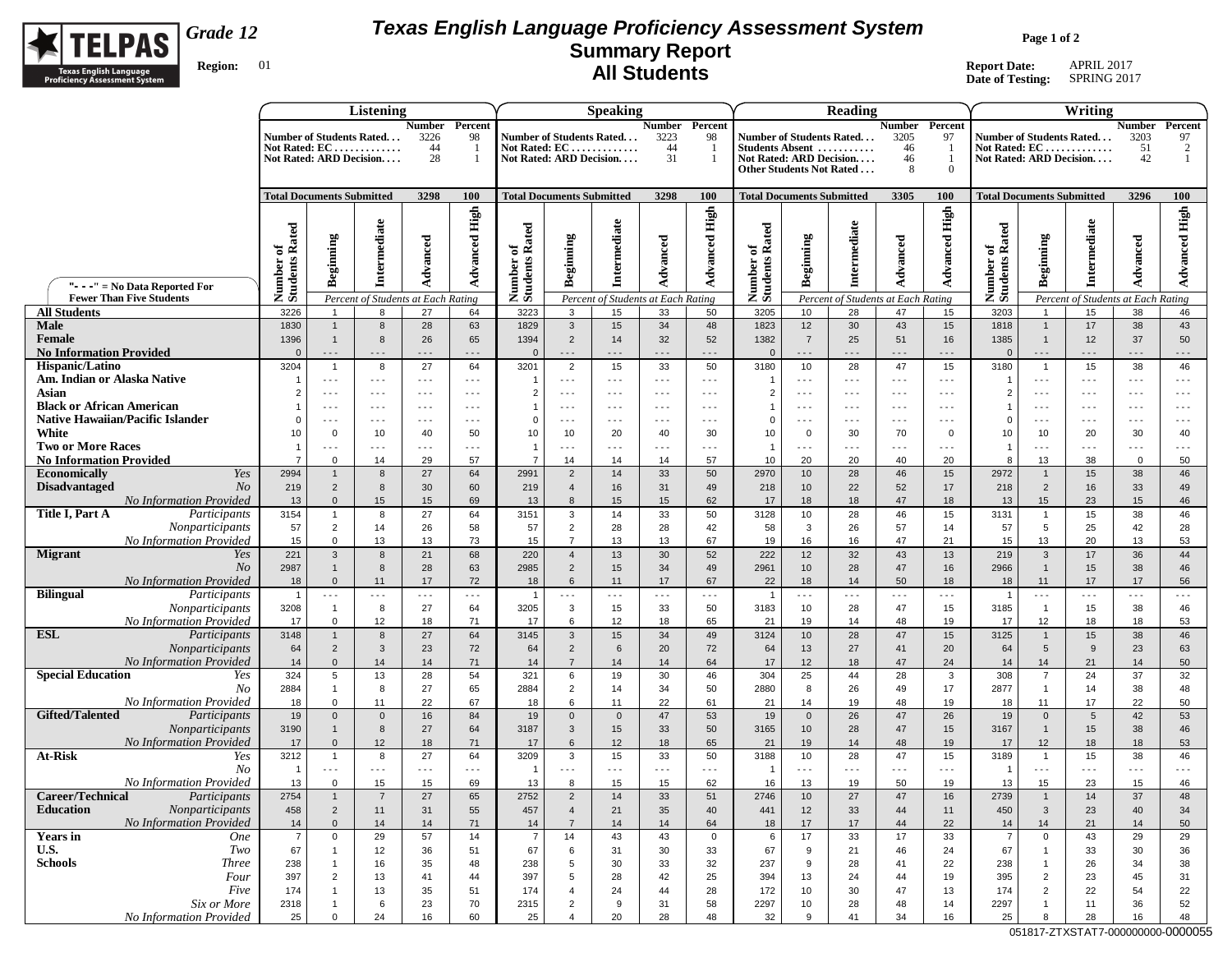

## **Texas English Language Proficiency Assessment System Summary Report All Students**

**Page 1 of 2**

**Report Date:** APRIL 2017 **Date of Testing:** SPRING 2017

|                                                                     | <b>Listening</b>                 |                                     |                                           |                              |                            |                                        |                                  | <b>Speaking</b>                           |                            |                            | Reading                          |                                |                                                     |                                    |                            |                                  | Writing                              |                                           |                            |                            |  |  |  |
|---------------------------------------------------------------------|----------------------------------|-------------------------------------|-------------------------------------------|------------------------------|----------------------------|----------------------------------------|----------------------------------|-------------------------------------------|----------------------------|----------------------------|----------------------------------|--------------------------------|-----------------------------------------------------|------------------------------------|----------------------------|----------------------------------|--------------------------------------|-------------------------------------------|----------------------------|----------------------------|--|--|--|
|                                                                     |                                  |                                     | Number of Students Rated<br>Not Rated: EC | Number Percent<br>3226<br>44 | 98<br>- 1                  |                                        |                                  | Number of Students Rated<br>Not Rated: EC | Number<br>3223<br>44       | Percent<br>98              |                                  |                                | <b>Number of Students Rated</b><br>Students Absent  | Number<br>3205<br>46               | Percent<br>97              |                                  |                                      | Number of Students Rated<br>Not Rated: EC | Number<br>3203<br>51       | Percent<br>97<br>2         |  |  |  |
|                                                                     |                                  |                                     | Not Rated: ARD Decision                   | 28                           | -1                         |                                        |                                  | Not Rated: ARD Decision                   | 31                         |                            |                                  |                                | Not Rated: ARD Decision<br>Other Students Not Rated | 46<br>-8                           | -1<br>$\Omega$             |                                  |                                      | Not Rated: ARD Decision                   | 42                         | $\overline{1}$             |  |  |  |
|                                                                     | <b>Total Documents Submitted</b> |                                     |                                           | 3298                         | <b>100</b>                 |                                        |                                  | <b>Total Documents Submitted</b>          | 3298                       | <b>100</b>                 | <b>Total Documents Submitted</b> |                                |                                                     | 3305                               | 100                        | <b>Total Documents Submitted</b> |                                      |                                           | 3296                       | 100                        |  |  |  |
|                                                                     | Number of<br>Students Rated      | Beginning                           | Intermediate                              | Advanced                     | <b>Advanced High</b>       | Rated<br>ัธ<br>Number of<br>Students 1 | Beginning                        | Intermediate                              | Advanced                   | Advanced High              | Number of<br>Students Rated      | Beginning                      | Intermediate                                        | Advanced                           | <b>Advanced High</b>       | Number of<br>Students Rated      | Beginning                            | Intermediate                              | Advanced                   | High<br>Advanced           |  |  |  |
| "- - -" = $No Data Reported For$<br><b>Fewer Than Five Students</b> |                                  |                                     | Percent of Students at Each Rating        |                              |                            |                                        |                                  | Percent of Students at Each Rating        |                            |                            |                                  |                                |                                                     | Percent of Students at Each Rating |                            |                                  |                                      | Percent of Students at Each Rating        |                            |                            |  |  |  |
| <b>All Students</b>                                                 | 3226                             | $\mathbf{1}$                        | 8                                         | 27                           | 64                         | 3223                                   | $\mathbf{3}$                     | 15                                        | 33                         | 50                         | 3205                             | 10                             | 28                                                  | 47                                 | 15                         | 3203                             | $\overline{1}$                       | 15                                        | 38                         | 46                         |  |  |  |
| <b>Male</b><br>Female                                               | 1830<br>1396                     | $\mathbf{1}$<br>$\overline{1}$      | 8<br>8                                    | 28<br>26                     | 63<br>65                   | 1829<br>1394                           | $\mathbf{3}$<br>$\overline{2}$   | 15<br>14                                  | 34<br>32                   | 48<br>52                   | 1823<br>1382                     | 12<br>$\overline{7}$           | 30<br>25                                            | 43<br>51                           | 15<br>16                   | 1818<br>1385                     | $\mathbf{1}$<br>$\overline{1}$       | 17<br>12                                  | 38<br>37                   | 43<br>50                   |  |  |  |
| <b>No Information Provided</b><br>Hispanic/Latino                   | $\Omega$<br>3204                 | $- - -$<br>$\overline{1}$           | $- - -$<br>8                              | $- - -$<br>27                | $- - -$<br>64              | $\overline{0}$<br>3201                 | - - -<br>2                       | $- - -$<br>15                             | - - -<br>33                | $\ddotsc$<br>50            | $\mathbf{0}$                     | - - -<br>10                    | - - -<br>28                                         | - - -<br>47                        | $\sim$ $\sim$ $\sim$<br>15 | $\Omega$<br>3180                 | $\sim$ $\sim$ $\sim$<br>$\mathbf{1}$ | - - -<br>15                               | $- - -$<br>38              | $- - -$<br>46              |  |  |  |
| Am. Indian or Alaska Native                                         |                                  | $\sim$ $\sim$ $\sim$                | $- - -$                                   | $\sim$ $\sim$ $\sim$         | $\sim$ $\sim$ $\sim$       |                                        | $\sim$ $\sim$ $\sim$             | $\sim$ $\sim$ $\sim$                      | $\sim$ $\sim$ $\sim$       | $\sim$ $\sim$ $\sim$       | 3180<br>$\mathbf{1}$             | $- - -$                        | $\sim$ $\sim$ $\sim$                                | $\sim$ $\sim$ $\sim$               | $\sim$ $\sim$ $\sim$       | -1                               | $\sim$ $\sim$ $\sim$                 | $- - -$                                   | $\sim$ $\sim$ $\sim$       | $- - -$                    |  |  |  |
| Asian                                                               |                                  | $- - -$                             | $- - -$                                   | $- - -$                      | $- - -$                    | $\overline{2}$                         | $- - -$                          | $- - -$                                   | $\sim$ $\sim$ $\sim$       | $- - -$                    | $\overline{2}$                   | $- - -$                        | $- - -$                                             | $- - -$                            | $- - -$                    | $\overline{2}$                   | $\sim$ $\sim$ $\sim$                 | $- - -$                                   | $- - -$                    | $- - -$                    |  |  |  |
| <b>Black or African American</b>                                    |                                  | $\sim$ $\sim$ $\sim$                | $- - -$                                   | $- - -$                      | $- - -$                    |                                        | $\sim$ $\sim$ $\sim$             | $\sim$ $\sim$ $\sim$                      | $\sim$ $\sim$ $\sim$       | $\sim$ $\sim$ $\sim$       | $\overline{1}$                   | $- - -$                        | $\sim$ $\sim$ $\sim$                                | $\sim$ $\sim$ $\sim$               | $\sim$ $\sim$ $\sim$       |                                  | $\sim$ $\sim$ $\sim$                 | $\sim$ $\sim$ $\sim$                      | $\sim$ $\sim$ $\sim$       | $\sim$ $\sim$ $\sim$       |  |  |  |
| <b>Native Hawaiian/Pacific Islander</b>                             | $\Omega$                         | $- - -$                             | $- - -$                                   | $- - -$                      | $- - -$                    | $\Omega$                               | $- - -$                          | $- - -$                                   | $- - -$                    | $- - -$                    | $\mathbf 0$                      | $- - -$                        | $- - -$                                             | $- - -$                            | $- - -$                    | $\mathbf 0$                      | $- - -$                              | $\sim$ $\sim$ $\sim$                      | $- - -$                    | $- - -$                    |  |  |  |
| White<br><b>Two or More Races</b>                                   | 10                               | $\mathbf 0$<br>$\sim$ $\sim$ $\sim$ | 10<br>$- - -$                             | 40<br>- - -                  | 50<br>$\sim$ $\sim$ $\sim$ | 10                                     | 10<br>$- - -$                    | 20<br>$- - -$                             | 40<br>$\sim$ $\sim$ $\sim$ | 30<br>$\sim$ $\sim$ $\sim$ | 10<br>$\overline{1}$             | $\mathbf 0$<br>$- - -$         | 30<br>$- - -$                                       | 70<br>$- - -$                      | $\mathbf 0$<br>$- - -$     | 10<br>$\overline{1}$             | 10<br>$\sim$ $\sim$ $\sim$           | 20<br>$- - -$                             | 30<br>$- - -$              | 40<br>$- - -$              |  |  |  |
| <b>No Information Provided</b>                                      | $\overline{7}$                   | $\Omega$                            | 14                                        | 29                           | 57                         | -7                                     | 14                               | 14                                        | 14                         | 57                         | 10                               | 20                             | 20                                                  | 40                                 | 20                         | 8                                | 13                                   | 38                                        | $\Omega$                   | 50                         |  |  |  |
| Economically<br>Yes                                                 | 2994                             | $\overline{1}$                      | 8                                         | 27                           | 64                         | 2991                                   | $\overline{2}$                   | 14                                        | 33                         | 50                         | 2970                             | 10                             | 28                                                  | 46                                 | 15                         | 2972                             | $\mathbf{1}$                         | 15                                        | 38                         | 46                         |  |  |  |
| <b>Disadvantaged</b><br>N <sub>O</sub>                              | 219                              | $\overline{2}$                      | 8                                         | 30                           | 60                         | 219                                    | $\overline{4}$                   | 16                                        | 31                         | 49                         | 218                              | 10 <sup>1</sup>                | 22                                                  | 52                                 | 17                         | 218                              | $\overline{2}$                       | 16                                        | 33                         | 49                         |  |  |  |
| <b>No Information Provided</b>                                      | 13                               | $\Omega$                            | 15                                        | 15                           | 69                         | 13                                     | 8                                | 15                                        | 15                         | 62                         | 17                               | 18                             | 18                                                  | 47                                 | 18                         | 13                               | 15                                   | 23                                        | 15                         | 46                         |  |  |  |
| Title I, Part A<br>Participants<br>Nonparticipants                  | 3154<br>57                       | $\overline{1}$<br>$\overline{2}$    | 8<br>14                                   | 27<br>26                     | 64<br>58                   | 3151<br>57                             | 3<br>$\overline{2}$              | 14<br>28                                  | 33<br>28                   | 50<br>42                   | 3128<br>58                       | 10<br>3                        | 28<br>26                                            | 46<br>57                           | 15<br>14                   | 3131<br>57                       | $\mathbf{1}$<br>$5\phantom{.0}$      | 15<br>25                                  | 38<br>42                   | 46<br>28                   |  |  |  |
| <b>No Information Provided</b>                                      | 15                               | $\mathbf 0$                         | 13                                        | 13                           | 73                         | 15                                     | $\overline{7}$                   | 13                                        | 13                         | 67                         | 19                               | 16                             | 16                                                  | 47                                 | 21                         | 15                               | 13                                   | 20                                        | 13                         | 53                         |  |  |  |
| <b>Migrant</b><br>Yes                                               | 221                              | 3                                   | 8                                         | 21                           | 68                         | 220                                    | $\overline{4}$                   | 13                                        | 30                         | 52                         | 222                              | 12                             | 32                                                  | 43                                 | 13                         | 219                              | $\mathbf{3}$                         | 17                                        | 36                         | 44                         |  |  |  |
| No.                                                                 | 2987                             | $\overline{1}$                      | 8                                         | 28                           | 63                         | 2985                                   | $\overline{2}$                   | 15                                        | 34                         | 49                         | 2961                             | 10                             | 28                                                  | 47                                 | 16                         | 2966                             | $\mathbf{1}$                         | 15                                        | 38                         | 46                         |  |  |  |
| <b>No Information Provided</b>                                      | 18<br>$\mathbf{1}$               | $\mathbf 0$<br>$\sim$ $\sim$ $\sim$ | 11<br>$\sim$ $\sim$ $\sim$                | 17<br>$\sim$ $\sim$ $\sim$   | 72<br>$\sim$ $\sim$ $\sim$ | 18<br>$\overline{1}$                   | 6<br>$\sim$ $\sim$ $\sim$        | 11<br>$\sim$ $\sim$ $\sim$                | 17<br>$\sim$ $\sim$ $\sim$ | 67<br>$\sim$ $\sim$ $\sim$ | 22                               | 18<br>$\overline{\phantom{a}}$ | 14<br>$\sim$ $\sim$ $\sim$                          | 50<br>$\sim$ $\sim$ $\sim$         | 18<br>$\sim$ $\sim$ $\sim$ | 18<br>$\overline{1}$             | 11<br>$\sim$ $\sim$ $\sim$           | 17<br>$\sim$ $\sim$ $\sim$                | 17<br>$\sim$ $\sim$ $\sim$ | 56<br>$\sim$ $\sim$ $\sim$ |  |  |  |
| <b>Bilingual</b><br>Participants<br>Nonparticipants                 | 3208                             | $\overline{1}$                      | 8                                         | 27                           | 64                         | 3205                                   | $\mathbf{3}$                     | 15                                        | 33                         | 50                         | $\overline{1}$<br>3183           | 10                             | 28                                                  | 47                                 | 15                         | 3185                             | $\overline{1}$                       | 15                                        | 38                         | 46                         |  |  |  |
| No Information Provided                                             | 17                               | $\mathsf 0$                         | 12                                        | 18                           | 71                         | 17                                     | 6                                | 12                                        | 18                         | 65                         | 21                               | 19                             | 14                                                  | 48                                 | 19                         | 17                               | 12                                   | 18                                        | 18                         | 53                         |  |  |  |
| <b>ESL</b><br>Participants                                          | 3148                             | $\overline{1}$                      | 8                                         | 27                           | 64                         | 3145                                   | $\mathbf{3}$                     | 15                                        | 34                         | 49                         | 3124                             | 10                             | 28                                                  | 47                                 | 15                         | 3125                             | $\mathbf{1}$                         | 15                                        | 38                         | 46                         |  |  |  |
| Nonparticipants                                                     | 64                               | $\overline{2}$                      | $\mathbf{3}$                              | 23                           | 72                         | 64                                     | $\overline{2}$                   | 6                                         | 20                         | 72                         | 64                               | 13                             | 27                                                  | 41                                 | 20                         | 64                               | $\sqrt{5}$                           | 9                                         | 23                         | 63                         |  |  |  |
| <b>No Information Provided</b><br><b>Special Education</b><br>Yes   | 14                               | $\Omega$                            | 14                                        | 14                           | 71<br>54                   | 14                                     | $\overline{7}$                   | 14                                        | 14                         | 64                         | 17                               | 12                             | 18                                                  | 47                                 | 24                         | 14                               | 14<br>$\overline{7}$                 | 21                                        | 14                         | 50                         |  |  |  |
| No                                                                  | 324<br>2884                      | 5<br>$\mathbf{1}$                   | 13<br>8                                   | 28<br>27                     | 65                         | 321<br>2884                            | 6<br>$\overline{2}$              | 19<br>14                                  | 30<br>34                   | 46<br>50                   | 304<br>2880                      | 25<br>8                        | 44<br>26                                            | 28<br>49                           | $\mathbf{3}$<br>17         | 308<br>2877                      | $\mathbf{1}$                         | 24<br>14                                  | 37<br>38                   | 32<br>48                   |  |  |  |
| <b>No Information Provided</b>                                      | 18                               | $\mathbf 0$                         | 11                                        | 22                           | 67                         | 18                                     | 6                                | 11                                        | 22                         | 61                         | 21                               | 14                             | 19                                                  | 48                                 | 19                         | 18                               | 11                                   | 17                                        | 22                         | 50                         |  |  |  |
| <b>Gifted/Talented</b><br>Participants                              | 19                               | $\Omega$                            | $\Omega$                                  | 16                           | 84                         | 19                                     | $\mathbf{0}$                     | $\mathbf{0}$                              | 47                         | 53                         | 19                               | $\mathbf{0}$                   | 26                                                  | 47                                 | 26                         | 19                               | $\mathbf 0$                          | $5\phantom{.0}$                           | 42                         | 53                         |  |  |  |
| Nonparticipants                                                     | 3190                             |                                     | 8                                         | 27                           | 64                         | 3187                                   | $\mathbf{3}$                     | 15                                        | 33                         | 50                         | 3165                             | 10 <sup>1</sup>                | 28                                                  | 47                                 | 15                         | 3167                             | $\overline{1}$                       | 15                                        | 38                         | 46                         |  |  |  |
| <b>No Information Provided</b><br>At-Risk<br>Yes                    | 17<br>3212                       | $\Omega$<br>$\mathbf{1}$            | 12<br>8                                   | 18<br>27                     | 71<br>64                   | 17<br>3209                             | 6<br>3                           | 12<br>15                                  | 18<br>33                   | 65<br>50                   | 21<br>3188                       | 19<br>10                       | 14<br>28                                            | 48<br>47                           | 19<br>15                   | 17<br>3189                       | 12<br>$\overline{1}$                 | 18<br>15                                  | 18<br>38                   | 53<br>46                   |  |  |  |
| N <sub>O</sub>                                                      | - 1                              | $\sim$ $\sim$ $\sim$                | $\sim$ $\sim$ $\sim$                      | $\sim$ $\sim$ $\sim$         | $\sim$ $\sim$ $\sim$       | $\overline{1}$                         | $- - -$                          | $\sim$ $\sim$ $\sim$                      | $\sim$ $\sim$ $\sim$       | $\sim$ $\sim$ $\sim$       | $\overline{1}$                   | $- - -$                        | $\sim$ $\sim$ $\sim$                                | $\sim$ $\sim$ $\sim$               | $\sim$ $\sim$ $\sim$       | $\overline{1}$                   | $\sim$ $\sim$ $\sim$                 | $\sim$ $\sim$ $\sim$                      | $\sim$ $\sim$ $\sim$       | $\sim$ $\sim$ $\sim$       |  |  |  |
| No Information Provided                                             | 13                               | $\mathbf 0$                         | 15                                        | 15                           | 69                         | 13                                     | 8                                | 15                                        | 15                         | 62                         | 16                               | 13                             | 19                                                  | 50                                 | 19                         | 13                               | 15                                   | 23                                        | 15                         | 46                         |  |  |  |
| Career/Technical<br>Participants                                    | 2754                             |                                     | 7                                         | 27                           | 65                         | 2752                                   | $\overline{2}$                   | 14                                        | 33                         | 51                         | 2746                             | 10                             | 27                                                  | 47                                 | 16                         | 2739                             | $\mathbf{1}$                         | 14                                        | 37                         | 48                         |  |  |  |
| <b>Education</b><br>Nonparticipants                                 | 458                              | $\overline{2}$                      | 11                                        | 31                           | 55                         | 457                                    | $\overline{4}$                   | 21                                        | 35                         | 40                         | 441                              | 12                             | 33                                                  | 44                                 | 11                         | 450                              | $\mathbf{3}$                         | 23                                        | 40                         | 34                         |  |  |  |
| No Information Provided<br><b>Years in</b><br><b>One</b>            | 14<br>$\overline{7}$             | $\mathbf 0$<br>$\mathbf 0$          | 14<br>29                                  | 14<br>57                     | 71<br>14                   | 14<br>$\overline{7}$                   | $\overline{7}$<br>14             | 14<br>43                                  | 14<br>43                   | 64<br>$\mathsf 0$          | 18<br>6                          | 17<br>17                       | 17<br>33                                            | 44<br>17                           | 22<br>33                   | 14<br>$\overline{7}$             | 14<br>$\pmb{0}$                      | 21<br>43                                  | 14<br>29                   | 50<br>29                   |  |  |  |
| U.S.<br>Two                                                         | 67                               | $\mathbf{1}$                        | 12                                        | 36                           | 51                         | 67                                     | 6                                | 31                                        | 30                         | 33                         | 67                               | 9                              | 21                                                  | 46                                 | 24                         | 67                               | $\mathbf{1}$                         | 33                                        | 30                         | 36                         |  |  |  |
| <b>Schools</b><br><i>Three</i>                                      | 238                              |                                     | 16                                        | 35                           | 48                         | 238                                    | 5                                | 30                                        | 33                         | 32                         | 237                              | 9                              | 28                                                  | 41                                 | 22                         | 238                              | $\mathbf{1}$                         | 26                                        | 34                         | 38                         |  |  |  |
| Four                                                                | 397                              | $\overline{2}$                      | 13                                        | 41                           | 44                         | 397                                    | 5                                | 28                                        | 42                         | 25                         | 394                              | 13                             | 24                                                  | 44                                 | 19                         | 395                              | $\overline{2}$                       | 23                                        | 45                         | 31                         |  |  |  |
| Five                                                                | 174                              | $\mathbf{1}$                        | 13                                        | 35                           | 51                         | 174                                    | $\overline{4}$                   | 24                                        | 44                         | 28                         | 172                              | 10                             | 30                                                  | 47                                 | 13                         | 174                              | $\overline{2}$                       | 22                                        | 54                         | 22                         |  |  |  |
| Six or More<br>No Information Provided                              | 2318<br>25                       | $\mathbf{1}$<br>$\mathbf 0$         | 6<br>24                                   | 23<br>16                     | 70<br>60                   | 2315<br>25                             | $\overline{2}$<br>$\overline{4}$ | 9<br>20                                   | 31<br>28                   | 58<br>48                   | 2297<br>32                       | 10<br>9                        | 28<br>41                                            | 48<br>34                           | 14<br>16                   | 2297<br>25                       | $\mathbf{1}$<br>8                    | 11<br>28                                  | 36<br>16                   | 52<br>48                   |  |  |  |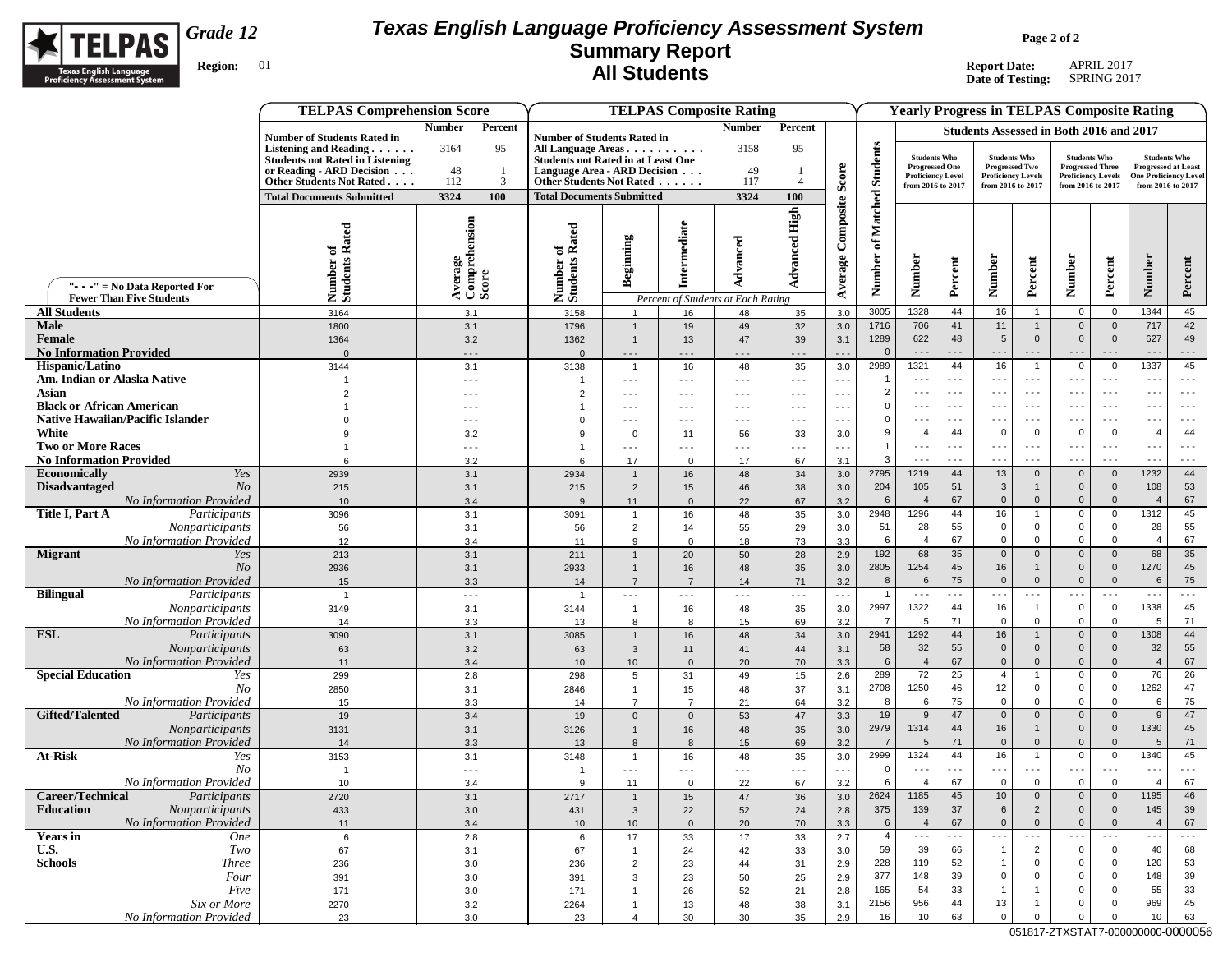

## **Texas English Language Proficiency Assessment System Summary Report All Students**

**Page 2 of 2**

**Report Date:** APRIL 2017 **Date of Testing:** SPRING 2017

|                                                   | <b>TELPAS Comprehension Score</b>                                                                                                  |                                              |                                                                                                                                       |                                 |                                              | <b>TELPAS Composite Rating</b>     |                                 |                            |                               |                      |                                                   |                                                                           | <b>Yearly Progress in TELPAS Composite Rating</b> |             |                                                                                                                                                                                                                                                                                                                                                                                                                                                                                                                                                                                                                                                                                                                                                                                                                                                                                                                                                                                                                                                                                                                                                                                                                                                                                                                                                                                                                                                                                                                                      |                      |                                                                            |  |
|---------------------------------------------------|------------------------------------------------------------------------------------------------------------------------------------|----------------------------------------------|---------------------------------------------------------------------------------------------------------------------------------------|---------------------------------|----------------------------------------------|------------------------------------|---------------------------------|----------------------------|-------------------------------|----------------------|---------------------------------------------------|---------------------------------------------------------------------------|---------------------------------------------------|-------------|--------------------------------------------------------------------------------------------------------------------------------------------------------------------------------------------------------------------------------------------------------------------------------------------------------------------------------------------------------------------------------------------------------------------------------------------------------------------------------------------------------------------------------------------------------------------------------------------------------------------------------------------------------------------------------------------------------------------------------------------------------------------------------------------------------------------------------------------------------------------------------------------------------------------------------------------------------------------------------------------------------------------------------------------------------------------------------------------------------------------------------------------------------------------------------------------------------------------------------------------------------------------------------------------------------------------------------------------------------------------------------------------------------------------------------------------------------------------------------------------------------------------------------------|----------------------|----------------------------------------------------------------------------|--|
|                                                   |                                                                                                                                    | <b>Number</b><br>Percent                     |                                                                                                                                       |                                 |                                              | <b>Number</b>                      | Percent                         |                            |                               |                      |                                                   |                                                                           | <b>Students Assessed in Both 2016 and 2017</b>    |             |                                                                                                                                                                                                                                                                                                                                                                                                                                                                                                                                                                                                                                                                                                                                                                                                                                                                                                                                                                                                                                                                                                                                                                                                                                                                                                                                                                                                                                                                                                                                      |                      |                                                                            |  |
|                                                   | <b>Number of Students Rated in</b><br>Listening and Reading<br><b>Students not Rated in Listening</b><br>or Reading - ARD Decision | 95<br>3164<br>48                             | <b>Number of Students Rated in</b><br>All Language Areas<br><b>Students not Rated in at Least One</b><br>Language Area - ARD Decision |                                 | .                                            | 3158<br>49                         | 95                              | Score                      | <b>Students</b>               | <b>Students Who</b>  | <b>Progressed One</b><br><b>Proficiency Level</b> | <b>Students Who</b><br><b>Progressed Two</b><br><b>Proficiency Levels</b> |                                                   |             | <b>Students Who</b><br><b>Progressed Three</b><br><b>Proficiency Levels</b><br>from 2016 to 2017<br>Number<br>Percent<br>$\overline{0}$<br>$\mathbf 0$<br>$\mathbf 0$<br>$\mathbf 0$<br>$\mathbf 0$<br>$\mathbf 0$<br>$- - -$<br>$- -$<br>$\mathbf 0$<br>$\mathbf 0$<br>$- - -$<br>$- - -$<br>$\sim$ $\sim$ $\sim$<br>$- - -$<br>$\sim$ $\sim$ $\sim$<br>$\sim$ $\sim$ $\sim$<br>$\sim$ $\sim$ $\sim$<br>$\sim$ $\sim$ $\sim$<br>$\overline{0}$<br>0<br>$\sim$ $\sim$ $\sim$<br>$\sim$ $\sim$ $\sim$<br>$\sim$ $\sim$ $\sim$<br>$\sim$ $\sim$ $\sim$<br>$\mathbf 0$<br>$\mathbf 0$<br>$\mathbf 0$<br>$\mathbf 0$<br>$\mathbf 0$<br>$\mathbf 0$<br>$\mathbf 0$<br>$\mathbf 0$<br>$\mathbf 0$<br>$\mathbf 0$<br>$\overline{0}$<br>$\mathbf 0$<br>$\mathbf 0$<br>$\mathbf 0$<br>$\mathbf 0$<br>$\mathbf 0$<br>$\mathbf 0$<br>$\mathbf{0}$<br>$- -$<br>$- - -$<br>$\mathbf 0$<br>$\mathbf 0$<br>$\mathbf 0$<br>$\mathbf 0$<br>$\mathbf 0$<br>1308<br>$\mathbf{0}$<br>$\overline{0}$<br>$\mathbf 0$<br>$\overline{0}$<br>$\mathbf 0$<br>$\mathbf 0$<br>0<br>$\mathbf 0$<br>$\mathbf 0$<br>$\mathbf 0$<br>$\mathbf 0$<br>$\mathbf 0$<br>$\mathbf{0}$<br>$\mathbf 0$<br>$\mathbf 0$<br>$\mathbf 0$<br>$\Omega$<br>$\Omega$<br>$\mathbf 0$<br>$\sim$ $\sim$ $\sim$<br>$\sim$ $\sim$ $\sim$<br>$\mathsf 0$<br>$\mathbf 0$<br>$\mathbf 0$<br>$\mathbf 0$<br>$\mathbf 0$<br>$\mathbf 0$<br>$\mathbf 0$<br>$\mathbf{0}$<br>$\sim$ $\sim$ $\sim$<br>$\sim$ $\sim$ $\sim$<br>$\mathbf 0$<br>$\mathbf 0$<br>$\mathbf 0$<br>0<br>$\overline{0}$<br>0 |                      | <b>Students Who</b><br><b>Progressed at Least</b><br>One Proficiency Level |  |
|                                                   | Other Students Not Rated                                                                                                           | 112<br>3                                     | Other Students Not Rated<br><b>Total Documents Submitted</b>                                                                          |                                 |                                              | 117                                | 4                               |                            |                               |                      | from 2016 to 2017                                 | from 2016 to 2017                                                         |                                                   |             |                                                                                                                                                                                                                                                                                                                                                                                                                                                                                                                                                                                                                                                                                                                                                                                                                                                                                                                                                                                                                                                                                                                                                                                                                                                                                                                                                                                                                                                                                                                                      | from 2016 to 2017    |                                                                            |  |
|                                                   | <b>Total Documents Submitted</b>                                                                                                   | 3324<br>100                                  |                                                                                                                                       |                                 |                                              | 3324                               | 100                             |                            |                               |                      |                                                   |                                                                           |                                                   |             |                                                                                                                                                                                                                                                                                                                                                                                                                                                                                                                                                                                                                                                                                                                                                                                                                                                                                                                                                                                                                                                                                                                                                                                                                                                                                                                                                                                                                                                                                                                                      |                      |                                                                            |  |
| "- - -" = No Data Reported For                    | Number of<br>Students Rated                                                                                                        | Average<br>Comprehension<br>Score            | Rated<br>ัธ<br>Number o<br>Students l                                                                                                 | Beginning                       | Intermediate                                 | Advanced                           | <b>Advanced High</b>            | Composite<br>Average       | Matched<br>đ<br><b>Number</b> | <b>Number</b>        | Percent                                           | Number                                                                    | Percent                                           |             |                                                                                                                                                                                                                                                                                                                                                                                                                                                                                                                                                                                                                                                                                                                                                                                                                                                                                                                                                                                                                                                                                                                                                                                                                                                                                                                                                                                                                                                                                                                                      | Number               | Percent                                                                    |  |
| <b>Fewer Than Five Students</b>                   |                                                                                                                                    |                                              |                                                                                                                                       |                                 |                                              | Percent of Students at Each Rating |                                 |                            |                               |                      |                                                   |                                                                           |                                                   |             |                                                                                                                                                                                                                                                                                                                                                                                                                                                                                                                                                                                                                                                                                                                                                                                                                                                                                                                                                                                                                                                                                                                                                                                                                                                                                                                                                                                                                                                                                                                                      |                      |                                                                            |  |
| <b>All Students</b>                               | 3164                                                                                                                               | 3.1                                          | 3158                                                                                                                                  |                                 | 16                                           | 48                                 | 35                              | 3.0                        | 3005                          | 1328                 | 44                                                | 16                                                                        | $\mathbf{1}$                                      |             |                                                                                                                                                                                                                                                                                                                                                                                                                                                                                                                                                                                                                                                                                                                                                                                                                                                                                                                                                                                                                                                                                                                                                                                                                                                                                                                                                                                                                                                                                                                                      | 1344                 | 45                                                                         |  |
| <b>Male</b>                                       | 1800                                                                                                                               | 3.1                                          | 1796                                                                                                                                  | $\overline{1}$                  | 19                                           | 49                                 | 32                              | 3.0                        | 1716                          | 706                  | 41                                                | 11                                                                        | $\mathbf{1}$                                      |             |                                                                                                                                                                                                                                                                                                                                                                                                                                                                                                                                                                                                                                                                                                                                                                                                                                                                                                                                                                                                                                                                                                                                                                                                                                                                                                                                                                                                                                                                                                                                      | 717                  | 42                                                                         |  |
| Female                                            | 1364                                                                                                                               | 3.2                                          | 1362                                                                                                                                  | $\overline{1}$                  | 13                                           | 47                                 | 39                              | 3.1                        | 1289                          | 622                  | 48                                                | $5\phantom{.0}$                                                           | $\mathbf{0}$                                      |             |                                                                                                                                                                                                                                                                                                                                                                                                                                                                                                                                                                                                                                                                                                                                                                                                                                                                                                                                                                                                                                                                                                                                                                                                                                                                                                                                                                                                                                                                                                                                      | 627                  | 49                                                                         |  |
| <b>No Information Provided</b>                    | $\mathbf 0$                                                                                                                        | $\sim$ $\sim$ $\sim$                         | $\mathbf{0}$                                                                                                                          | $- - -$                         | $- - -$                                      | $- - -$                            | $- - -$                         | $\overline{\phantom{a}}$ . | $\mathbf{0}$                  | $\sim$ $\sim$        | $  -$                                             | $\overline{\phantom{a}}$ .                                                |                                                   |             |                                                                                                                                                                                                                                                                                                                                                                                                                                                                                                                                                                                                                                                                                                                                                                                                                                                                                                                                                                                                                                                                                                                                                                                                                                                                                                                                                                                                                                                                                                                                      | 1337                 | $\ddotsc$                                                                  |  |
| Hispanic/Latino<br>Am. Indian or Alaska Native    | 3144                                                                                                                               | 3.1                                          | 3138                                                                                                                                  | $\overline{1}$                  | 16                                           | 48                                 | 35                              | 3.0                        | 2989                          | 1321<br>$- - -$      | 44<br>$- - -$                                     | 16<br>$- - -$                                                             | $\mathbf{1}$<br>$- - -$                           |             |                                                                                                                                                                                                                                                                                                                                                                                                                                                                                                                                                                                                                                                                                                                                                                                                                                                                                                                                                                                                                                                                                                                                                                                                                                                                                                                                                                                                                                                                                                                                      | $- - -$              | 45<br>$\sim$ $\sim$ $\sim$                                                 |  |
| Asian                                             | $\mathfrak{p}$                                                                                                                     | $\sim$ $\sim$ $\sim$<br>$\sim$ $\sim$ $\sim$ | $\overline{1}$<br>$\overline{2}$                                                                                                      | $\sim$ $\sim$ $\sim$<br>$- - -$ | $\sim$ $\sim$ $\sim$<br>$\sim$ $\sim$ $\sim$ | $- - -$<br>$\sim$ $\sim$ $\sim$    | $- - -$<br>$\sim$ $\sim$ $\sim$ | $\sim$ $\sim$<br>$- - -$   | $\overline{2}$                | $- - -$              | $- - -$                                           | $- -$                                                                     | $- - -$                                           |             |                                                                                                                                                                                                                                                                                                                                                                                                                                                                                                                                                                                                                                                                                                                                                                                                                                                                                                                                                                                                                                                                                                                                                                                                                                                                                                                                                                                                                                                                                                                                      | $- - -$              | $\sim$ $\sim$ $\sim$                                                       |  |
| <b>Black or African American</b>                  |                                                                                                                                    | $- - -$                                      | -1                                                                                                                                    | $- - -$                         | $- - -$                                      | $- - -$                            | $- - -$                         | $- - -$                    | $\Omega$                      | $\sim$ $\sim$ $\sim$ | $- - -$                                           | .                                                                         | $- - -$                                           |             |                                                                                                                                                                                                                                                                                                                                                                                                                                                                                                                                                                                                                                                                                                                                                                                                                                                                                                                                                                                                                                                                                                                                                                                                                                                                                                                                                                                                                                                                                                                                      | $\sim$ $\sim$ $\sim$ | $\sim$ $\sim$ $\sim$                                                       |  |
| <b>Native Hawaiian/Pacific Islander</b>           |                                                                                                                                    | $- - -$                                      | $\Omega$                                                                                                                              | $- - -$                         | $- - -$                                      | $- - -$                            | $- - -$                         | $\sim$ $\sim$ $\sim$       | 0                             | $- - -$              | $- - -$                                           | .                                                                         | $\sim$ $\sim$ $\sim$                              |             |                                                                                                                                                                                                                                                                                                                                                                                                                                                                                                                                                                                                                                                                                                                                                                                                                                                                                                                                                                                                                                                                                                                                                                                                                                                                                                                                                                                                                                                                                                                                      | .                    | $\sim$ $\sim$ $\sim$                                                       |  |
| White                                             |                                                                                                                                    | 3.2                                          | 9                                                                                                                                     | $\mathbf 0$                     | 11                                           | 56                                 | 33                              | 3.0                        | 9                             | $\overline{4}$       | 44                                                | $\mathbf 0$                                                               | $\mathbf 0$                                       |             |                                                                                                                                                                                                                                                                                                                                                                                                                                                                                                                                                                                                                                                                                                                                                                                                                                                                                                                                                                                                                                                                                                                                                                                                                                                                                                                                                                                                                                                                                                                                      | $\overline{4}$       | 44                                                                         |  |
| <b>Two or More Races</b>                          |                                                                                                                                    | $\sim$ $\sim$ $\sim$                         |                                                                                                                                       | $\sim$ $\sim$ $\sim$            | $\sim$ $\sim$ $\sim$                         | $\sim$ $\sim$ $\sim$               | $\sim$ $\sim$ $\sim$            | $\ddotsc$                  |                               | $- - -$              | $\sim$ $\sim$ $\sim$                              | $- - -$                                                                   | $- - -$                                           |             |                                                                                                                                                                                                                                                                                                                                                                                                                                                                                                                                                                                                                                                                                                                                                                                                                                                                                                                                                                                                                                                                                                                                                                                                                                                                                                                                                                                                                                                                                                                                      | $\sim$ $\sim$ $\sim$ | $\sim$ $\sim$ $\sim$                                                       |  |
| <b>No Information Provided</b>                    | 6                                                                                                                                  | 3.2                                          | 6                                                                                                                                     | 17                              | $\mathbf 0$                                  | 17                                 | 67                              | 3.1                        | 3                             | $\sim$ $\sim$ .      | - - -                                             | $- -$                                                                     |                                                   |             |                                                                                                                                                                                                                                                                                                                                                                                                                                                                                                                                                                                                                                                                                                                                                                                                                                                                                                                                                                                                                                                                                                                                                                                                                                                                                                                                                                                                                                                                                                                                      | $\sim$ $\sim$ $\sim$ | $- - -$                                                                    |  |
| <b>Economically</b><br>Yes                        | 2939                                                                                                                               | 3.1                                          | 2934                                                                                                                                  | $\overline{1}$                  | 16                                           | 48                                 | 34                              | 3.0                        | 2795                          | 1219                 | 44                                                | 13                                                                        | $\mathbf 0$                                       |             |                                                                                                                                                                                                                                                                                                                                                                                                                                                                                                                                                                                                                                                                                                                                                                                                                                                                                                                                                                                                                                                                                                                                                                                                                                                                                                                                                                                                                                                                                                                                      | 1232                 | 44                                                                         |  |
| <b>Disadvantaged</b><br>N <sub>O</sub>            | 215                                                                                                                                | 3.1                                          | 215                                                                                                                                   | $\overline{2}$                  | 15                                           | 46                                 | 38                              | 3.0                        | 204                           | 105                  | 51                                                | $\mathbf{3}$                                                              | $\mathbf{1}$                                      |             |                                                                                                                                                                                                                                                                                                                                                                                                                                                                                                                                                                                                                                                                                                                                                                                                                                                                                                                                                                                                                                                                                                                                                                                                                                                                                                                                                                                                                                                                                                                                      | 108                  | 53                                                                         |  |
| No Information Provided                           | 10                                                                                                                                 | 3.4                                          | $\mathbf{q}$                                                                                                                          | 11                              | $\mathbf{0}$                                 | 22                                 | 67                              | 3.2                        | 6                             | $\overline{4}$       | 67                                                | $\mathbf 0$                                                               | $\mathbf 0$                                       |             |                                                                                                                                                                                                                                                                                                                                                                                                                                                                                                                                                                                                                                                                                                                                                                                                                                                                                                                                                                                                                                                                                                                                                                                                                                                                                                                                                                                                                                                                                                                                      | $\overline{4}$       | 67                                                                         |  |
| Title I, Part A<br>Participants                   | 3096                                                                                                                               | 3.1                                          | 3091                                                                                                                                  | $\mathbf{1}$                    | 16                                           | 48                                 | 35                              | 3.0                        | 2948                          | 1296                 | 44                                                | 16                                                                        | $\mathbf{1}$                                      |             |                                                                                                                                                                                                                                                                                                                                                                                                                                                                                                                                                                                                                                                                                                                                                                                                                                                                                                                                                                                                                                                                                                                                                                                                                                                                                                                                                                                                                                                                                                                                      | 1312                 | 45                                                                         |  |
| Nonparticipants                                   | 56                                                                                                                                 | 3.1                                          | 56                                                                                                                                    | $\overline{2}$                  | 14                                           | 55                                 | 29                              | 3.0                        | 51                            | 28                   | 55                                                | $\mathbf 0$                                                               | $\mathbf 0$                                       |             |                                                                                                                                                                                                                                                                                                                                                                                                                                                                                                                                                                                                                                                                                                                                                                                                                                                                                                                                                                                                                                                                                                                                                                                                                                                                                                                                                                                                                                                                                                                                      | 28                   | 55                                                                         |  |
| No Information Provided                           | 12                                                                                                                                 | 3.4                                          | 11                                                                                                                                    | 9                               | $\mathsf 0$                                  | 18                                 | 73                              | 3.3                        | 6                             | $\overline{4}$       | 67                                                | $\mathbf 0$                                                               | $\mathsf 0$                                       |             |                                                                                                                                                                                                                                                                                                                                                                                                                                                                                                                                                                                                                                                                                                                                                                                                                                                                                                                                                                                                                                                                                                                                                                                                                                                                                                                                                                                                                                                                                                                                      | $\overline{4}$       | 67                                                                         |  |
| <b>Migrant</b><br>Yes                             | 213                                                                                                                                | 3.1                                          | 211                                                                                                                                   | $\overline{1}$                  | 20                                           | 50                                 | 28                              | 2.9                        | 192                           | 68                   | 35                                                | $\mathbf 0$                                                               | $\mathbf{0}$                                      |             |                                                                                                                                                                                                                                                                                                                                                                                                                                                                                                                                                                                                                                                                                                                                                                                                                                                                                                                                                                                                                                                                                                                                                                                                                                                                                                                                                                                                                                                                                                                                      | 68                   | 35                                                                         |  |
| No.                                               | 2936                                                                                                                               | 3.1                                          | 2933                                                                                                                                  | $\overline{1}$                  | 16                                           | 48                                 | 35                              | 3.0                        | 2805                          | 1254                 | 45                                                | 16                                                                        | $\mathbf{1}$                                      |             |                                                                                                                                                                                                                                                                                                                                                                                                                                                                                                                                                                                                                                                                                                                                                                                                                                                                                                                                                                                                                                                                                                                                                                                                                                                                                                                                                                                                                                                                                                                                      | 1270                 | 45                                                                         |  |
| <b>No Information Provided</b>                    | 15                                                                                                                                 | 3.3                                          | 14                                                                                                                                    | $\overline{7}$                  | $\overline{7}$                               | 14                                 | 71                              | 3.2                        | 8                             | 6                    | 75                                                | $\mathbf 0$                                                               | $\mathbf 0$                                       |             |                                                                                                                                                                                                                                                                                                                                                                                                                                                                                                                                                                                                                                                                                                                                                                                                                                                                                                                                                                                                                                                                                                                                                                                                                                                                                                                                                                                                                                                                                                                                      | 6                    | 75                                                                         |  |
| <b>Bilingual</b><br>Participants                  | $\overline{1}$                                                                                                                     | $\sim$ $\sim$ $\sim$                         | $\mathbf{1}$                                                                                                                          | $\sim$ $\sim$ $\sim$            | $\sim$ $\sim$ $\sim$                         | $- - -$                            | $\sim$ $\sim$ $\sim$            | $\ddotsc$                  | -1                            | $- -$                | $\sim$ $\sim$ $\sim$                              | $- -$                                                                     | $- - -$                                           |             |                                                                                                                                                                                                                                                                                                                                                                                                                                                                                                                                                                                                                                                                                                                                                                                                                                                                                                                                                                                                                                                                                                                                                                                                                                                                                                                                                                                                                                                                                                                                      | $  -$                | $\sim$ $\sim$ $\sim$                                                       |  |
| Nonparticipants                                   | 3149                                                                                                                               | 3.1                                          | 3144                                                                                                                                  | $\mathbf{1}$                    | 16                                           | 48                                 | 35                              | 3.0                        | 2997                          | 1322                 | 44                                                | 16                                                                        | $\mathbf{1}$                                      |             |                                                                                                                                                                                                                                                                                                                                                                                                                                                                                                                                                                                                                                                                                                                                                                                                                                                                                                                                                                                                                                                                                                                                                                                                                                                                                                                                                                                                                                                                                                                                      | 1338                 | 45                                                                         |  |
| No Information Provided                           | 14                                                                                                                                 | 3.3                                          | 13                                                                                                                                    | 8                               | 8                                            | 15                                 | 69                              | 3.2                        |                               | 5                    | 71                                                | $\Omega$                                                                  | $\mathbf 0$                                       |             |                                                                                                                                                                                                                                                                                                                                                                                                                                                                                                                                                                                                                                                                                                                                                                                                                                                                                                                                                                                                                                                                                                                                                                                                                                                                                                                                                                                                                                                                                                                                      | 5                    | 71                                                                         |  |
| <b>ESL</b><br>Participants                        | 3090                                                                                                                               | 3.1                                          | 3085                                                                                                                                  | $\overline{1}$                  | 16                                           | 48                                 | 34                              | 3.0                        | 2941<br>58                    | 1292<br>32           | 44<br>55                                          | 16<br>$\mathbf{0}$                                                        | $\mathbf{1}$<br>$\mathbf 0$                       |             |                                                                                                                                                                                                                                                                                                                                                                                                                                                                                                                                                                                                                                                                                                                                                                                                                                                                                                                                                                                                                                                                                                                                                                                                                                                                                                                                                                                                                                                                                                                                      | 32                   | 44<br>55                                                                   |  |
| Nonparticipants<br><b>No Information Provided</b> | 63<br>11                                                                                                                           | 3.2<br>3.4                                   | 63<br>10                                                                                                                              | $\mathbf{3}$<br>10              | 11<br>$\mathbf{0}$                           | 41<br>20                           | 44<br>70                        | 3.1<br>3.3                 | 6                             | $\overline{4}$       | 67                                                | $\mathbf 0$                                                               | $\mathbf 0$                                       |             |                                                                                                                                                                                                                                                                                                                                                                                                                                                                                                                                                                                                                                                                                                                                                                                                                                                                                                                                                                                                                                                                                                                                                                                                                                                                                                                                                                                                                                                                                                                                      | $\overline{4}$       | 67                                                                         |  |
| <b>Special Education</b><br>Yes                   | 299                                                                                                                                | 2.8                                          | 298                                                                                                                                   | 5                               | 31                                           | 49                                 | 15                              | 2.6                        | 289                           | 72                   | 25                                                | $\overline{4}$                                                            | $\mathbf{1}$                                      |             |                                                                                                                                                                                                                                                                                                                                                                                                                                                                                                                                                                                                                                                                                                                                                                                                                                                                                                                                                                                                                                                                                                                                                                                                                                                                                                                                                                                                                                                                                                                                      | 76                   | 26                                                                         |  |
| No                                                | 2850                                                                                                                               | 3.1                                          | 2846                                                                                                                                  | $\overline{1}$                  | 15                                           | 48                                 | 37                              | 3.1                        | 2708                          | 1250                 | 46                                                | 12                                                                        | $\mathbf 0$                                       |             |                                                                                                                                                                                                                                                                                                                                                                                                                                                                                                                                                                                                                                                                                                                                                                                                                                                                                                                                                                                                                                                                                                                                                                                                                                                                                                                                                                                                                                                                                                                                      | 1262                 | 47                                                                         |  |
| No Information Provided                           | 15                                                                                                                                 | 3.3                                          | 14                                                                                                                                    | $\overline{7}$                  | $\overline{7}$                               | 21                                 | 64                              | 3.2                        | 8                             | 6                    | 75                                                | $\mathbf 0$                                                               | $\mathbf 0$                                       |             |                                                                                                                                                                                                                                                                                                                                                                                                                                                                                                                                                                                                                                                                                                                                                                                                                                                                                                                                                                                                                                                                                                                                                                                                                                                                                                                                                                                                                                                                                                                                      | 6                    | 75                                                                         |  |
| <b>Gifted/Talented</b><br>Participants            | 19                                                                                                                                 | 3.4                                          | 19                                                                                                                                    | $\mathsf 0$                     | $\mathbf 0$                                  | 53                                 | 47                              | 3.3                        | 19                            | 9                    | 47                                                | $\mathbf 0$                                                               | $\mathbf{0}$                                      |             |                                                                                                                                                                                                                                                                                                                                                                                                                                                                                                                                                                                                                                                                                                                                                                                                                                                                                                                                                                                                                                                                                                                                                                                                                                                                                                                                                                                                                                                                                                                                      | 9                    | 47                                                                         |  |
| Nonparticipants                                   | 3131                                                                                                                               | 3.1                                          | 3126                                                                                                                                  | $\mathbf{1}$                    | 16                                           | 48                                 | 35                              | 3.0                        | 2979                          | 1314                 | 44                                                | 16                                                                        | $\mathbf{1}$                                      |             |                                                                                                                                                                                                                                                                                                                                                                                                                                                                                                                                                                                                                                                                                                                                                                                                                                                                                                                                                                                                                                                                                                                                                                                                                                                                                                                                                                                                                                                                                                                                      | 1330                 | 45                                                                         |  |
| No Information Provided                           | 14                                                                                                                                 | 3.3                                          | 13                                                                                                                                    | 8                               | 8                                            | 15                                 | 69                              | 3.2                        |                               | 5                    | 71                                                | $\mathbf{0}$                                                              | $\mathbf 0$                                       |             |                                                                                                                                                                                                                                                                                                                                                                                                                                                                                                                                                                                                                                                                                                                                                                                                                                                                                                                                                                                                                                                                                                                                                                                                                                                                                                                                                                                                                                                                                                                                      | 5                    | 71                                                                         |  |
| <b>At-Risk</b><br>Yes                             | 3153                                                                                                                               | 3.1                                          | 3148                                                                                                                                  | $\mathbf{1}$                    | 16                                           | 48                                 | 35                              | 3.0                        | 2999                          | 1324                 | 44                                                | 16                                                                        | $\mathbf{1}$                                      |             |                                                                                                                                                                                                                                                                                                                                                                                                                                                                                                                                                                                                                                                                                                                                                                                                                                                                                                                                                                                                                                                                                                                                                                                                                                                                                                                                                                                                                                                                                                                                      | 1340                 | 45                                                                         |  |
| N <sub>O</sub>                                    | $\overline{\mathbf{1}}$                                                                                                            | $\sim$ $\sim$ $\sim$                         | $\overline{1}$                                                                                                                        | $\sim$ $\sim$ $\sim$            | $- - -$                                      | $\ddotsc$                          | $\overline{\phantom{a}}$        | $\ddotsc$                  | $\Omega$                      | $\sim$ $\sim$ $\sim$ | $\sim$ $\sim$ $\sim$                              | .                                                                         | $- - -$                                           |             |                                                                                                                                                                                                                                                                                                                                                                                                                                                                                                                                                                                                                                                                                                                                                                                                                                                                                                                                                                                                                                                                                                                                                                                                                                                                                                                                                                                                                                                                                                                                      | $\sim$ $\sim$ $\sim$ | $\sim$ $\sim$ $\sim$                                                       |  |
| <b>No Information Provided</b>                    | 10                                                                                                                                 | 3.4                                          | 9                                                                                                                                     | 11                              | $\mathbf 0$                                  | 22                                 | 67                              | 3.2                        | 6                             | $\overline{4}$       | 67                                                | $\mathbf 0$                                                               | $\mathbf 0$                                       |             |                                                                                                                                                                                                                                                                                                                                                                                                                                                                                                                                                                                                                                                                                                                                                                                                                                                                                                                                                                                                                                                                                                                                                                                                                                                                                                                                                                                                                                                                                                                                      | 4                    | 67                                                                         |  |
| Career/Technical<br>Participants                  | 2720                                                                                                                               | 3.1                                          | 2717                                                                                                                                  | $\mathbf{1}$                    | 15                                           | $47\,$                             | $36\,$                          | 3.0                        | 2624                          | 1185                 | 45                                                | 10                                                                        | $\mathsf{O}\xspace$                               |             |                                                                                                                                                                                                                                                                                                                                                                                                                                                                                                                                                                                                                                                                                                                                                                                                                                                                                                                                                                                                                                                                                                                                                                                                                                                                                                                                                                                                                                                                                                                                      | 1195                 | 46                                                                         |  |
| <b>Education</b><br>Nonparticipants               | 433                                                                                                                                | 3.0                                          | 431                                                                                                                                   | $\mathbf{3}$                    | 22                                           | 52                                 | 24                              | 2.8                        | 375                           | 139                  | 37                                                | $6\phantom{.}6$                                                           | $\overline{2}$                                    |             |                                                                                                                                                                                                                                                                                                                                                                                                                                                                                                                                                                                                                                                                                                                                                                                                                                                                                                                                                                                                                                                                                                                                                                                                                                                                                                                                                                                                                                                                                                                                      | 145                  | 39                                                                         |  |
| <b>No Information Provided</b>                    | 11                                                                                                                                 | 3.4                                          | 10                                                                                                                                    | 10                              | $\mathbf{0}$                                 | 20                                 | 70                              | 3.3                        | 6                             | $\overline{4}$       | 67                                                | $\mathbf{0}$                                                              | $\mathbf{0}$                                      |             |                                                                                                                                                                                                                                                                                                                                                                                                                                                                                                                                                                                                                                                                                                                                                                                                                                                                                                                                                                                                                                                                                                                                                                                                                                                                                                                                                                                                                                                                                                                                      | $\overline{4}$       | 67                                                                         |  |
| <b>Years</b> in<br><b>One</b>                     | 6                                                                                                                                  | $2.8\,$                                      | 6                                                                                                                                     | 17                              | 33                                           | 17                                 | 33                              | 2.7                        | $\overline{4}$                | $- - -$              | $\sim$ $\sim$ $\sim$                              | $- - -$<br>$\overline{1}$                                                 | $- - -$                                           |             |                                                                                                                                                                                                                                                                                                                                                                                                                                                                                                                                                                                                                                                                                                                                                                                                                                                                                                                                                                                                                                                                                                                                                                                                                                                                                                                                                                                                                                                                                                                                      | $- - -$<br>40        | $\sim$ $\sim$ $\sim$<br>68                                                 |  |
| U.S.<br>Two<br><b>Schools</b>                     | 67                                                                                                                                 | 3.1                                          | 67                                                                                                                                    | $\mathbf{1}$                    | 24                                           | 42                                 | 33                              | 3.0                        | 59<br>228                     | 39<br>119            | 66<br>52                                          | -1                                                                        | $\overline{2}$<br>$\mathbf 0$                     |             |                                                                                                                                                                                                                                                                                                                                                                                                                                                                                                                                                                                                                                                                                                                                                                                                                                                                                                                                                                                                                                                                                                                                                                                                                                                                                                                                                                                                                                                                                                                                      | 120                  | 53                                                                         |  |
| <i>Three</i><br>Four                              | 236                                                                                                                                | 3.0<br>3.0                                   | 236<br>391                                                                                                                            | $\overline{2}$<br>3             | 23<br>23                                     | 44<br>50                           | 31<br>25                        | 2.9<br>2.9                 | 377                           | 148                  | 39                                                | $\Omega$                                                                  | $\mathbf 0$                                       |             |                                                                                                                                                                                                                                                                                                                                                                                                                                                                                                                                                                                                                                                                                                                                                                                                                                                                                                                                                                                                                                                                                                                                                                                                                                                                                                                                                                                                                                                                                                                                      | 148                  | 39                                                                         |  |
| Five                                              | 391<br>171                                                                                                                         | 3.0                                          | 171                                                                                                                                   | $\overline{1}$                  | 26                                           | 52                                 | 21                              | 2.8                        | 165                           | 54                   | 33                                                | -1                                                                        | $\mathbf{1}$                                      | $\mathbf 0$ | 0                                                                                                                                                                                                                                                                                                                                                                                                                                                                                                                                                                                                                                                                                                                                                                                                                                                                                                                                                                                                                                                                                                                                                                                                                                                                                                                                                                                                                                                                                                                                    | 55                   | 33                                                                         |  |
| Six or More                                       | 2270                                                                                                                               | 3.2                                          | 2264                                                                                                                                  | $\overline{1}$                  | 13                                           | 48                                 | 38                              | 3.1                        | 2156                          | 956                  | 44                                                | 13                                                                        | $\mathbf{1}$                                      | $\mathbf 0$ | 0                                                                                                                                                                                                                                                                                                                                                                                                                                                                                                                                                                                                                                                                                                                                                                                                                                                                                                                                                                                                                                                                                                                                                                                                                                                                                                                                                                                                                                                                                                                                    | 969                  | 45                                                                         |  |
| No Information Provided                           | 23                                                                                                                                 | 3.0                                          | 23                                                                                                                                    | $\overline{4}$                  | 30                                           | 30                                 | 35                              | 2.9                        | 16                            | 10                   | 63                                                | $\mathbf{0}$                                                              | $\mathbf 0$                                       | $\mathbf 0$ | $\mathbf 0$                                                                                                                                                                                                                                                                                                                                                                                                                                                                                                                                                                                                                                                                                                                                                                                                                                                                                                                                                                                                                                                                                                                                                                                                                                                                                                                                                                                                                                                                                                                          | 10                   | 63                                                                         |  |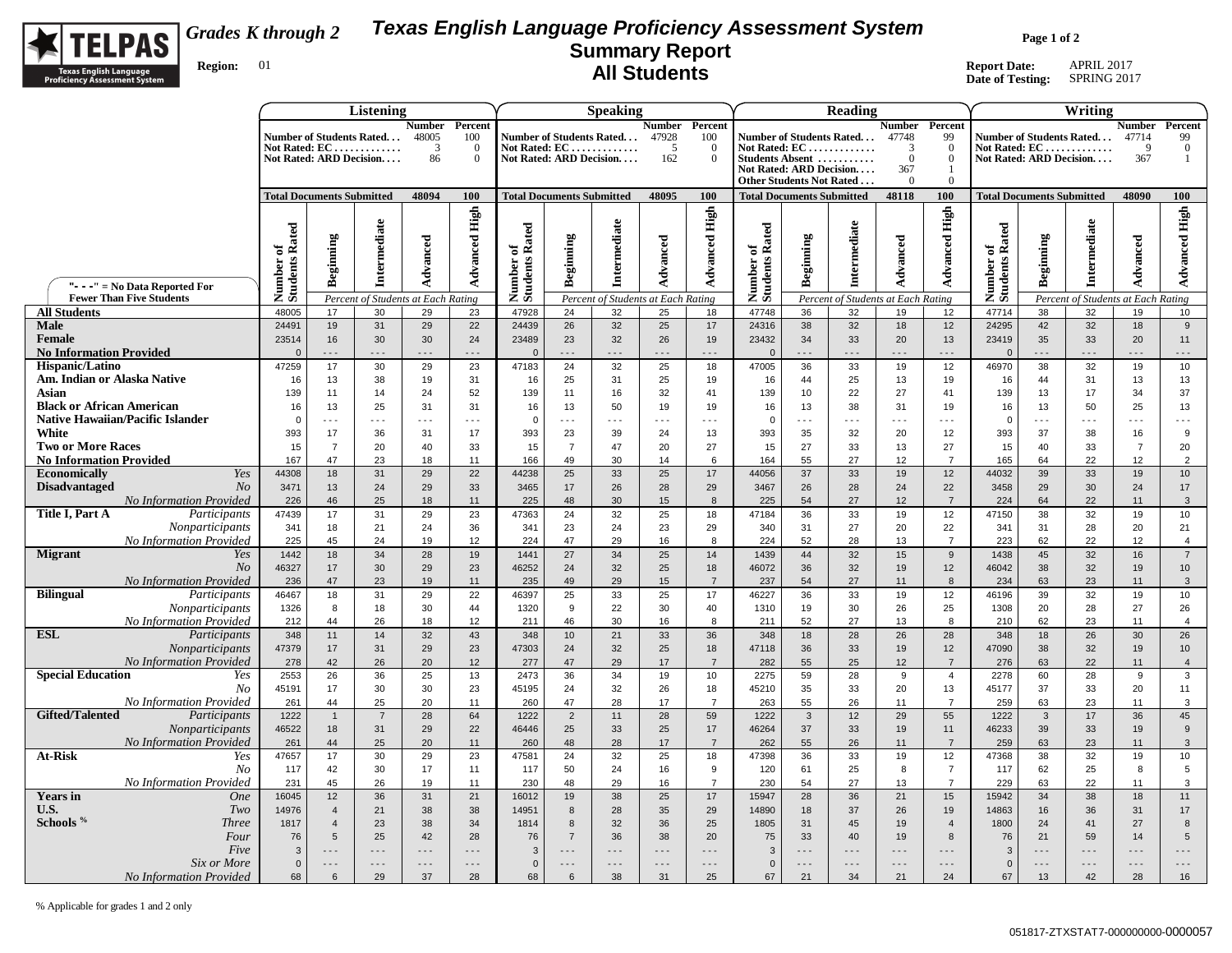

# **Region:** 01 *Grades K through 2*

## **Texas English Language Proficiency Assessment System Summary Report All Students**

**Page 1 of 2**

|                                                           | Listening                   |                                  |                                                                      |                                    |                                     |                                      | Speaking             |                                                                      |                                            |                                         |                                                                                                                            | Reading                  |                                    |                                                                                     | Writing                                                  |                                            |                      |                                    |                                           |                                                 |  |
|-----------------------------------------------------------|-----------------------------|----------------------------------|----------------------------------------------------------------------|------------------------------------|-------------------------------------|--------------------------------------|----------------------|----------------------------------------------------------------------|--------------------------------------------|-----------------------------------------|----------------------------------------------------------------------------------------------------------------------------|--------------------------|------------------------------------|-------------------------------------------------------------------------------------|----------------------------------------------------------|--------------------------------------------|----------------------|------------------------------------|-------------------------------------------|-------------------------------------------------|--|
|                                                           |                             |                                  | Number of Students Rated<br>Not Rated: EC<br>Not Rated: ARD Decision | Number Percent<br>48005<br>3<br>86 | 100<br>$\mathbf{0}$<br>$\mathbf{0}$ |                                      |                      | Number of Students Rated<br>Not Rated: EC<br>Not Rated: ARD Decision | <b>Number</b> Percent<br>47928<br>5<br>162 | 100<br>$\overline{0}$<br>$\overline{0}$ | Number of Students Rated<br>Not Rated: EC<br>Students Absent<br>Not Rated: ARD Decision<br><b>Other Students Not Rated</b> |                          |                                    | Number Percent<br>47748<br>$\mathcal{R}$<br>$\overline{0}$<br>367<br>$\overline{0}$ | 99<br>$\overline{0}$<br>$\overline{0}$<br>-1<br>$\Omega$ | Not Rated: $EC$<br>Not Rated: ARD Decision |                      | Number of Students Rated.          | <b>Number</b><br>47714<br>$\Omega$<br>367 | Percent<br>99<br>$\overline{0}$<br>$\mathbf{1}$ |  |
|                                                           |                             | <b>Total Documents Submitted</b> |                                                                      | 48094                              | 100                                 | <b>Total Documents Submitted</b>     |                      |                                                                      | 48095                                      | 100                                     | <b>Total Documents Submitted</b>                                                                                           |                          |                                    | 48118                                                                               | 100                                                      | <b>Total Documents Submitted</b>           |                      |                                    | 48090                                     | <b>100</b>                                      |  |
| "- - -" = $No Data$ Reported For                          | Number of<br>Students Rated | Beginning                        | Intermediate                                                         | Advanced                           | <b>Advanced High</b>                | of<br>Rated<br>Number of<br>Students | Beginning            | Intermediate                                                         | Advanced                                   | <b>Advanced High</b>                    | Number of<br>Students Rated                                                                                                | Beginning                | Intermediate                       | Advanced                                                                            | <b>Advanced High</b>                                     | Number of<br>Students Rated                | <b>Beginning</b>     | Intermediate                       | Advanced                                  | <b>Advanced High</b>                            |  |
| <b>Fewer Than Five Students</b>                           |                             |                                  | Percent of Students at Each Rating                                   |                                    |                                     |                                      |                      | Percent of Students at Each Rating                                   |                                            |                                         |                                                                                                                            |                          | Percent of Students at Each Rating |                                                                                     |                                                          |                                            |                      | Percent of Students at Each Rating |                                           |                                                 |  |
| <b>All Students</b>                                       | 48005                       | 17                               | 30                                                                   | 29                                 | 23                                  | 47928                                | 24                   | 32                                                                   | 25                                         | 18                                      | 47748                                                                                                                      | 36                       | 32                                 | 19                                                                                  | 12                                                       | 47714                                      | 38                   | 32                                 | 19                                        | 10                                              |  |
| <b>Male</b>                                               | 24491                       | 19                               | 31                                                                   | 29                                 | 22                                  | 24439                                | 26                   | 32                                                                   | 25                                         | 17                                      | 24316                                                                                                                      | 38                       | 32                                 | 18                                                                                  | 12                                                       | 24295                                      | 42                   | 32                                 | 18                                        | $\overline{9}$                                  |  |
| Female                                                    | 23514                       | 16                               | 30                                                                   | 30                                 | 24                                  | 23489                                | 23                   | 32                                                                   | 26                                         | 19                                      | 23432                                                                                                                      | 34                       | 33                                 | 20                                                                                  | 13                                                       | 23419                                      | 35                   | 33                                 | 20                                        | 11                                              |  |
| <b>No Information Provided</b>                            | $\Omega$                    | .                                | $- - -$                                                              | .                                  | $- - -$                             | $\mathbf{0}$                         | .                    | .                                                                    | .                                          | .                                       | $\mathbf{0}$                                                                                                               | $\overline{\phantom{a}}$ | .                                  | .                                                                                   | .                                                        | $\mathbf{0}$                               | .                    | .                                  | .                                         | $\dots$                                         |  |
| <b>Hispanic/Latino</b>                                    | 47259                       | 17                               | 30                                                                   | 29                                 | 23                                  | 47183                                | 24                   | 32                                                                   | 25                                         | 18                                      | 47005                                                                                                                      | 36                       | 33                                 | 19                                                                                  | 12                                                       | 46970                                      | 38                   | 32                                 | 19                                        | 10                                              |  |
| Am. Indian or Alaska Native<br>Asian                      | 16<br>139                   | 13<br>11                         | 38<br>14                                                             | 19<br>24                           | 31<br>52                            | 16<br>139                            | 25<br>11             | 31<br>16                                                             | 25<br>32                                   | 19<br>41                                | 16<br>139                                                                                                                  | 44<br>10                 | 25<br>22                           | 13<br>27                                                                            | 19<br>41                                                 | 16<br>139                                  | 44<br>13             | 31<br>17                           | 13<br>34                                  | 13<br>37                                        |  |
| <b>Black or African American</b>                          | 16                          | 13                               | 25                                                                   | 31                                 | 31                                  | 16                                   | 13                   | 50                                                                   | 19                                         | 19                                      | 16                                                                                                                         | 13                       | 38                                 | 31                                                                                  | 19                                                       | 16                                         | 13                   | 50                                 | 25                                        | 13                                              |  |
| <b>Native Hawaiian/Pacific Islander</b>                   | $\Omega$                    | $\ddotsc$                        | $\sim$ $\sim$                                                        | $\sim$ $\sim$ $\sim$               | $\sim$ $\sim$ $\sim$                | $\overline{\mathbf{0}}$              | $\sim$ $\sim$ $\sim$ | $\sim$ $\sim$ $\sim$                                                 | $\sim$ $\sim$ $\sim$                       | $\ddotsc$                               | $\mathsf 0$                                                                                                                | - - -                    | $\overline{\phantom{a}}$           | .                                                                                   | $\sim$ $\sim$ $\sim$                                     | $\mathbf 0$                                | $\sim$ $\sim$ $\sim$ | $\ddotsc$                          | $\sim$ $\sim$ $\sim$                      | $\sim$ $\sim$ $\sim$                            |  |
| White                                                     | 393                         | 17                               | 36                                                                   | 31                                 | 17                                  | 393                                  | 23                   | 39                                                                   | 24                                         | 13                                      | 393                                                                                                                        | 35                       | 32                                 | 20                                                                                  | 12                                                       | 393                                        | 37                   | 38                                 | 16                                        | 9                                               |  |
| <b>Two or More Races</b>                                  | 15                          | $\overline{7}$                   | 20                                                                   | 40                                 | 33                                  | 15                                   | $\overline{7}$       | 47                                                                   | 20                                         | 27                                      | 15                                                                                                                         | 27                       | 33                                 | 13                                                                                  | 27                                                       | 15                                         | 40                   | 33                                 | $\overline{7}$                            | 20                                              |  |
| <b>No Information Provided</b>                            | 167                         | 47                               | 23                                                                   | 18                                 | 11                                  | 166                                  | 49                   | 30                                                                   | 14                                         | 6                                       | 164                                                                                                                        | 55                       | 27                                 | 12                                                                                  | $\overline{7}$                                           | 165                                        | 64                   | 22                                 | 12                                        | $\overline{2}$                                  |  |
| Yes<br><b>Economically</b>                                | 44308                       | 18                               | 31                                                                   | 29                                 | 22                                  | 44238                                | 25                   | 33                                                                   | 25                                         | $17$                                    | 44056                                                                                                                      | 37                       | 33                                 | 19                                                                                  | 12                                                       | 44032                                      | 39                   | 33                                 | 19                                        | 10 <sup>1</sup>                                 |  |
| <b>Disadvantaged</b><br>N <sub>O</sub>                    | 3471                        | 13                               | 24                                                                   | 29                                 | 33                                  | 3465                                 | 17                   | 26                                                                   | 28                                         | 29                                      | 3467                                                                                                                       | 26                       | 28                                 | 24                                                                                  | 22                                                       | 3458                                       | 29                   | 30                                 | 24                                        | 17                                              |  |
| No Information Provided                                   | 226                         | 46                               | 25                                                                   | 18                                 | 11                                  | 225                                  | 48                   | 30                                                                   | 15                                         | 8                                       | 225                                                                                                                        | 54                       | 27                                 | 12                                                                                  | $\overline{7}$                                           | 224                                        | 64                   | 22                                 | 11                                        | $\mathbf{3}$                                    |  |
| Title I, Part A<br>Participants                           | 47439                       | 17                               | 31                                                                   | 29                                 | 23                                  | 47363                                | 24                   | 32                                                                   | 25                                         | 18                                      | 47184                                                                                                                      | 36                       | 33                                 | 19                                                                                  | 12                                                       | 47150                                      | 38                   | 32                                 | 19                                        | 10 <sup>1</sup>                                 |  |
| Nonparticipants                                           | 341                         | 18                               | 21                                                                   | 24                                 | 36                                  | 341                                  | 23                   | 24                                                                   | 23                                         | 29                                      | 340                                                                                                                        | 31                       | 27                                 | 20                                                                                  | 22                                                       | 341                                        | 31                   | 28                                 | 20                                        | 21                                              |  |
| No Information Provided                                   | 225                         | 45<br>18                         | 24                                                                   | 19<br>28                           | 12                                  | 224                                  | 47<br>27             | 29<br>34                                                             | 16<br>25                                   | 8<br>14                                 | 224                                                                                                                        | 52<br>44                 | 28<br>32                           | 13<br>15                                                                            | $\overline{7}$<br>9                                      | 223                                        | 62<br>45             | 22<br>32                           | 12                                        | $\overline{4}$<br>$\overline{7}$                |  |
| <b>Migrant</b><br>Yes<br>N <sub>O</sub>                   | 1442<br>46327               | 17                               | 34<br>30                                                             | 29                                 | 19<br>23                            | 1441<br>46252                        | 24                   | 32                                                                   | 25                                         | 18                                      | 1439<br>46072                                                                                                              | 36                       | 32                                 | 19                                                                                  | 12                                                       | 1438<br>46042                              | 38                   | 32                                 | 16<br>19                                  | 10 <sup>1</sup>                                 |  |
| <b>No Information Provided</b>                            | 236                         | 47                               | 23                                                                   | 19                                 | 11                                  | 235                                  | 49                   | 29                                                                   | 15                                         | $\overline{7}$                          | 237                                                                                                                        | 54                       | 27                                 | 11                                                                                  | $\boldsymbol{8}$                                         | 234                                        | 63                   | 23                                 | 11                                        | $\mathbf{3}$                                    |  |
| <b>Bilingual</b><br>Participants                          | 46467                       | 18                               | 31                                                                   | 29                                 | 22                                  | 46397                                | 25                   | 33                                                                   | 25                                         | 17                                      | 46227                                                                                                                      | 36                       | 33                                 | 19                                                                                  | 12                                                       | 46196                                      | 39                   | 32                                 | 19                                        | 10 <sup>1</sup>                                 |  |
| Nonparticipants                                           | 1326                        | 8                                | 18                                                                   | 30                                 | 44                                  | 1320                                 | 9                    | 22                                                                   | 30                                         | 40                                      | 1310                                                                                                                       | 19                       | 30                                 | 26                                                                                  | 25                                                       | 1308                                       | 20                   | 28                                 | 27                                        | 26                                              |  |
| <b>No Information Provided</b>                            | 212                         | 44                               | 26                                                                   | 18                                 | 12                                  | 211                                  | 46                   | 30                                                                   | 16                                         | 8                                       | 211                                                                                                                        | 52                       | 27                                 | 13                                                                                  | 8                                                        | 210                                        | 62                   | 23                                 | 11                                        | $\overline{4}$                                  |  |
| <b>ESL</b><br>Participants                                | 348                         | 11                               | 14                                                                   | 32                                 | 43                                  | 348                                  | 10                   | 21                                                                   | 33                                         | 36                                      | 348                                                                                                                        | 18                       | 28                                 | 26                                                                                  | 28                                                       | 348                                        | 18                   | 26                                 | 30                                        | 26                                              |  |
| Nonparticipants                                           | 47379                       | 17                               | 31                                                                   | 29                                 | 23                                  | 47303                                | 24                   | 32                                                                   | 25                                         | 18                                      | 47118                                                                                                                      | 36                       | 33                                 | 19                                                                                  | 12                                                       | 47090                                      | 38                   | 32                                 | 19                                        | 10                                              |  |
| <b>No Information Provided</b>                            | 278                         | 42                               | 26                                                                   | 20                                 | 12                                  | 277                                  | 47                   | 29                                                                   | 17                                         | $\overline{7}$                          | 282                                                                                                                        | 55                       | 25                                 | 12                                                                                  | $\overline{7}$                                           | 276                                        | 63                   | 22                                 | 11                                        | $\overline{4}$                                  |  |
| <b>Special Education</b><br>Yes                           | 2553                        | 26                               | 36                                                                   | 25                                 | 13                                  | 2473                                 | 36                   | 34                                                                   | 19                                         | 10                                      | 2275                                                                                                                       | 59                       | 28                                 | 9                                                                                   | $\overline{4}$                                           | 2278                                       | 60                   | 28                                 | 9                                         | $\mathbf{3}$                                    |  |
| N <sub>O</sub>                                            | 45191                       | 17                               | 30                                                                   | 30                                 | 23                                  | 45195                                | 24                   | 32                                                                   | 26                                         | 18                                      | 45210                                                                                                                      | 35                       | 33                                 | 20                                                                                  | 13                                                       | 45177                                      | 37                   | 33                                 | 20                                        | 11                                              |  |
| No Information Provided                                   | 261                         | 44                               | 25                                                                   | 20                                 | 11                                  | 260                                  | 47                   | 28                                                                   | 17                                         | $\overline{7}$                          | 263                                                                                                                        | 55                       | 26                                 | 11                                                                                  | $\overline{7}$                                           | 259                                        | 63                   | 23                                 | 11                                        | 3                                               |  |
| <b>Gifted/Talented</b><br>Participants<br>Nonparticipants | 1222<br>46522               | $\mathbf{1}$<br>18               | $\overline{7}$<br>31                                                 | 28<br>29                           | 64<br>22                            | 1222<br>46446                        | $\overline{2}$<br>25 | 11<br>33                                                             | 28<br>25                                   | 59<br>17                                | 1222<br>46264                                                                                                              | $\mathbf{3}$<br>37       | 12<br>33                           | 29<br>19                                                                            | 55<br>11                                                 | 1222<br>46233                              | $\mathbf{3}$<br>39   | 17<br>33                           | 36<br>19                                  | 45<br>$\boldsymbol{9}$                          |  |
| <b>No Information Provided</b>                            | 261                         | 44                               | 25                                                                   | 20                                 | 11                                  | 260                                  | 48                   | 28                                                                   | 17                                         | $\overline{7}$                          | 262                                                                                                                        | 55                       | 26                                 | 11                                                                                  | $\overline{7}$                                           | 259                                        | 63                   | 23                                 | 11                                        | $\overline{3}$                                  |  |
| At-Risk<br>Yes                                            | 47657                       | 17                               | 30                                                                   | 29                                 | 23                                  | 47581                                | 24                   | 32                                                                   | 25                                         | 18                                      | 47398                                                                                                                      | 36                       | 33                                 | 19                                                                                  | 12                                                       | 47368                                      | 38                   | 32                                 | 19                                        | 10 <sup>1</sup>                                 |  |
| No                                                        | 117                         | 42                               | 30                                                                   | 17                                 | 11                                  | 117                                  | 50                   | 24                                                                   | 16                                         | 9                                       | 120                                                                                                                        | 61                       | 25                                 | 8                                                                                   | $\overline{7}$                                           | 117                                        | 62                   | 25                                 | 8                                         | $5\phantom{.0}$                                 |  |
| <b>No Information Provided</b>                            | 231                         | 45                               | 26                                                                   | 19                                 | 11                                  | 230                                  | 48                   | 29                                                                   | 16                                         | $\overline{7}$                          | 230                                                                                                                        | 54                       | 27                                 | 13                                                                                  | $\overline{7}$                                           | 229                                        | 63                   | 22                                 | 11                                        | 3                                               |  |
| <b>Years</b> in<br><b>One</b>                             | 16045                       | 12                               | 36                                                                   | 31                                 | 21                                  | 16012                                | 19                   | 38                                                                   | 25                                         | 17                                      | 15947                                                                                                                      | 28                       | 36                                 | 21                                                                                  | 15                                                       | 15942                                      | 34                   | 38                                 | 18                                        | 11                                              |  |
| U.S.<br>Two                                               | 14976                       | $\overline{4}$                   | 21                                                                   | 38                                 | 38                                  | 14951                                | 8                    | 28                                                                   | 35                                         | 29                                      | 14890                                                                                                                      | 18                       | 37                                 | 26                                                                                  | 19                                                       | 14863                                      | 16                   | 36                                 | 31                                        | 17                                              |  |
| Schools <sup>%</sup><br><b>Three</b>                      | 1817                        | $\overline{4}$                   | 23                                                                   | 38                                 | 34                                  | 1814                                 | 8                    | 32                                                                   | 36                                         | 25                                      | 1805                                                                                                                       | 31                       | 45                                 | 19                                                                                  | $\overline{4}$                                           | 1800                                       | 24                   | 41                                 | 27                                        | $8\phantom{1}$                                  |  |
| Four                                                      | 76                          | $5\phantom{1}$                   | 25                                                                   | 42                                 | 28                                  | 76                                   | $\overline{7}$       | 36                                                                   | 38                                         | 20                                      | 75                                                                                                                         | 33                       | 40                                 | 19                                                                                  | 8                                                        | 76                                         | 21                   | 59                                 | 14                                        | $5\phantom{.0}$                                 |  |
| Five                                                      | 3                           | $- - -$                          | $- - -$                                                              | $- - -$                            | $- - -$                             | 3                                    | $- - -$              | $- - -$                                                              | $- - -$                                    | $\sim$ $\sim$ $\sim$                    | $\mathbf{3}$                                                                                                               | $- - -$                  | $\overline{\phantom{a}}$           | $- - -$                                                                             | $- - -$                                                  | $\mathbf{3}$                               | $- - -$              | $- - -$                            | $- - -$                                   | $- - -$                                         |  |
| Six or More                                               | $\mathbf{0}$                | $- - -$                          | $- - -$                                                              | $- - -$                            | $- - -$                             | $\Omega$                             | $- - -$              | $\sim$ $\sim$ $\sim$                                                 | $\sim$ $\sim$ $\sim$                       | $\sim$ $\sim$ $\sim$                    | $\mathsf 0$                                                                                                                | $- - -$                  | $- - -$                            | $- - -$                                                                             | $\sim$ $\sim$ $\sim$                                     | $\Omega$                                   | $- - -$              | $- - -$                            | $- - -$                                   | $- - -$                                         |  |
| <b>No Information Provided</b>                            | 68                          | $6\phantom{1}6$                  | 29                                                                   | 37                                 | 28                                  | 68                                   | $6\phantom{.}$       | 38                                                                   | 31                                         | 25                                      | 67                                                                                                                         | 21                       | 34                                 | 21                                                                                  | 24                                                       | 67                                         | 13                   | 42                                 | 28                                        | 16                                              |  |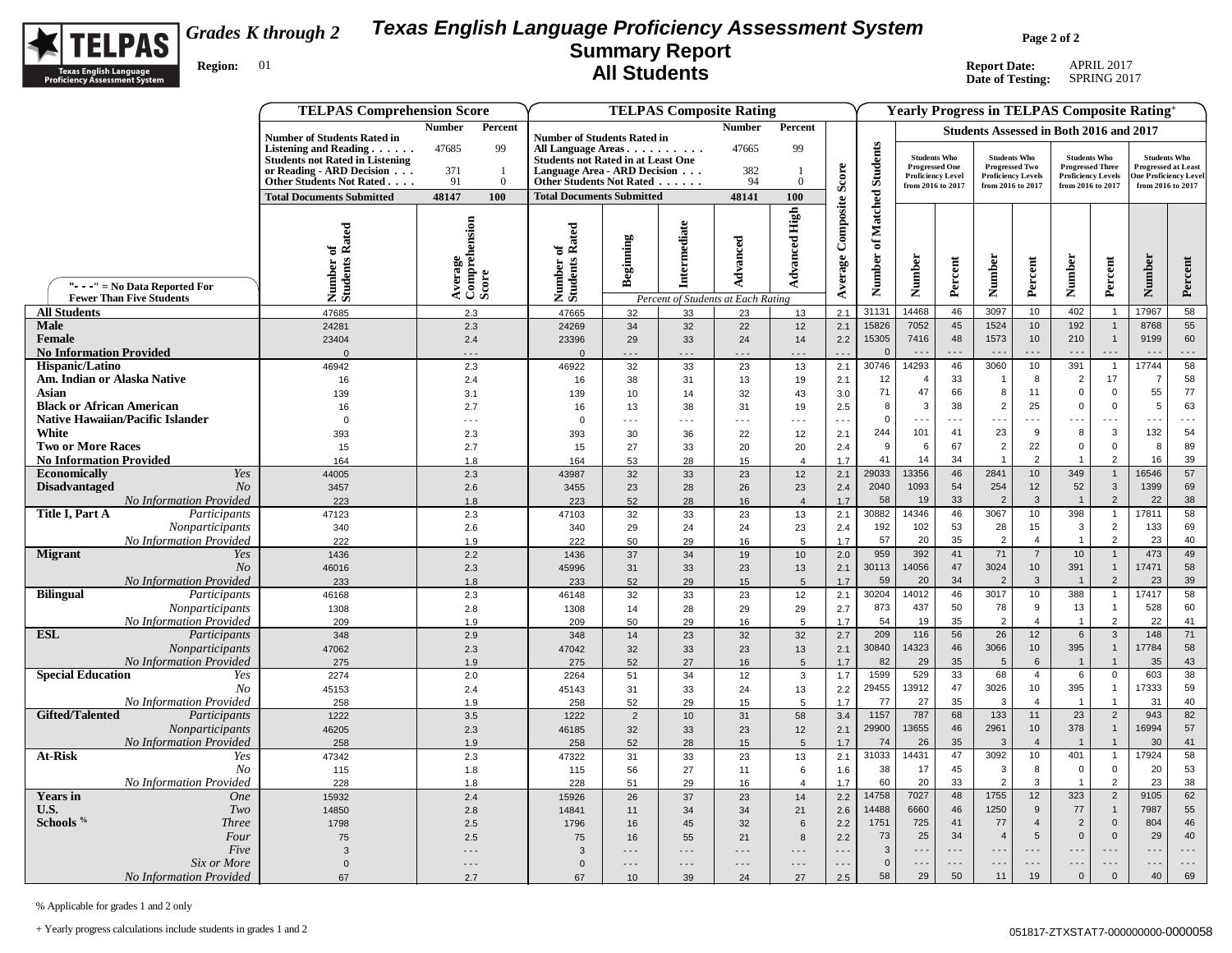

# **Region:** 01 *Grades K through 2*

## **Texas English Language Proficiency Assessment System Summary Report All Students**

**Page 2 of 2**

**Report Date:** APRIL 2017 **Date of Testing:** SPRING 2017

|                                                                      | <b>TELPAS Comprehension Score</b>                                                                                                           |                                        |                                                                                                                                       | <b>Yearly Progress in TELPAS Composite Rating+</b> |                    |                                                 |                            |                                  |                      |                                               |                      |                                                |                                  |                                                |                                |                                                   |                          |  |
|----------------------------------------------------------------------|---------------------------------------------------------------------------------------------------------------------------------------------|----------------------------------------|---------------------------------------------------------------------------------------------------------------------------------------|----------------------------------------------------|--------------------|-------------------------------------------------|----------------------------|----------------------------------|----------------------|-----------------------------------------------|----------------------|------------------------------------------------|----------------------------------|------------------------------------------------|--------------------------------|---------------------------------------------------|--------------------------|--|
|                                                                      |                                                                                                                                             | <b>Number</b><br>Percent               |                                                                                                                                       |                                                    |                    | <b>TELPAS Composite Rating</b><br><b>Number</b> | Percent                    |                                  |                      | Students Assessed in Both 2016 and 2017       |                      |                                                |                                  |                                                |                                |                                                   |                          |  |
|                                                                      | <b>Number of Students Rated in</b><br>Listening and Reading $\ldots$<br><b>Students not Rated in Listening</b><br>or Reading - ARD Decision | 47685<br>99<br>371<br>-1               | <b>Number of Students Rated in</b><br>All Language Areas<br><b>Students not Rated in at Least One</b><br>Language Area - ARD Decision |                                                    |                    | 47665<br>382                                    | 99                         |                                  | <b>Students</b>      | <b>Students Who</b><br><b>Progressed One</b>  |                      | <b>Students Who</b><br><b>Progressed Two</b>   |                                  | <b>Students Who</b><br><b>Progressed Three</b> |                                | <b>Students Who</b><br><b>Progressed at Least</b> |                          |  |
|                                                                      | Other Students Not Rated                                                                                                                    | $\mathbf{0}$<br>91                     | Other Students Not Rated                                                                                                              |                                                    |                    | 94                                              | $\overline{0}$             | Score                            |                      | <b>Proficiency Level</b><br>from 2016 to 2017 |                      | <b>Proficiency Levels</b><br>from 2016 to 2017 |                                  | <b>Proficiency Levels</b><br>from 2016 to 2017 |                                | <b>One Proficiency Level</b><br>from 2016 to 2017 |                          |  |
|                                                                      | <b>Total Documents Submitted</b>                                                                                                            | 48147<br>100                           | <b>Total Documents Submitted</b>                                                                                                      |                                                    |                    | 48141                                           | 100                        |                                  |                      |                                               |                      |                                                |                                  |                                                |                                |                                                   |                          |  |
| "- - - " = $No$ Data Reported For<br><b>Fewer Than Five Students</b> | Number of<br>Students Rated                                                                                                                 | ension<br>Average<br>Comprehe<br>Score | Number of<br>Students Rated                                                                                                           | Beginning                                          | Intermediate       | Advanced<br>Percent of Students at Each Rating  | <b>Advanced High</b>       | Composite<br>Average             | of Matched<br>Number | <b>Number</b>                                 | Percent              | <b>Number</b>                                  | Percent                          | Number                                         | Percent                        | Number                                            | Percent                  |  |
| <b>All Students</b>                                                  | 47685                                                                                                                                       | 2.3                                    | 47665                                                                                                                                 | 32                                                 | 33                 | 23                                              | 13                         | 2.1                              | 31131                | 14468                                         | 46                   | 3097                                           | 10                               | 402                                            | $\overline{1}$                 | 17967                                             | 58                       |  |
| <b>Male</b>                                                          | 24281                                                                                                                                       | 2.3                                    | 24269                                                                                                                                 | 34                                                 | 32                 | 22                                              | 12                         | 2.1                              | 15826<br>15305       | 7052<br>7416                                  | 45<br>48             | 1524<br>1573                                   | 10<br>10                         | 192<br>210                                     | $\overline{1}$<br>$\mathbf{1}$ | 8768<br>9199                                      | 55<br>60                 |  |
| Female<br><b>No Information Provided</b>                             | 23404<br>$\Omega$                                                                                                                           | $2.4\,$<br>$- - -$                     | 23396<br>$\Omega$                                                                                                                     | 29<br>$- - -$                                      | 33                 | 24<br>$  -$                                     | 14                         | 2.2<br>$\Box$                    |                      | $\sim$ $\sim$                                 | $  -$                | $  -$                                          | $- - -$                          | $\sim$ $\sim$ $\sim$                           | $\sim$ $\sim$ $\sim$           | $  -$                                             | $\sim$ $\sim$ $\sim$     |  |
| Hispanic/Latino                                                      | 46942                                                                                                                                       | 2.3                                    | 46922                                                                                                                                 | 32                                                 | 33                 | 23                                              | 13                         | 2.1                              | 30746                | 14293                                         | 46                   | 3060                                           | 10                               | 391                                            | $\overline{1}$                 | 17744                                             | 58                       |  |
| Am. Indian or Alaska Native                                          | 16                                                                                                                                          | 2.4                                    | 16                                                                                                                                    | 38                                                 | 31                 | 13                                              | 19                         | 2.1                              | 12                   | $\overline{4}$                                | 33                   | $\overline{1}$                                 | 8                                | $\overline{2}$                                 | 17                             | $\overline{7}$                                    | 58                       |  |
| Asian<br><b>Black or African American</b>                            | 139                                                                                                                                         | 3.1                                    | 139                                                                                                                                   | 10                                                 | 14                 | 32                                              | 43                         | 3.0                              | 71<br>8              | 47<br>3                                       | 66<br>38             | 8<br>$\overline{2}$                            | 11<br>25                         | $\mathsf 0$<br>$\Omega$                        | $\mathbf 0$<br>$\mathbf 0$     | 55<br>5                                           | 77<br>63                 |  |
| <b>Native Hawaiian/Pacific Islander</b>                              | 16<br>$\Omega$                                                                                                                              | 2.7<br>$\overline{\phantom{a}}$        | 16<br>$\Omega$                                                                                                                        | 13<br>$\sim$ $\sim$ $\sim$                         | 38<br>$- - -$      | 31<br>$\sim$ $\sim$ $\sim$                      | 19<br>$\sim$ $\sim$ $\sim$ | 2.5<br>$\mathbb{Z}^{\mathbb{Z}}$ | $\mathbf 0$          | $\sim$ $\sim$ $\sim$                          | $\sim$ $\sim$ $\sim$ | $\overline{\phantom{a}}$                       | $- - -$                          | $\sim$ $\sim$ $\sim$                           | $- -$                          | $  -$                                             | $ -$                     |  |
| White                                                                | 393                                                                                                                                         | 2.3                                    | 393                                                                                                                                   | 30                                                 | 36                 | 22                                              | 12                         | 2.1                              | 244                  | 101                                           | 41                   | 23                                             | 9                                | 8                                              | $\mathbf{3}$                   | 132                                               | 54                       |  |
| <b>Two or More Races</b>                                             | 15                                                                                                                                          | 2.7                                    | 15                                                                                                                                    | 27                                                 | 33                 | 20                                              | 20                         | 2.4                              | 9                    | 6                                             | 67                   | $\overline{2}$                                 | 22                               | $\mathbf 0$                                    | $\mathsf 0$                    | 8                                                 | 89                       |  |
| <b>No Information Provided</b>                                       | 164                                                                                                                                         | 1.8                                    | 164                                                                                                                                   | 53                                                 | 28                 | 15                                              | $\overline{4}$             | 1.7                              | 41                   | 14                                            | 34                   | $\overline{1}$                                 | 2                                | $\overline{1}$                                 | $\overline{2}$                 | 16                                                | 39                       |  |
| <b>Economically</b><br>Yes<br><b>Disadvantaged</b><br>N <sub>O</sub> | 44005<br>3457                                                                                                                               | 2.3<br>2.6                             | 43987                                                                                                                                 | 32                                                 | 33                 | 23                                              | 12                         | 2.1                              | 29033<br>2040        | 13356<br>1093                                 | 46<br>54             | 2841<br>254                                    | 10<br>12                         | 349<br>52                                      | $\overline{1}$<br>$\mathbf{3}$ | 16546<br>1399                                     | 57<br>69                 |  |
| <b>No Information Provided</b>                                       | 223                                                                                                                                         | 1.8                                    | 3455<br>223                                                                                                                           | 23<br>52                                           | 28<br>28           | 26<br>16                                        | 23<br>$\overline{4}$       | 2.4<br>1.7                       | 58                   | 19                                            | 33                   | $\overline{2}$                                 | 3                                | $\overline{1}$                                 | $\overline{2}$                 | 22                                                | 38                       |  |
| Title I, Part A<br>Participants                                      | 47123                                                                                                                                       | 2.3                                    | 47103                                                                                                                                 | 32                                                 | 33                 | 23                                              | 13                         | 2.1                              | 30882                | 14346                                         | 46                   | 3067                                           | 10                               | 398                                            | $\overline{1}$                 | 7811                                              | 58                       |  |
| Nonparticipants                                                      | 340                                                                                                                                         | 2.6                                    | 340                                                                                                                                   | 29                                                 | 24                 | 24                                              | 23                         | 2.4                              | 192                  | 102                                           | 53                   | 28                                             | 15                               | 3                                              | $\overline{2}$                 | 133                                               | 69                       |  |
| No Information Provided                                              | 222                                                                                                                                         | 1.9                                    | 222                                                                                                                                   | 50                                                 | 29                 | 16                                              | 5                          | 1.7                              | 57<br>959            | 20<br>392                                     | 35<br>41             | $\overline{2}$<br>71                           | $\overline{4}$<br>$\overline{7}$ | $\overline{1}$<br>10                           | $\overline{2}$<br>$\mathbf{1}$ | 23<br>473                                         | 40<br>49                 |  |
| <b>Migrant</b><br>Yes<br>No                                          | 1436<br>46016                                                                                                                               | 2.2<br>2.3                             | 1436<br>45996                                                                                                                         | 37<br>31                                           | 34<br>33           | 19<br>23                                        | 10<br>13                   | 2.0<br>2.1                       | 30113                | 14056                                         | 47                   | 3024                                           | 10                               | 391                                            | $\mathbf{1}$                   | 17471                                             | 58                       |  |
| <b>No Information Provided</b>                                       | 233                                                                                                                                         | 1.8                                    | 233                                                                                                                                   | 52                                                 | 29                 | 15                                              | $5\phantom{.0}$            | 1.7                              | 59                   | 20                                            | 34                   | $\overline{2}$                                 | $\mathbf{3}$                     | $\overline{1}$                                 | $\overline{2}$                 | 23                                                | 39                       |  |
| <b>Bilingual</b><br>Participants                                     | 46168                                                                                                                                       | 2.3                                    | 46148                                                                                                                                 | 32                                                 | 33                 | 23                                              | 12                         | 2.1                              | 30204                | 14012                                         | 46                   | 3017                                           | 10                               | 388                                            | $\overline{1}$                 | 17417                                             | 58                       |  |
| Nonparticipants                                                      | 1308                                                                                                                                        | 2.8                                    | 1308                                                                                                                                  | 14                                                 | 28                 | 29                                              | 29                         | 2.7                              | 873                  | 437                                           | 50                   | 78                                             | 9                                | 13                                             | $\mathbf{1}$                   | 528                                               | 60                       |  |
| No Information Provided<br><b>ESL</b><br>Participants                | 209<br>348                                                                                                                                  | 1.9<br>2.9                             | 209<br>348                                                                                                                            | 50<br>14                                           | 29<br>23           | 16<br>32                                        | 5<br>32                    | 1.7<br>2.7                       | 54<br>209            | 19<br>116                                     | 35<br>56             | $\overline{2}$<br>26                           | $\overline{4}$<br>12             | $\overline{1}$<br>$\,6\,$                      | $\overline{2}$<br>$\mathbf{3}$ | 22<br>148                                         | 41<br>71                 |  |
| Nonparticipants                                                      | 47062                                                                                                                                       | 2.3                                    | 47042                                                                                                                                 | 32                                                 | 33                 | 23                                              | 13                         | 2.1                              | 30840                | 14323                                         | 46                   | 3066                                           | 10                               | 395                                            | $\mathbf{1}$                   | 17784                                             | 58                       |  |
| <b>No Information Provided</b>                                       | 275                                                                                                                                         | 1.9                                    | 275                                                                                                                                   | 52                                                 | 27                 | 16                                              | 5                          | 1.7                              | 82                   | 29                                            | 35                   | 5                                              | $6\phantom{1}$                   | $\overline{1}$                                 | $\mathbf{1}$                   | 35                                                | 43                       |  |
| <b>Special Education</b><br>Yes                                      | 2274                                                                                                                                        | 2.0                                    | 2264                                                                                                                                  | 51                                                 | 34                 | 12                                              | $\mathbf{3}$               | 1.7                              | 1599                 | 529                                           | 33                   | 68                                             | $\overline{4}$                   | 6                                              | $\mathbf 0$                    | 603                                               | 38                       |  |
| No                                                                   | 45153                                                                                                                                       | 2.4                                    | 45143                                                                                                                                 | 31                                                 | 33                 | 24                                              | 13                         | 2.2                              | 29455<br>77          | 13912<br>27                                   | 47<br>35             | 3026<br>3                                      | 10<br>$\overline{4}$             | 395<br>$\overline{1}$                          | $\mathbf{1}$<br>$\mathbf{1}$   | 17333<br>31                                       | 59<br>40                 |  |
| No Information Provided<br><b>Gifted/Talented</b><br>Participants    | 258<br>1222                                                                                                                                 | 1.9<br>$3.5\,$                         | 258<br>1222                                                                                                                           | 52<br>$\overline{2}$                               | 29<br>10           | 15<br>31                                        | 5<br>58                    | 1.7<br>3.4                       | 1157                 | 787                                           | 68                   | 133                                            | 11                               | 23                                             | $\overline{2}$                 | 943                                               | 82                       |  |
| Nonparticipants                                                      | 46205                                                                                                                                       | 2.3                                    | 46185                                                                                                                                 | 32                                                 | 33                 | 23                                              | 12                         | 2.1                              | 29900                | 13655                                         | 46                   | 2961                                           | 10                               | 378                                            | $\mathbf{1}$                   | 16994                                             | 57                       |  |
| <b>No Information Provided</b>                                       | 258                                                                                                                                         | 1.9                                    | 258                                                                                                                                   | 52                                                 | 28                 | 15                                              | $\overline{5}$             | 1.7                              | 74                   | 26                                            | 35                   | $\overline{3}$                                 | $\overline{4}$                   | $\overline{1}$                                 | $\mathbf{1}$                   | 30                                                | 41                       |  |
| At-Risk<br>Yes                                                       | 47342                                                                                                                                       | 2.3                                    | 47322                                                                                                                                 | 31                                                 | 33                 | 23                                              | 13                         | 2.1                              | 31033                | 14431                                         | 47                   | 3092                                           | 10                               | 401                                            | $\mathbf{1}$                   | 17924                                             | $\overline{58}$          |  |
| N <sub>O</sub><br>No Information Provided                            | 115<br>228                                                                                                                                  | 1.8<br>1.8                             | 115<br>228                                                                                                                            | 56<br>51                                           | 27<br>29           | 11<br>16                                        | 6<br>$\overline{4}$        | 1.6<br>1.7                       | 38<br>60             | 17<br>20                                      | 45<br>33             | 3<br>$\overline{2}$                            | 8<br>3                           | $\mathbf 0$<br>$\overline{1}$                  | $\mathbf 0$<br>$\overline{2}$  | 20<br>23                                          | 53<br>38                 |  |
| <b>Years</b> in<br><b>One</b>                                        | 15932                                                                                                                                       | 2.4                                    | 15926                                                                                                                                 | 26                                                 | 37                 | 23                                              | 14                         | 2.2                              | 14758                | 7027                                          | 48                   | 1755                                           | 12                               | 323                                            | $\overline{2}$                 | 9105                                              | 62                       |  |
| U.S.<br>Two                                                          | 14850                                                                                                                                       | 2.8                                    | 14841                                                                                                                                 | 11                                                 | 34                 | 34                                              | 21                         | 2.6                              | 14488                | 6660                                          | 46                   | 1250                                           | 9                                | 77                                             | 1                              | 7987                                              | 55                       |  |
| Schools <sup>%</sup><br><b>Three</b>                                 | 1798                                                                                                                                        | $2.5\,$                                | 1796                                                                                                                                  | 16                                                 | 45                 | 32                                              | 6                          | 2.2                              | 1751                 | 725                                           | 41                   | 77                                             | $\overline{4}$                   | $\overline{2}$                                 | $\mathbf 0$                    | 804                                               | 46                       |  |
| Four                                                                 | 75                                                                                                                                          | $2.5\,$                                | 75                                                                                                                                    | 16                                                 | 55                 | 21                                              | 8                          | 2.2                              | 73<br>$\mathbf{3}$   | 25                                            | 34<br>$  -$          | $\overline{4}$                                 | 5<br>$- - -$                     | $\mathbf{0}$<br>$- - -$                        | $\mathbf{0}$<br>$- - -$        | 29<br>.                                           | 40<br>$\ddotsc$          |  |
| Five<br>Six or More                                                  | 3<br>$\mathbf{0}$                                                                                                                           | $- - -$<br>$- - -$                     | 3<br>$\mathbf 0$                                                                                                                      | $- - -$<br>$- - -$                                 | $- - -$<br>$- - -$ | $ -$<br>$- - -$                                 | $ -$<br>$- - -$            | $  -$<br>$\sim$ $\sim$           | $\mathbf 0$          | $\ddotsc$<br>$- - -$                          | $- - -$              | - - -<br>.                                     | $- - -$                          | $\sim$ $\sim$ $\sim$                           | $\sim$ $\sim$ $\sim$           | ---                                               | $\overline{\phantom{a}}$ |  |
| <b>No Information Provided</b>                                       | 67                                                                                                                                          | 2.7                                    | 67                                                                                                                                    | 10                                                 | 39                 | 24                                              | 27                         | 2.5                              | 58                   | 29                                            | 50                   | 11                                             | 19                               | $\mathbf 0$                                    | $\mathbf{0}$                   | 40                                                | 69                       |  |

% Applicable for grades 1 and 2 only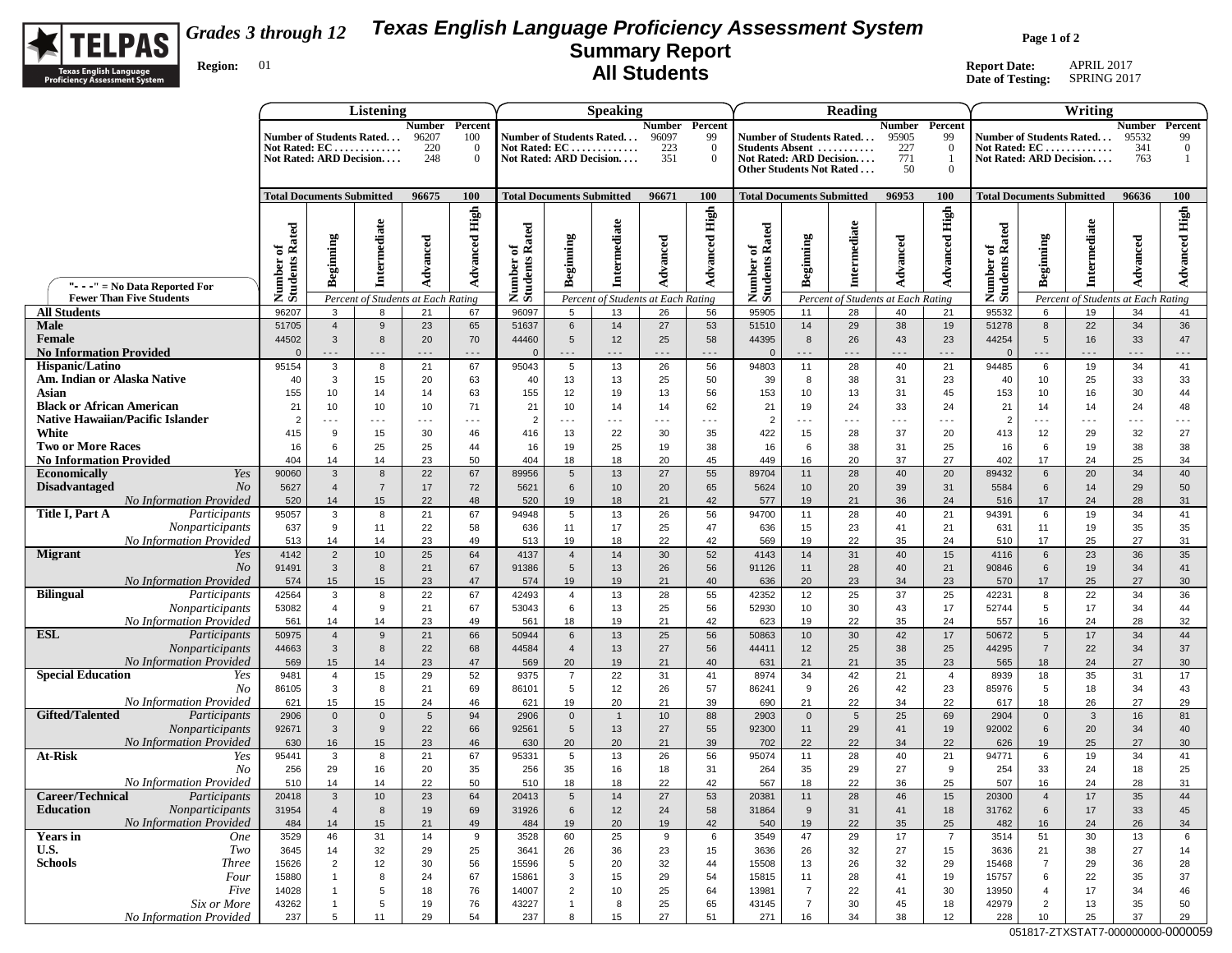

# **Region:** 01 *Grades 3 through 12*

## **Texas English Language Proficiency Assessment System Summary Report All Students**

**Page 1 of 2**

**Report Date:** APRIL 2017 **Date of Testing:** SPRING 2017

|                                                                     | <b>Listening</b>                 |                                           |                                                                      |                                       |                                       |                                   |                               | <b>Speaking</b>                                                        |                                       |                                |                                  |                      | Reading                                                                |                           |                                                                | Writing                          |                                 |                                                                                                    |                               |                                                 |  |  |
|---------------------------------------------------------------------|----------------------------------|-------------------------------------------|----------------------------------------------------------------------|---------------------------------------|---------------------------------------|-----------------------------------|-------------------------------|------------------------------------------------------------------------|---------------------------------------|--------------------------------|----------------------------------|----------------------|------------------------------------------------------------------------|---------------------------|----------------------------------------------------------------|----------------------------------|---------------------------------|----------------------------------------------------------------------------------------------------|-------------------------------|-------------------------------------------------|--|--|
|                                                                     |                                  |                                           | Number of Students Rated<br>Not Rated: EC<br>Not Rated: ARD Decision | Number Percent<br>96207<br>220<br>248 | 100<br>$\mathbf{0}$<br>$\overline{0}$ |                                   |                               | Number of Students Rated<br>Not Rated: $EC$<br>Not Rated: ARD Decision | Number Percent<br>96097<br>223<br>351 | 99<br>$\Omega$<br>$\mathbf{0}$ | Number of Students Rated         |                      | Students Absent<br>Not Rated: ARD Decision<br>Other Students Not Rated | 95905<br>227<br>771<br>50 | Number Percent<br>99<br>$\overline{0}$<br>-1<br>$\overline{0}$ |                                  |                                 | Number of Students Rated<br>Not Rated: $EC \ldots \ldots \ldots \ldots$<br>Not Rated: ARD Decision | Number<br>95532<br>341<br>763 | Percent<br>99<br>$\overline{0}$<br>$\mathbf{1}$ |  |  |
|                                                                     | <b>Total Documents Submitted</b> |                                           |                                                                      | 96675                                 | <b>100</b>                            |                                   |                               | <b>Total Documents Submitted</b>                                       | 96671                                 | 100                            | <b>Total Documents Submitted</b> |                      |                                                                        | 96953                     | <b>100</b>                                                     | <b>Total Documents Submitted</b> |                                 |                                                                                                    | 96636                         | 100                                             |  |  |
|                                                                     | Number of<br>Students Rated      | Beginning                                 | Intermediate                                                         | Advanced                              | High<br>Advanced                      | of<br>Rated<br>Number<br>Students | Beginning                     | Intermediate                                                           | Advanced                              | <b>Advanced High</b>           | Number of<br>Students Rated      | Beginning            | Intermediate                                                           | Advanced                  | <b>Advanced High</b>                                           | Number of<br>Students Rated      | Beginning                       | Intermediate                                                                                       | Advanced                      | High<br>Advanced                                |  |  |
| "- - -" = $No Data Reported For$<br><b>Fewer Than Five Students</b> |                                  |                                           | Percent of Students at Each Rating                                   |                                       |                                       |                                   |                               | Percent of Students at Each Rating                                     |                                       |                                |                                  |                      | Percent of Students at Each Rating                                     |                           |                                                                |                                  |                                 | Percent of Students at Each Rating                                                                 |                               |                                                 |  |  |
| <b>All Students</b>                                                 | 96207                            | 3                                         | 8                                                                    | 21                                    | 67                                    | 96097                             | 5                             | 13                                                                     | 26                                    | 56                             | 95905                            | 11                   | 28                                                                     | 40                        | 21                                                             | 95532                            | 6                               | 19                                                                                                 | 34                            | 41                                              |  |  |
| Male<br>Female<br><b>No Information Provided</b>                    | 51705<br>44502<br>$\Omega$       | $\overline{4}$<br>$\mathbf{3}$<br>$- - -$ | 9<br>8<br>$- - -$                                                    | 23<br>20<br>$- - -$                   | 65<br>70<br>$- - -$                   | 51637<br>44460<br>$\Omega$        | 6<br>$5\phantom{.0}$<br>- - - | 14<br>12<br>- - -                                                      | 27<br>25<br>$- - -$                   | 53<br>58<br>$- - -$            | 51510<br>44395<br>$\Omega$       | 14<br>8<br>$- - -$   | 29<br>26<br>$- - -$                                                    | 38<br>43<br>$- - -$       | 19<br>23<br>$- - -$                                            | 51278<br>44254<br>$\Omega$       | 8<br>$5\phantom{.0}$<br>$- - -$ | 22<br>16<br>$- - -$                                                                                | 34<br>33<br>$- - -$           | 36<br>47<br>$- - -$                             |  |  |
| Hispanic/Latino                                                     | 95154                            | 3                                         | 8                                                                    | 21                                    | 67                                    | 95043                             | 5                             | 13                                                                     | 26                                    | 56                             | 94803                            | 11                   | 28                                                                     | 40                        | 21                                                             | 94485                            | 6                               | 19                                                                                                 | 34                            | 41                                              |  |  |
| Am. Indian or Alaska Native<br>Asian                                | 40<br>155                        | 3<br>10                                   | 15<br>14                                                             | 20<br>14                              | 63<br>63                              | 40<br>155                         | 13<br>12                      | 13<br>19                                                               | 25<br>13                              | 50<br>56                       | 39<br>153                        | 8<br>10              | 38<br>13                                                               | 31<br>31                  | 23<br>45                                                       | 40<br>153                        | 10<br>10                        | 25<br>16                                                                                           | 33<br>30                      | 33<br>44                                        |  |  |
| <b>Black or African American</b>                                    | 21                               | 10                                        | 10                                                                   | 10                                    | 71                                    | 21                                | 10                            | 14                                                                     | 14                                    | 62                             | 21                               | 19                   | 24                                                                     | 33                        | 24                                                             | 21                               | 14                              | 14                                                                                                 | 24                            | 48                                              |  |  |
| Native Hawaiian/Pacific Islander                                    | $\overline{2}$                   | $- - -$                                   | $- - -$                                                              | $- - -$                               | $\sim$ $ \sim$                        | $\overline{2}$                    | - - -                         | $\sim$ $\sim$ $\sim$                                                   | $\sim$ $ \sim$                        | $\sim$ $\sim$ $\sim$           | $\overline{2}$                   | $\sim$ $\sim$ $\sim$ | $- - -$                                                                | - - -                     | $\sim$ $\sim$ $\sim$                                           | $\overline{2}$                   | $- - -$                         | $- - -$                                                                                            | $\sim$ $\sim$ $\sim$          | $- - -$                                         |  |  |
| White                                                               | 415                              | 9                                         | 15                                                                   | 30                                    | 46                                    | 416                               | 13                            | 22                                                                     | 30                                    | 35                             | 422                              | 15                   | 28                                                                     | 37                        | 20                                                             | 413                              | 12                              | 29                                                                                                 | 32                            | 27                                              |  |  |
| <b>Two or More Races</b>                                            | 16                               | 6                                         | 25                                                                   | 25                                    | 44                                    | 16                                | 19                            | 25                                                                     | 19                                    | 38                             | 16                               | 6                    | 38                                                                     | 31                        | 25                                                             | 16                               | 6                               | 19                                                                                                 | 38                            | 38                                              |  |  |
| <b>No Information Provided</b><br><b>Economically</b><br>Yes        | 404<br>90060                     | 14<br>$\mathbf{3}$                        | 14<br>8                                                              | 23<br>22                              | 50<br>67                              | 404<br>89956                      | 18<br>5                       | 18<br>13                                                               | 20<br>27                              | 45<br>55                       | 449<br>89704                     | 16<br>11             | 20<br>28                                                               | 37<br>40                  | 27<br>20                                                       | 402<br>89432                     | 17<br>6                         | 24<br>20                                                                                           | 25<br>34                      | 34<br>40                                        |  |  |
| <b>Disadvantaged</b><br>N <sub>O</sub>                              | 5627                             | $\overline{4}$                            | $\overline{7}$                                                       | 17                                    | 72                                    | 5621                              | 6                             | 10                                                                     | 20                                    | 65                             | 5624                             | 10                   | 20                                                                     | 39                        | 31                                                             | 5584                             | $\,6\,$                         | 14                                                                                                 | 29                            | 50                                              |  |  |
| <b>No Information Provided</b>                                      | 520                              | 14                                        | 15                                                                   | 22                                    | 48                                    | 520                               | 19                            | 18                                                                     | 21                                    | 42                             | 577                              | 19                   | 21                                                                     | 36                        | 24                                                             | 516                              | 17                              | 24                                                                                                 | 28                            | 31                                              |  |  |
| Title I, Part A<br>Participants                                     | 95057                            | $\overline{3}$                            | 8                                                                    | 21                                    | 67                                    | 94948                             | 5                             | 13                                                                     | 26                                    | 56                             | 94700                            | 11                   | 28                                                                     | 40                        | 21                                                             | 94391                            | $6\phantom{1}$                  | 19                                                                                                 | 34                            | 41                                              |  |  |
| Nonparticipants<br><b>No Information Provided</b>                   | 637<br>513                       | 9<br>14                                   | 11<br>14                                                             | 22<br>23                              | 58<br>49                              | 636<br>513                        | 11<br>19                      | 17<br>18                                                               | 25<br>22                              | 47<br>42                       | 636<br>569                       | 15<br>19             | 23<br>22                                                               | 41<br>35                  | 21<br>24                                                       | 631<br>510                       | 11<br>17                        | 19<br>25                                                                                           | 35<br>27                      | 35<br>31                                        |  |  |
| <b>Migrant</b><br>Yes                                               | 4142                             | $\overline{2}$                            | 10                                                                   | 25                                    | 64                                    | 4137                              | $\overline{4}$                | 14                                                                     | 30                                    | 52                             | 4143                             | 14                   | 31                                                                     | 40                        | 15                                                             | 4116                             | $6\phantom{.}6$                 | 23                                                                                                 | 36                            | 35                                              |  |  |
| No.                                                                 | 91491                            | $\overline{3}$                            | 8                                                                    | 21                                    | 67                                    | 91386                             | 5                             | 13                                                                     | 26                                    | 56                             | 91126                            | 11                   | 28                                                                     | 40                        | 21                                                             | 90846                            | $\,6\,$                         | 19                                                                                                 | 34                            | 41                                              |  |  |
| <b>No Information Provided</b>                                      | 574                              | 15                                        | 15                                                                   | 23                                    | 47                                    | 574                               | 19                            | 19                                                                     | 21                                    | 40                             | 636                              | 20                   | 23                                                                     | 34                        | 23                                                             | 570                              | 17                              | 25                                                                                                 | 27                            | 30                                              |  |  |
| <b>Bilingual</b><br>Participants                                    | 42564                            | 3                                         | 8                                                                    | 22                                    | 67                                    | 42493                             | $\overline{4}$                | 13                                                                     | 28                                    | 55                             | 42352                            | 12                   | 25                                                                     | 37                        | 25                                                             | 42231                            | 8                               | 22                                                                                                 | 34                            | 36                                              |  |  |
| Nonparticipants<br>No Information Provided                          | 53082<br>561                     | $\overline{4}$<br>14                      | 9<br>14                                                              | 21<br>23                              | 67<br>49                              | 53043<br>561                      | 6<br>18                       | 13<br>19                                                               | 25<br>21                              | 56<br>42                       | 52930<br>623                     | 10<br>19             | 30<br>22                                                               | 43<br>35                  | 17<br>24                                                       | 52744<br>557                     | $5\phantom{.0}$<br>16           | 17<br>24                                                                                           | 34<br>28                      | 44<br>32                                        |  |  |
| <b>ESL</b><br>Participants                                          | 50975                            | $\overline{4}$                            | 9                                                                    | 21                                    | 66                                    | 50944                             | $6\phantom{1}$                | 13                                                                     | 25                                    | 56                             | 50863                            | 10                   | 30                                                                     | 42                        | 17                                                             | 50672                            | $5\phantom{.0}$                 | 17                                                                                                 | 34                            | 44                                              |  |  |
| <b>Nonparticipants</b>                                              | 44663                            | $\mathbf{3}$                              | 8                                                                    | 22                                    | 68                                    | 44584                             | $\overline{4}$                | 13                                                                     | 27                                    | 56                             | 44411                            | 12                   | 25                                                                     | 38                        | 25                                                             | 44295                            | $\overline{7}$                  | 22                                                                                                 | 34                            | 37                                              |  |  |
| <b>No Information Provided</b>                                      | 569                              | 15                                        | 14                                                                   | 23                                    | 47                                    | 569                               | 20                            | 19                                                                     | 21                                    | 40                             | 631                              | 21                   | 21                                                                     | 35                        | 23                                                             | 565                              | 18                              | 24                                                                                                 | 27                            | 30                                              |  |  |
| <b>Special Education</b><br>Yes<br>No                               | 9481<br>86105                    | $\overline{4}$<br>3                       | 15<br>8                                                              | 29<br>21                              | 52<br>69                              | 9375<br>86101                     | $\overline{7}$<br>5           | 22<br>12                                                               | 31<br>26                              | 41<br>57                       | 8974<br>86241                    | 34<br>9              | 42<br>26                                                               | 21<br>42                  | $\overline{4}$<br>23                                           | 8939<br>85976                    | 18<br>$\sqrt{5}$                | 35<br>18                                                                                           | 31<br>34                      | 17<br>43                                        |  |  |
| <b>No Information Provided</b>                                      | 621                              | 15                                        | 15                                                                   | 24                                    | 46                                    | 621                               | 19                            | 20                                                                     | 21                                    | 39                             | 690                              | 21                   | 22                                                                     | 34                        | 22                                                             | 617                              | 18                              | 26                                                                                                 | 27                            | 29                                              |  |  |
| <b>Gifted/Talented</b><br>Participants                              | 2906                             | $\mathbf 0$                               | $\mathbf 0$                                                          | $5\phantom{.0}$                       | 94                                    | 2906                              | $\mathbf 0$                   | $\overline{1}$                                                         | 10                                    | 88                             | 2903                             | $\mathbf{0}$         | $5\phantom{.0}$                                                        | 25                        | 69                                                             | 2904                             | $\mathbb O$                     | $\mathbf{3}$                                                                                       | 16                            | 81                                              |  |  |
| Nonparticipants                                                     | 92671                            | $\mathbf{3}$                              | 9                                                                    | 22                                    | 66                                    | 92561                             | $5\phantom{.0}$               | 13                                                                     | 27                                    | 55                             | 92300                            | 11                   | 29                                                                     | 41                        | 19                                                             | 92002                            | $6\,$                           | 20                                                                                                 | 34                            | 40                                              |  |  |
| <b>No Information Provided</b>                                      | 630                              | 16                                        | 15                                                                   | 23                                    | 46                                    | 630                               | 20                            | 20                                                                     | 21                                    | 39                             | 702                              | 22                   | 22                                                                     | 34                        | 22                                                             | 626                              | 19                              | 25                                                                                                 | 27                            | 30                                              |  |  |
| At-Risk<br>Yes<br>No                                                | 95441<br>256                     | 3<br>29                                   | 8<br>16                                                              | 21<br>20                              | 67<br>35                              | 95331<br>256                      | 5<br>35                       | 13<br>16                                                               | 26<br>18                              | 56<br>31                       | 95074<br>264                     | 11<br>35             | 28<br>29                                                               | 40<br>27                  | 21<br>9                                                        | 94771<br>254                     | 6<br>33                         | 19<br>24                                                                                           | 34<br>18                      | 41<br>25                                        |  |  |
| <b>No Information Provided</b>                                      | 510                              | 14                                        | 14                                                                   | 22                                    | 50                                    | 510                               | 18                            | 18                                                                     | 22                                    | 42                             | 567                              | 18                   | 22                                                                     | 36                        | 25                                                             | 507                              | 16                              | 24                                                                                                 | 28                            | 31                                              |  |  |
| Career/Technical<br>Participants                                    | 20418                            | $\mathbf{3}$                              | 10                                                                   | 23                                    | 64                                    | 20413                             | 5                             | 14                                                                     | 27                                    | 53                             | 20381                            | 11                   | 28                                                                     | 46                        | 15                                                             | 20300                            | $\overline{4}$                  | 17                                                                                                 | 35                            | 44                                              |  |  |
| Nonparticipants<br><b>Education</b>                                 | 31954                            | $\overline{4}$                            | 8                                                                    | 19                                    | 69                                    | 31926                             | 6                             | 12                                                                     | 24                                    | 58                             | 31864                            | 9                    | 31                                                                     | 41                        | 18                                                             | 31762                            | 6                               | 17                                                                                                 | 33                            | 45                                              |  |  |
| <b>No Information Provided</b><br><b>Years in</b><br><b>One</b>     | 484<br>3529                      | 14<br>46                                  | 15<br>31                                                             | 21<br>14                              | 49<br>9                               | 484<br>3528                       | 19<br>60                      | 20<br>25                                                               | 19<br>9                               | 42<br>6                        | 540<br>3549                      | 19<br>47             | 22<br>29                                                               | 35<br>17                  | 25<br>$\overline{7}$                                           | 482<br>3514                      | 16<br>51                        | 24<br>30                                                                                           | 26<br>13                      | 34<br>6                                         |  |  |
| U.S.<br>Two                                                         | 3645                             | 14                                        | 32                                                                   | 29                                    | 25                                    | 3641                              | 26                            | 36                                                                     | 23                                    | 15                             | 3636                             | 26                   | 32                                                                     | 27                        | 15                                                             | 3636                             | 21                              | 38                                                                                                 | 27                            | 14                                              |  |  |
| <b>Schools</b><br><b>Three</b>                                      | 15626                            | $\overline{2}$                            | 12                                                                   | 30                                    | 56                                    | 15596                             | 5                             | 20                                                                     | 32                                    | 44                             | 15508                            | 13                   | 26                                                                     | 32                        | 29                                                             | 15468                            | $\overline{7}$                  | 29                                                                                                 | 36                            | 28                                              |  |  |
| Four                                                                | 15880                            | $\overline{1}$                            | 8                                                                    | 24                                    | 67                                    | 15861                             | 3                             | 15                                                                     | 29                                    | 54                             | 15815                            | 11                   | 28                                                                     | 41                        | 19                                                             | 15757                            | $\,6\,$                         | 22                                                                                                 | 35                            | 37                                              |  |  |
| Five                                                                | 14028                            | $\overline{1}$                            | $\sqrt{5}$                                                           | 18                                    | 76                                    | 14007                             | $\overline{2}$                | 10                                                                     | 25                                    | 64                             | 13981                            | $\overline{7}$       | 22                                                                     | 41                        | 30                                                             | 13950                            | $\overline{4}$                  | 17                                                                                                 | 34                            | 46                                              |  |  |
| Six or More<br>No Information Provided                              | 43262<br>237                     | $\mathbf{1}$<br>5                         | $\sqrt{5}$<br>11                                                     | 19<br>29                              | 76<br>54                              | 43227<br>237                      | $\mathbf{1}$<br>8             | 8<br>15                                                                | 25<br>27                              | 65<br>51                       | 43145<br>271                     | $\overline{7}$<br>16 | 30<br>34                                                               | 45<br>38                  | 18<br>12                                                       | 42979<br>228                     | $\overline{2}$<br>10            | 13<br>25                                                                                           | 35<br>37                      | 50<br>29                                        |  |  |